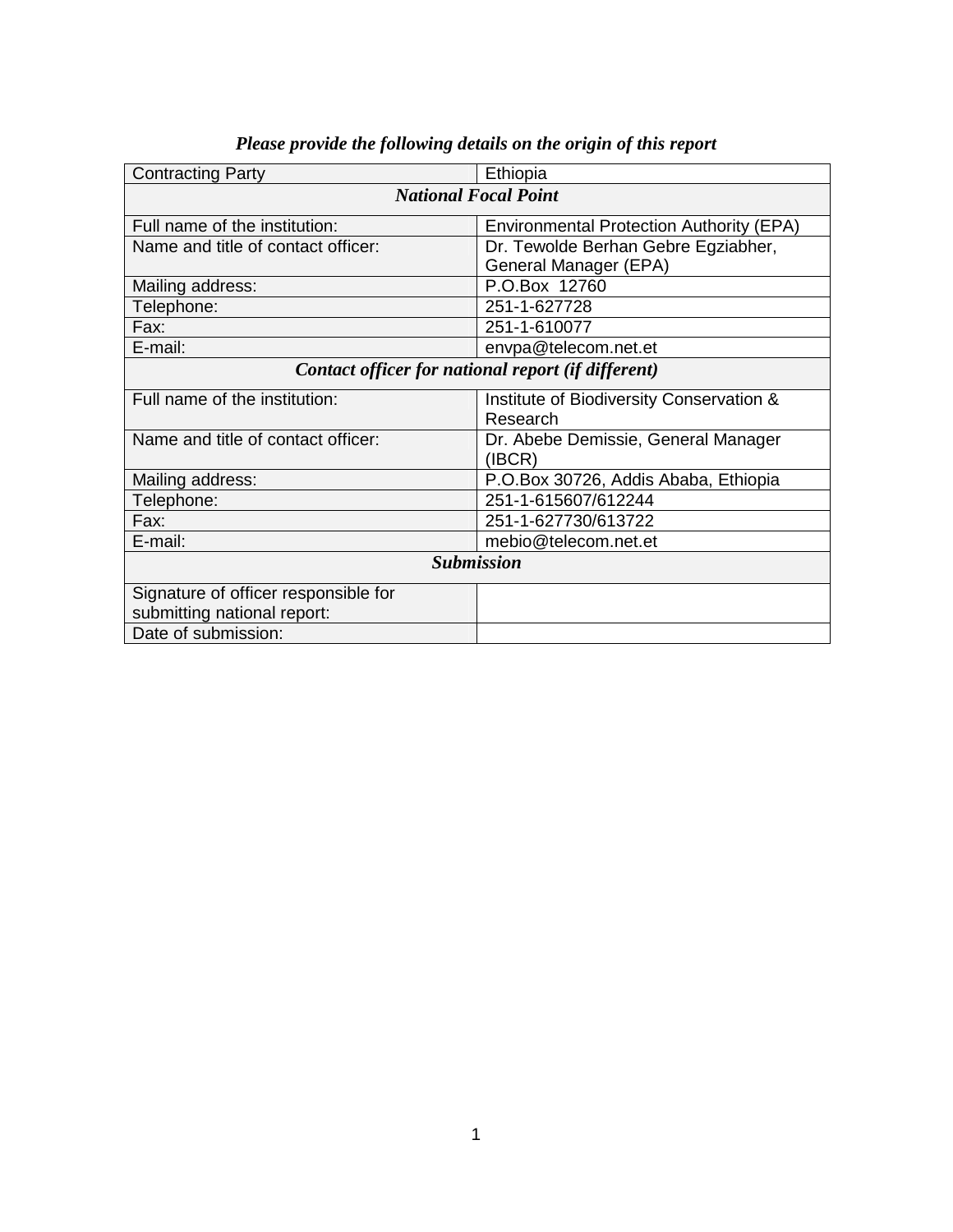| <b>Contracting Party</b><br>Ethiopia                                             |                                               |  |  |
|----------------------------------------------------------------------------------|-----------------------------------------------|--|--|
| <b>National Focal Point</b>                                                      |                                               |  |  |
| Full name of the institution:<br><b>Environmental Protection Authority (EPA)</b> |                                               |  |  |
| Name and title of contact officer:                                               | Dr. Tewolde Berhan Gebre Egziabher,           |  |  |
|                                                                                  | General Manager (EPA)                         |  |  |
| Mailing address:                                                                 | P.O.Box 12760                                 |  |  |
| Telephone:                                                                       | 251-1-627728                                  |  |  |
| 251-1-610077<br>Fax:                                                             |                                               |  |  |
| E-mail:                                                                          | envpa@telecom.net.et                          |  |  |
| Contact officer for national report (if different)                               |                                               |  |  |
| Full name of the institution:                                                    | Institute of Biodiversity Conservation &      |  |  |
|                                                                                  | Research                                      |  |  |
| Name and title of contact officer:                                               | Dr. Abebe Demissie, General Manager<br>(IBCR) |  |  |
| Mailing address:                                                                 | P.O.Box 30726, Addis Ababa, Ethiopia          |  |  |
| Telephone:                                                                       | 251-1-615607/612244                           |  |  |
| 251-1-627730/613722<br>Fax:                                                      |                                               |  |  |
| E-mail:                                                                          | mebio@telecom.net.et                          |  |  |
|                                                                                  |                                               |  |  |
| <b>Submission</b>                                                                |                                               |  |  |
| Signature of officer responsible for                                             |                                               |  |  |
| submitting national report:                                                      |                                               |  |  |
| Date of submission:                                                              |                                               |  |  |

# *Please provide the following details on the origin of this report*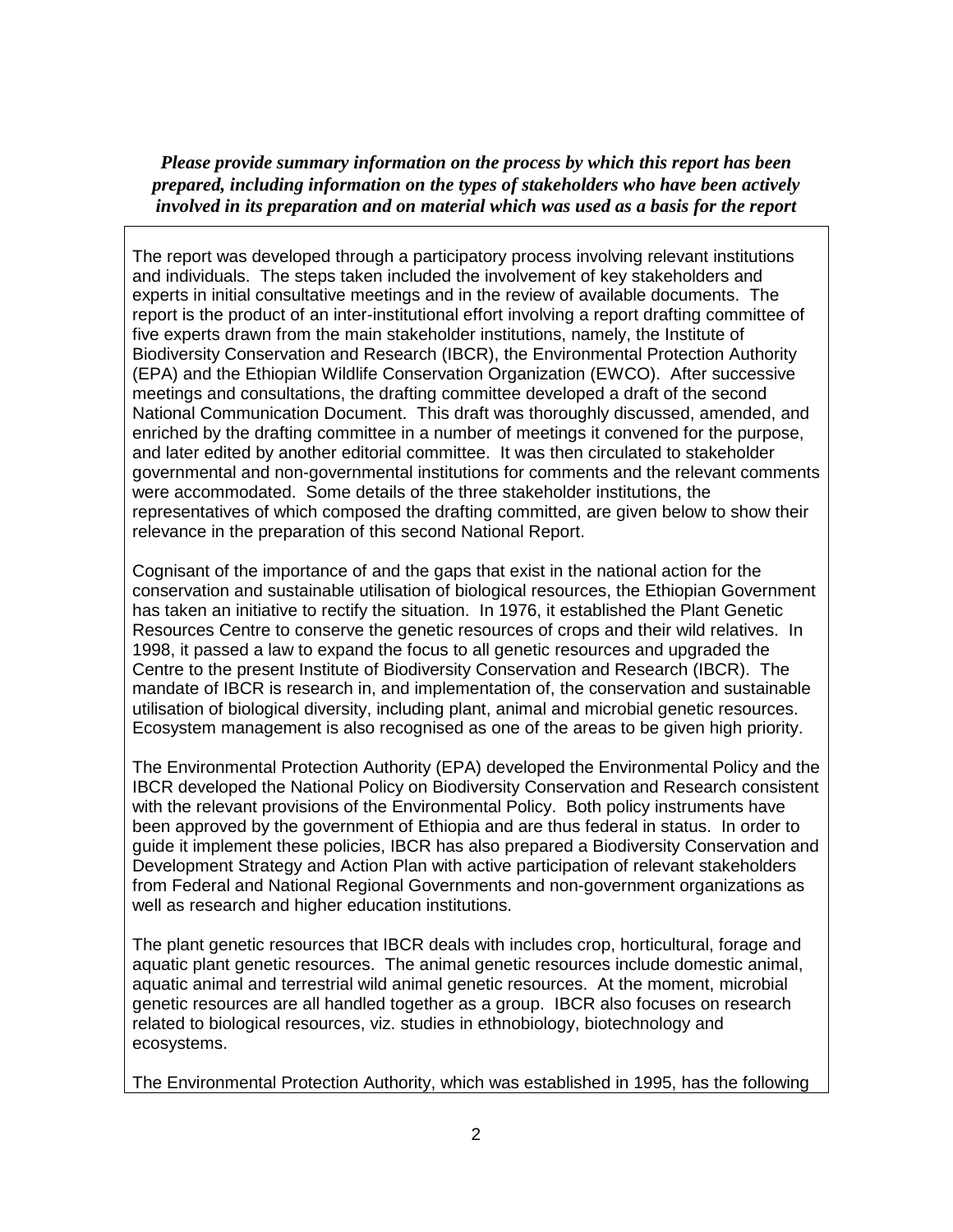*Please provide summary information on the process by which this report has been prepared, including information on the types of stakeholders who have been actively involved in its preparation and on material which was used as a basis for the report*

The report was developed through a participatory process involving relevant institutions and individuals. The steps taken included the involvement of key stakeholders and experts in initial consultative meetings and in the review of available documents. The report is the product of an inter-institutional effort involving a report drafting committee of five experts drawn from the main stakeholder institutions, namely, the Institute of Biodiversity Conservation and Research (IBCR), the Environmental Protection Authority (EPA) and the Ethiopian Wildlife Conservation Organization (EWCO). After successive meetings and consultations, the drafting committee developed a draft of the second National Communication Document. This draft was thoroughly discussed, amended, and enriched by the drafting committee in a number of meetings it convened for the purpose, and later edited by another editorial committee. It was then circulated to stakeholder governmental and non-governmental institutions for comments and the relevant comments were accommodated. Some details of the three stakeholder institutions, the representatives of which composed the drafting committed, are given below to show their relevance in the preparation of this second National Report.

Cognisant of the importance of and the gaps that exist in the national action for the conservation and sustainable utilisation of biological resources, the Ethiopian Government has taken an initiative to rectify the situation. In 1976, it established the Plant Genetic Resources Centre to conserve the genetic resources of crops and their wild relatives. In 1998, it passed a law to expand the focus to all genetic resources and upgraded the Centre to the present Institute of Biodiversity Conservation and Research (IBCR). The mandate of IBCR is research in, and implementation of, the conservation and sustainable utilisation of biological diversity, including plant, animal and microbial genetic resources. Ecosystem management is also recognised as one of the areas to be given high priority.

The Environmental Protection Authority (EPA) developed the Environmental Policy and the IBCR developed the National Policy on Biodiversity Conservation and Research consistent with the relevant provisions of the Environmental Policy. Both policy instruments have been approved by the government of Ethiopia and are thus federal in status. In order to guide it implement these policies, IBCR has also prepared a Biodiversity Conservation and Development Strategy and Action Plan with active participation of relevant stakeholders from Federal and National Regional Governments and non-government organizations as well as research and higher education institutions.

The plant genetic resources that IBCR deals with includes crop, horticultural, forage and aquatic plant genetic resources. The animal genetic resources include domestic animal, aquatic animal and terrestrial wild animal genetic resources. At the moment, microbial genetic resources are all handled together as a group. IBCR also focuses on research related to biological resources, viz. studies in ethnobiology, biotechnology and ecosystems.

The Environmental Protection Authority, which was established in 1995, has the following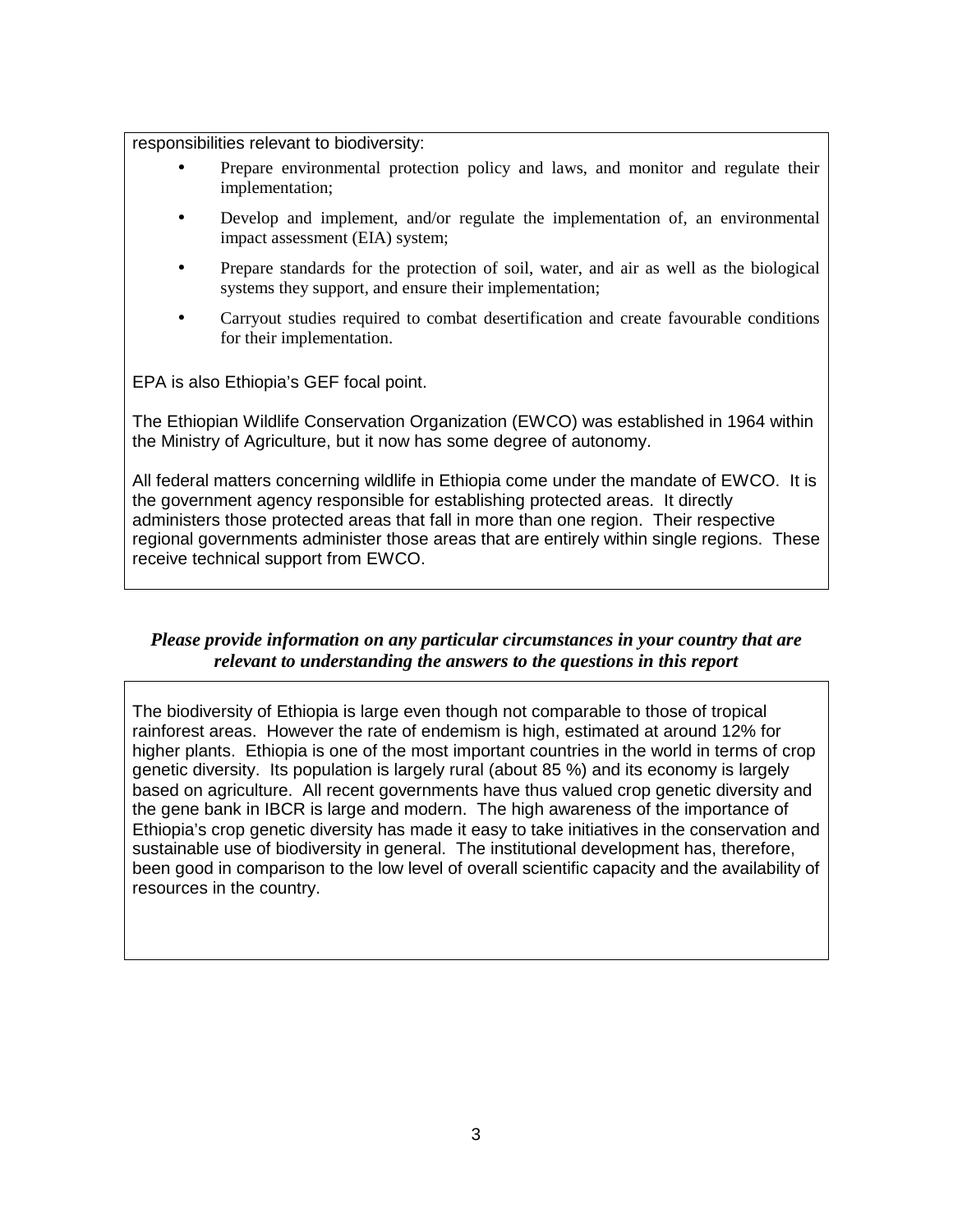responsibilities relevant to biodiversity:

- Prepare environmental protection policy and laws, and monitor and regulate their implementation;
- Develop and implement, and/or regulate the implementation of, an environmental impact assessment (EIA) system;
- Prepare standards for the protection of soil, water, and air as well as the biological systems they support, and ensure their implementation;
- Carryout studies required to combat desertification and create favourable conditions for their implementation.

EPA is also Ethiopia's GEF focal point.

The Ethiopian Wildlife Conservation Organization (EWCO) was established in 1964 within the Ministry of Agriculture, but it now has some degree of autonomy.

All federal matters concerning wildlife in Ethiopia come under the mandate of EWCO. It is the government agency responsible for establishing protected areas. It directly administers those protected areas that fall in more than one region. Their respective regional governments administer those areas that are entirely within single regions. These receive technical support from EWCO.

#### *Please provide information on any particular circumstances in your country that are relevant to understanding the answers to the questions in this report*

The biodiversity of Ethiopia is large even though not comparable to those of tropical rainforest areas. However the rate of endemism is high, estimated at around 12% for higher plants. Ethiopia is one of the most important countries in the world in terms of crop genetic diversity. Its population is largely rural (about 85 %) and its economy is largely based on agriculture. All recent governments have thus valued crop genetic diversity and the gene bank in IBCR is large and modern. The high awareness of the importance of Ethiopia's crop genetic diversity has made it easy to take initiatives in the conservation and sustainable use of biodiversity in general. The institutional development has, therefore, been good in comparison to the low level of overall scientific capacity and the availability of resources in the country.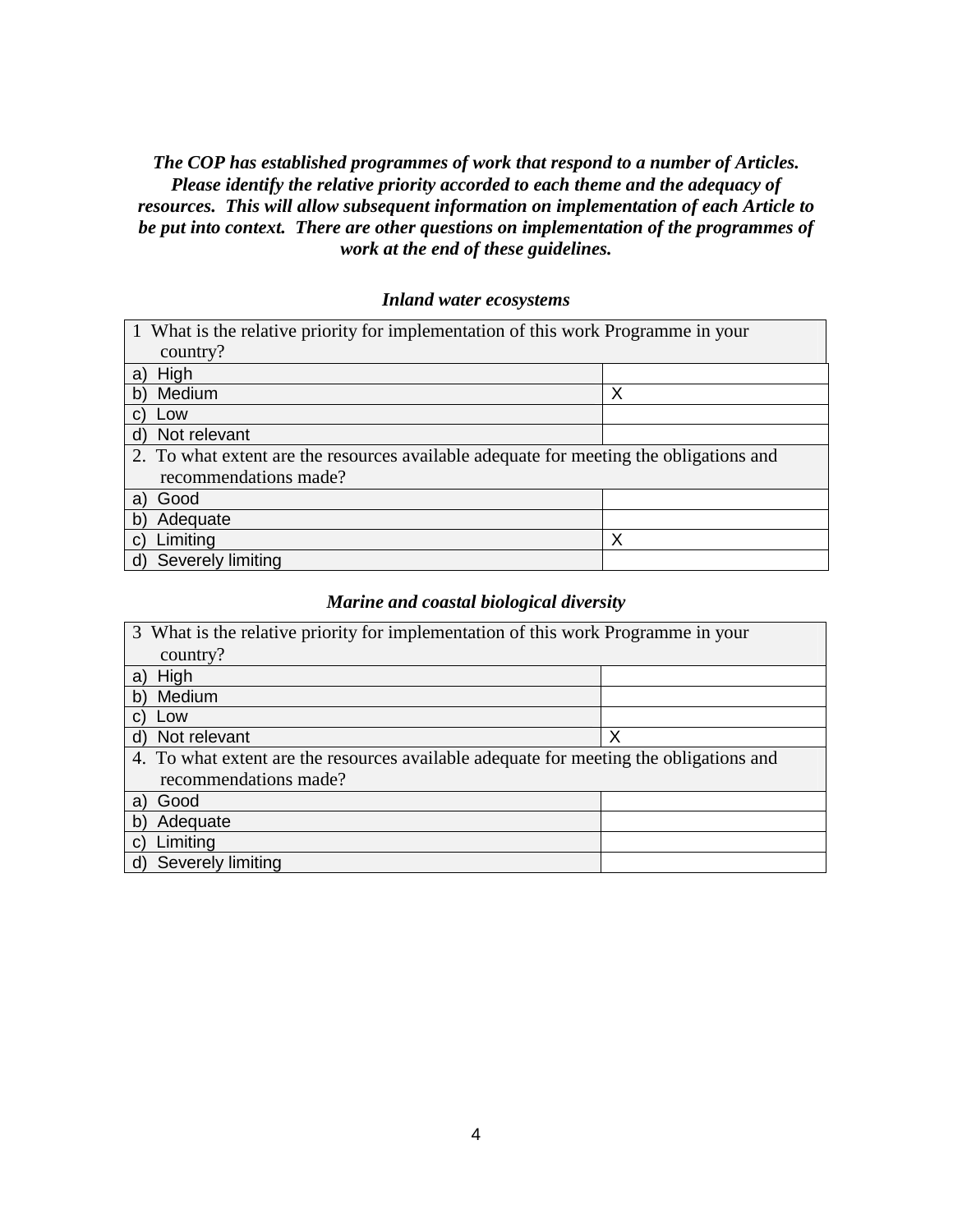### *The COP has established programmes of work that respond to a number of Articles. Please identify the relative priority accorded to each theme and the adequacy of resources. This will allow subsequent information on implementation of each Article to be put into context. There are other questions on implementation of the programmes of work at the end of these guidelines.*

#### *Inland water ecosystems*

| 1 What is the relative priority for implementation of this work Programme in your      |   |  |  |
|----------------------------------------------------------------------------------------|---|--|--|
| country?                                                                               |   |  |  |
| High<br>a)                                                                             |   |  |  |
| Medium<br>b)                                                                           | Χ |  |  |
| Low<br>C)                                                                              |   |  |  |
| Not relevant<br>d)                                                                     |   |  |  |
| 2. To what extent are the resources available adequate for meeting the obligations and |   |  |  |
| recommendations made?                                                                  |   |  |  |
| Good<br>a)                                                                             |   |  |  |
| Adequate<br>b)                                                                         |   |  |  |
| Limiting<br>C)                                                                         | Χ |  |  |
| Severely limiting<br>d)                                                                |   |  |  |

### *Marine and coastal biological diversity*

| 3 What is the relative priority for implementation of this work Programme in your      |  |  |  |
|----------------------------------------------------------------------------------------|--|--|--|
| country?                                                                               |  |  |  |
| High                                                                                   |  |  |  |
| Medium<br>$\mathsf{b}$                                                                 |  |  |  |
| Low                                                                                    |  |  |  |
| Not relevant<br>х<br>ď                                                                 |  |  |  |
| 4. To what extent are the resources available adequate for meeting the obligations and |  |  |  |
| recommendations made?                                                                  |  |  |  |
| Good<br>a                                                                              |  |  |  |
| Adequate<br>b                                                                          |  |  |  |
| Limiting                                                                               |  |  |  |
| Severely limiting                                                                      |  |  |  |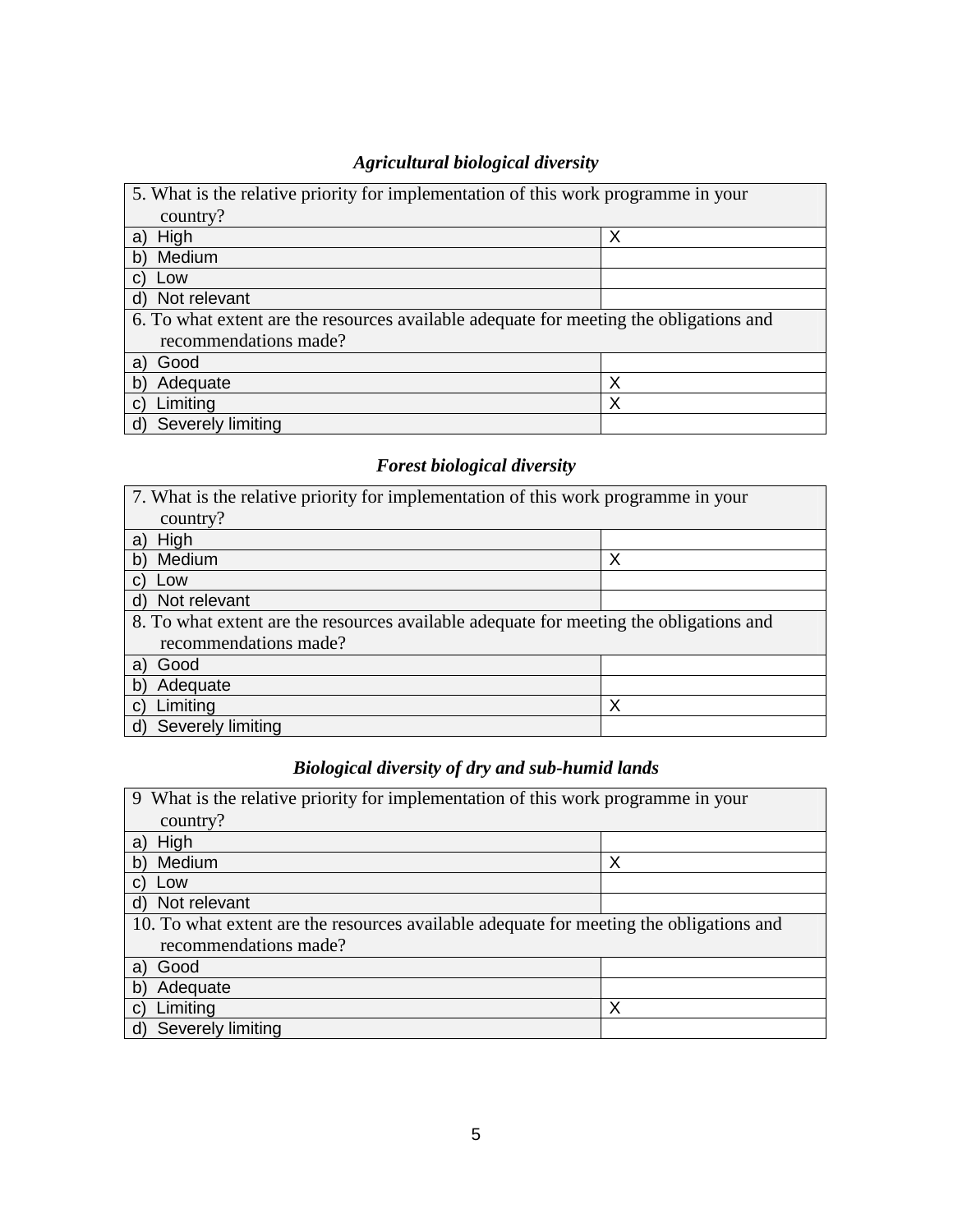### *Agricultural biological diversity*

| 5. What is the relative priority for implementation of this work programme in your     |   |  |  |
|----------------------------------------------------------------------------------------|---|--|--|
| country?                                                                               |   |  |  |
| High<br>a                                                                              | Х |  |  |
| Medium<br>b)                                                                           |   |  |  |
| Low                                                                                    |   |  |  |
| Not relevant<br>d)                                                                     |   |  |  |
| 6. To what extent are the resources available adequate for meeting the obligations and |   |  |  |
| recommendations made?                                                                  |   |  |  |
| Good<br>a)                                                                             |   |  |  |
| Adequate<br>b'                                                                         | Χ |  |  |
| Limiting<br>C)                                                                         | Χ |  |  |
| Severely limiting                                                                      |   |  |  |

# *Forest biological diversity*

| 7. What is the relative priority for implementation of this work programme in your     |   |  |  |
|----------------------------------------------------------------------------------------|---|--|--|
| country?                                                                               |   |  |  |
| High<br>a)                                                                             |   |  |  |
| Medium<br>b)                                                                           | Х |  |  |
| Low                                                                                    |   |  |  |
| Not relevant<br>d)                                                                     |   |  |  |
| 8. To what extent are the resources available adequate for meeting the obligations and |   |  |  |
| recommendations made?                                                                  |   |  |  |
| Good<br>a                                                                              |   |  |  |
| Adequate<br>b'                                                                         |   |  |  |
| Limiting                                                                               | Χ |  |  |
| Severely limiting                                                                      |   |  |  |

# *Biological diversity of dry and sub-humid lands*

| 9 What is the relative priority for implementation of this work programme in your       |   |  |  |
|-----------------------------------------------------------------------------------------|---|--|--|
| country?                                                                                |   |  |  |
| High<br>a                                                                               |   |  |  |
| Medium<br>b)                                                                            | Χ |  |  |
| Low                                                                                     |   |  |  |
| Not relevant<br>d)                                                                      |   |  |  |
| 10. To what extent are the resources available adequate for meeting the obligations and |   |  |  |
| recommendations made?                                                                   |   |  |  |
| Good<br>al                                                                              |   |  |  |
| Adequate<br>b'                                                                          |   |  |  |
| Limiting                                                                                | Χ |  |  |
| Severely limiting<br>d)                                                                 |   |  |  |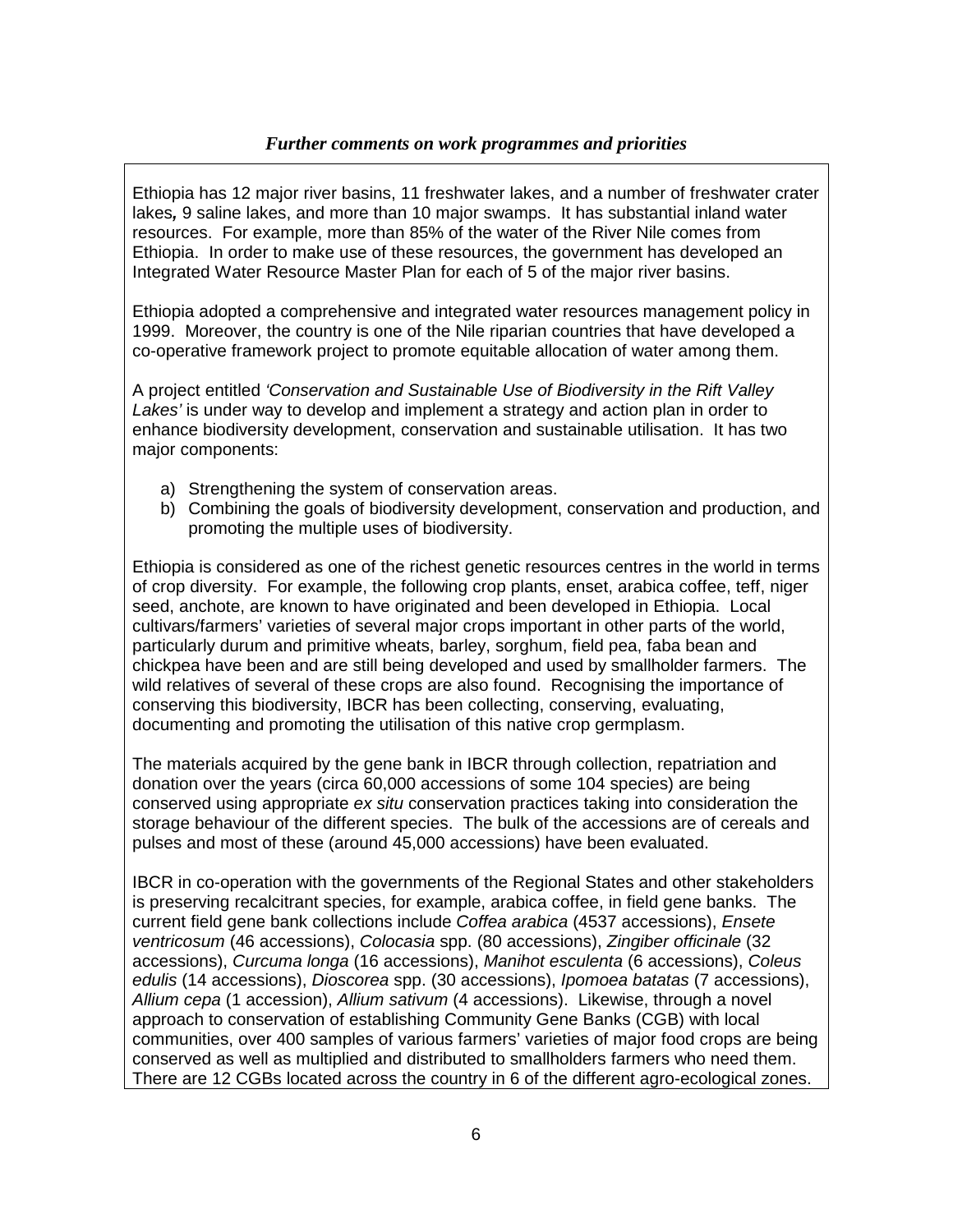#### *Further comments on work programmes and priorities*

Ethiopia has 12 major river basins, 11 freshwater lakes, and a number of freshwater crater lakes**,** 9 saline lakes, and more than 10 major swamps. It has substantial inland water resources. For example, more than 85% of the water of the River Nile comes from Ethiopia. In order to make use of these resources, the government has developed an Integrated Water Resource Master Plan for each of 5 of the major river basins.

Ethiopia adopted a comprehensive and integrated water resources management policy in 1999. Moreover, the country is one of the Nile riparian countries that have developed a co-operative framework project to promote equitable allocation of water among them.

A project entitled 'Conservation and Sustainable Use of Biodiversity in the Rift Valley Lakes' is under way to develop and implement a strategy and action plan in order to enhance biodiversity development, conservation and sustainable utilisation. It has two major components:

- a) Strengthening the system of conservation areas.
- b) Combining the goals of biodiversity development, conservation and production, and promoting the multiple uses of biodiversity.

Ethiopia is considered as one of the richest genetic resources centres in the world in terms of crop diversity. For example, the following crop plants, enset, arabica coffee, teff, niger seed, anchote, are known to have originated and been developed in Ethiopia. Local cultivars/farmers' varieties of several major crops important in other parts of the world, particularly durum and primitive wheats, barley, sorghum, field pea, faba bean and chickpea have been and are still being developed and used by smallholder farmers. The wild relatives of several of these crops are also found. Recognising the importance of conserving this biodiversity, IBCR has been collecting, conserving, evaluating, documenting and promoting the utilisation of this native crop germplasm.

The materials acquired by the gene bank in IBCR through collection, repatriation and donation over the years (circa 60,000 accessions of some 104 species) are being conserved using appropriate ex situ conservation practices taking into consideration the storage behaviour of the different species. The bulk of the accessions are of cereals and pulses and most of these (around 45,000 accessions) have been evaluated.

IBCR in co-operation with the governments of the Regional States and other stakeholders is preserving recalcitrant species, for example, arabica coffee, in field gene banks. The current field gene bank collections include Coffea arabica (4537 accessions), Ensete ventricosum (46 accessions), Colocasia spp. (80 accessions), Zingiber officinale (32 accessions), Curcuma longa (16 accessions), Manihot esculenta (6 accessions), Coleus edulis (14 accessions), Dioscorea spp. (30 accessions), Ipomoea batatas (7 accessions), Allium cepa (1 accession), Allium sativum (4 accessions). Likewise, through a novel approach to conservation of establishing Community Gene Banks (CGB) with local communities, over 400 samples of various farmers' varieties of major food crops are being conserved as well as multiplied and distributed to smallholders farmers who need them. There are 12 CGBs located across the country in 6 of the different agro-ecological zones.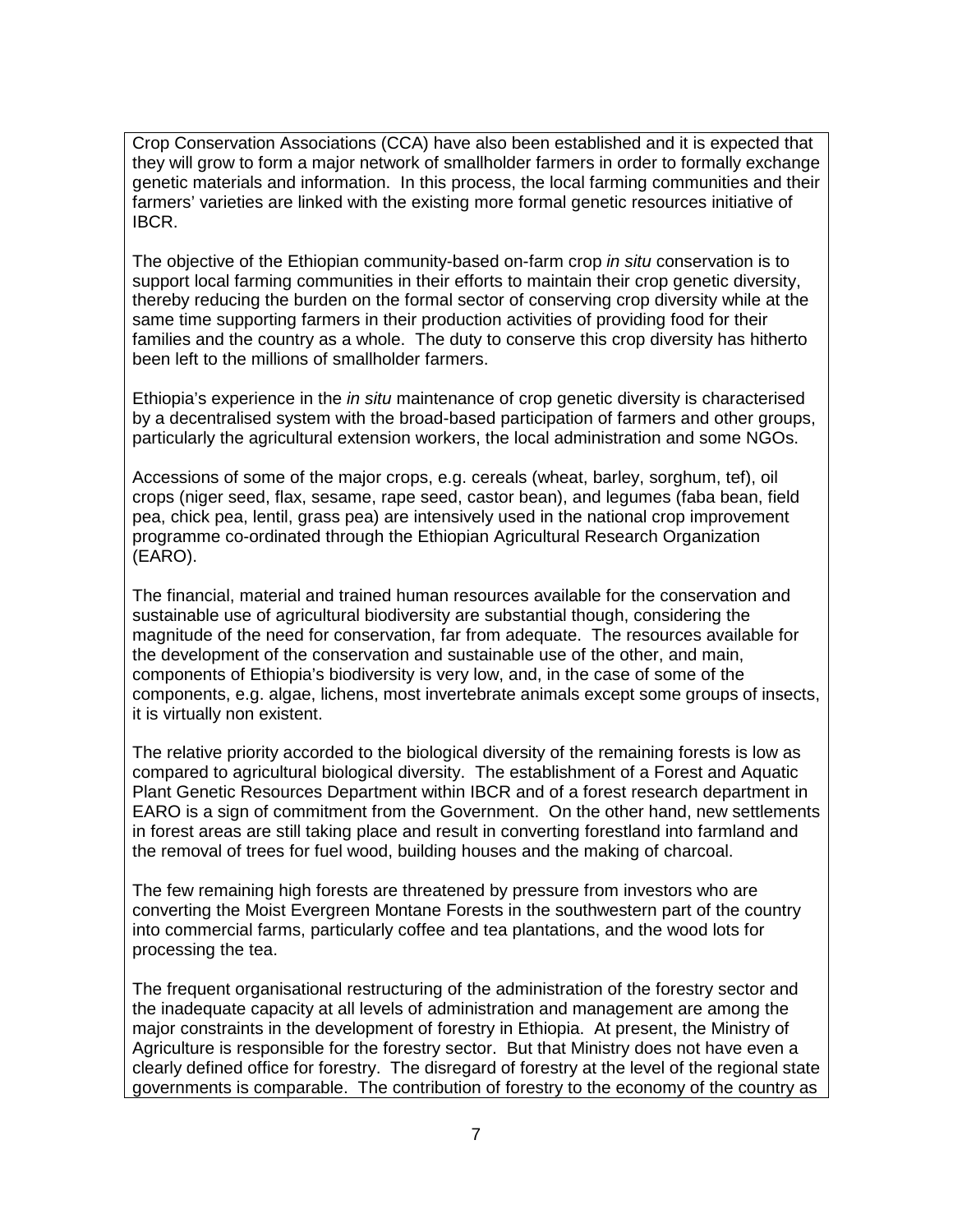Crop Conservation Associations (CCA) have also been established and it is expected that they will grow to form a major network of smallholder farmers in order to formally exchange genetic materials and information. In this process, the local farming communities and their farmers' varieties are linked with the existing more formal genetic resources initiative of IBCR.

The objective of the Ethiopian community-based on-farm crop in situ conservation is to support local farming communities in their efforts to maintain their crop genetic diversity, thereby reducing the burden on the formal sector of conserving crop diversity while at the same time supporting farmers in their production activities of providing food for their families and the country as a whole. The duty to conserve this crop diversity has hitherto been left to the millions of smallholder farmers.

Ethiopia's experience in the in situ maintenance of crop genetic diversity is characterised by a decentralised system with the broad-based participation of farmers and other groups, particularly the agricultural extension workers, the local administration and some NGOs.

Accessions of some of the major crops, e.g. cereals (wheat, barley, sorghum, tef), oil crops (niger seed, flax, sesame, rape seed, castor bean), and legumes (faba bean, field pea, chick pea, lentil, grass pea) are intensively used in the national crop improvement programme co-ordinated through the Ethiopian Agricultural Research Organization (EARO).

The financial, material and trained human resources available for the conservation and sustainable use of agricultural biodiversity are substantial though, considering the magnitude of the need for conservation, far from adequate. The resources available for the development of the conservation and sustainable use of the other, and main, components of Ethiopia's biodiversity is very low, and, in the case of some of the components, e.g. algae, lichens, most invertebrate animals except some groups of insects, it is virtually non existent.

The relative priority accorded to the biological diversity of the remaining forests is low as compared to agricultural biological diversity. The establishment of a Forest and Aquatic Plant Genetic Resources Department within IBCR and of a forest research department in EARO is a sign of commitment from the Government. On the other hand, new settlements in forest areas are still taking place and result in converting forestland into farmland and the removal of trees for fuel wood, building houses and the making of charcoal.

The few remaining high forests are threatened by pressure from investors who are converting the Moist Evergreen Montane Forests in the southwestern part of the country into commercial farms, particularly coffee and tea plantations, and the wood lots for processing the tea.

The frequent organisational restructuring of the administration of the forestry sector and the inadequate capacity at all levels of administration and management are among the major constraints in the development of forestry in Ethiopia. At present, the Ministry of Agriculture is responsible for the forestry sector. But that Ministry does not have even a clearly defined office for forestry. The disregard of forestry at the level of the regional state governments is comparable. The contribution of forestry to the economy of the country as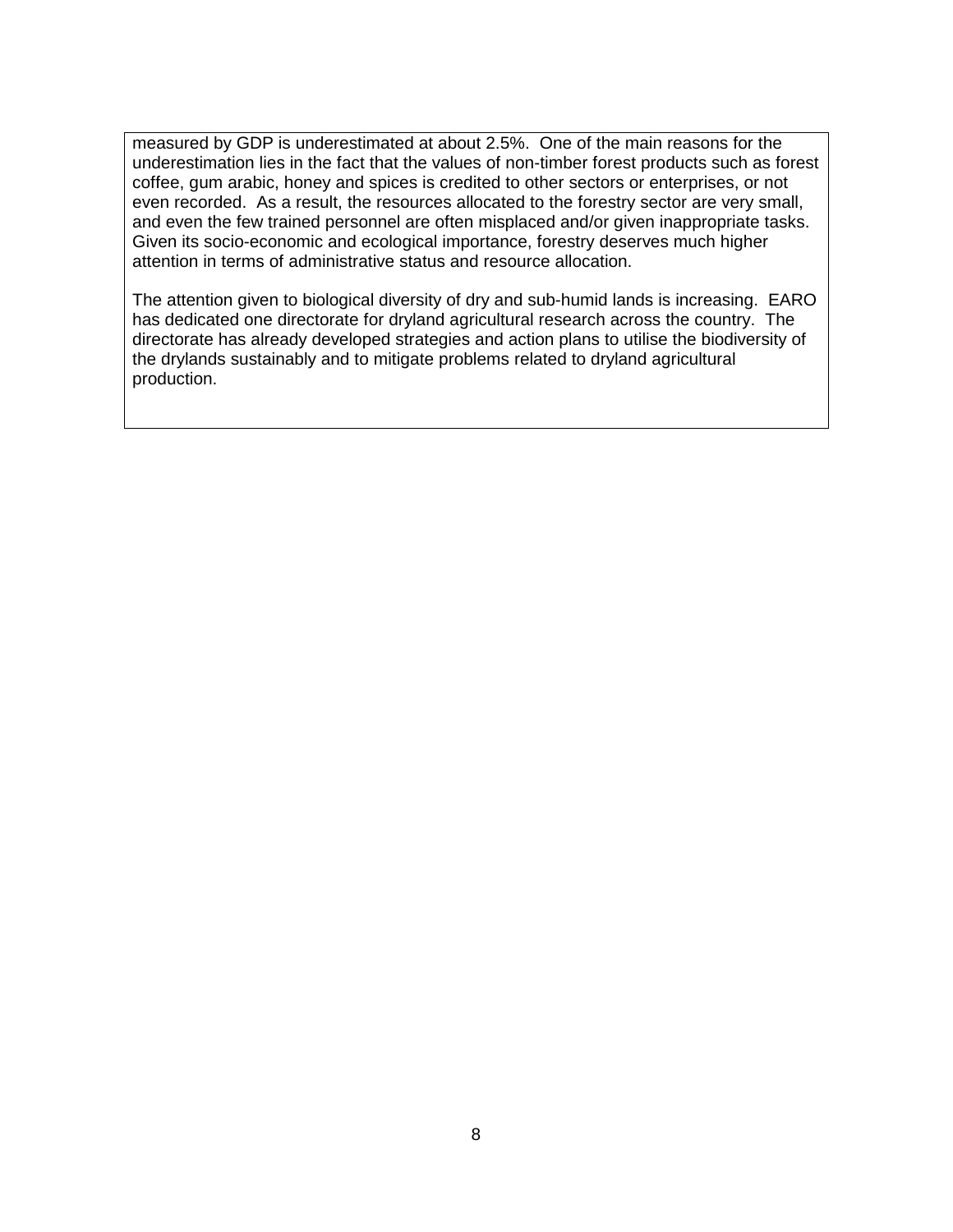measured by GDP is underestimated at about 2.5%. One of the main reasons for the underestimation lies in the fact that the values of non-timber forest products such as forest coffee, gum arabic, honey and spices is credited to other sectors or enterprises, or not even recorded. As a result, the resources allocated to the forestry sector are very small, and even the few trained personnel are often misplaced and/or given inappropriate tasks. Given its socio-economic and ecological importance, forestry deserves much higher attention in terms of administrative status and resource allocation.

The attention given to biological diversity of dry and sub-humid lands is increasing. EARO has dedicated one directorate for dryland agricultural research across the country. The directorate has already developed strategies and action plans to utilise the biodiversity of the drylands sustainably and to mitigate problems related to dryland agricultural production.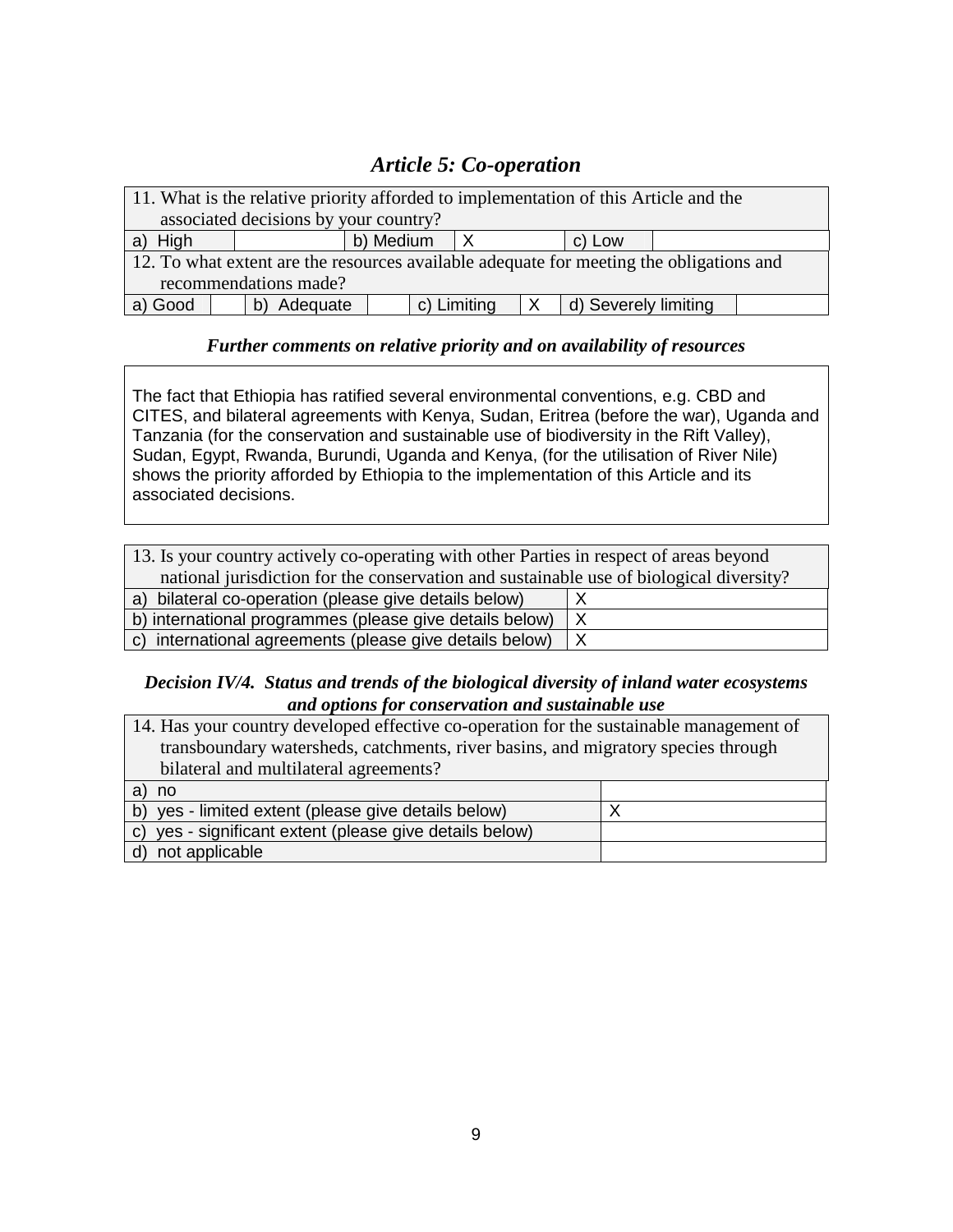# *Article 5: Co-operation*

| 11. What is the relative priority afforded to implementation of this Article and the    |  |                       |           |  |                                        |  |
|-----------------------------------------------------------------------------------------|--|-----------------------|-----------|--|----------------------------------------|--|
| associated decisions by your country?                                                   |  |                       |           |  |                                        |  |
| a) High                                                                                 |  |                       | b) Medium |  | c) Low                                 |  |
| 12. To what extent are the resources available adequate for meeting the obligations and |  |                       |           |  |                                        |  |
|                                                                                         |  | recommendations made? |           |  |                                        |  |
| a) Good                                                                                 |  | b) Adequate           |           |  | c) Limiting $ X $ d) Severely limiting |  |

### *Further comments on relative priority and on availability of resources*

The fact that Ethiopia has ratified several environmental conventions, e.g. CBD and CITES, and bilateral agreements with Kenya, Sudan, Eritrea (before the war), Uganda and Tanzania (for the conservation and sustainable use of biodiversity in the Rift Valley), Sudan, Egypt, Rwanda, Burundi, Uganda and Kenya, (for the utilisation of River Nile) shows the priority afforded by Ethiopia to the implementation of this Article and its associated decisions.

| 13. Is your country actively co-operating with other Parties in respect of areas beyond |   |  |
|-----------------------------------------------------------------------------------------|---|--|
| national jurisdiction for the conservation and sustainable use of biological diversity? |   |  |
| a) bilateral co-operation (please give details below)                                   |   |  |
| b) international programmes (please give details below)<br>$\times$                     |   |  |
| c) international agreements (please give details below)                                 | Χ |  |

### *Decision IV/4. Status and trends of the biological diversity of inland water ecosystems and options for conservation and sustainable use*

| 14. Has your country developed effective co-operation for the sustainable management of |  |  |
|-----------------------------------------------------------------------------------------|--|--|
| transboundary watersheds, catchments, river basins, and migratory species through       |  |  |
| bilateral and multilateral agreements?                                                  |  |  |
| no<br>a                                                                                 |  |  |
| b) yes - limited extent (please give details below)                                     |  |  |
| c) yes - significant extent (please give details below)                                 |  |  |
| not applicable                                                                          |  |  |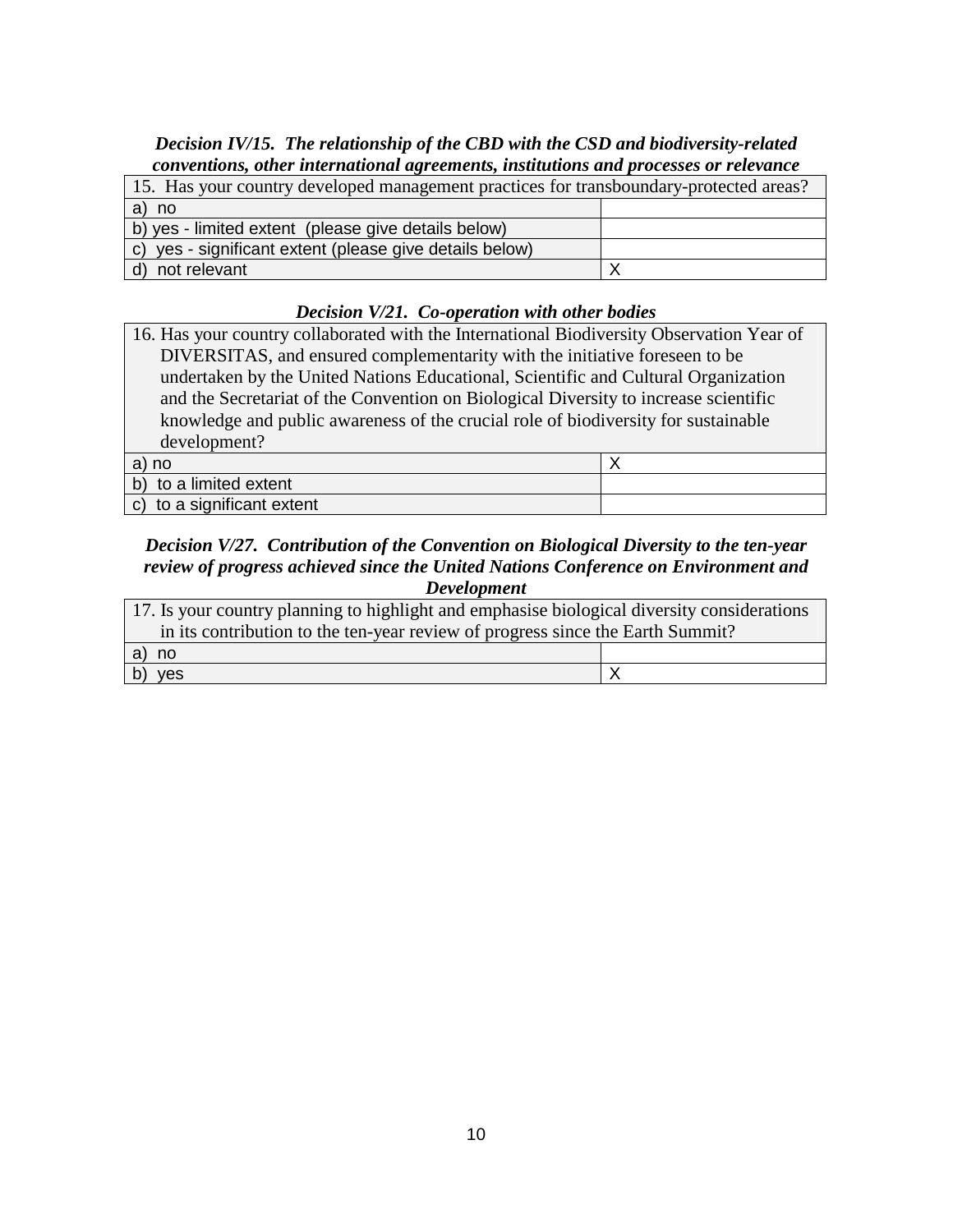### *Decision IV/15. The relationship of the CBD with the CSD and biodiversity-related conventions, other international agreements, institutions and processes or relevance*

| 15. Has your country developed management practices for transboundary-protected areas? |  |  |
|----------------------------------------------------------------------------------------|--|--|
| a) no                                                                                  |  |  |
| b) yes - limited extent (please give details below)                                    |  |  |
| c) yes - significant extent (please give details below)                                |  |  |
| d) not relevant                                                                        |  |  |

### *Decision V/21. Co-operation with other bodies*

| 16. Has your country collaborated with the International Biodiversity Observation Year of |  |
|-------------------------------------------------------------------------------------------|--|
| DIVERSITAS, and ensured complementarity with the initiative foreseen to be                |  |
| undertaken by the United Nations Educational, Scientific and Cultural Organization        |  |
| and the Secretariat of the Convention on Biological Diversity to increase scientific      |  |
| knowledge and public awareness of the crucial role of biodiversity for sustainable        |  |
| development?                                                                              |  |
|                                                                                           |  |

| a) no                              |  |
|------------------------------------|--|
| b) to a limited extent             |  |
| $\vert$ c) to a significant extent |  |

#### *Decision V/27. Contribution of the Convention on Biological Diversity to the ten-year review of progress achieved since the United Nations Conference on Environment and Development*

| 17. Is your country planning to highlight and emphasise biological diversity considerations |  |  |
|---------------------------------------------------------------------------------------------|--|--|
| in its contribution to the ten-year review of progress since the Earth Summit?              |  |  |
| a) no                                                                                       |  |  |
| $\vert$ b)<br>yes                                                                           |  |  |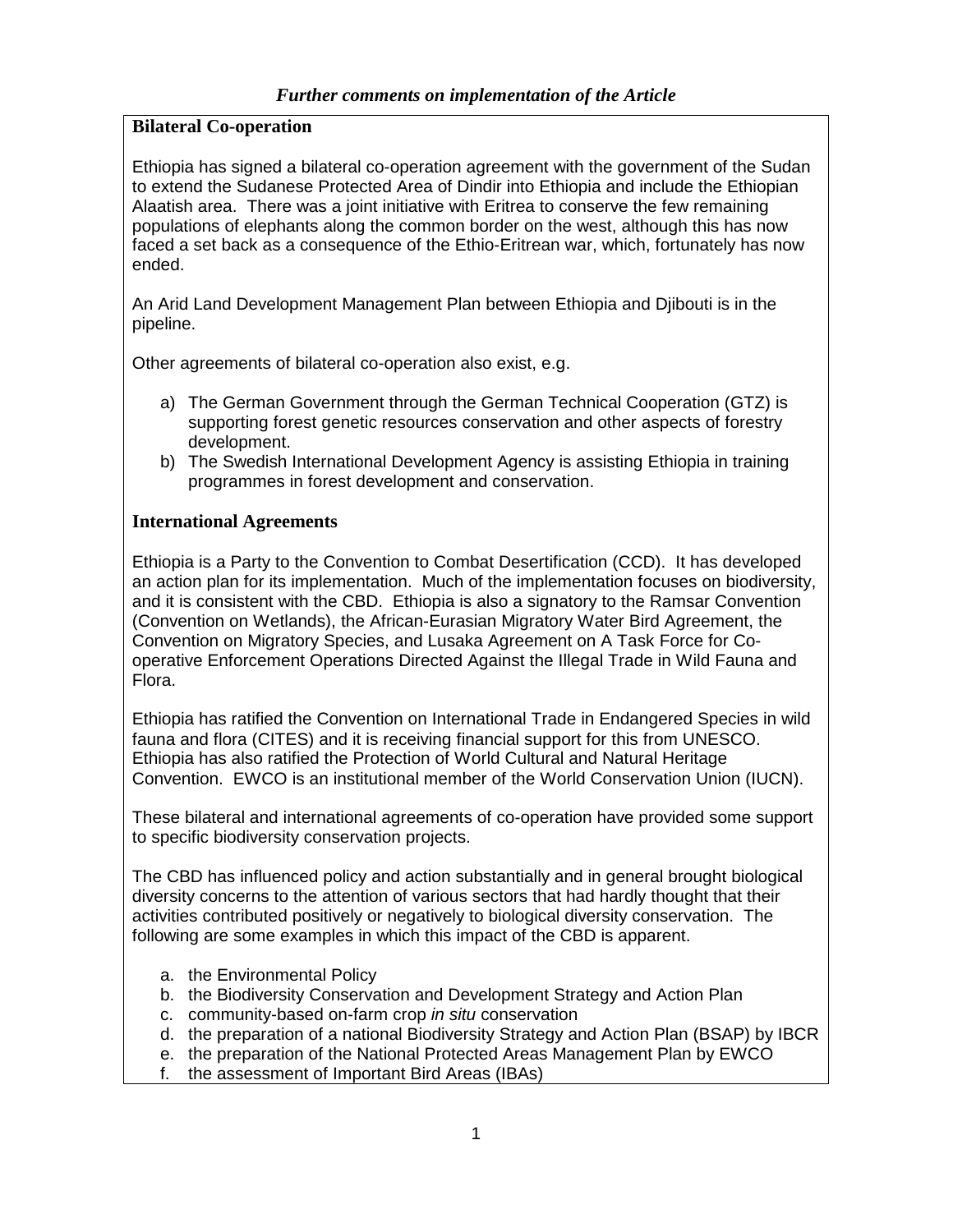### **Bilateral Co-operation**

Ethiopia has signed a bilateral co-operation agreement with the government of the Sudan to extend the Sudanese Protected Area of Dindir into Ethiopia and include the Ethiopian Alaatish area. There was a joint initiative with Eritrea to conserve the few remaining populations of elephants along the common border on the west, although this has now faced a set back as a consequence of the Ethio-Eritrean war, which, fortunately has now ended.

An Arid Land Development Management Plan between Ethiopia and Djibouti is in the pipeline.

Other agreements of bilateral co-operation also exist, e.g.

- a) The German Government through the German Technical Cooperation (GTZ) is supporting forest genetic resources conservation and other aspects of forestry development.
- b) The Swedish International Development Agency is assisting Ethiopia in training programmes in forest development and conservation.

### **International Agreements**

Ethiopia is a Party to the Convention to Combat Desertification (CCD). It has developed an action plan for its implementation. Much of the implementation focuses on biodiversity, and it is consistent with the CBD. Ethiopia is also a signatory to the Ramsar Convention (Convention on Wetlands), the African-Eurasian Migratory Water Bird Agreement, the Convention on Migratory Species, and Lusaka Agreement on A Task Force for Cooperative Enforcement Operations Directed Against the Illegal Trade in Wild Fauna and Flora.

Ethiopia has ratified the Convention on International Trade in Endangered Species in wild fauna and flora (CITES) and it is receiving financial support for this from UNESCO. Ethiopia has also ratified the Protection of World Cultural and Natural Heritage Convention. EWCO is an institutional member of the World Conservation Union (IUCN).

These bilateral and international agreements of co-operation have provided some support to specific biodiversity conservation projects.

The CBD has influenced policy and action substantially and in general brought biological diversity concerns to the attention of various sectors that had hardly thought that their activities contributed positively or negatively to biological diversity conservation. The following are some examples in which this impact of the CBD is apparent.

- a. the Environmental Policy
- b. the Biodiversity Conservation and Development Strategy and Action Plan
- c. community-based on-farm crop in situ conservation
- d. the preparation of a national Biodiversity Strategy and Action Plan (BSAP) by IBCR
- e. the preparation of the National Protected Areas Management Plan by EWCO
- f. the assessment of Important Bird Areas (IBAs)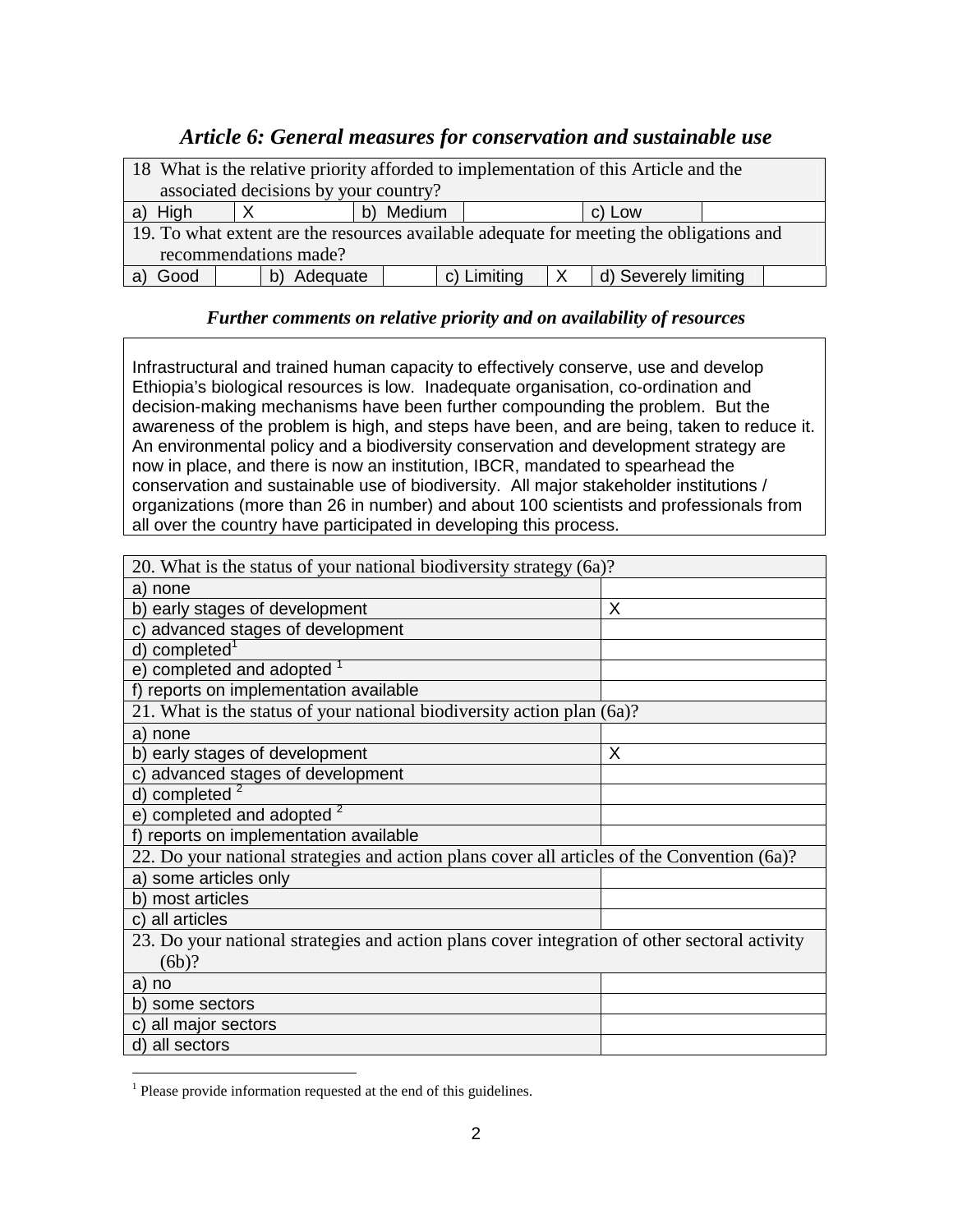### *Article 6: General measures for conservation and sustainable use*

| 18 What is the relative priority afforded to implementation of this Article and the     |  |          |                     |          |                      |  |  |
|-----------------------------------------------------------------------------------------|--|----------|---------------------|----------|----------------------|--|--|
| associated decisions by your country?                                                   |  |          |                     |          |                      |  |  |
| a) High                                                                                 |  |          | b) Medium<br>c) Low |          |                      |  |  |
| 19. To what extent are the resources available adequate for meeting the obligations and |  |          |                     |          |                      |  |  |
| recommendations made?                                                                   |  |          |                     |          |                      |  |  |
| Good                                                                                    |  | Adequate | c) Limiting         | $\times$ | d) Severely limiting |  |  |

### *Further comments on relative priority and on availability of resources*

Infrastructural and trained human capacity to effectively conserve, use and develop Ethiopia's biological resources is low. Inadequate organisation, co-ordination and decision-making mechanisms have been further compounding the problem. But the awareness of the problem is high, and steps have been, and are being, taken to reduce it. An environmental policy and a biodiversity conservation and development strategy are now in place, and there is now an institution, IBCR, mandated to spearhead the conservation and sustainable use of biodiversity. All major stakeholder institutions / organizations (more than 26 in number) and about 100 scientists and professionals from all over the country have participated in developing this process.

| 20. What is the status of your national biodiversity strategy (6a)?                           |   |
|-----------------------------------------------------------------------------------------------|---|
| a) none                                                                                       |   |
| b) early stages of development                                                                | X |
| c) advanced stages of development                                                             |   |
| d) completed <sup>1</sup>                                                                     |   |
| e) completed and adopted                                                                      |   |
| f) reports on implementation available                                                        |   |
| 21. What is the status of your national biodiversity action plan (6a)?                        |   |
| a) none                                                                                       |   |
| b) early stages of development                                                                | X |
| c) advanced stages of development                                                             |   |
| d) completed $2$                                                                              |   |
| e) completed and adopted $2$                                                                  |   |
| f) reports on implementation available                                                        |   |
| 22. Do your national strategies and action plans cover all articles of the Convention (6a)?   |   |
| a) some articles only                                                                         |   |
| b) most articles                                                                              |   |
| c) all articles                                                                               |   |
| 23. Do your national strategies and action plans cover integration of other sectoral activity |   |
| (6b)?                                                                                         |   |
| a) no                                                                                         |   |
| b) some sectors                                                                               |   |
| c) all major sectors                                                                          |   |
| d) all sectors                                                                                |   |

<sup>&</sup>lt;sup>1</sup> Please provide information requested at the end of this guidelines.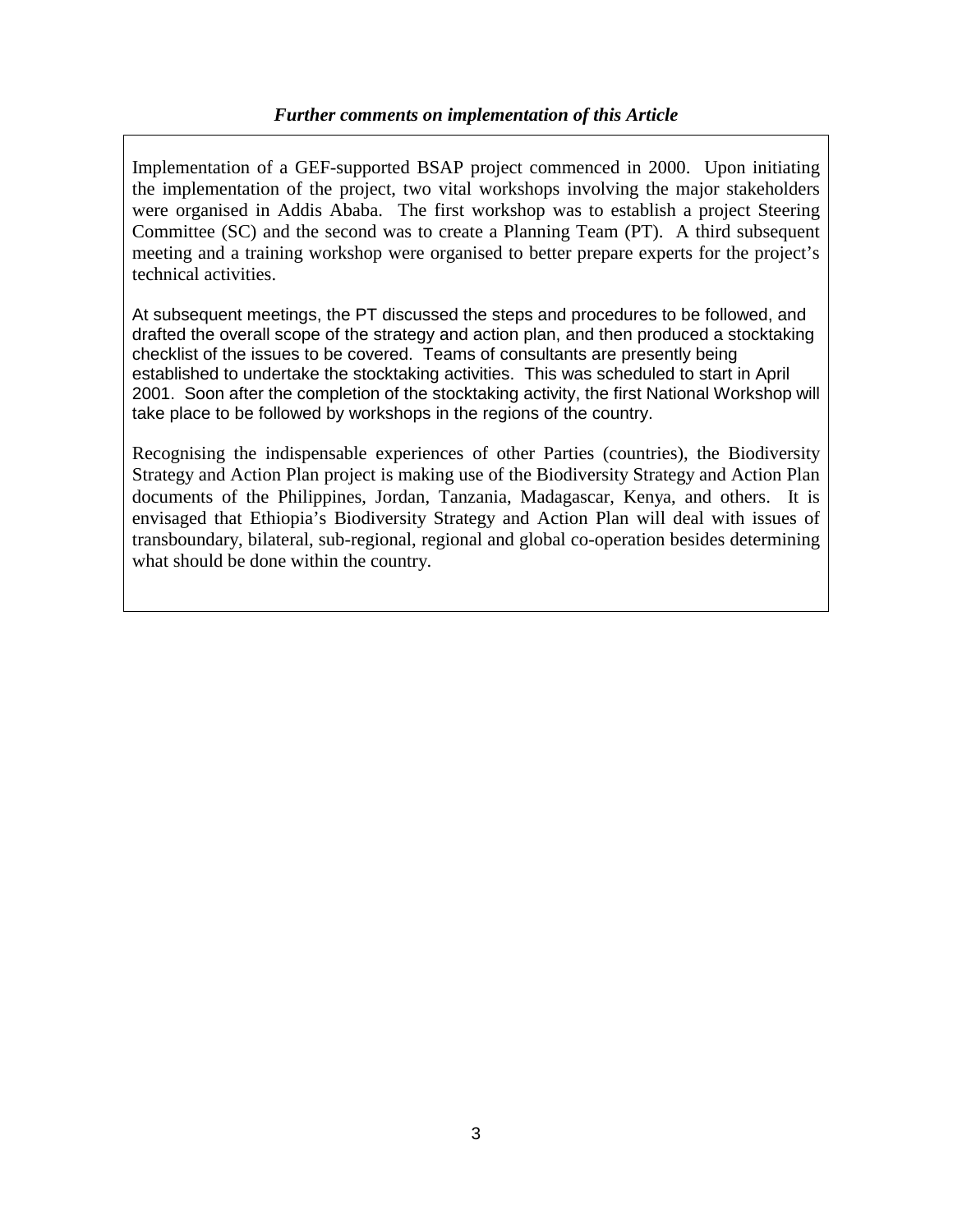### *Further comments on implementation of this Article*

Implementation of a GEF-supported BSAP project commenced in 2000. Upon initiating the implementation of the project, two vital workshops involving the major stakeholders were organised in Addis Ababa. The first workshop was to establish a project Steering Committee (SC) and the second was to create a Planning Team (PT). A third subsequent meeting and a training workshop were organised to better prepare experts for the project's technical activities.

At subsequent meetings, the PT discussed the steps and procedures to be followed, and drafted the overall scope of the strategy and action plan, and then produced a stocktaking checklist of the issues to be covered. Teams of consultants are presently being established to undertake the stocktaking activities. This was scheduled to start in April 2001. Soon after the completion of the stocktaking activity, the first National Workshop will take place to be followed by workshops in the regions of the country.

Recognising the indispensable experiences of other Parties (countries), the Biodiversity Strategy and Action Plan project is making use of the Biodiversity Strategy and Action Plan documents of the Philippines, Jordan, Tanzania, Madagascar, Kenya, and others. It is envisaged that Ethiopia's Biodiversity Strategy and Action Plan will deal with issues of transboundary, bilateral, sub-regional, regional and global co-operation besides determining what should be done within the country.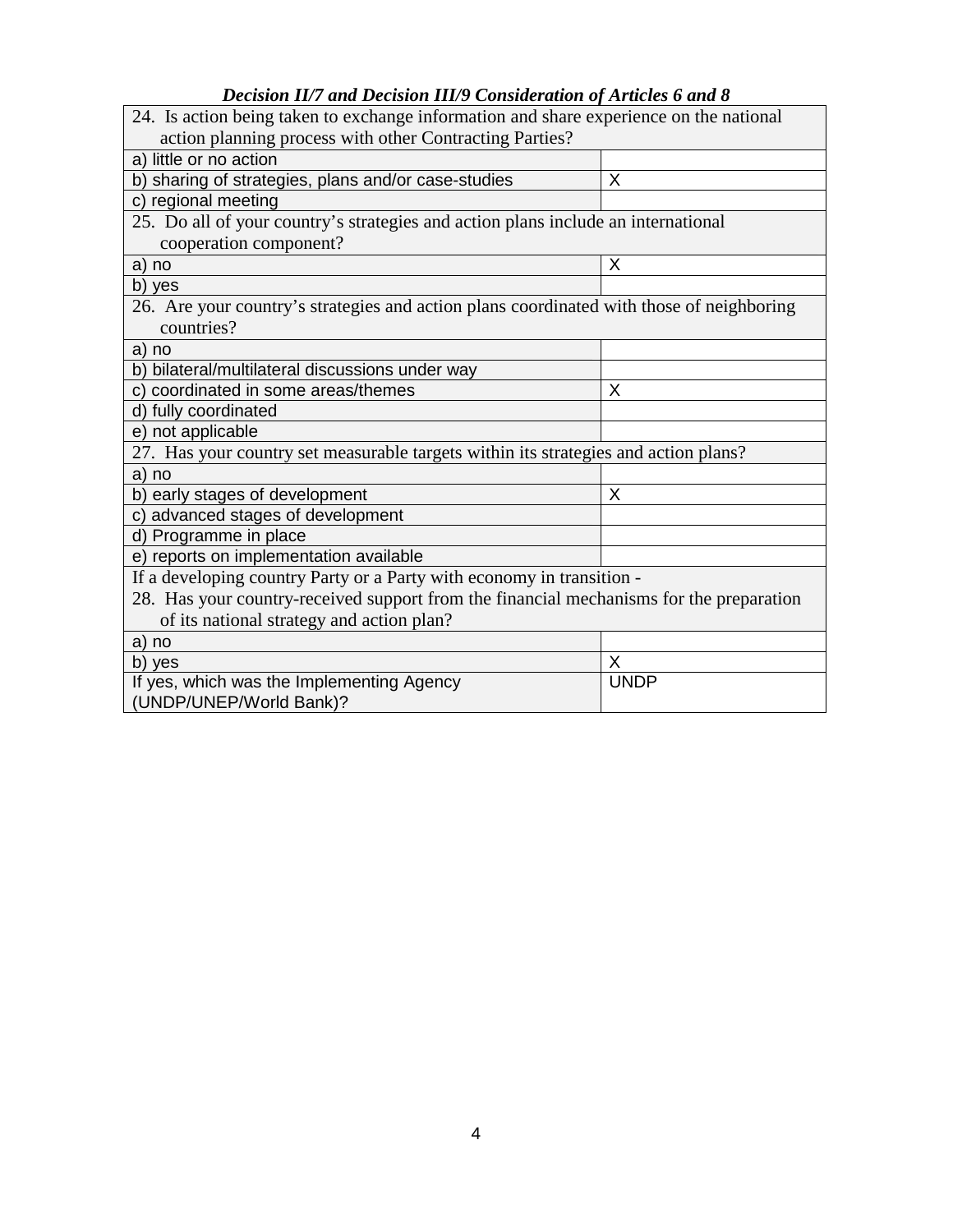### *Decision II/7 and Decision III/9 Consideration of Articles 6 and 8*

| 24. Is action being taken to exchange information and share experience on the national                 |             |  |  |  |
|--------------------------------------------------------------------------------------------------------|-------------|--|--|--|
| action planning process with other Contracting Parties?                                                |             |  |  |  |
| a) little or no action                                                                                 |             |  |  |  |
| b) sharing of strategies, plans and/or case-studies                                                    | X           |  |  |  |
| c) regional meeting                                                                                    |             |  |  |  |
| 25. Do all of your country's strategies and action plans include an international                      |             |  |  |  |
| cooperation component?                                                                                 |             |  |  |  |
| a) no                                                                                                  | X           |  |  |  |
| b) yes                                                                                                 |             |  |  |  |
| 26. Are your country's strategies and action plans coordinated with those of neighboring<br>countries? |             |  |  |  |
| a) no                                                                                                  |             |  |  |  |
| b) bilateral/multilateral discussions under way                                                        |             |  |  |  |
| c) coordinated in some areas/themes                                                                    | X           |  |  |  |
| d) fully coordinated                                                                                   |             |  |  |  |
| e) not applicable                                                                                      |             |  |  |  |
| 27. Has your country set measurable targets within its strategies and action plans?                    |             |  |  |  |
| a) no                                                                                                  |             |  |  |  |
| b) early stages of development                                                                         | X           |  |  |  |
| c) advanced stages of development                                                                      |             |  |  |  |
| d) Programme in place                                                                                  |             |  |  |  |
| e) reports on implementation available                                                                 |             |  |  |  |
| If a developing country Party or a Party with economy in transition -                                  |             |  |  |  |
| 28. Has your country-received support from the financial mechanisms for the preparation                |             |  |  |  |
| of its national strategy and action plan?                                                              |             |  |  |  |
| a) no                                                                                                  |             |  |  |  |
| b) yes                                                                                                 | X           |  |  |  |
| If yes, which was the Implementing Agency                                                              | <b>UNDP</b> |  |  |  |
| (UNDP/UNEP/World Bank)?                                                                                |             |  |  |  |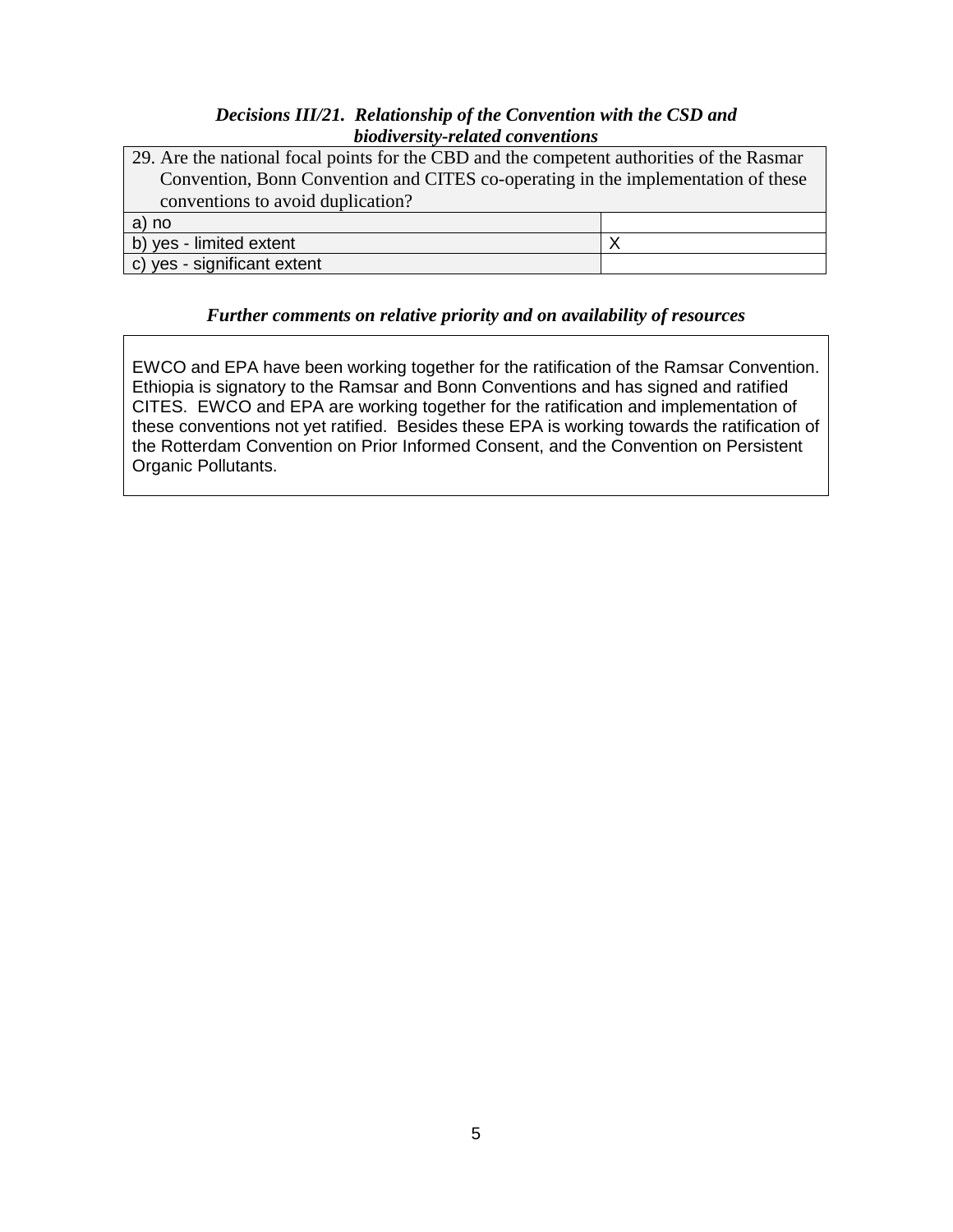### *Decisions III/21. Relationship of the Convention with the CSD and biodiversity-related conventions*

| 29. Are the national focal points for the CBD and the competent authorities of the Rasmar |  |  |  |
|-------------------------------------------------------------------------------------------|--|--|--|
| Convention, Bonn Convention and CITES co-operating in the implementation of these         |  |  |  |
| conventions to avoid duplication?                                                         |  |  |  |
| a) no                                                                                     |  |  |  |
| b) yes - limited extent                                                                   |  |  |  |
| c) yes - significant extent                                                               |  |  |  |

### *Further comments on relative priority and on availability of resources*

EWCO and EPA have been working together for the ratification of the Ramsar Convention. Ethiopia is signatory to the Ramsar and Bonn Conventions and has signed and ratified CITES. EWCO and EPA are working together for the ratification and implementation of these conventions not yet ratified. Besides these EPA is working towards the ratification of the Rotterdam Convention on Prior Informed Consent, and the Convention on Persistent Organic Pollutants.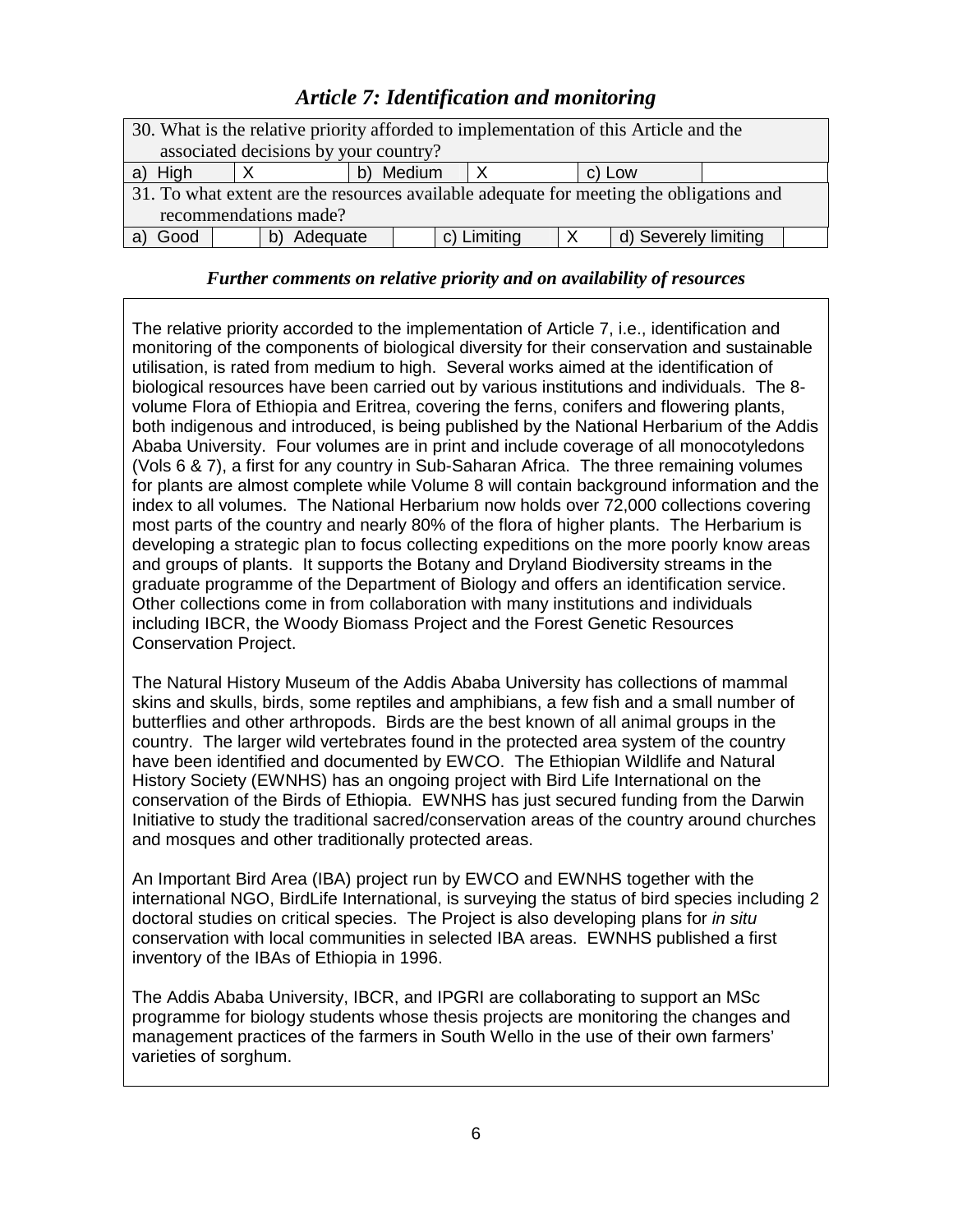# *Article 7: Identification and monitoring*

| 30. What is the relative priority afforded to implementation of this Article and the    |                     |  |             |  |                      |  |  |
|-----------------------------------------------------------------------------------------|---------------------|--|-------------|--|----------------------|--|--|
| associated decisions by your country?                                                   |                     |  |             |  |                      |  |  |
| a) High                                                                                 | b) Medium<br>c) Low |  |             |  |                      |  |  |
| 31. To what extent are the resources available adequate for meeting the obligations and |                     |  |             |  |                      |  |  |
| recommendations made?                                                                   |                     |  |             |  |                      |  |  |
| Good                                                                                    | Adequate            |  | c) Limiting |  | d) Severely limiting |  |  |

### *Further comments on relative priority and on availability of resources*

The relative priority accorded to the implementation of Article 7, i.e., identification and monitoring of the components of biological diversity for their conservation and sustainable utilisation, is rated from medium to high. Several works aimed at the identification of biological resources have been carried out by various institutions and individuals. The 8 volume Flora of Ethiopia and Eritrea, covering the ferns, conifers and flowering plants, both indigenous and introduced, is being published by the National Herbarium of the Addis Ababa University. Four volumes are in print and include coverage of all monocotyledons (Vols 6 & 7), a first for any country in Sub-Saharan Africa. The three remaining volumes for plants are almost complete while Volume 8 will contain background information and the index to all volumes. The National Herbarium now holds over 72,000 collections covering most parts of the country and nearly 80% of the flora of higher plants. The Herbarium is developing a strategic plan to focus collecting expeditions on the more poorly know areas and groups of plants. It supports the Botany and Dryland Biodiversity streams in the graduate programme of the Department of Biology and offers an identification service. Other collections come in from collaboration with many institutions and individuals including IBCR, the Woody Biomass Project and the Forest Genetic Resources Conservation Project.

The Natural History Museum of the Addis Ababa University has collections of mammal skins and skulls, birds, some reptiles and amphibians, a few fish and a small number of butterflies and other arthropods. Birds are the best known of all animal groups in the country. The larger wild vertebrates found in the protected area system of the country have been identified and documented by EWCO. The Ethiopian Wildlife and Natural History Society (EWNHS) has an ongoing project with Bird Life International on the conservation of the Birds of Ethiopia. EWNHS has just secured funding from the Darwin Initiative to study the traditional sacred/conservation areas of the country around churches and mosques and other traditionally protected areas.

An Important Bird Area (IBA) project run by EWCO and EWNHS together with the international NGO, BirdLife International, is surveying the status of bird species including 2 doctoral studies on critical species. The Project is also developing plans for in situ conservation with local communities in selected IBA areas. EWNHS published a first inventory of the IBAs of Ethiopia in 1996.

The Addis Ababa University, IBCR, and IPGRI are collaborating to support an MSc programme for biology students whose thesis projects are monitoring the changes and management practices of the farmers in South Wello in the use of their own farmers' varieties of sorghum.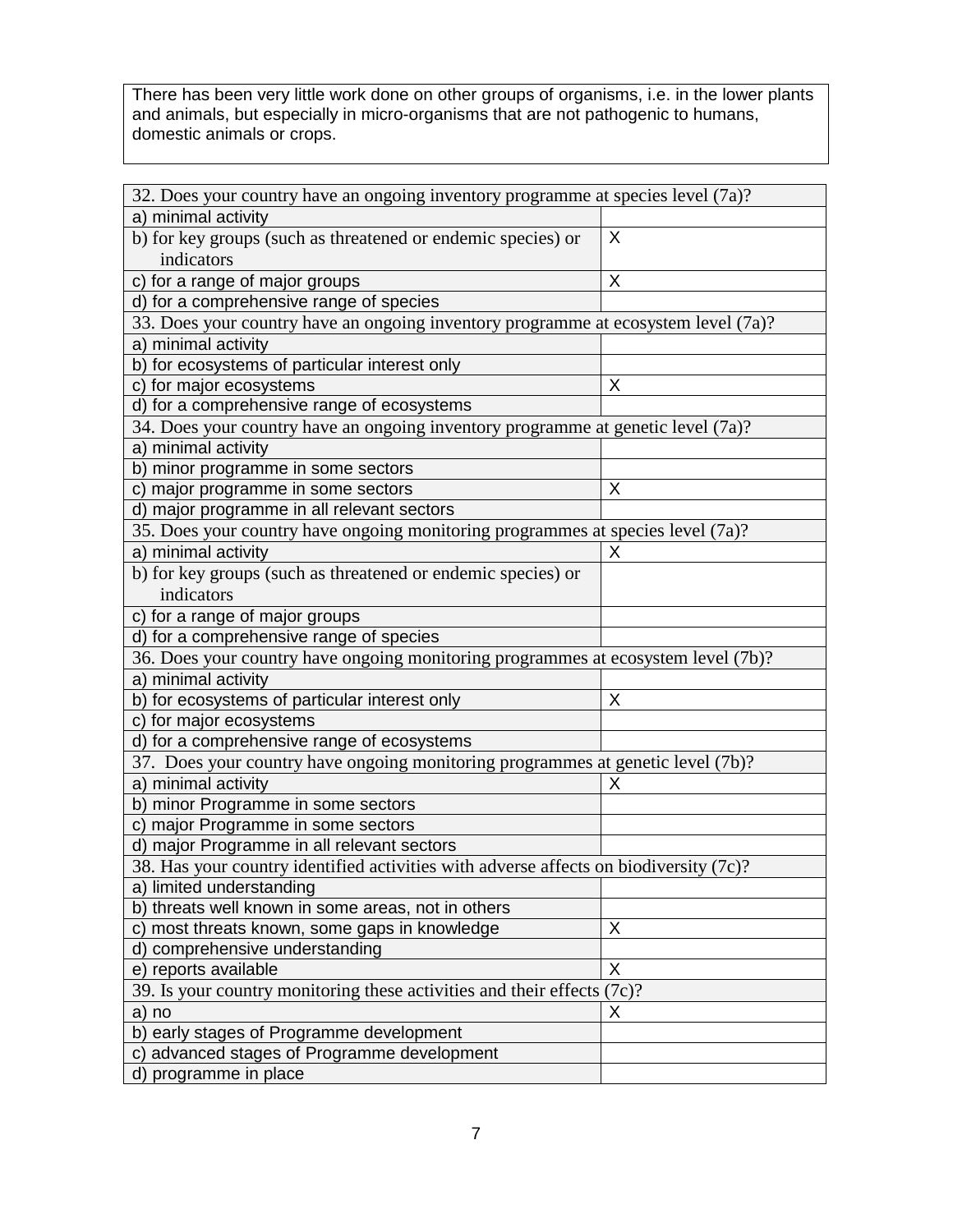There has been very little work done on other groups of organisms, i.e. in the lower plants and animals, but especially in micro-organisms that are not pathogenic to humans, domestic animals or crops.

| 32. Does your country have an ongoing inventory programme at species level (7a)?      |   |  |  |  |
|---------------------------------------------------------------------------------------|---|--|--|--|
| a) minimal activity                                                                   |   |  |  |  |
| b) for key groups (such as threatened or endemic species) or                          | X |  |  |  |
| indicators                                                                            |   |  |  |  |
| c) for a range of major groups                                                        | X |  |  |  |
| d) for a comprehensive range of species                                               |   |  |  |  |
| 33. Does your country have an ongoing inventory programme at ecosystem level (7a)?    |   |  |  |  |
| a) minimal activity                                                                   |   |  |  |  |
| b) for ecosystems of particular interest only                                         |   |  |  |  |
| c) for major ecosystems                                                               | X |  |  |  |
| d) for a comprehensive range of ecosystems                                            |   |  |  |  |
| 34. Does your country have an ongoing inventory programme at genetic level (7a)?      |   |  |  |  |
| a) minimal activity                                                                   |   |  |  |  |
| b) minor programme in some sectors                                                    |   |  |  |  |
| c) major programme in some sectors                                                    | X |  |  |  |
| d) major programme in all relevant sectors                                            |   |  |  |  |
| 35. Does your country have ongoing monitoring programmes at species level (7a)?       |   |  |  |  |
| a) minimal activity                                                                   | X |  |  |  |
| b) for key groups (such as threatened or endemic species) or                          |   |  |  |  |
| indicators                                                                            |   |  |  |  |
| c) for a range of major groups                                                        |   |  |  |  |
| d) for a comprehensive range of species                                               |   |  |  |  |
| 36. Does your country have ongoing monitoring programmes at ecosystem level (7b)?     |   |  |  |  |
| a) minimal activity                                                                   |   |  |  |  |
| b) for ecosystems of particular interest only                                         | X |  |  |  |
| c) for major ecosystems                                                               |   |  |  |  |
| d) for a comprehensive range of ecosystems                                            |   |  |  |  |
| 37. Does your country have ongoing monitoring programmes at genetic level (7b)?       |   |  |  |  |
| a) minimal activity                                                                   | X |  |  |  |
| b) minor Programme in some sectors                                                    |   |  |  |  |
| c) major Programme in some sectors                                                    |   |  |  |  |
| d) major Programme in all relevant sectors                                            |   |  |  |  |
| 38. Has your country identified activities with adverse affects on biodiversity (7c)? |   |  |  |  |
| a) limited understanding                                                              |   |  |  |  |
| b) threats well known in some areas, not in others                                    |   |  |  |  |
| c) most threats known, some gaps in knowledge                                         | X |  |  |  |
| d) comprehensive understanding                                                        |   |  |  |  |
| e) reports available                                                                  | X |  |  |  |
| 39. Is your country monitoring these activities and their effects (7c)?               |   |  |  |  |
| a) no                                                                                 | X |  |  |  |
| b) early stages of Programme development                                              |   |  |  |  |
| c) advanced stages of Programme development                                           |   |  |  |  |
| d) programme in place                                                                 |   |  |  |  |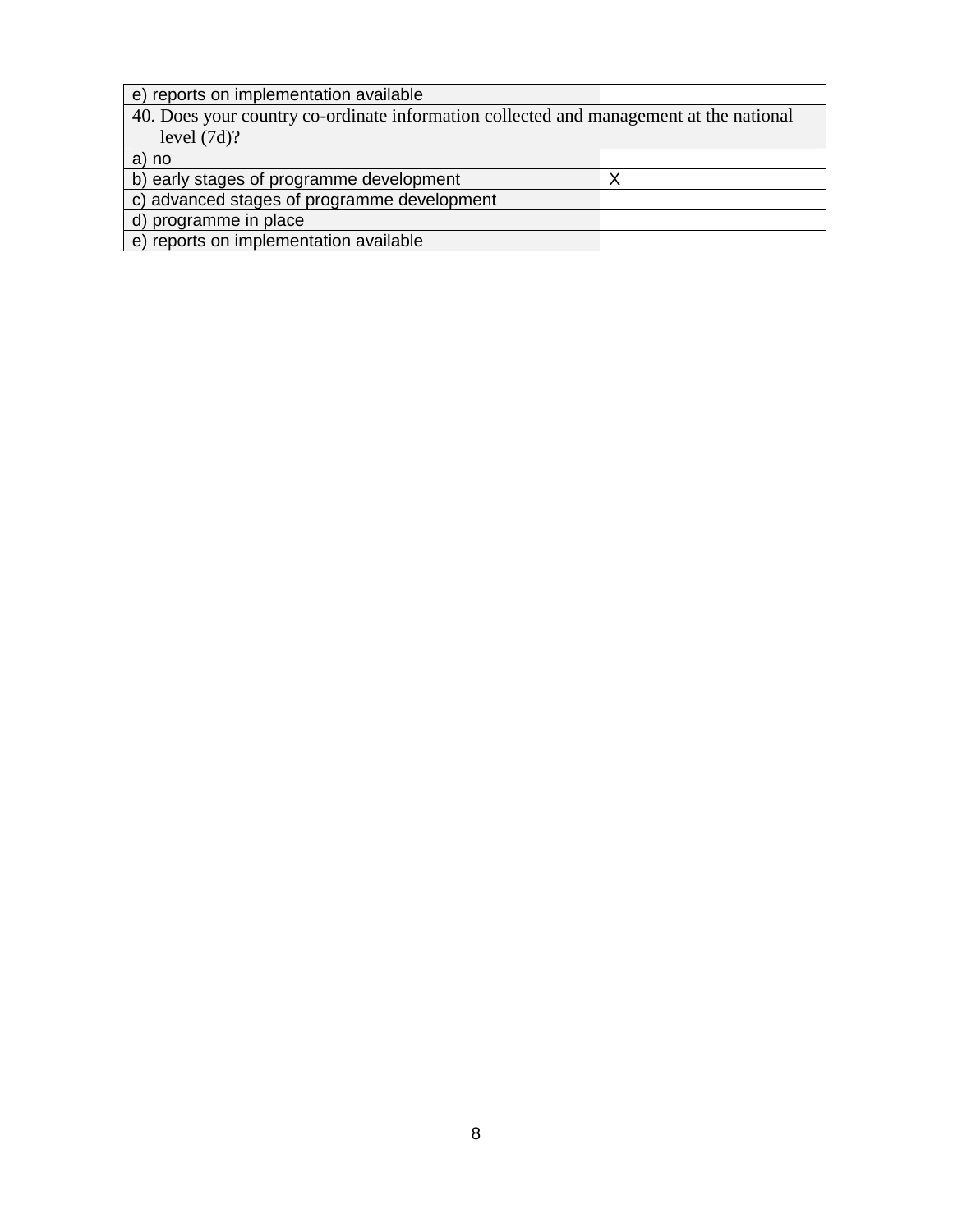| e) reports on implementation available                                                 |  |
|----------------------------------------------------------------------------------------|--|
| 40. Does your country co-ordinate information collected and management at the national |  |
| level $(7d)$ ?                                                                         |  |
| a) no                                                                                  |  |
| b) early stages of programme development                                               |  |
| c) advanced stages of programme development                                            |  |
| d) programme in place                                                                  |  |
| e) reports on implementation available                                                 |  |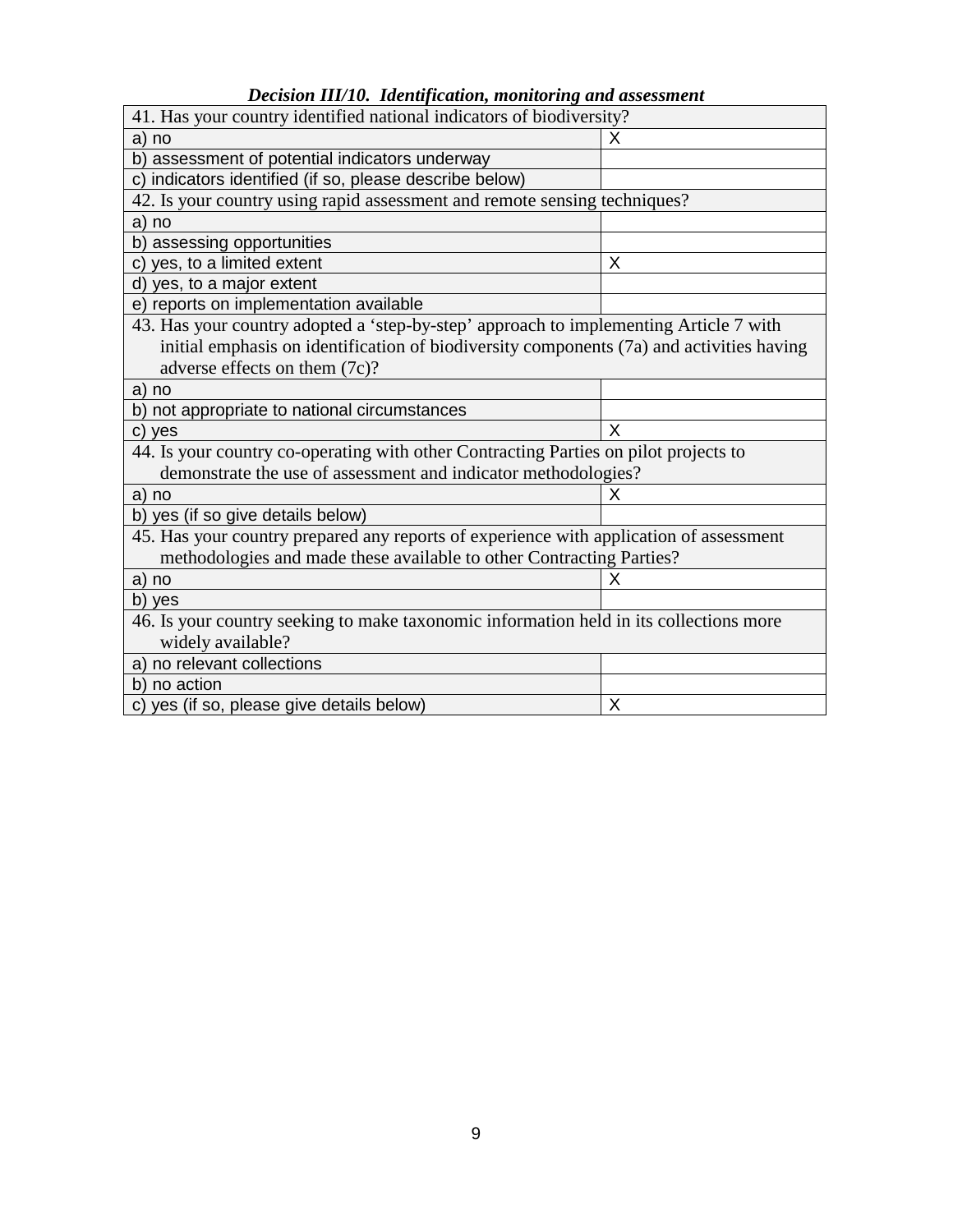| Decision III/10. Identification, monitoring and assessment |  |  |  |  |
|------------------------------------------------------------|--|--|--|--|
|------------------------------------------------------------|--|--|--|--|

| 41. Has your country identified national indicators of biodiversity?                     |   |  |  |  |
|------------------------------------------------------------------------------------------|---|--|--|--|
| a) no                                                                                    | X |  |  |  |
| b) assessment of potential indicators underway                                           |   |  |  |  |
| c) indicators identified (if so, please describe below)                                  |   |  |  |  |
| 42. Is your country using rapid assessment and remote sensing techniques?                |   |  |  |  |
| a) no                                                                                    |   |  |  |  |
| b) assessing opportunities                                                               |   |  |  |  |
| c) yes, to a limited extent                                                              | X |  |  |  |
| d) yes, to a major extent                                                                |   |  |  |  |
| e) reports on implementation available                                                   |   |  |  |  |
| 43. Has your country adopted a 'step-by-step' approach to implementing Article 7 with    |   |  |  |  |
| initial emphasis on identification of biodiversity components (7a) and activities having |   |  |  |  |
| adverse effects on them (7c)?                                                            |   |  |  |  |
| a) no                                                                                    |   |  |  |  |
| b) not appropriate to national circumstances                                             |   |  |  |  |
| c) yes                                                                                   | X |  |  |  |
| 44. Is your country co-operating with other Contracting Parties on pilot projects to     |   |  |  |  |
| demonstrate the use of assessment and indicator methodologies?                           |   |  |  |  |
| a) no                                                                                    | X |  |  |  |
| b) yes (if so give details below)                                                        |   |  |  |  |
| 45. Has your country prepared any reports of experience with application of assessment   |   |  |  |  |
| methodologies and made these available to other Contracting Parties?                     |   |  |  |  |
| a) no                                                                                    | X |  |  |  |
| b) yes                                                                                   |   |  |  |  |
| 46. Is your country seeking to make taxonomic information held in its collections more   |   |  |  |  |
| widely available?                                                                        |   |  |  |  |
| a) no relevant collections                                                               |   |  |  |  |
| b) no action                                                                             |   |  |  |  |
| c) yes (if so, please give details below)                                                | X |  |  |  |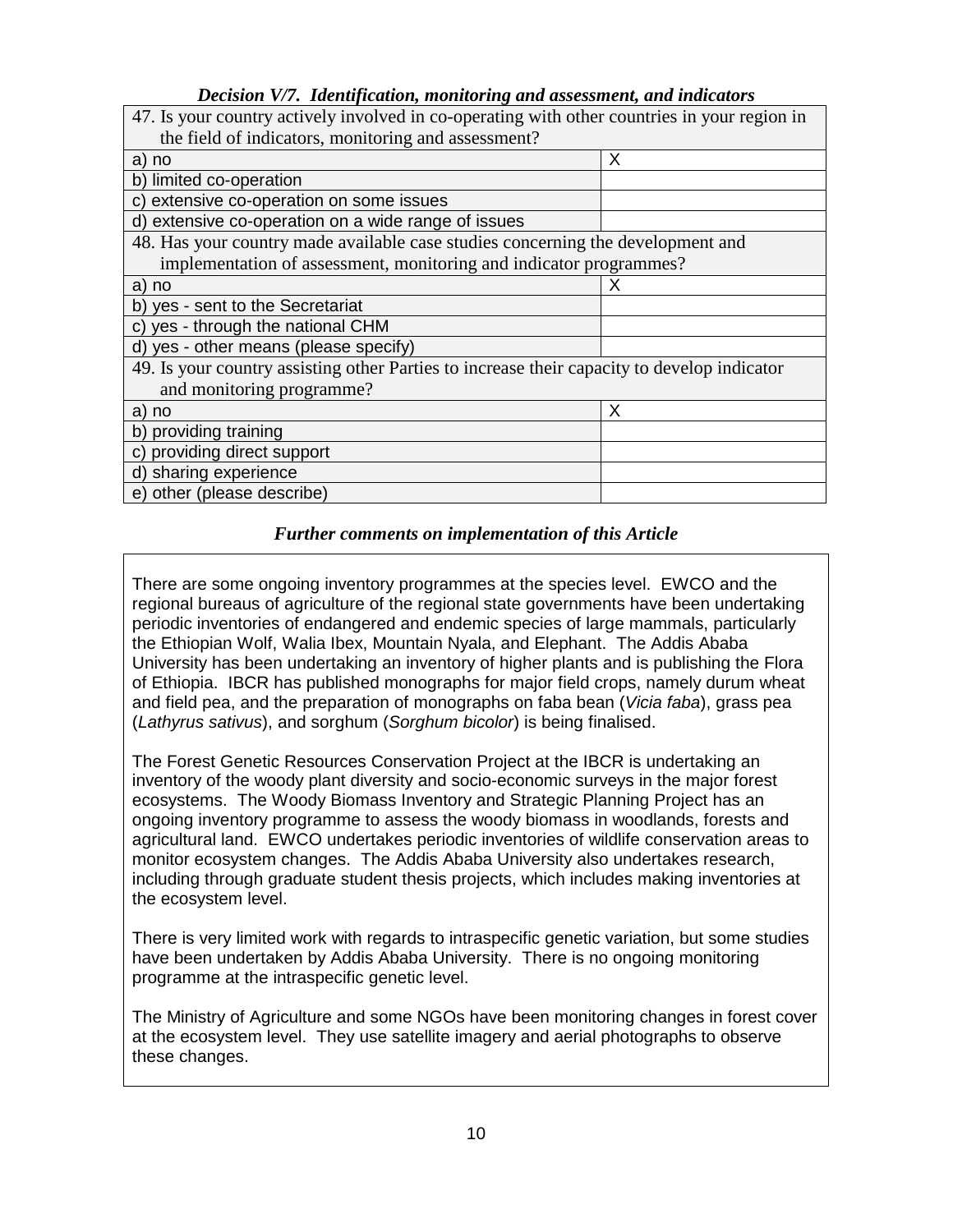### *Decision V/7. Identification, monitoring and assessment, and indicators*

| 47. Is your country actively involved in co-operating with other countries in your region in |   |  |  |  |
|----------------------------------------------------------------------------------------------|---|--|--|--|
| the field of indicators, monitoring and assessment?                                          |   |  |  |  |
| a) no                                                                                        | X |  |  |  |
| b) limited co-operation                                                                      |   |  |  |  |
| c) extensive co-operation on some issues                                                     |   |  |  |  |
| d) extensive co-operation on a wide range of issues                                          |   |  |  |  |
| 48. Has your country made available case studies concerning the development and              |   |  |  |  |
| implementation of assessment, monitoring and indicator programmes?                           |   |  |  |  |
| a) no                                                                                        | х |  |  |  |
| b) yes - sent to the Secretariat                                                             |   |  |  |  |
| c) yes - through the national CHM                                                            |   |  |  |  |
| d) yes - other means (please specify)                                                        |   |  |  |  |
| 49. Is your country assisting other Parties to increase their capacity to develop indicator  |   |  |  |  |
| and monitoring programme?                                                                    |   |  |  |  |
| a) no                                                                                        | Х |  |  |  |
| b) providing training                                                                        |   |  |  |  |
| c) providing direct support                                                                  |   |  |  |  |
| d) sharing experience                                                                        |   |  |  |  |
| e) other (please describe)                                                                   |   |  |  |  |

### *Further comments on implementation of this Article*

There are some ongoing inventory programmes at the species level. EWCO and the regional bureaus of agriculture of the regional state governments have been undertaking periodic inventories of endangered and endemic species of large mammals, particularly the Ethiopian Wolf, Walia Ibex, Mountain Nyala, and Elephant. The Addis Ababa University has been undertaking an inventory of higher plants and is publishing the Flora of Ethiopia. IBCR has published monographs for major field crops, namely durum wheat and field pea, and the preparation of monographs on faba bean (Vicia faba), grass pea (Lathyrus sativus), and sorghum (Sorghum bicolor) is being finalised.

The Forest Genetic Resources Conservation Project at the IBCR is undertaking an inventory of the woody plant diversity and socio-economic surveys in the major forest ecosystems. The Woody Biomass Inventory and Strategic Planning Project has an ongoing inventory programme to assess the woody biomass in woodlands, forests and agricultural land. EWCO undertakes periodic inventories of wildlife conservation areas to monitor ecosystem changes. The Addis Ababa University also undertakes research, including through graduate student thesis projects, which includes making inventories at the ecosystem level.

There is very limited work with regards to intraspecific genetic variation, but some studies have been undertaken by Addis Ababa University. There is no ongoing monitoring programme at the intraspecific genetic level.

The Ministry of Agriculture and some NGOs have been monitoring changes in forest cover at the ecosystem level. They use satellite imagery and aerial photographs to observe these changes.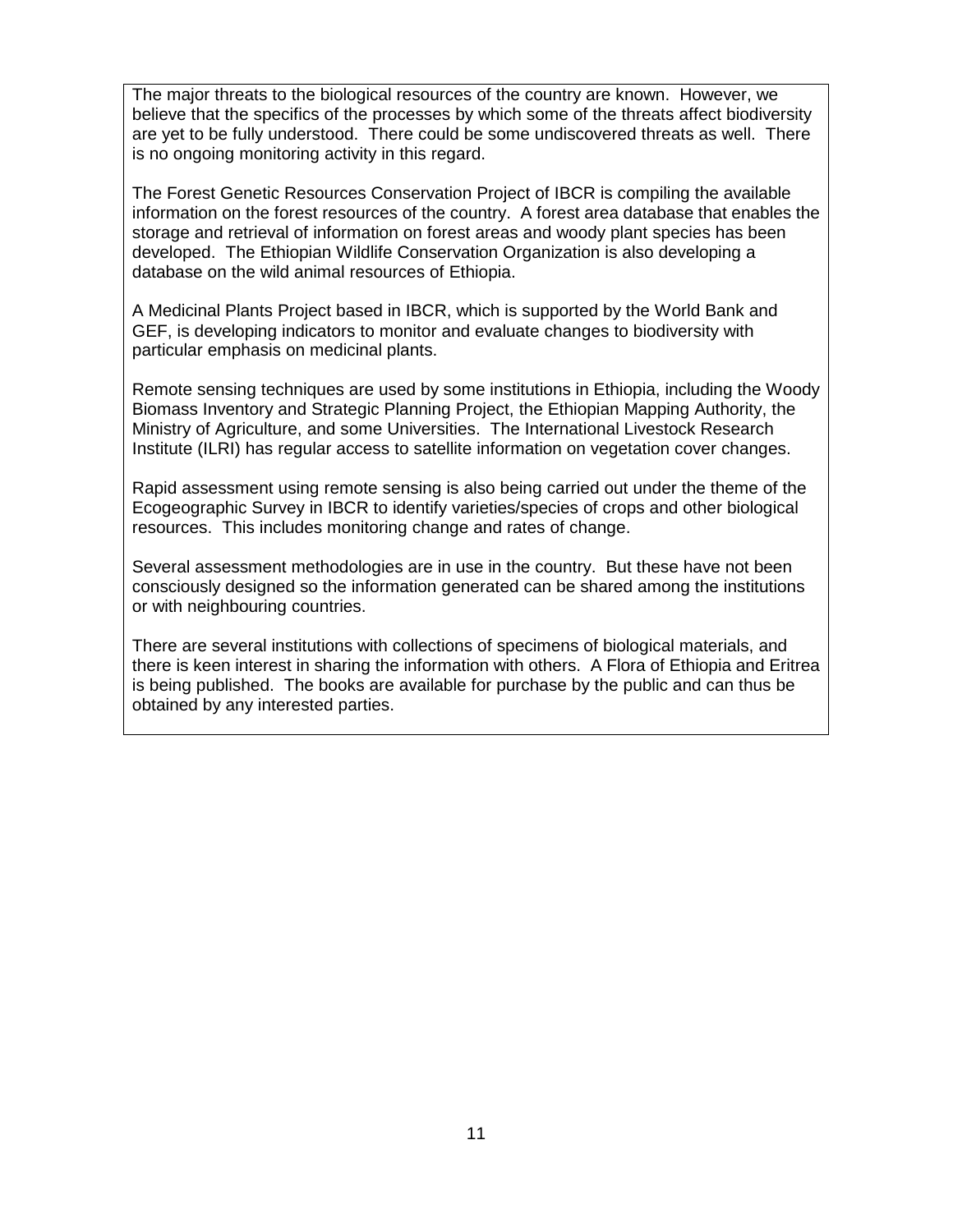The major threats to the biological resources of the country are known. However, we believe that the specifics of the processes by which some of the threats affect biodiversity are yet to be fully understood. There could be some undiscovered threats as well. There is no ongoing monitoring activity in this regard.

The Forest Genetic Resources Conservation Project of IBCR is compiling the available information on the forest resources of the country. A forest area database that enables the storage and retrieval of information on forest areas and woody plant species has been developed. The Ethiopian Wildlife Conservation Organization is also developing a database on the wild animal resources of Ethiopia.

A Medicinal Plants Project based in IBCR, which is supported by the World Bank and GEF, is developing indicators to monitor and evaluate changes to biodiversity with particular emphasis on medicinal plants.

Remote sensing techniques are used by some institutions in Ethiopia, including the Woody Biomass Inventory and Strategic Planning Project, the Ethiopian Mapping Authority, the Ministry of Agriculture, and some Universities. The International Livestock Research Institute (ILRI) has regular access to satellite information on vegetation cover changes.

Rapid assessment using remote sensing is also being carried out under the theme of the Ecogeographic Survey in IBCR to identify varieties/species of crops and other biological resources. This includes monitoring change and rates of change.

Several assessment methodologies are in use in the country. But these have not been consciously designed so the information generated can be shared among the institutions or with neighbouring countries.

There are several institutions with collections of specimens of biological materials, and there is keen interest in sharing the information with others. A Flora of Ethiopia and Eritrea is being published. The books are available for purchase by the public and can thus be obtained by any interested parties.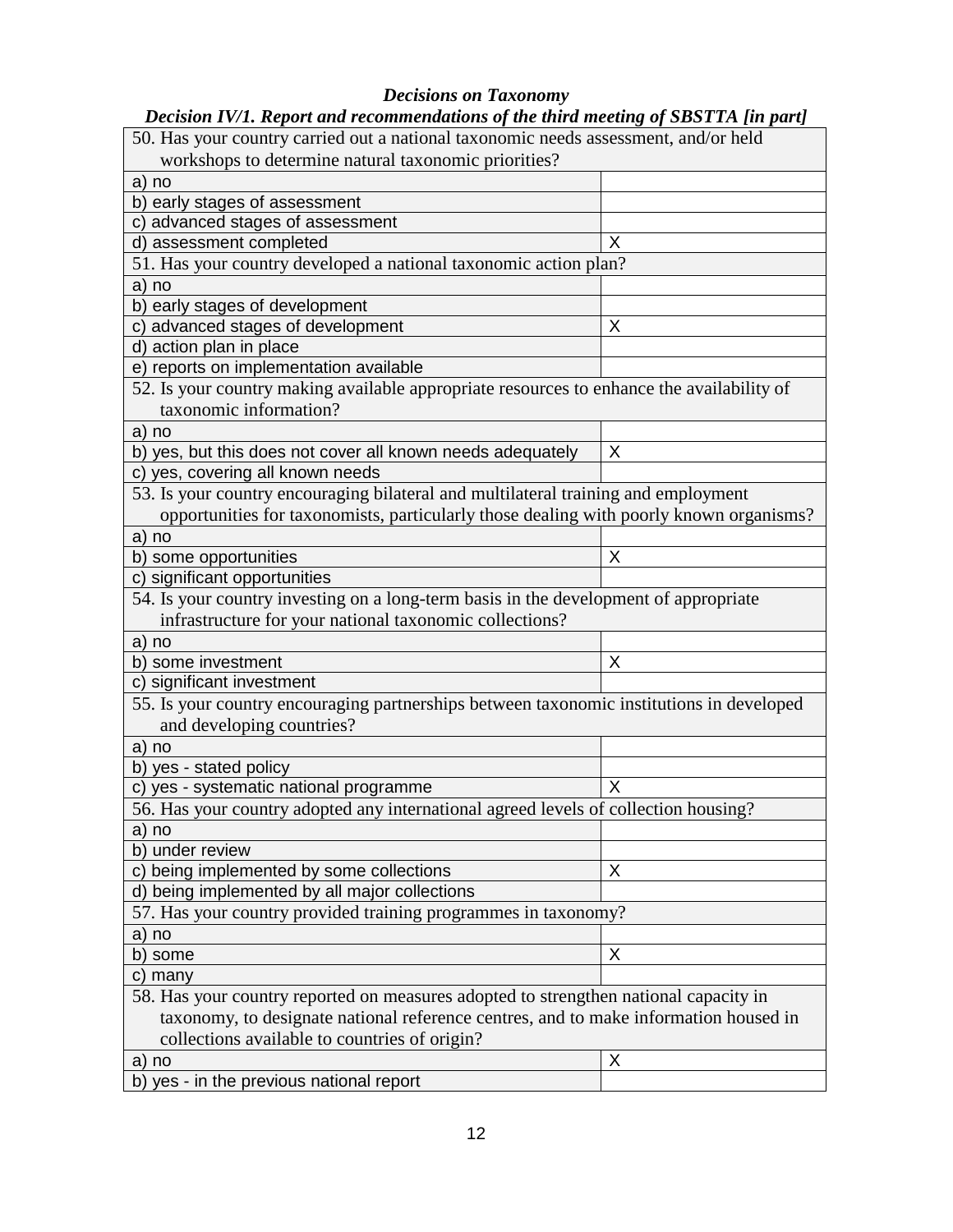# *Decisions on Taxonomy*

| Decision IV/1. Report and recommendations of the third meeting of SBSTTA [in part]        |   |  |  |  |
|-------------------------------------------------------------------------------------------|---|--|--|--|
| 50. Has your country carried out a national taxonomic needs assessment, and/or held       |   |  |  |  |
| workshops to determine natural taxonomic priorities?                                      |   |  |  |  |
| a) no                                                                                     |   |  |  |  |
| b) early stages of assessment                                                             |   |  |  |  |
| c) advanced stages of assessment                                                          |   |  |  |  |
| d) assessment completed                                                                   | X |  |  |  |
| 51. Has your country developed a national taxonomic action plan?                          |   |  |  |  |
| a) no                                                                                     |   |  |  |  |
| b) early stages of development                                                            |   |  |  |  |
| c) advanced stages of development                                                         | X |  |  |  |
| d) action plan in place                                                                   |   |  |  |  |
| e) reports on implementation available                                                    |   |  |  |  |
| 52. Is your country making available appropriate resources to enhance the availability of |   |  |  |  |
| taxonomic information?                                                                    |   |  |  |  |
| a) no                                                                                     |   |  |  |  |
| b) yes, but this does not cover all known needs adequately                                | X |  |  |  |
| c) yes, covering all known needs                                                          |   |  |  |  |
| 53. Is your country encouraging bilateral and multilateral training and employment        |   |  |  |  |
| opportunities for taxonomists, particularly those dealing with poorly known organisms?    |   |  |  |  |
| a) no                                                                                     |   |  |  |  |
| b) some opportunities                                                                     | X |  |  |  |
| c) significant opportunities                                                              |   |  |  |  |
| 54. Is your country investing on a long-term basis in the development of appropriate      |   |  |  |  |
| infrastructure for your national taxonomic collections?                                   |   |  |  |  |
| a) no                                                                                     |   |  |  |  |
| b) some investment                                                                        | X |  |  |  |
| c) significant investment                                                                 |   |  |  |  |
| 55. Is your country encouraging partnerships between taxonomic institutions in developed  |   |  |  |  |
| and developing countries?                                                                 |   |  |  |  |
| a) no                                                                                     |   |  |  |  |
| b) yes - stated policy                                                                    |   |  |  |  |
| c) yes - systematic national programme                                                    | Χ |  |  |  |
| 56. Has your country adopted any international agreed levels of collection housing?       |   |  |  |  |
| a) no                                                                                     |   |  |  |  |
| b) under review                                                                           |   |  |  |  |
| c) being implemented by some collections                                                  | X |  |  |  |
| d) being implemented by all major collections                                             |   |  |  |  |
| 57. Has your country provided training programmes in taxonomy?                            |   |  |  |  |
| a) no                                                                                     |   |  |  |  |
| some<br>b)                                                                                | X |  |  |  |
| c) many                                                                                   |   |  |  |  |
| 58. Has your country reported on measures adopted to strengthen national capacity in      |   |  |  |  |
| taxonomy, to designate national reference centres, and to make information housed in      |   |  |  |  |
| collections available to countries of origin?                                             |   |  |  |  |
|                                                                                           | X |  |  |  |
| a) no                                                                                     |   |  |  |  |
| b) yes - in the previous national report                                                  |   |  |  |  |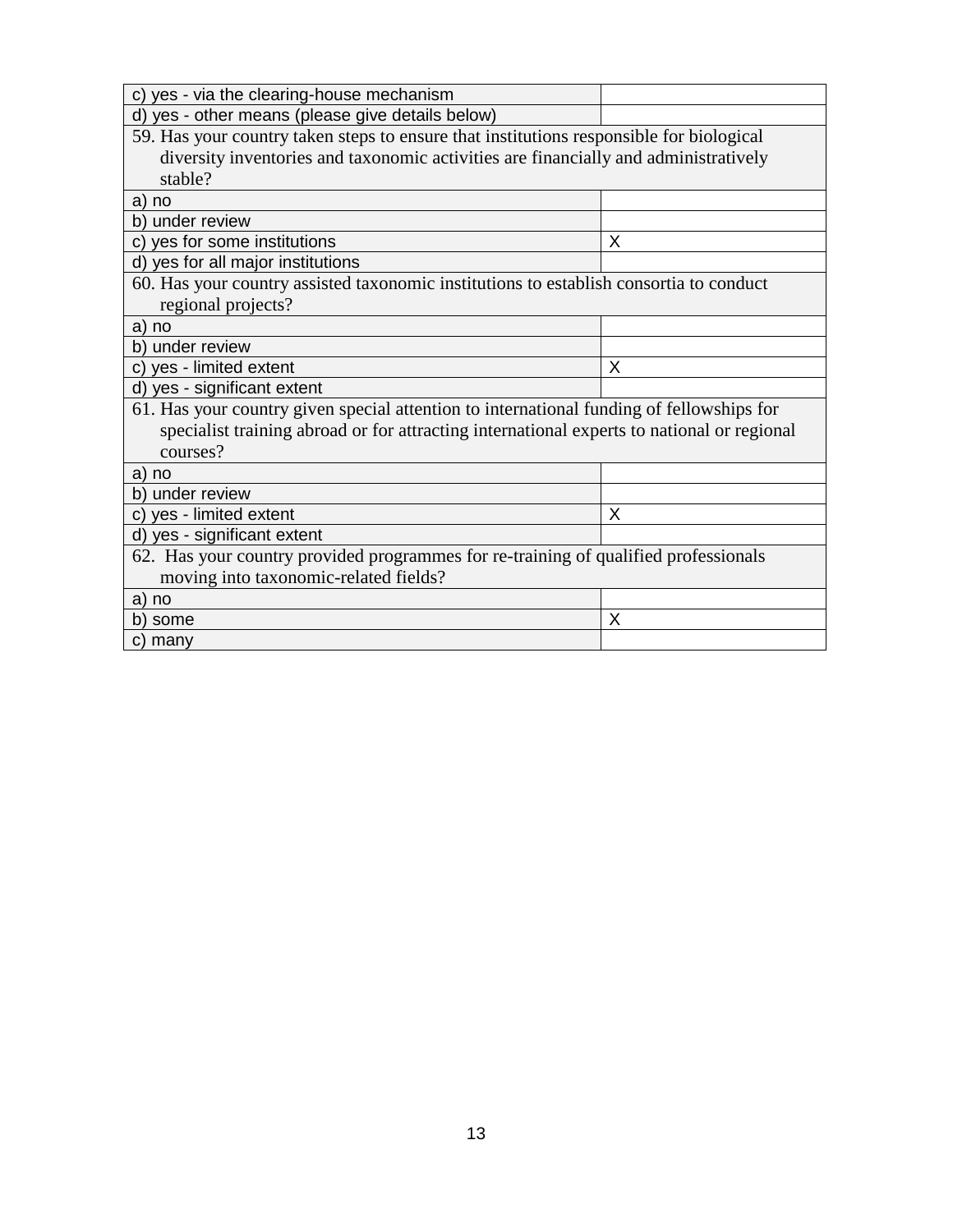| c) yes - via the clearing-house mechanism                                                  |   |  |
|--------------------------------------------------------------------------------------------|---|--|
| d) yes - other means (please give details below)                                           |   |  |
| 59. Has your country taken steps to ensure that institutions responsible for biological    |   |  |
| diversity inventories and taxonomic activities are financially and administratively        |   |  |
| stable?                                                                                    |   |  |
| a) no                                                                                      |   |  |
| b) under review                                                                            |   |  |
| c) yes for some institutions                                                               | X |  |
| d) yes for all major institutions                                                          |   |  |
| 60. Has your country assisted taxonomic institutions to establish consortia to conduct     |   |  |
| regional projects?                                                                         |   |  |
| a) no                                                                                      |   |  |
| b) under review                                                                            |   |  |
| c) yes - limited extent                                                                    | X |  |
| d) yes - significant extent                                                                |   |  |
| 61. Has your country given special attention to international funding of fellowships for   |   |  |
| specialist training abroad or for attracting international experts to national or regional |   |  |
| courses?                                                                                   |   |  |
| a) no                                                                                      |   |  |
| b) under review                                                                            |   |  |
| c) yes - limited extent                                                                    | X |  |
| d) yes - significant extent                                                                |   |  |
| 62. Has your country provided programmes for re-training of qualified professionals        |   |  |
| moving into taxonomic-related fields?                                                      |   |  |
| a) no                                                                                      |   |  |
| b) some                                                                                    | X |  |
| c) many                                                                                    |   |  |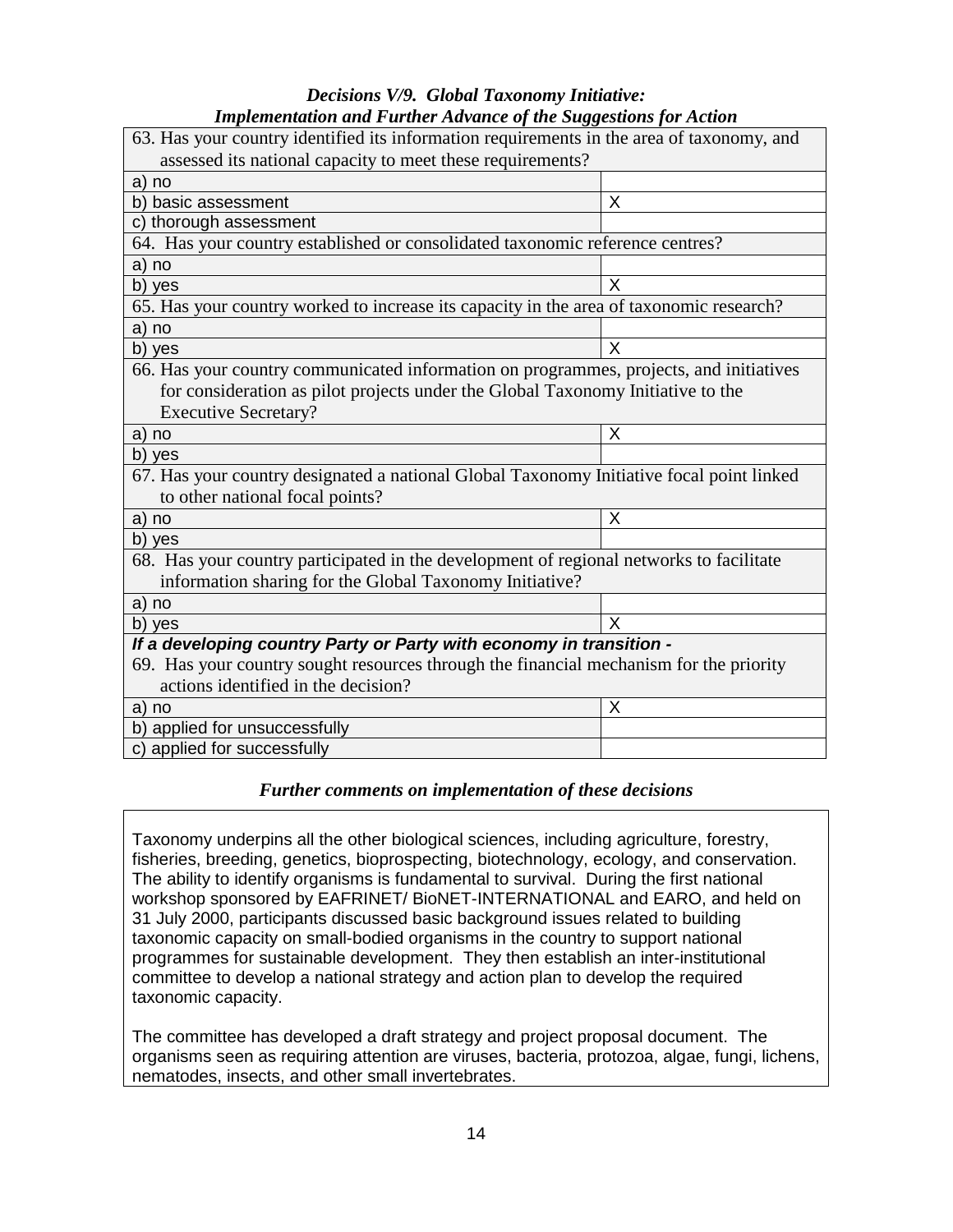#### *Decisions V/9. Global Taxonomy Initiative: Implementation and Further Advance of the Suggestions for Action*

| ттриетенцион ини г игтег дичинсе от те эиддемону јог денон                                |          |  |
|-------------------------------------------------------------------------------------------|----------|--|
| 63. Has your country identified its information requirements in the area of taxonomy, and |          |  |
| assessed its national capacity to meet these requirements?                                |          |  |
| a) no                                                                                     |          |  |
| b) basic assessment                                                                       | X        |  |
| c) thorough assessment                                                                    |          |  |
| 64. Has your country established or consolidated taxonomic reference centres?             |          |  |
| a) no                                                                                     |          |  |
| b) yes                                                                                    | X        |  |
| 65. Has your country worked to increase its capacity in the area of taxonomic research?   |          |  |
| a) no                                                                                     |          |  |
| b) yes                                                                                    | $\times$ |  |
| 66. Has your country communicated information on programmes, projects, and initiatives    |          |  |
| for consideration as pilot projects under the Global Taxonomy Initiative to the           |          |  |
| <b>Executive Secretary?</b>                                                               |          |  |
| a) no                                                                                     | X        |  |
| b) yes                                                                                    |          |  |
| 67. Has your country designated a national Global Taxonomy Initiative focal point linked  |          |  |
| to other national focal points?                                                           |          |  |
| a) no                                                                                     | X        |  |
| b) yes                                                                                    |          |  |
| 68. Has your country participated in the development of regional networks to facilitate   |          |  |
| information sharing for the Global Taxonomy Initiative?                                   |          |  |
| a) no                                                                                     |          |  |
| b) yes                                                                                    | X        |  |
| If a developing country Party or Party with economy in transition -                       |          |  |
| 69. Has your country sought resources through the financial mechanism for the priority    |          |  |
| actions identified in the decision?                                                       |          |  |
| a) no                                                                                     | X        |  |
| b) applied for unsuccessfully                                                             |          |  |
| c) applied for successfully                                                               |          |  |

#### *Further comments on implementation of these decisions*

Taxonomy underpins all the other biological sciences, including agriculture, forestry, fisheries, breeding, genetics, bioprospecting, biotechnology, ecology, and conservation. The ability to identify organisms is fundamental to survival. During the first national workshop sponsored by EAFRINET/ BioNET-INTERNATIONAL and EARO, and held on 31 July 2000, participants discussed basic background issues related to building taxonomic capacity on small-bodied organisms in the country to support national programmes for sustainable development. They then establish an inter-institutional committee to develop a national strategy and action plan to develop the required taxonomic capacity.

The committee has developed a draft strategy and project proposal document. The organisms seen as requiring attention are viruses, bacteria, protozoa, algae, fungi, lichens, nematodes, insects, and other small invertebrates.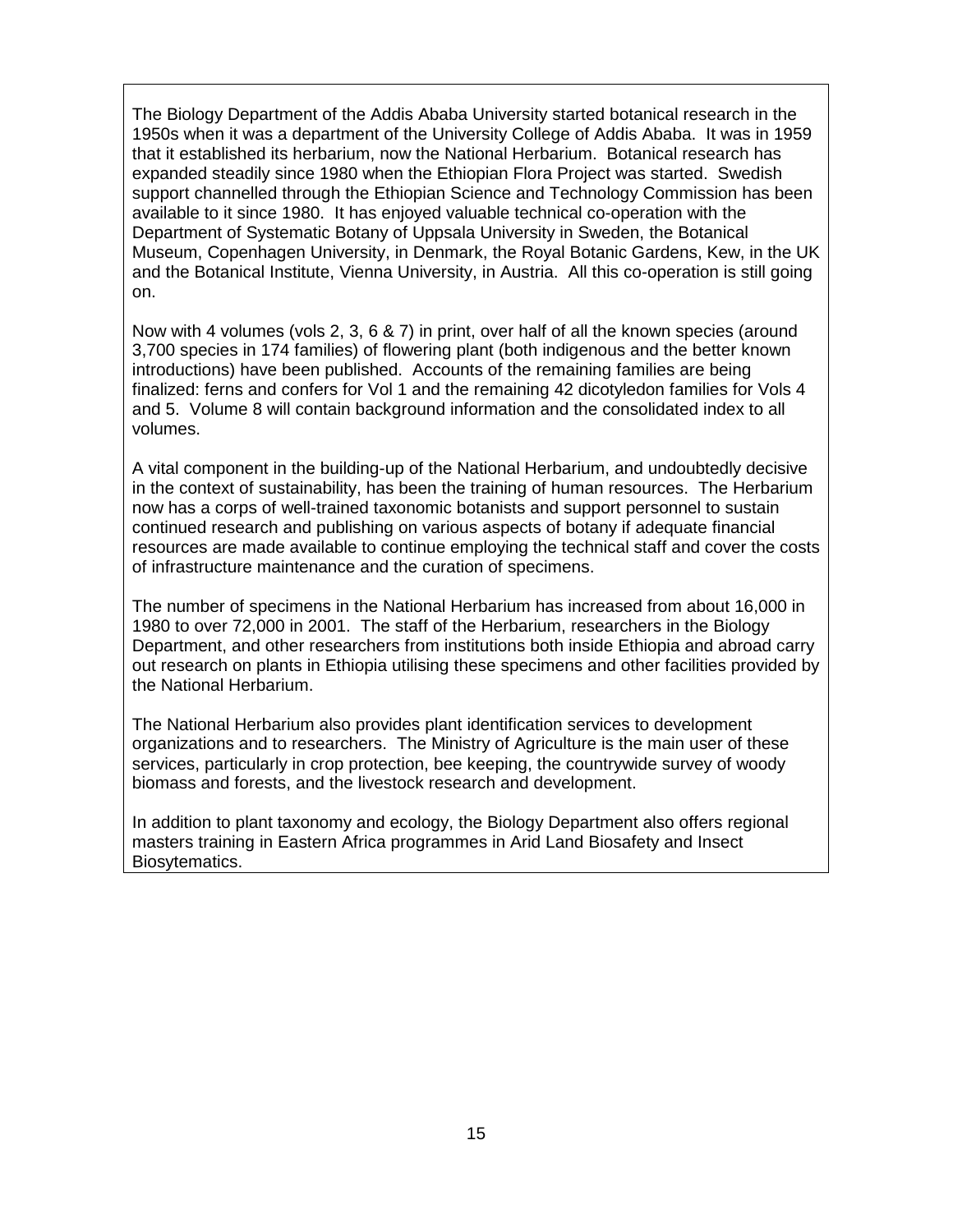The Biology Department of the Addis Ababa University started botanical research in the 1950s when it was a department of the University College of Addis Ababa. It was in 1959 that it established its herbarium, now the National Herbarium. Botanical research has expanded steadily since 1980 when the Ethiopian Flora Project was started. Swedish support channelled through the Ethiopian Science and Technology Commission has been available to it since 1980. It has enjoyed valuable technical co-operation with the Department of Systematic Botany of Uppsala University in Sweden, the Botanical Museum, Copenhagen University, in Denmark, the Royal Botanic Gardens, Kew, in the UK and the Botanical Institute, Vienna University, in Austria. All this co-operation is still going on.

Now with 4 volumes (vols 2, 3, 6 & 7) in print, over half of all the known species (around 3,700 species in 174 families) of flowering plant (both indigenous and the better known introductions) have been published. Accounts of the remaining families are being finalized: ferns and confers for Vol 1 and the remaining 42 dicotyledon families for Vols 4 and 5. Volume 8 will contain background information and the consolidated index to all volumes.

A vital component in the building-up of the National Herbarium, and undoubtedly decisive in the context of sustainability, has been the training of human resources. The Herbarium now has a corps of well-trained taxonomic botanists and support personnel to sustain continued research and publishing on various aspects of botany if adequate financial resources are made available to continue employing the technical staff and cover the costs of infrastructure maintenance and the curation of specimens.

The number of specimens in the National Herbarium has increased from about 16,000 in 1980 to over 72,000 in 2001. The staff of the Herbarium, researchers in the Biology Department, and other researchers from institutions both inside Ethiopia and abroad carry out research on plants in Ethiopia utilising these specimens and other facilities provided by the National Herbarium.

The National Herbarium also provides plant identification services to development organizations and to researchers. The Ministry of Agriculture is the main user of these services, particularly in crop protection, bee keeping, the countrywide survey of woody biomass and forests, and the livestock research and development.

In addition to plant taxonomy and ecology, the Biology Department also offers regional masters training in Eastern Africa programmes in Arid Land Biosafety and Insect Biosytematics.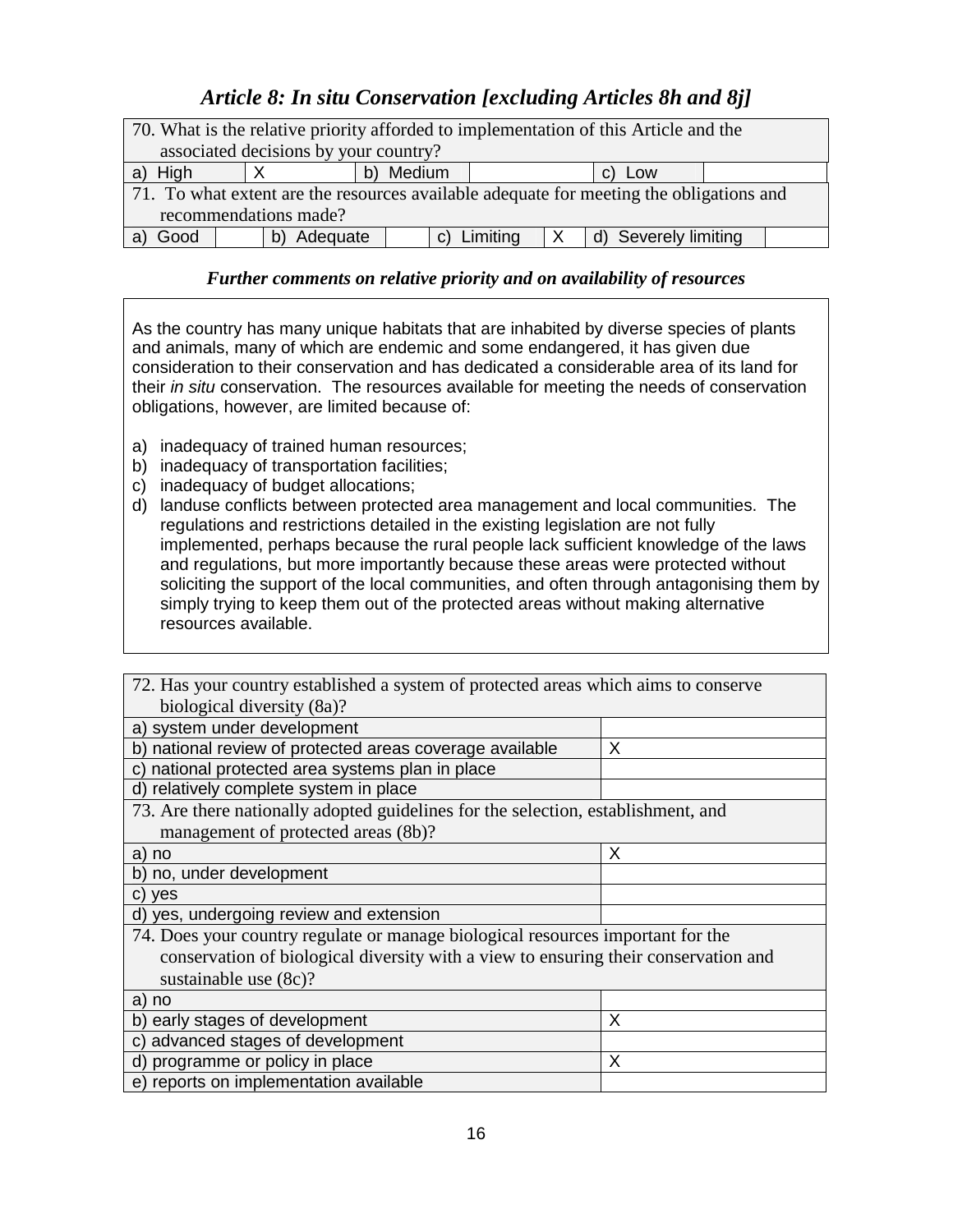# *Article 8: In situ Conservation [excluding Articles 8h and 8j]*

| 70. What is the relative priority afforded to implementation of this Article and the    |          |           |                             |                                   |  |
|-----------------------------------------------------------------------------------------|----------|-----------|-----------------------------|-----------------------------------|--|
| associated decisions by your country?                                                   |          |           |                             |                                   |  |
| a) High                                                                                 |          | b) Medium |                             | C)<br>Low                         |  |
| 71. To what extent are the resources available adequate for meeting the obligations and |          |           |                             |                                   |  |
| recommendations made?                                                                   |          |           |                             |                                   |  |
| Good                                                                                    | Adequate |           | Limiting<br>$\mathcal{C}$ ) | Severely limiting<br>$\mathsf{d}$ |  |

### *Further comments on relative priority and on availability of resources*

As the country has many unique habitats that are inhabited by diverse species of plants and animals, many of which are endemic and some endangered, it has given due consideration to their conservation and has dedicated a considerable area of its land for their in situ conservation. The resources available for meeting the needs of conservation obligations, however, are limited because of:

- a) inadequacy of trained human resources;
- b) inadequacy of transportation facilities;
- c) inadequacy of budget allocations;
- d) landuse conflicts between protected area management and local communities. The regulations and restrictions detailed in the existing legislation are not fully implemented, perhaps because the rural people lack sufficient knowledge of the laws and regulations, but more importantly because these areas were protected without soliciting the support of the local communities, and often through antagonising them by simply trying to keep them out of the protected areas without making alternative resources available.

| 72. Has your country established a system of protected areas which aims to conserve |   |  |
|-------------------------------------------------------------------------------------|---|--|
| biological diversity (8a)?                                                          |   |  |
| a) system under development                                                         |   |  |
| b) national review of protected areas coverage available                            | X |  |
| c) national protected area systems plan in place                                    |   |  |
| d) relatively complete system in place                                              |   |  |
| 73. Are there nationally adopted guidelines for the selection, establishment, and   |   |  |
| management of protected areas (8b)?                                                 |   |  |
| a) no                                                                               | X |  |
| b) no, under development                                                            |   |  |
| c) yes                                                                              |   |  |
| d) yes, undergoing review and extension                                             |   |  |
| 74. Does your country regulate or manage biological resources important for the     |   |  |
| conservation of biological diversity with a view to ensuring their conservation and |   |  |
| sustainable use (8c)?                                                               |   |  |
| a) no                                                                               |   |  |
| early stages of development<br>b)                                                   | X |  |
| advanced stages of development<br>C)                                                |   |  |
| d) programme or policy in place                                                     | X |  |
| e) reports on implementation available                                              |   |  |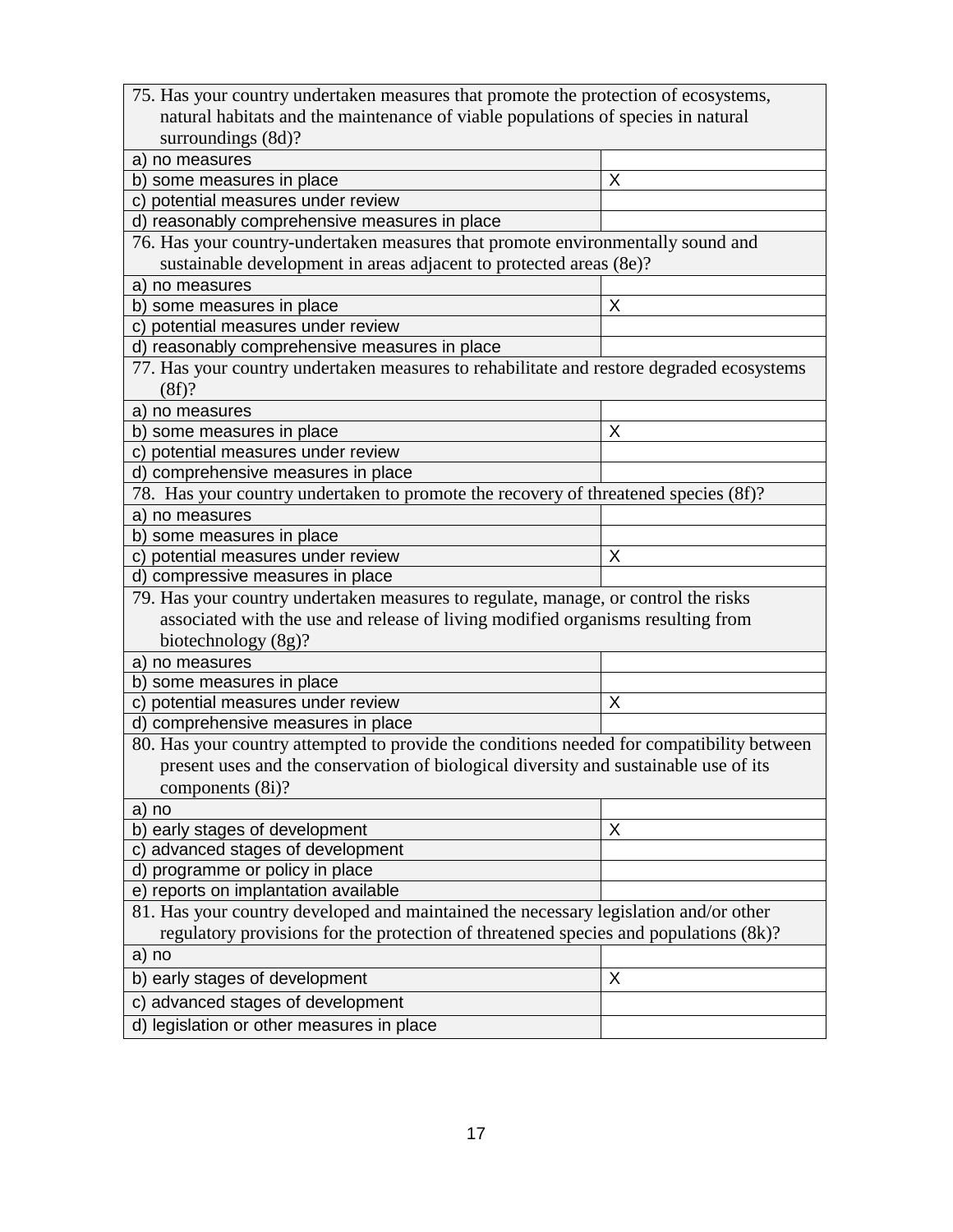| 75. Has your country undertaken measures that promote the protection of ecosystems,       |   |  |  |  |
|-------------------------------------------------------------------------------------------|---|--|--|--|
| natural habitats and the maintenance of viable populations of species in natural          |   |  |  |  |
| surroundings (8d)?                                                                        |   |  |  |  |
| a) no measures                                                                            |   |  |  |  |
| b) some measures in place                                                                 | X |  |  |  |
| c) potential measures under review                                                        |   |  |  |  |
| d) reasonably comprehensive measures in place                                             |   |  |  |  |
| 76. Has your country-undertaken measures that promote environmentally sound and           |   |  |  |  |
| sustainable development in areas adjacent to protected areas (8e)?                        |   |  |  |  |
| a) no measures                                                                            |   |  |  |  |
| b) some measures in place                                                                 | X |  |  |  |
| c) potential measures under review                                                        |   |  |  |  |
| d) reasonably comprehensive measures in place                                             |   |  |  |  |
| 77. Has your country undertaken measures to rehabilitate and restore degraded ecosystems  |   |  |  |  |
| (8f)?                                                                                     |   |  |  |  |
| a) no measures                                                                            |   |  |  |  |
| b) some measures in place                                                                 | X |  |  |  |
| c) potential measures under review                                                        |   |  |  |  |
| d) comprehensive measures in place                                                        |   |  |  |  |
| 78. Has your country undertaken to promote the recovery of threatened species (8f)?       |   |  |  |  |
| a) no measures                                                                            |   |  |  |  |
| b) some measures in place                                                                 |   |  |  |  |
| c) potential measures under review                                                        | X |  |  |  |
| d) compressive measures in place                                                          |   |  |  |  |
| 79. Has your country undertaken measures to regulate, manage, or control the risks        |   |  |  |  |
| associated with the use and release of living modified organisms resulting from           |   |  |  |  |
| biotechnology (8g)?                                                                       |   |  |  |  |
| a) no measures                                                                            |   |  |  |  |
| b) some measures in place                                                                 |   |  |  |  |
| c) potential measures under review                                                        | X |  |  |  |
| d) comprehensive measures in place                                                        |   |  |  |  |
| 80. Has your country attempted to provide the conditions needed for compatibility between |   |  |  |  |
| present uses and the conservation of biological diversity and sustainable use of its      |   |  |  |  |
| components $(8i)$ ?                                                                       |   |  |  |  |
| no<br>a)                                                                                  |   |  |  |  |
| b) early stages of development                                                            | X |  |  |  |
| advanced stages of development<br>$\mathbf{C}$                                            |   |  |  |  |
| d) programme or policy in place                                                           |   |  |  |  |
| e) reports on implantation available                                                      |   |  |  |  |
| 81. Has your country developed and maintained the necessary legislation and/or other      |   |  |  |  |
| regulatory provisions for the protection of threatened species and populations (8k)?      |   |  |  |  |
| a) no                                                                                     |   |  |  |  |
| b) early stages of development                                                            | X |  |  |  |
| c) advanced stages of development                                                         |   |  |  |  |
| d) legislation or other measures in place                                                 |   |  |  |  |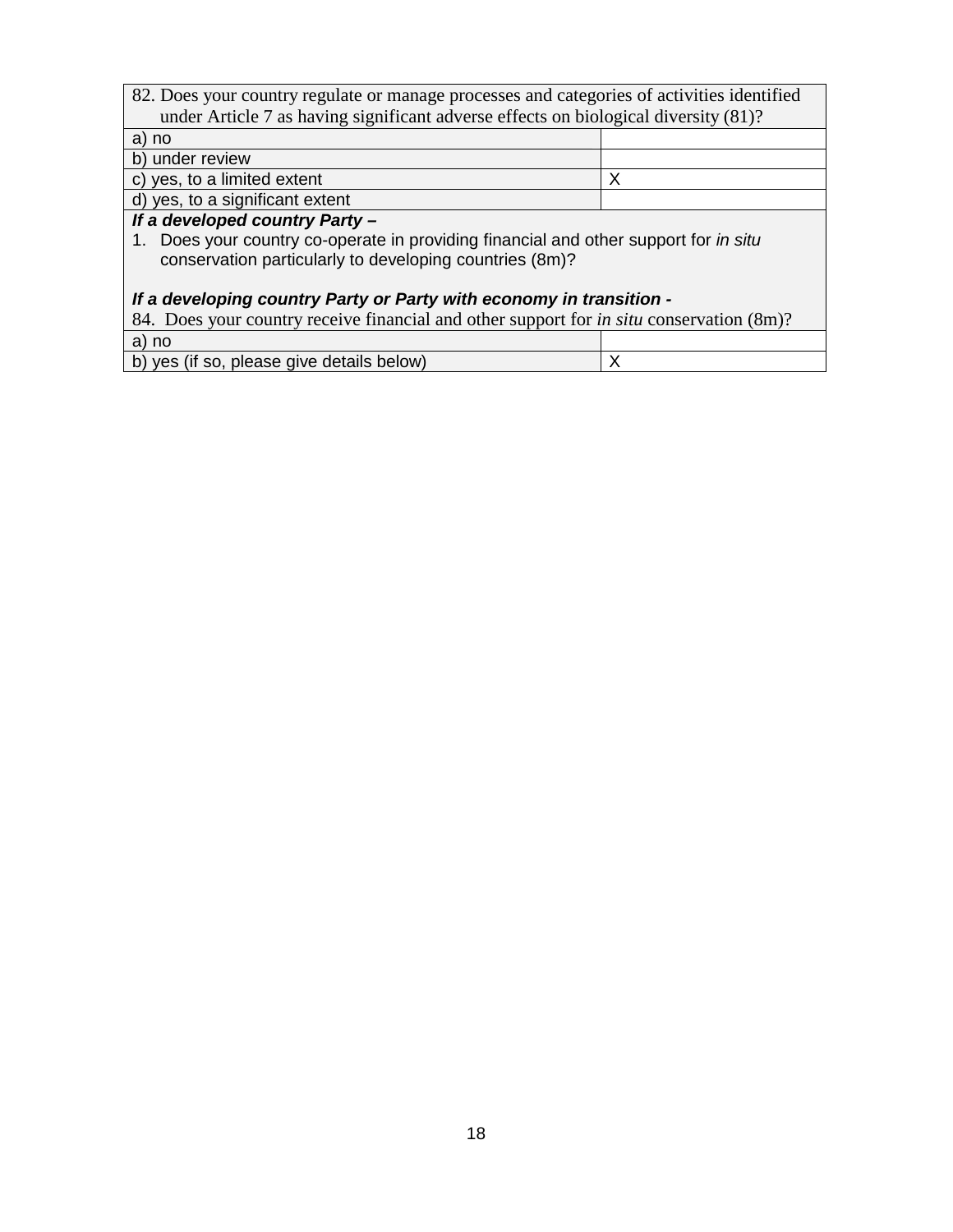| 82. Does your country regulate or manage processes and categories of activities identified      |   |  |
|-------------------------------------------------------------------------------------------------|---|--|
| under Article 7 as having significant adverse effects on biological diversity (81)?             |   |  |
| a) no                                                                                           |   |  |
| b) under review                                                                                 |   |  |
| c) yes, to a limited extent                                                                     | Х |  |
| d) yes, to a significant extent                                                                 |   |  |
| If a developed country Party -                                                                  |   |  |
| 1. Does your country co-operate in providing financial and other support for in situ            |   |  |
| conservation particularly to developing countries (8m)?                                         |   |  |
|                                                                                                 |   |  |
| If a developing country Party or Party with economy in transition -                             |   |  |
| 84. Does your country receive financial and other support for <i>in situ</i> conservation (8m)? |   |  |
| a) no                                                                                           |   |  |
| b) yes (if so, please give details below)                                                       | Х |  |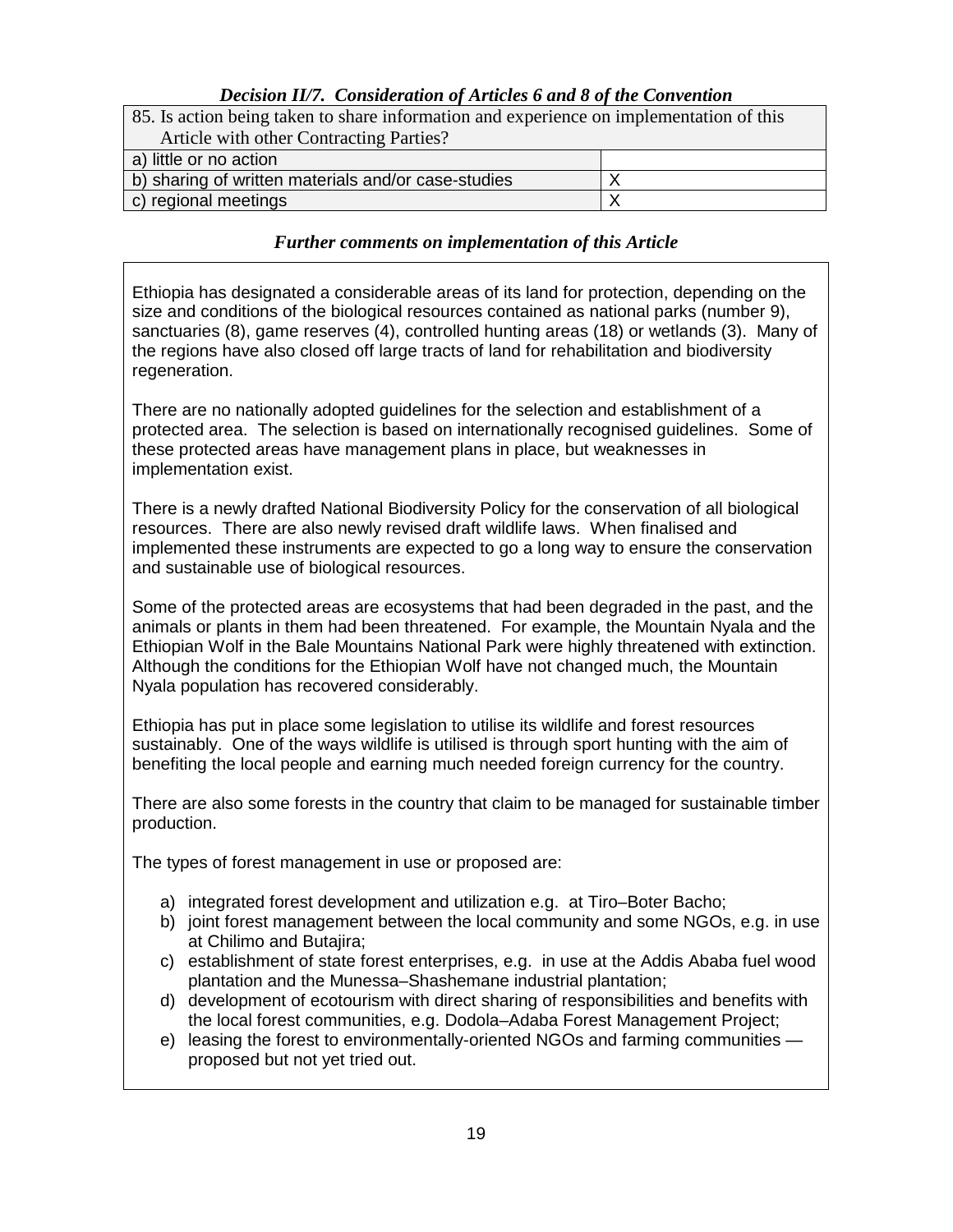### *Decision II/7. Consideration of Articles 6 and 8 of the Convention*

| 85. Is action being taken to share information and experience on implementation of this |  |  |
|-----------------------------------------------------------------------------------------|--|--|
| Article with other Contracting Parties?                                                 |  |  |
| a) little or no action                                                                  |  |  |
| b) sharing of written materials and/or case-studies                                     |  |  |
| c) regional meetings                                                                    |  |  |

#### *Further comments on implementation of this Article*

Ethiopia has designated a considerable areas of its land for protection, depending on the size and conditions of the biological resources contained as national parks (number 9), sanctuaries (8), game reserves (4), controlled hunting areas (18) or wetlands (3). Many of the regions have also closed off large tracts of land for rehabilitation and biodiversity regeneration.

There are no nationally adopted guidelines for the selection and establishment of a protected area. The selection is based on internationally recognised guidelines. Some of these protected areas have management plans in place, but weaknesses in implementation exist.

There is a newly drafted National Biodiversity Policy for the conservation of all biological resources. There are also newly revised draft wildlife laws. When finalised and implemented these instruments are expected to go a long way to ensure the conservation and sustainable use of biological resources.

Some of the protected areas are ecosystems that had been degraded in the past, and the animals or plants in them had been threatened. For example, the Mountain Nyala and the Ethiopian Wolf in the Bale Mountains National Park were highly threatened with extinction. Although the conditions for the Ethiopian Wolf have not changed much, the Mountain Nyala population has recovered considerably.

Ethiopia has put in place some legislation to utilise its wildlife and forest resources sustainably. One of the ways wildlife is utilised is through sport hunting with the aim of benefiting the local people and earning much needed foreign currency for the country.

There are also some forests in the country that claim to be managed for sustainable timber production.

The types of forest management in use or proposed are:

- a) integrated forest development and utilization e.g. at Tiro–Boter Bacho;
- b) joint forest management between the local community and some NGOs, e.g. in use at Chilimo and Butajira;
- c) establishment of state forest enterprises, e.g. in use at the Addis Ababa fuel wood plantation and the Munessa–Shashemane industrial plantation;
- d) development of ecotourism with direct sharing of responsibilities and benefits with the local forest communities, e.g. Dodola–Adaba Forest Management Project;
- e) leasing the forest to environmentally-oriented NGOs and farming communities proposed but not yet tried out.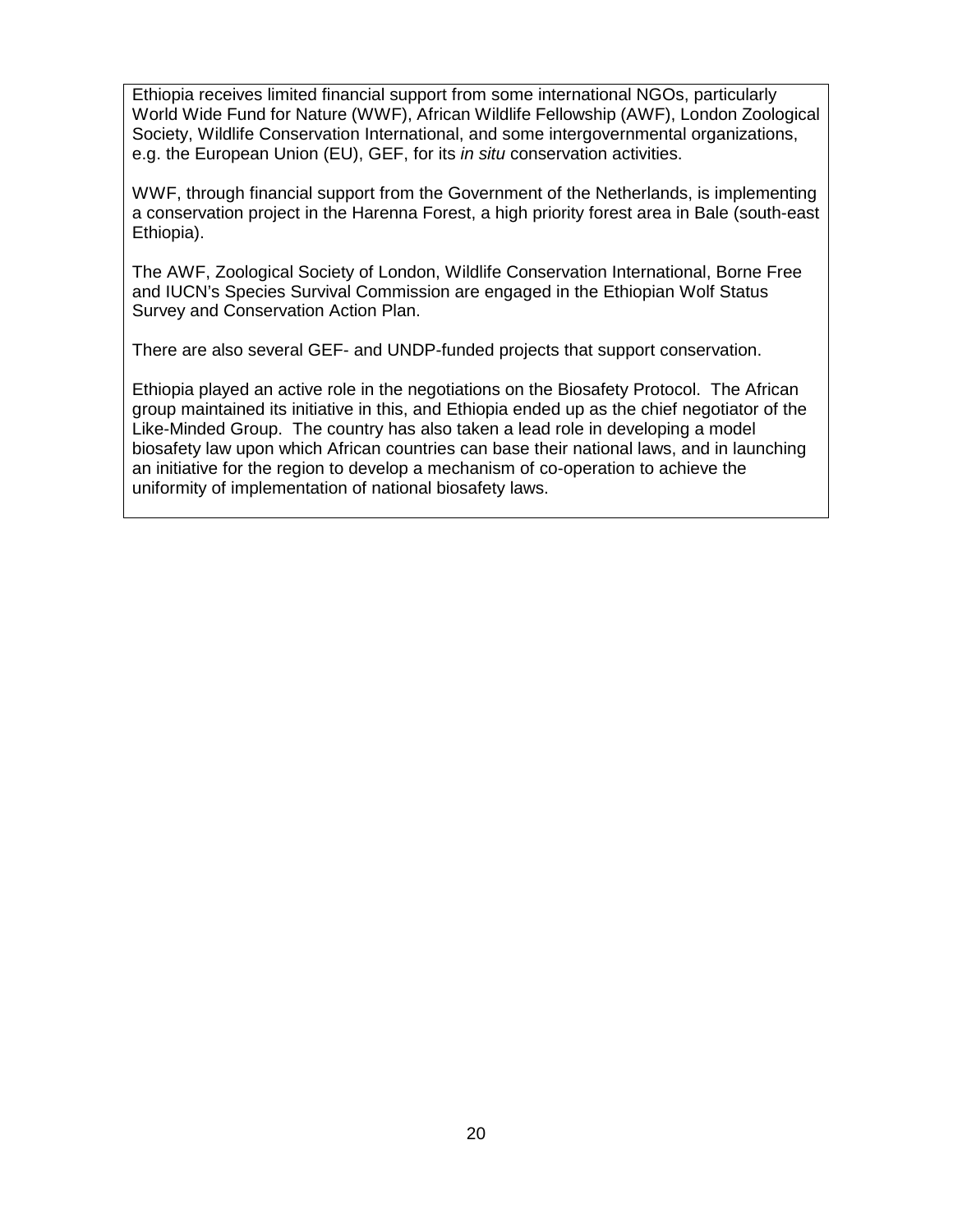Ethiopia receives limited financial support from some international NGOs, particularly World Wide Fund for Nature (WWF), African Wildlife Fellowship (AWF), London Zoological Society, Wildlife Conservation International, and some intergovernmental organizations, e.g. the European Union (EU), GEF, for its in situ conservation activities.

WWF, through financial support from the Government of the Netherlands, is implementing a conservation project in the Harenna Forest, a high priority forest area in Bale (south-east Ethiopia).

The AWF, Zoological Society of London, Wildlife Conservation International, Borne Free and IUCN's Species Survival Commission are engaged in the Ethiopian Wolf Status Survey and Conservation Action Plan.

There are also several GEF- and UNDP-funded projects that support conservation.

Ethiopia played an active role in the negotiations on the Biosafety Protocol. The African group maintained its initiative in this, and Ethiopia ended up as the chief negotiator of the Like-Minded Group. The country has also taken a lead role in developing a model biosafety law upon which African countries can base their national laws, and in launching an initiative for the region to develop a mechanism of co-operation to achieve the uniformity of implementation of national biosafety laws.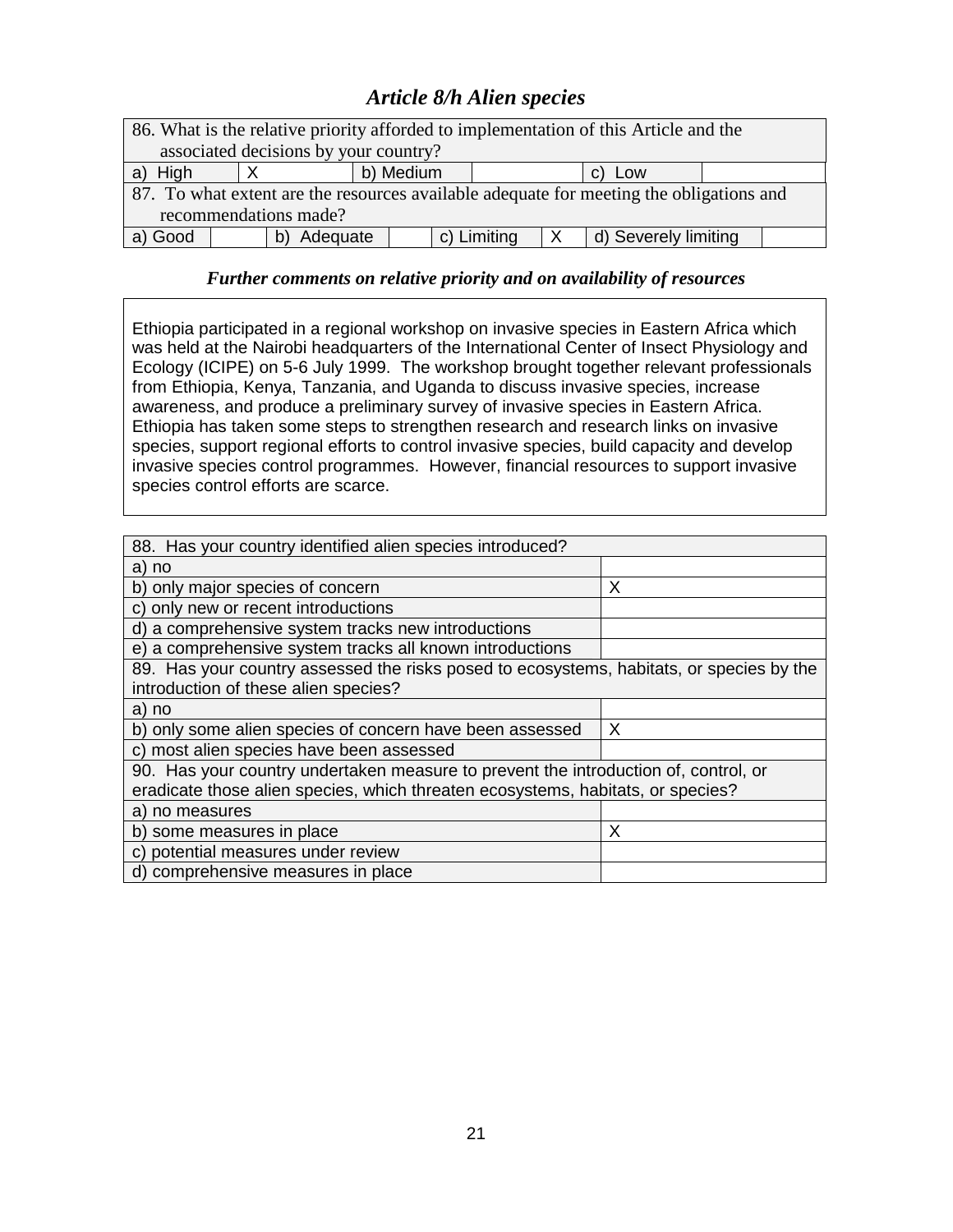# *Article 8/h Alien species*

| 86. What is the relative priority afforded to implementation of this Article and the    |          |           |             |   |                      |  |
|-----------------------------------------------------------------------------------------|----------|-----------|-------------|---|----------------------|--|
| associated decisions by your country?                                                   |          |           |             |   |                      |  |
| High<br>a)                                                                              |          | b) Medium |             |   | c) Low               |  |
| 87. To what extent are the resources available adequate for meeting the obligations and |          |           |             |   |                      |  |
| recommendations made?                                                                   |          |           |             |   |                      |  |
| a) Good                                                                                 | Adequate |           | c) Limiting | X | d) Severely limiting |  |

### *Further comments on relative priority and on availability of resources*

Ethiopia participated in a regional workshop on invasive species in Eastern Africa which was held at the Nairobi headquarters of the International Center of Insect Physiology and Ecology (ICIPE) on 5-6 July 1999. The workshop brought together relevant professionals from Ethiopia, Kenya, Tanzania, and Uganda to discuss invasive species, increase awareness, and produce a preliminary survey of invasive species in Eastern Africa. Ethiopia has taken some steps to strengthen research and research links on invasive species, support regional efforts to control invasive species, build capacity and develop invasive species control programmes. However, financial resources to support invasive species control efforts are scarce.

| 88. Has your country identified alien species introduced?                                |   |  |  |  |
|------------------------------------------------------------------------------------------|---|--|--|--|
| a) no                                                                                    |   |  |  |  |
| b) only major species of concern                                                         | X |  |  |  |
| c) only new or recent introductions                                                      |   |  |  |  |
| d) a comprehensive system tracks new introductions                                       |   |  |  |  |
| e) a comprehensive system tracks all known introductions                                 |   |  |  |  |
| 89. Has your country assessed the risks posed to ecosystems, habitats, or species by the |   |  |  |  |
| introduction of these alien species?                                                     |   |  |  |  |
| a) no                                                                                    |   |  |  |  |
| b) only some alien species of concern have been assessed                                 | Х |  |  |  |
| c) most alien species have been assessed                                                 |   |  |  |  |
| 90. Has your country undertaken measure to prevent the introduction of, control, or      |   |  |  |  |
| eradicate those alien species, which threaten ecosystems, habitats, or species?          |   |  |  |  |
| a) no measures                                                                           |   |  |  |  |
| b) some measures in place                                                                | Х |  |  |  |
| c) potential measures under review                                                       |   |  |  |  |
| d) comprehensive measures in place                                                       |   |  |  |  |
|                                                                                          |   |  |  |  |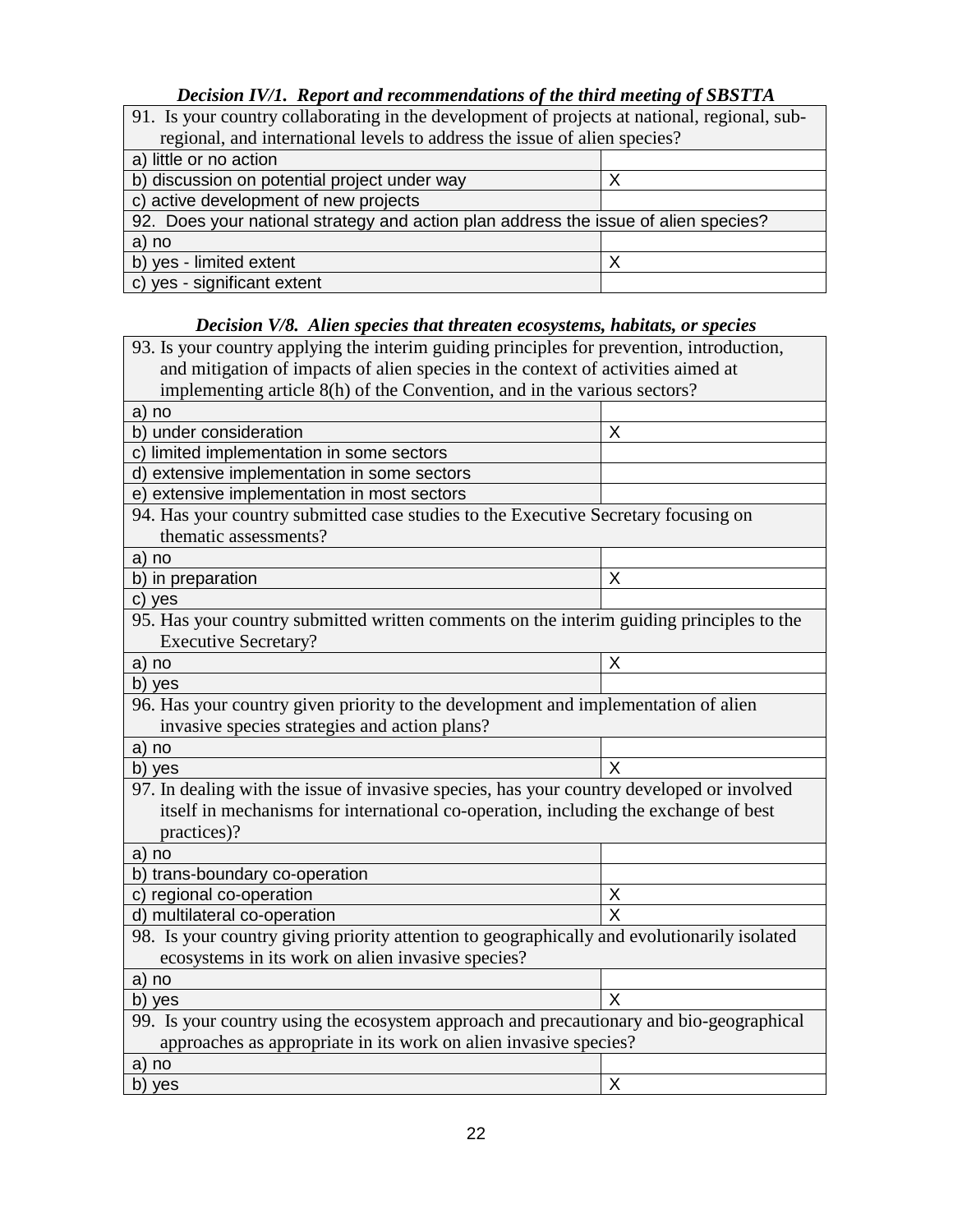### *Decision IV/1. Report and recommendations of the third meeting of SBSTTA*

| 91. Is your country collaborating in the development of projects at national, regional, sub- |  |  |
|----------------------------------------------------------------------------------------------|--|--|
| regional, and international levels to address the issue of alien species?                    |  |  |
| a) little or no action                                                                       |  |  |
| b) discussion on potential project under way                                                 |  |  |
| c) active development of new projects                                                        |  |  |
| 92. Does your national strategy and action plan address the issue of alien species?          |  |  |
| a) no                                                                                        |  |  |
| b) yes - limited extent<br>x                                                                 |  |  |
| c) yes - significant extent                                                                  |  |  |

### *Decision V/8. Alien species that threaten ecosystems, habitats, or species*

| 93. Is your country applying the interim guiding principles for prevention, introduction,   |                         |  |
|---------------------------------------------------------------------------------------------|-------------------------|--|
| and mitigation of impacts of alien species in the context of activities aimed at            |                         |  |
| implementing article 8(h) of the Convention, and in the various sectors?                    |                         |  |
| a) no                                                                                       |                         |  |
| b) under consideration                                                                      | X                       |  |
| c) limited implementation in some sectors                                                   |                         |  |
| d) extensive implementation in some sectors                                                 |                         |  |
| e) extensive implementation in most sectors                                                 |                         |  |
| 94. Has your country submitted case studies to the Executive Secretary focusing on          |                         |  |
| thematic assessments?                                                                       |                         |  |
| a) no                                                                                       |                         |  |
| b) in preparation                                                                           | X                       |  |
| c) yes                                                                                      |                         |  |
| 95. Has your country submitted written comments on the interim guiding principles to the    |                         |  |
| <b>Executive Secretary?</b>                                                                 |                         |  |
| a) no                                                                                       | X                       |  |
| b) yes                                                                                      |                         |  |
| 96. Has your country given priority to the development and implementation of alien          |                         |  |
| invasive species strategies and action plans?                                               |                         |  |
| a) no                                                                                       |                         |  |
| b) yes                                                                                      | X                       |  |
| 97. In dealing with the issue of invasive species, has your country developed or involved   |                         |  |
| itself in mechanisms for international co-operation, including the exchange of best         |                         |  |
| practices)?                                                                                 |                         |  |
| a) no                                                                                       |                         |  |
| b) trans-boundary co-operation                                                              |                         |  |
| c) regional co-operation                                                                    | X                       |  |
| d) multilateral co-operation                                                                | $\overline{\mathsf{x}}$ |  |
| 98. Is your country giving priority attention to geographically and evolutionarily isolated |                         |  |
| ecosystems in its work on alien invasive species?                                           |                         |  |
| a) no                                                                                       |                         |  |
| b) yes                                                                                      | X                       |  |
| 99. Is your country using the ecosystem approach and precautionary and bio-geographical     |                         |  |
| approaches as appropriate in its work on alien invasive species?                            |                         |  |
| a) no                                                                                       |                         |  |
| b) yes                                                                                      | X                       |  |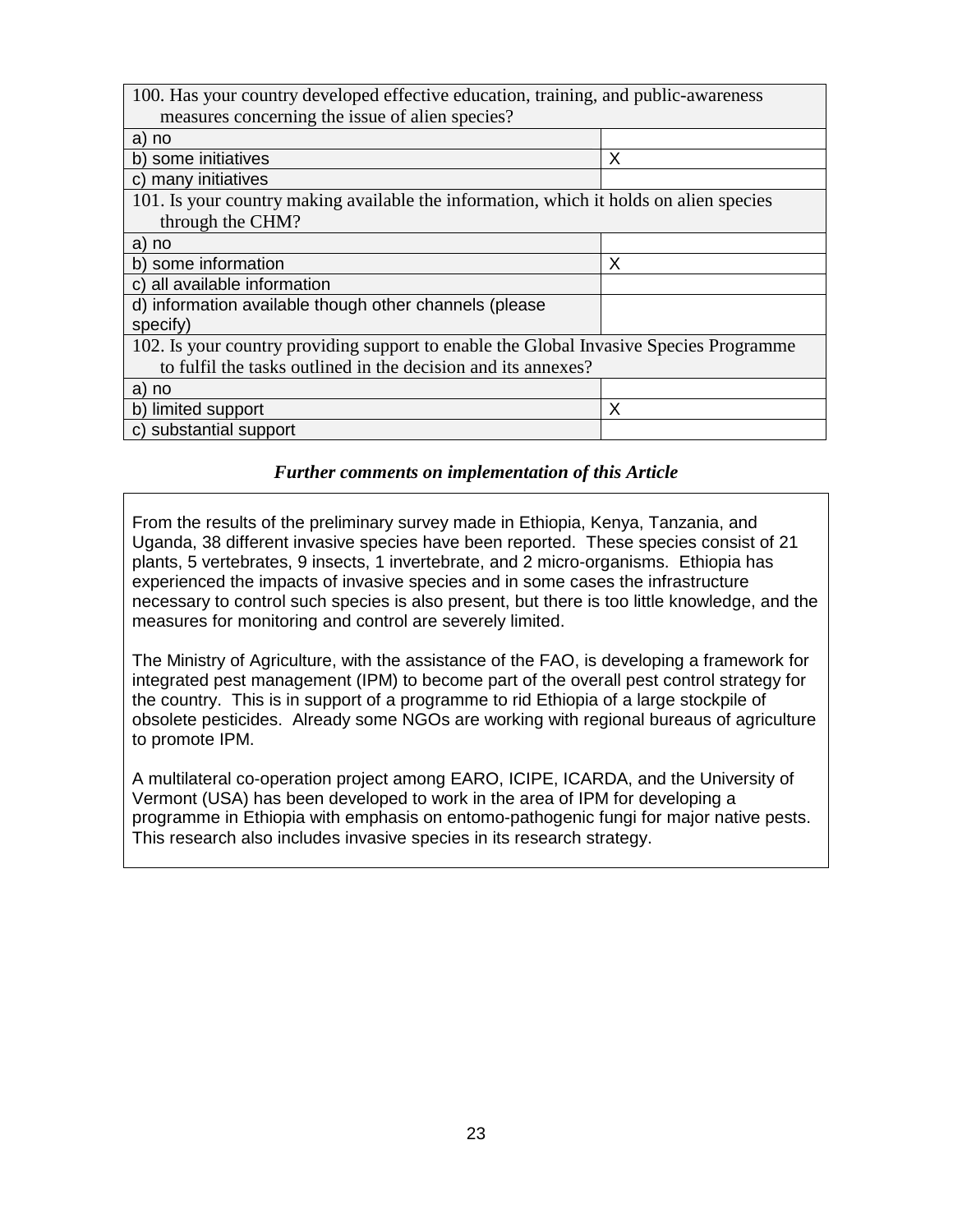| 100. Has your country developed effective education, training, and public-awareness    |   |  |
|----------------------------------------------------------------------------------------|---|--|
| measures concerning the issue of alien species?                                        |   |  |
| a) no                                                                                  |   |  |
| b) some initiatives                                                                    | X |  |
| c) many initiatives                                                                    |   |  |
| 101. Is your country making available the information, which it holds on alien species |   |  |
| through the CHM?                                                                       |   |  |
| a) no                                                                                  |   |  |
| b) some information                                                                    | X |  |
| c) all available information                                                           |   |  |
| d) information available though other channels (please                                 |   |  |
| specify)                                                                               |   |  |
| 102. Is your country providing support to enable the Global Invasive Species Programme |   |  |
| to fulfil the tasks outlined in the decision and its annexes?                          |   |  |
| a) no                                                                                  |   |  |
| b) limited support                                                                     | X |  |
| c) substantial support                                                                 |   |  |

#### *Further comments on implementation of this Article*

From the results of the preliminary survey made in Ethiopia, Kenya, Tanzania, and Uganda, 38 different invasive species have been reported. These species consist of 21 plants, 5 vertebrates, 9 insects, 1 invertebrate, and 2 micro-organisms. Ethiopia has experienced the impacts of invasive species and in some cases the infrastructure necessary to control such species is also present, but there is too little knowledge, and the measures for monitoring and control are severely limited.

The Ministry of Agriculture, with the assistance of the FAO, is developing a framework for integrated pest management (IPM) to become part of the overall pest control strategy for the country. This is in support of a programme to rid Ethiopia of a large stockpile of obsolete pesticides. Already some NGOs are working with regional bureaus of agriculture to promote IPM.

A multilateral co-operation project among EARO, ICIPE, ICARDA, and the University of Vermont (USA) has been developed to work in the area of IPM for developing a programme in Ethiopia with emphasis on entomo-pathogenic fungi for major native pests. This research also includes invasive species in its research strategy.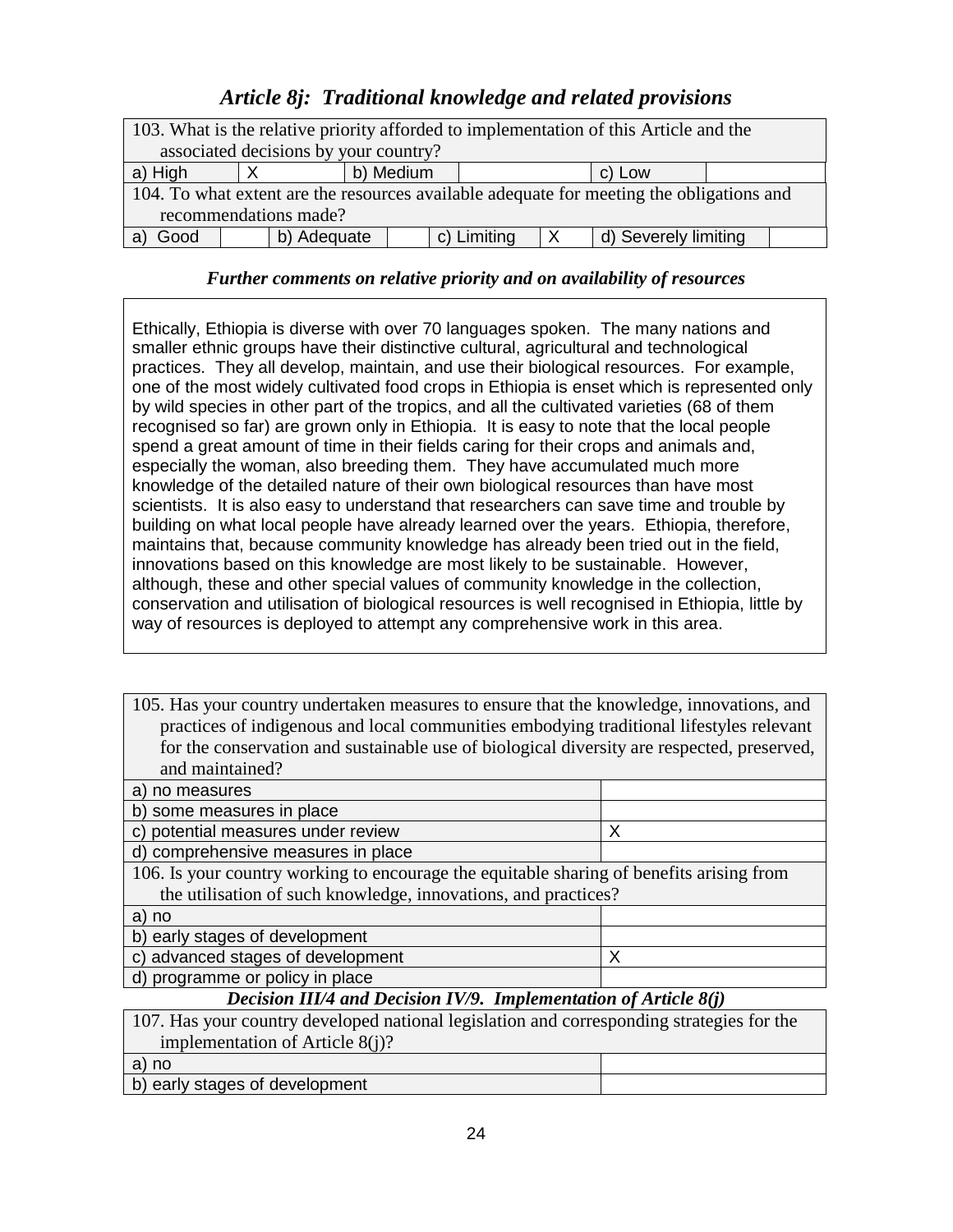# *Article 8j: Traditional knowledge and related provisions*

|                                                                                          |             |           |  |             |  | 103. What is the relative priority afforded to implementation of this Article and the |  |
|------------------------------------------------------------------------------------------|-------------|-----------|--|-------------|--|---------------------------------------------------------------------------------------|--|
| associated decisions by your country?                                                    |             |           |  |             |  |                                                                                       |  |
| a) High                                                                                  |             | b) Medium |  |             |  | c) Low                                                                                |  |
| 104. To what extent are the resources available adequate for meeting the obligations and |             |           |  |             |  |                                                                                       |  |
| recommendations made?                                                                    |             |           |  |             |  |                                                                                       |  |
| Good                                                                                     | b) Adequate |           |  | c) Limiting |  | d) Severely limiting                                                                  |  |

### *Further comments on relative priority and on availability of resources*

Ethically, Ethiopia is diverse with over 70 languages spoken. The many nations and smaller ethnic groups have their distinctive cultural, agricultural and technological practices. They all develop, maintain, and use their biological resources. For example, one of the most widely cultivated food crops in Ethiopia is enset which is represented only by wild species in other part of the tropics, and all the cultivated varieties (68 of them recognised so far) are grown only in Ethiopia. It is easy to note that the local people spend a great amount of time in their fields caring for their crops and animals and, especially the woman, also breeding them. They have accumulated much more knowledge of the detailed nature of their own biological resources than have most scientists. It is also easy to understand that researchers can save time and trouble by building on what local people have already learned over the years. Ethiopia, therefore, maintains that, because community knowledge has already been tried out in the field, innovations based on this knowledge are most likely to be sustainable. However, although, these and other special values of community knowledge in the collection, conservation and utilisation of biological resources is well recognised in Ethiopia, little by way of resources is deployed to attempt any comprehensive work in this area.

105. Has your country undertaken measures to ensure that the knowledge, innovations, and practices of indigenous and local communities embodying traditional lifestyles relevant for the conservation and sustainable use of biological diversity are respected, preserved, and maintained?

| b) some measures in place                                                                |  |  |
|------------------------------------------------------------------------------------------|--|--|
| c) potential measures under review<br>x                                                  |  |  |
| d) comprehensive measures in place                                                       |  |  |
| 106. Is your country working to encourage the equitable sharing of benefits arising from |  |  |
| the utilisation of such knowledge, innovations, and practices?                           |  |  |
| a) no                                                                                    |  |  |
| b) early stages of development                                                           |  |  |
| c) advanced stages of development<br>Х                                                   |  |  |
| d) programme or policy in place                                                          |  |  |

*Decision III/4 and Decision IV/9. Implementation of Article 8(j)*

| 107. Has your country developed national legislation and corresponding strategies for the |  |
|-------------------------------------------------------------------------------------------|--|
| implementation of Article $8(i)$ ?                                                        |  |
| a) no                                                                                     |  |
| b) early stages of development                                                            |  |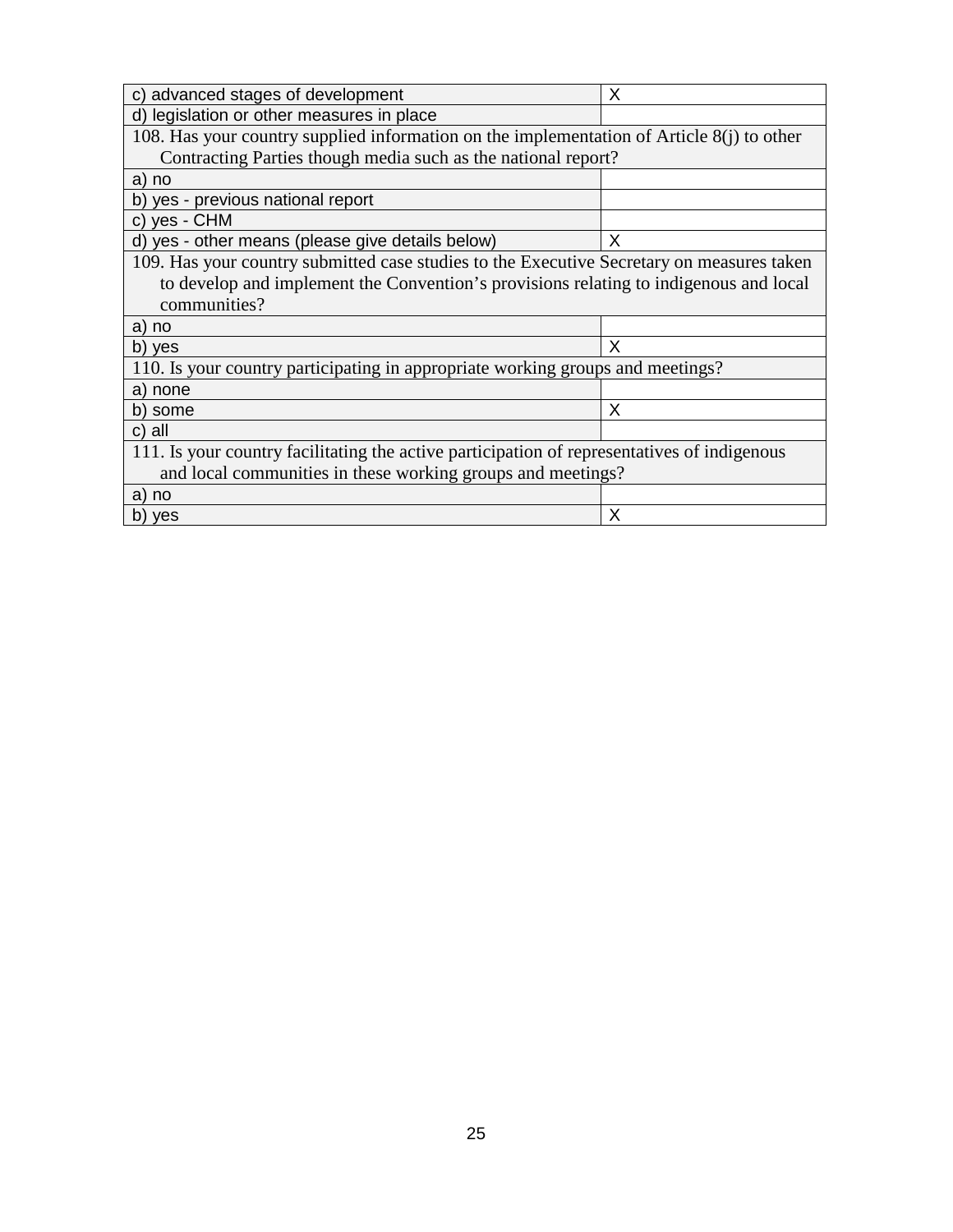| c) advanced stages of development                                                           | X |  |  |
|---------------------------------------------------------------------------------------------|---|--|--|
| d) legislation or other measures in place                                                   |   |  |  |
| 108. Has your country supplied information on the implementation of Article $8(i)$ to other |   |  |  |
| Contracting Parties though media such as the national report?                               |   |  |  |
| a) no                                                                                       |   |  |  |
| b) yes - previous national report                                                           |   |  |  |
| c) yes - CHM                                                                                |   |  |  |
| d) yes - other means (please give details below)                                            | X |  |  |
| 109. Has your country submitted case studies to the Executive Secretary on measures taken   |   |  |  |
| to develop and implement the Convention's provisions relating to indigenous and local       |   |  |  |
| communities?                                                                                |   |  |  |
| a) no                                                                                       |   |  |  |
| b) yes                                                                                      | X |  |  |
| 110. Is your country participating in appropriate working groups and meetings?              |   |  |  |
| a) none                                                                                     |   |  |  |
| b) some                                                                                     | X |  |  |
| c) all                                                                                      |   |  |  |
| 111. Is your country facilitating the active participation of representatives of indigenous |   |  |  |
| and local communities in these working groups and meetings?                                 |   |  |  |
| a) no                                                                                       |   |  |  |
| b) yes                                                                                      | Х |  |  |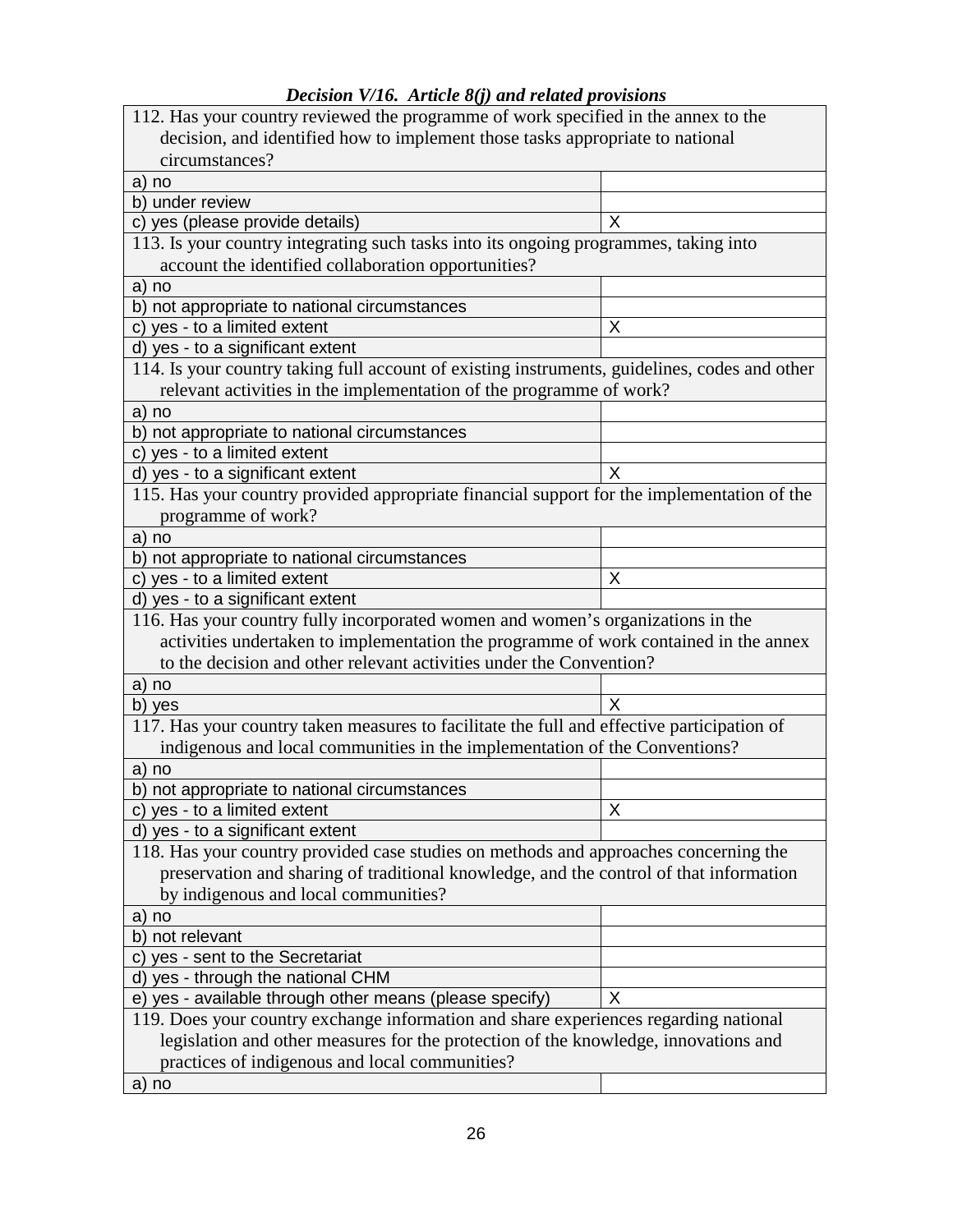|                                                                                               | 112. Has your country reviewed the programme of work specified in the annex to the |
|-----------------------------------------------------------------------------------------------|------------------------------------------------------------------------------------|
| decision, and identified how to implement those tasks appropriate to national                 |                                                                                    |
| circumstances?                                                                                |                                                                                    |
| a) no                                                                                         |                                                                                    |
| b) under review                                                                               |                                                                                    |
| c) yes (please provide details)                                                               | X                                                                                  |
| 113. Is your country integrating such tasks into its ongoing programmes, taking into          |                                                                                    |
| account the identified collaboration opportunities?                                           |                                                                                    |
| a) no                                                                                         |                                                                                    |
| b) not appropriate to national circumstances                                                  |                                                                                    |
| c) yes - to a limited extent                                                                  | X                                                                                  |
| d) yes - to a significant extent                                                              |                                                                                    |
| 114. Is your country taking full account of existing instruments, guidelines, codes and other |                                                                                    |
| relevant activities in the implementation of the programme of work?                           |                                                                                    |
| a) no                                                                                         |                                                                                    |
| b) not appropriate to national circumstances                                                  |                                                                                    |
| c) yes - to a limited extent                                                                  |                                                                                    |
| d) yes - to a significant extent                                                              | X                                                                                  |
| 115. Has your country provided appropriate financial support for the implementation of the    |                                                                                    |
| programme of work?                                                                            |                                                                                    |
| a) no                                                                                         |                                                                                    |
| b) not appropriate to national circumstances                                                  |                                                                                    |
| c) yes - to a limited extent                                                                  | Х                                                                                  |
| d) yes - to a significant extent                                                              |                                                                                    |
| 116. Has your country fully incorporated women and women's organizations in the               |                                                                                    |
| activities undertaken to implementation the programme of work contained in the annex          |                                                                                    |
| to the decision and other relevant activities under the Convention?                           |                                                                                    |
|                                                                                               |                                                                                    |
|                                                                                               |                                                                                    |
| a) no                                                                                         |                                                                                    |
| b) yes                                                                                        | X                                                                                  |
| 117. Has your country taken measures to facilitate the full and effective participation of    |                                                                                    |
| indigenous and local communities in the implementation of the Conventions?                    |                                                                                    |
| a) no                                                                                         |                                                                                    |
| b) not appropriate to national circumstances                                                  |                                                                                    |
| c) yes - to a limited extent                                                                  | X                                                                                  |
| d) yes - to a significant extent                                                              |                                                                                    |
| 118. Has your country provided case studies on methods and approaches concerning the          |                                                                                    |
| preservation and sharing of traditional knowledge, and the control of that information        |                                                                                    |
| by indigenous and local communities?                                                          |                                                                                    |
| a) no                                                                                         |                                                                                    |
| b) not relevant                                                                               |                                                                                    |
| c) yes - sent to the Secretariat                                                              |                                                                                    |
| d) yes - through the national CHM                                                             |                                                                                    |
| e) yes - available through other means (please specify)                                       | X                                                                                  |
| 119. Does your country exchange information and share experiences regarding national          |                                                                                    |
| legislation and other measures for the protection of the knowledge, innovations and           |                                                                                    |
| practices of indigenous and local communities?<br>a) no                                       |                                                                                    |

### *Decision V/16. Article 8(j) and related provisions*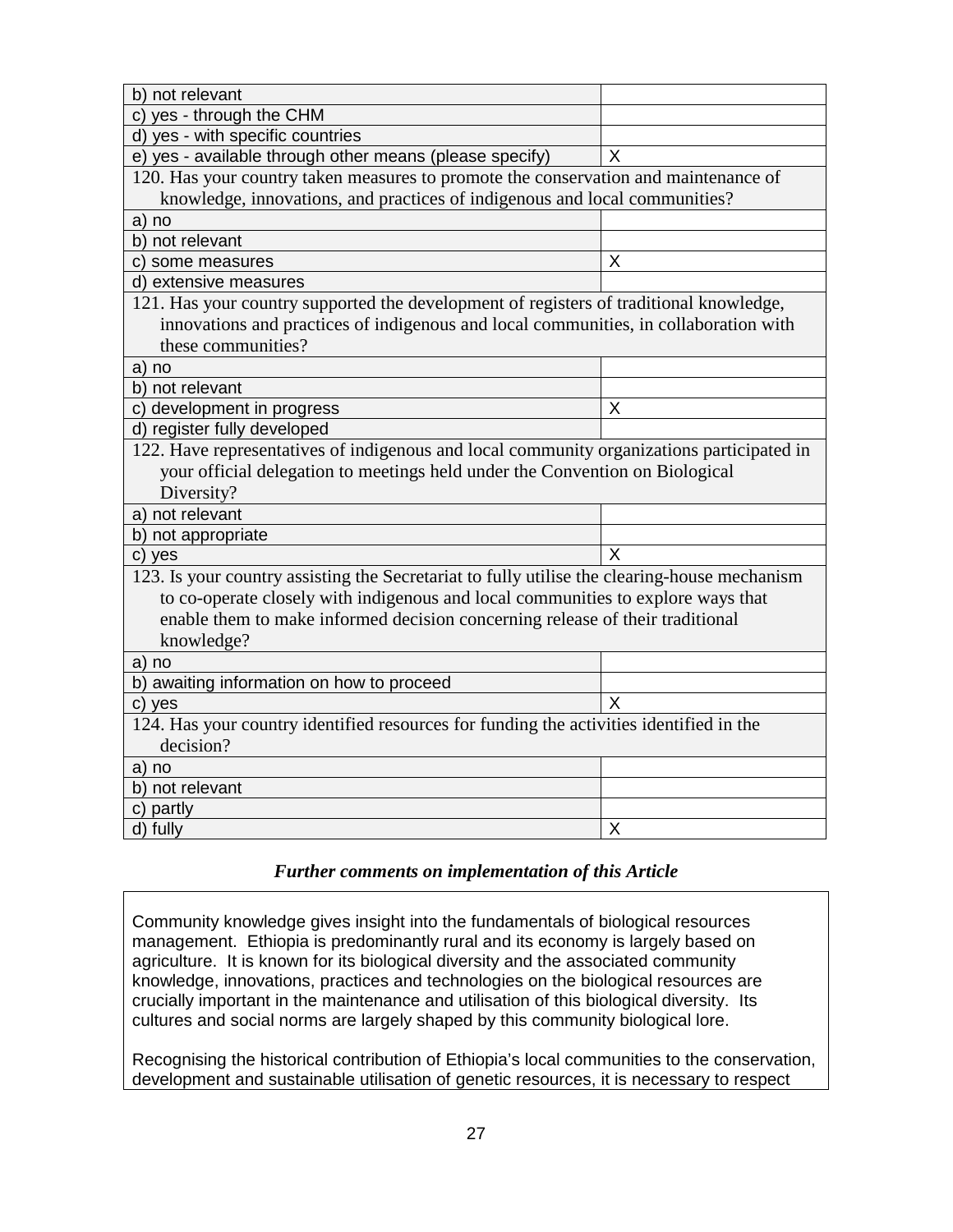| b) not relevant                                                                              |   |
|----------------------------------------------------------------------------------------------|---|
| c) yes - through the CHM                                                                     |   |
| d) yes - with specific countries                                                             |   |
| e) yes - available through other means (please specify)                                      | X |
| 120. Has your country taken measures to promote the conservation and maintenance of          |   |
| knowledge, innovations, and practices of indigenous and local communities?                   |   |
| a) no                                                                                        |   |
| b) not relevant                                                                              |   |
| c) some measures                                                                             | Χ |
| d) extensive measures                                                                        |   |
| 121. Has your country supported the development of registers of traditional knowledge,       |   |
| innovations and practices of indigenous and local communities, in collaboration with         |   |
| these communities?                                                                           |   |
| a) no                                                                                        |   |
| b) not relevant                                                                              |   |
| c) development in progress                                                                   | X |
| d) register fully developed                                                                  |   |
| 122. Have representatives of indigenous and local community organizations participated in    |   |
| your official delegation to meetings held under the Convention on Biological                 |   |
|                                                                                              |   |
| Diversity?                                                                                   |   |
| a) not relevant                                                                              |   |
| b) not appropriate                                                                           |   |
| c) yes                                                                                       | X |
| 123. Is your country assisting the Secretariat to fully utilise the clearing-house mechanism |   |
| to co-operate closely with indigenous and local communities to explore ways that             |   |
| enable them to make informed decision concerning release of their traditional                |   |
|                                                                                              |   |
| knowledge?<br>a) no                                                                          |   |
|                                                                                              |   |
| b) awaiting information on how to proceed<br>c) yes                                          | x |
| 124. Has your country identified resources for funding the activities identified in the      |   |
| decision?                                                                                    |   |
| a) no                                                                                        |   |
| b) not relevant                                                                              |   |
| c) partly                                                                                    |   |

Community knowledge gives insight into the fundamentals of biological resources management. Ethiopia is predominantly rural and its economy is largely based on agriculture. It is known for its biological diversity and the associated community knowledge, innovations, practices and technologies on the biological resources are crucially important in the maintenance and utilisation of this biological diversity. Its cultures and social norms are largely shaped by this community biological lore.

Recognising the historical contribution of Ethiopia's local communities to the conservation, development and sustainable utilisation of genetic resources, it is necessary to respect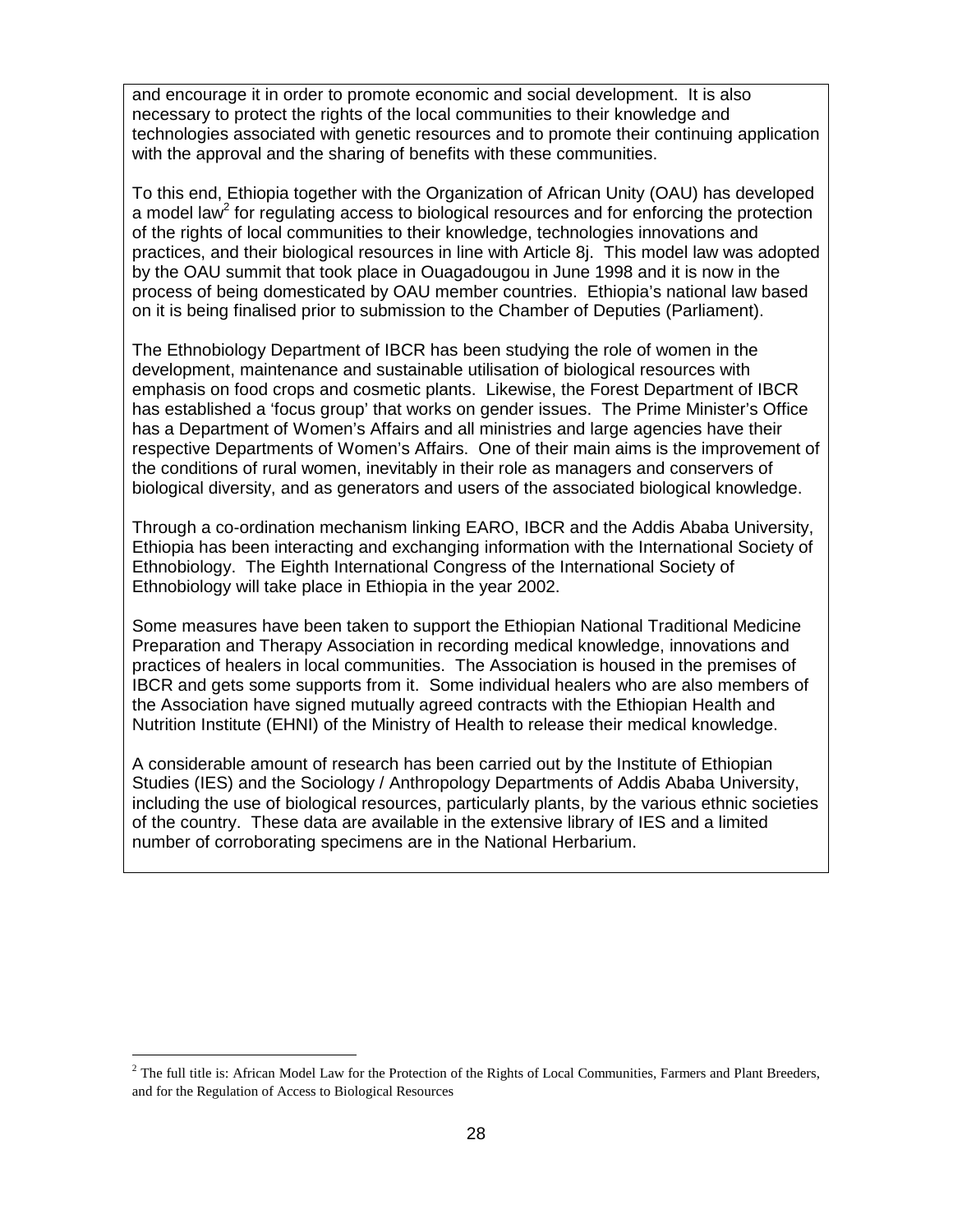and encourage it in order to promote economic and social development. It is also necessary to protect the rights of the local communities to their knowledge and technologies associated with genetic resources and to promote their continuing application with the approval and the sharing of benefits with these communities.

To this end, Ethiopia together with the Organization of African Unity (OAU) has developed a model law<sup>2</sup> for regulating access to biological resources and for enforcing the protection of the rights of local communities to their knowledge, technologies innovations and practices, and their biological resources in line with Article 8j. This model law was adopted by the OAU summit that took place in Ouagadougou in June 1998 and it is now in the process of being domesticated by OAU member countries. Ethiopia's national law based on it is being finalised prior to submission to the Chamber of Deputies (Parliament).

The Ethnobiology Department of IBCR has been studying the role of women in the development, maintenance and sustainable utilisation of biological resources with emphasis on food crops and cosmetic plants. Likewise, the Forest Department of IBCR has established a 'focus group' that works on gender issues. The Prime Minister's Office has a Department of Women's Affairs and all ministries and large agencies have their respective Departments of Women's Affairs. One of their main aims is the improvement of the conditions of rural women, inevitably in their role as managers and conservers of biological diversity, and as generators and users of the associated biological knowledge.

Through a co-ordination mechanism linking EARO, IBCR and the Addis Ababa University, Ethiopia has been interacting and exchanging information with the International Society of Ethnobiology. The Eighth International Congress of the International Society of Ethnobiology will take place in Ethiopia in the year 2002.

Some measures have been taken to support the Ethiopian National Traditional Medicine Preparation and Therapy Association in recording medical knowledge, innovations and practices of healers in local communities. The Association is housed in the premises of IBCR and gets some supports from it. Some individual healers who are also members of the Association have signed mutually agreed contracts with the Ethiopian Health and Nutrition Institute (EHNI) of the Ministry of Health to release their medical knowledge.

A considerable amount of research has been carried out by the Institute of Ethiopian Studies (IES) and the Sociology / Anthropology Departments of Addis Ababa University, including the use of biological resources, particularly plants, by the various ethnic societies of the country. These data are available in the extensive library of IES and a limited number of corroborating specimens are in the National Herbarium.

 $<sup>2</sup>$  The full title is: African Model Law for the Protection of the Rights of Local Communities, Farmers and Plant Breeders,</sup> and for the Regulation of Access to Biological Resources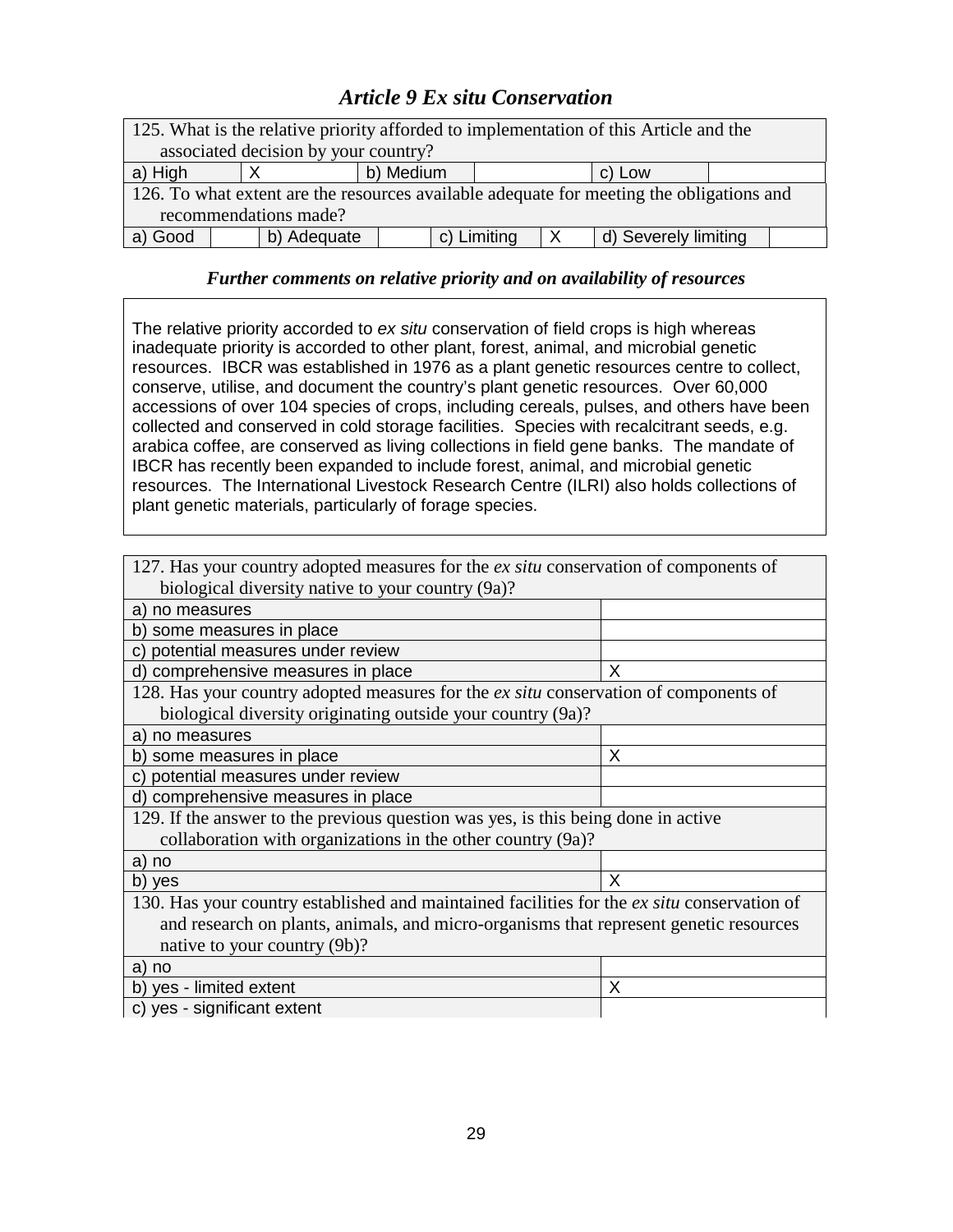# *Article 9 Ex situ Conservation*

| 125. What is the relative priority afforded to implementation of this Article and the    |             |  |             |  |                      |  |  |
|------------------------------------------------------------------------------------------|-------------|--|-------------|--|----------------------|--|--|
| associated decision by your country?                                                     |             |  |             |  |                      |  |  |
| b) Medium<br>a) High<br>c) Low                                                           |             |  |             |  |                      |  |  |
| 126. To what extent are the resources available adequate for meeting the obligations and |             |  |             |  |                      |  |  |
| recommendations made?                                                                    |             |  |             |  |                      |  |  |
| a) Good                                                                                  | b) Adequate |  | c) Limiting |  | d) Severely limiting |  |  |

### *Further comments on relative priority and on availability of resources*

The relative priority accorded to ex situ conservation of field crops is high whereas inadequate priority is accorded to other plant, forest, animal, and microbial genetic resources. IBCR was established in 1976 as a plant genetic resources centre to collect, conserve, utilise, and document the country's plant genetic resources. Over 60,000 accessions of over 104 species of crops, including cereals, pulses, and others have been collected and conserved in cold storage facilities. Species with recalcitrant seeds, e.g. arabica coffee, are conserved as living collections in field gene banks. The mandate of IBCR has recently been expanded to include forest, animal, and microbial genetic resources. The International Livestock Research Centre (ILRI) also holds collections of plant genetic materials, particularly of forage species.

| 127. Has your country adopted measures for the ex situ conservation of components of        |   |
|---------------------------------------------------------------------------------------------|---|
| biological diversity native to your country (9a)?                                           |   |
| a) no measures                                                                              |   |
| b) some measures in place                                                                   |   |
| potential measures under review                                                             |   |
| d) comprehensive measures in place                                                          | X |
| 128. Has your country adopted measures for the ex situ conservation of components of        |   |
| biological diversity originating outside your country (9a)?                                 |   |
| a) no measures                                                                              |   |
| b) some measures in place                                                                   | X |
| c) potential measures under review                                                          |   |
| d) comprehensive measures in place                                                          |   |
| 129. If the answer to the previous question was yes, is this being done in active           |   |
| collaboration with organizations in the other country (9a)?                                 |   |
| a) no                                                                                       |   |
| b) yes                                                                                      | X |
| 130. Has your country established and maintained facilities for the ex situ conservation of |   |
| and research on plants, animals, and micro-organisms that represent genetic resources       |   |
| native to your country (9b)?                                                                |   |
| a) no                                                                                       |   |
| b) yes - limited extent                                                                     | X |
| c) yes - significant extent                                                                 |   |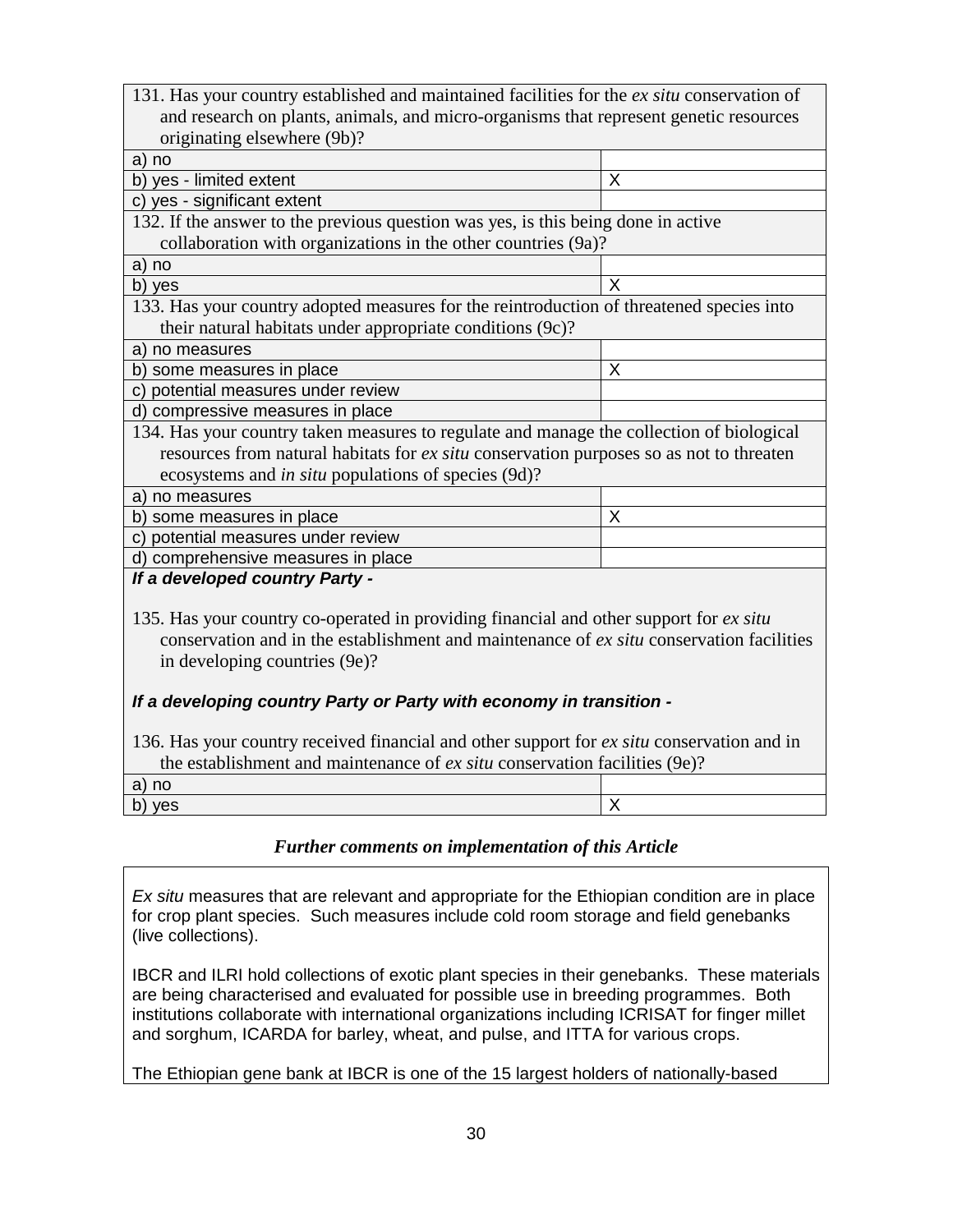| 131. Has your country established and maintained facilities for the ex situ conservation of |   |  |  |  |
|---------------------------------------------------------------------------------------------|---|--|--|--|
| and research on plants, animals, and micro-organisms that represent genetic resources       |   |  |  |  |
| originating elsewhere (9b)?                                                                 |   |  |  |  |
| a) no                                                                                       |   |  |  |  |
| b) yes - limited extent                                                                     | X |  |  |  |
| c) yes - significant extent                                                                 |   |  |  |  |
| 132. If the answer to the previous question was yes, is this being done in active           |   |  |  |  |
| collaboration with organizations in the other countries (9a)?                               |   |  |  |  |
| a) no                                                                                       |   |  |  |  |
| b) yes                                                                                      | X |  |  |  |
| 133. Has your country adopted measures for the reintroduction of threatened species into    |   |  |  |  |
| their natural habitats under appropriate conditions (9c)?                                   |   |  |  |  |
| a) no measures                                                                              |   |  |  |  |
| b) some measures in place                                                                   | X |  |  |  |
| c) potential measures under review                                                          |   |  |  |  |
| d) compressive measures in place                                                            |   |  |  |  |
| 134. Has your country taken measures to regulate and manage the collection of biological    |   |  |  |  |
| resources from natural habitats for ex situ conservation purposes so as not to threaten     |   |  |  |  |
| ecosystems and <i>in situ</i> populations of species (9d)?                                  |   |  |  |  |
| a) no measures                                                                              |   |  |  |  |
| b) some measures in place                                                                   | X |  |  |  |
| c) potential measures under review                                                          |   |  |  |  |
| d) comprehensive measures in place                                                          |   |  |  |  |
| If a developed country Party -                                                              |   |  |  |  |
|                                                                                             |   |  |  |  |
| 135. Has your country co-operated in providing financial and other support for ex situ      |   |  |  |  |
| conservation and in the establishment and maintenance of ex situ conservation facilities    |   |  |  |  |
| in developing countries (9e)?                                                               |   |  |  |  |
|                                                                                             |   |  |  |  |
| If a developing country Party or Party with economy in transition -                         |   |  |  |  |
|                                                                                             |   |  |  |  |
| 136. Has your country received financial and other support for ex situ conservation and in  |   |  |  |  |
| the establishment and maintenance of ex situ conservation facilities (9e)?                  |   |  |  |  |

| the establishment and mannemance of <i>ex suu</i> conservation facilities (90). |  |  |  |  |
|---------------------------------------------------------------------------------|--|--|--|--|
| a) no                                                                           |  |  |  |  |
| b) yes                                                                          |  |  |  |  |
|                                                                                 |  |  |  |  |

Ex situ measures that are relevant and appropriate for the Ethiopian condition are in place for crop plant species. Such measures include cold room storage and field genebanks (live collections).

IBCR and ILRI hold collections of exotic plant species in their genebanks. These materials are being characterised and evaluated for possible use in breeding programmes. Both institutions collaborate with international organizations including ICRISAT for finger millet and sorghum, ICARDA for barley, wheat, and pulse, and ITTA for various crops.

The Ethiopian gene bank at IBCR is one of the 15 largest holders of nationally-based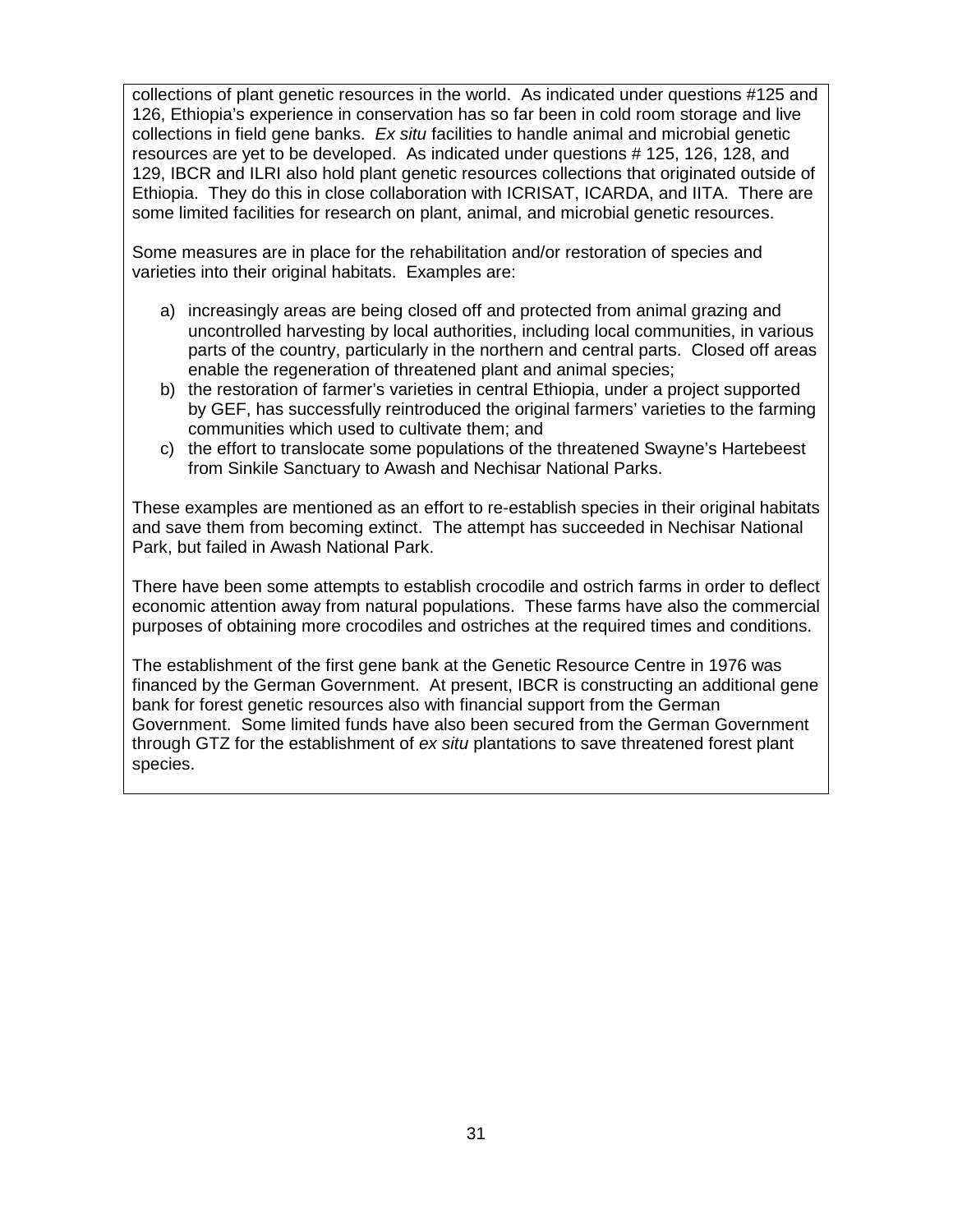collections of plant genetic resources in the world. As indicated under questions #125 and 126, Ethiopia's experience in conservation has so far been in cold room storage and live collections in field gene banks. Ex situ facilities to handle animal and microbial genetic resources are yet to be developed. As indicated under questions # 125, 126, 128, and 129, IBCR and ILRI also hold plant genetic resources collections that originated outside of Ethiopia. They do this in close collaboration with ICRISAT, ICARDA, and IITA. There are some limited facilities for research on plant, animal, and microbial genetic resources.

Some measures are in place for the rehabilitation and/or restoration of species and varieties into their original habitats. Examples are:

- a) increasingly areas are being closed off and protected from animal grazing and uncontrolled harvesting by local authorities, including local communities, in various parts of the country, particularly in the northern and central parts. Closed off areas enable the regeneration of threatened plant and animal species;
- b) the restoration of farmer's varieties in central Ethiopia, under a project supported by GEF, has successfully reintroduced the original farmers' varieties to the farming communities which used to cultivate them; and
- c) the effort to translocate some populations of the threatened Swayne's Hartebeest from Sinkile Sanctuary to Awash and Nechisar National Parks.

These examples are mentioned as an effort to re-establish species in their original habitats and save them from becoming extinct. The attempt has succeeded in Nechisar National Park, but failed in Awash National Park.

There have been some attempts to establish crocodile and ostrich farms in order to deflect economic attention away from natural populations. These farms have also the commercial purposes of obtaining more crocodiles and ostriches at the required times and conditions.

The establishment of the first gene bank at the Genetic Resource Centre in 1976 was financed by the German Government. At present, IBCR is constructing an additional gene bank for forest genetic resources also with financial support from the German Government. Some limited funds have also been secured from the German Government through GTZ for the establishment of ex situ plantations to save threatened forest plant species.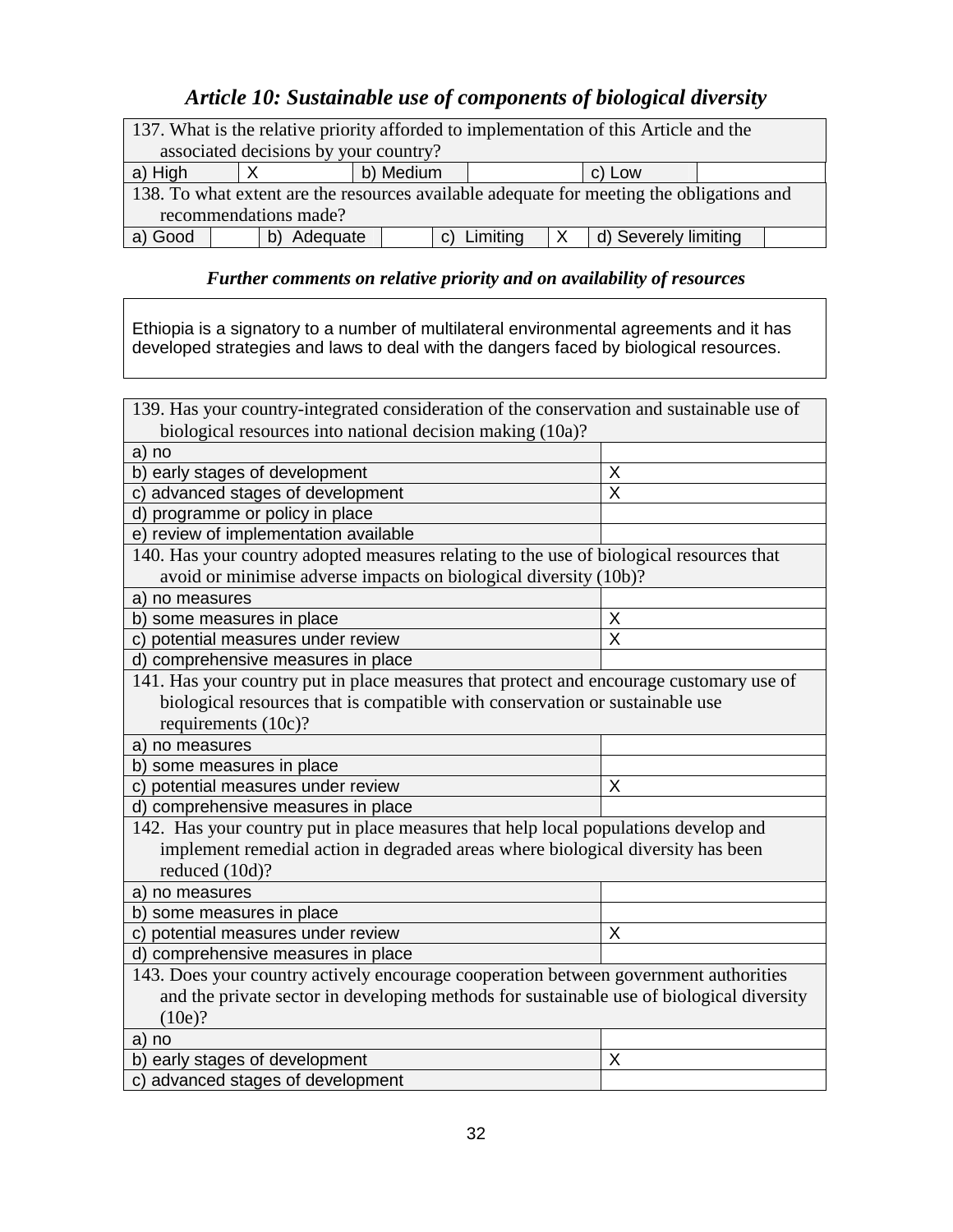# *Article 10: Sustainable use of components of biological diversity*

| 137. What is the relative priority afforded to implementation of this Article and the    |          |                 |          |  |                      |  |  |
|------------------------------------------------------------------------------------------|----------|-----------------|----------|--|----------------------|--|--|
| associated decisions by your country?                                                    |          |                 |          |  |                      |  |  |
| b) Medium<br>a) High<br>c) Low                                                           |          |                 |          |  |                      |  |  |
| 138. To what extent are the resources available adequate for meeting the obligations and |          |                 |          |  |                      |  |  |
| recommendations made?                                                                    |          |                 |          |  |                      |  |  |
| a) Good                                                                                  | Adequate | $\mathcal{C}$ ) | Limiting |  | d) Severely limiting |  |  |

## *Further comments on relative priority and on availability of resources*

Ethiopia is a signatory to a number of multilateral environmental agreements and it has developed strategies and laws to deal with the dangers faced by biological resources.

| 139. Has your country-integrated consideration of the conservation and sustainable use of |   |
|-------------------------------------------------------------------------------------------|---|
| biological resources into national decision making (10a)?                                 |   |
| a) no                                                                                     |   |
| b) early stages of development                                                            | X |
| c) advanced stages of development                                                         | X |
| d) programme or policy in place                                                           |   |
| e) review of implementation available                                                     |   |
| 140. Has your country adopted measures relating to the use of biological resources that   |   |
| avoid or minimise adverse impacts on biological diversity (10b)?                          |   |
| a) no measures                                                                            |   |
| b) some measures in place                                                                 | X |
| c) potential measures under review                                                        | X |
| d) comprehensive measures in place                                                        |   |
| 141. Has your country put in place measures that protect and encourage customary use of   |   |
| biological resources that is compatible with conservation or sustainable use              |   |
| requirements (10c)?                                                                       |   |
| a) no measures                                                                            |   |
| b) some measures in place                                                                 |   |
| c) potential measures under review                                                        | X |
| d) comprehensive measures in place                                                        |   |
| 142. Has your country put in place measures that help local populations develop and       |   |
| implement remedial action in degraded areas where biological diversity has been           |   |
| reduced (10d)?                                                                            |   |
| a) no measures                                                                            |   |
| b) some measures in place                                                                 |   |
| c) potential measures under review                                                        | X |
| d) comprehensive measures in place                                                        |   |
| 143. Does your country actively encourage cooperation between government authorities      |   |
| and the private sector in developing methods for sustainable use of biological diversity  |   |
| (10e)?                                                                                    |   |
| a) no                                                                                     |   |
| b) early stages of development                                                            | X |
| c) advanced stages of development                                                         |   |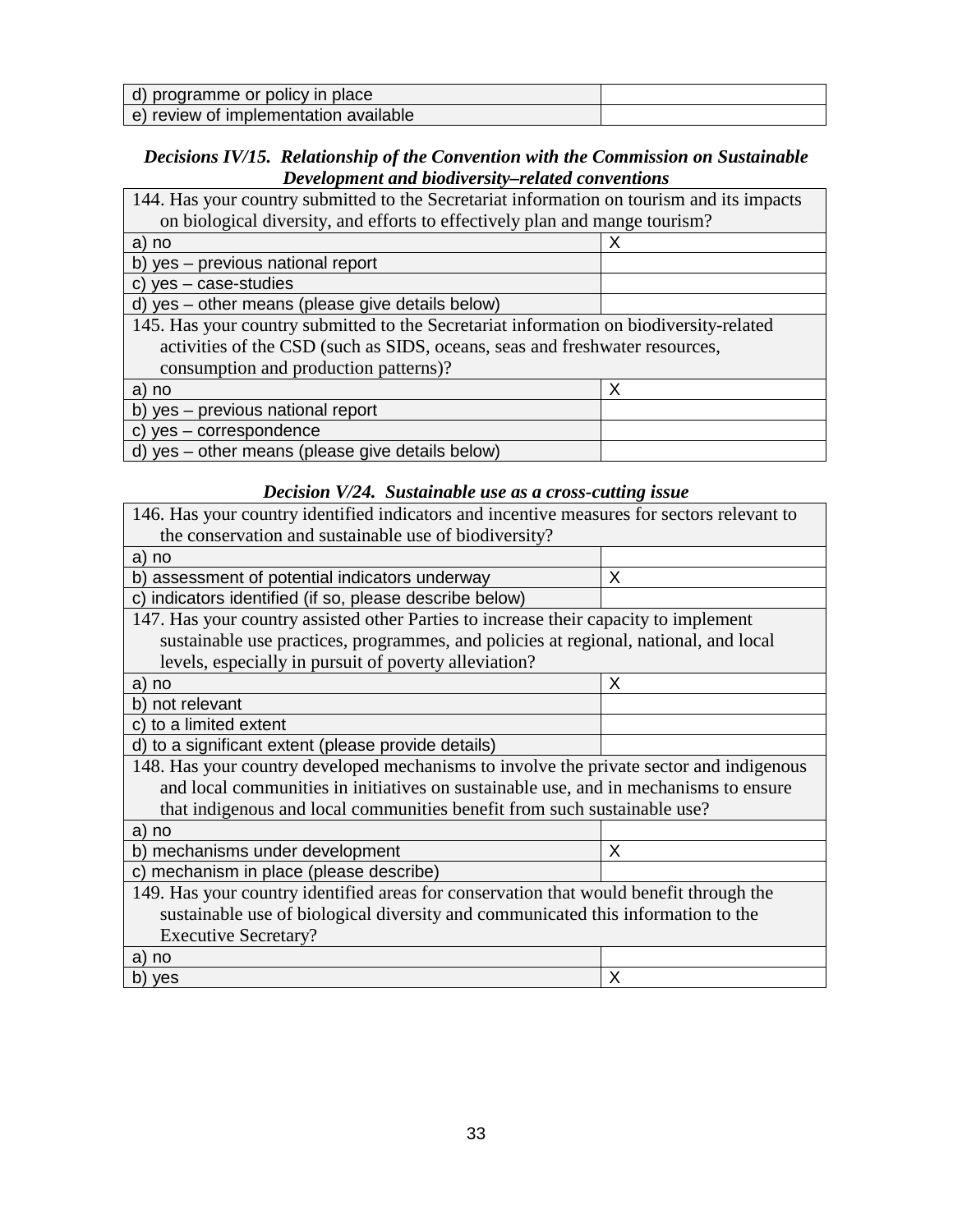| d) programme or policy in place       |  |
|---------------------------------------|--|
| e) review of implementation available |  |

## *Decisions IV/15. Relationship of the Convention with the Commission on Sustainable Development and biodiversity–related conventions*

| 144. Has your country submitted to the Secretariat information on tourism and its impacts |  |  |  |  |
|-------------------------------------------------------------------------------------------|--|--|--|--|
| on biological diversity, and efforts to effectively plan and mange tourism?               |  |  |  |  |
| a) no                                                                                     |  |  |  |  |
| b) yes - previous national report                                                         |  |  |  |  |
| c) $yes - case-studies$                                                                   |  |  |  |  |
| d) yes - other means (please give details below)                                          |  |  |  |  |
| 145. Has your country submitted to the Secretariat information on biodiversity-related    |  |  |  |  |
| activities of the CSD (such as SIDS, oceans, seas and freshwater resources,               |  |  |  |  |
| consumption and production patterns)?                                                     |  |  |  |  |
| X<br>a) no                                                                                |  |  |  |  |
| b) yes - previous national report                                                         |  |  |  |  |
| c) yes - correspondence                                                                   |  |  |  |  |
| d) yes - other means (please give details below)                                          |  |  |  |  |

## *Decision V/24. Sustainable use as a cross-cutting issue*

| 146. Has your country identified indicators and incentive measures for sectors relevant to |   |  |  |  |
|--------------------------------------------------------------------------------------------|---|--|--|--|
| the conservation and sustainable use of biodiversity?                                      |   |  |  |  |
| a) no                                                                                      |   |  |  |  |
| b) assessment of potential indicators underway                                             | X |  |  |  |
| c) indicators identified (if so, please describe below)                                    |   |  |  |  |
| 147. Has your country assisted other Parties to increase their capacity to implement       |   |  |  |  |
| sustainable use practices, programmes, and policies at regional, national, and local       |   |  |  |  |
| levels, especially in pursuit of poverty alleviation?                                      |   |  |  |  |
| a) no                                                                                      | X |  |  |  |
| b) not relevant                                                                            |   |  |  |  |
| c) to a limited extent                                                                     |   |  |  |  |
| d) to a significant extent (please provide details)                                        |   |  |  |  |
| 148. Has your country developed mechanisms to involve the private sector and indigenous    |   |  |  |  |
| and local communities in initiatives on sustainable use, and in mechanisms to ensure       |   |  |  |  |
| that indigenous and local communities benefit from such sustainable use?                   |   |  |  |  |
| a) no                                                                                      |   |  |  |  |
| b) mechanisms under development                                                            | X |  |  |  |
| c) mechanism in place (please describe)                                                    |   |  |  |  |
| 149. Has your country identified areas for conservation that would benefit through the     |   |  |  |  |
| sustainable use of biological diversity and communicated this information to the           |   |  |  |  |
| <b>Executive Secretary?</b>                                                                |   |  |  |  |
| a) no                                                                                      |   |  |  |  |
| b) yes                                                                                     | X |  |  |  |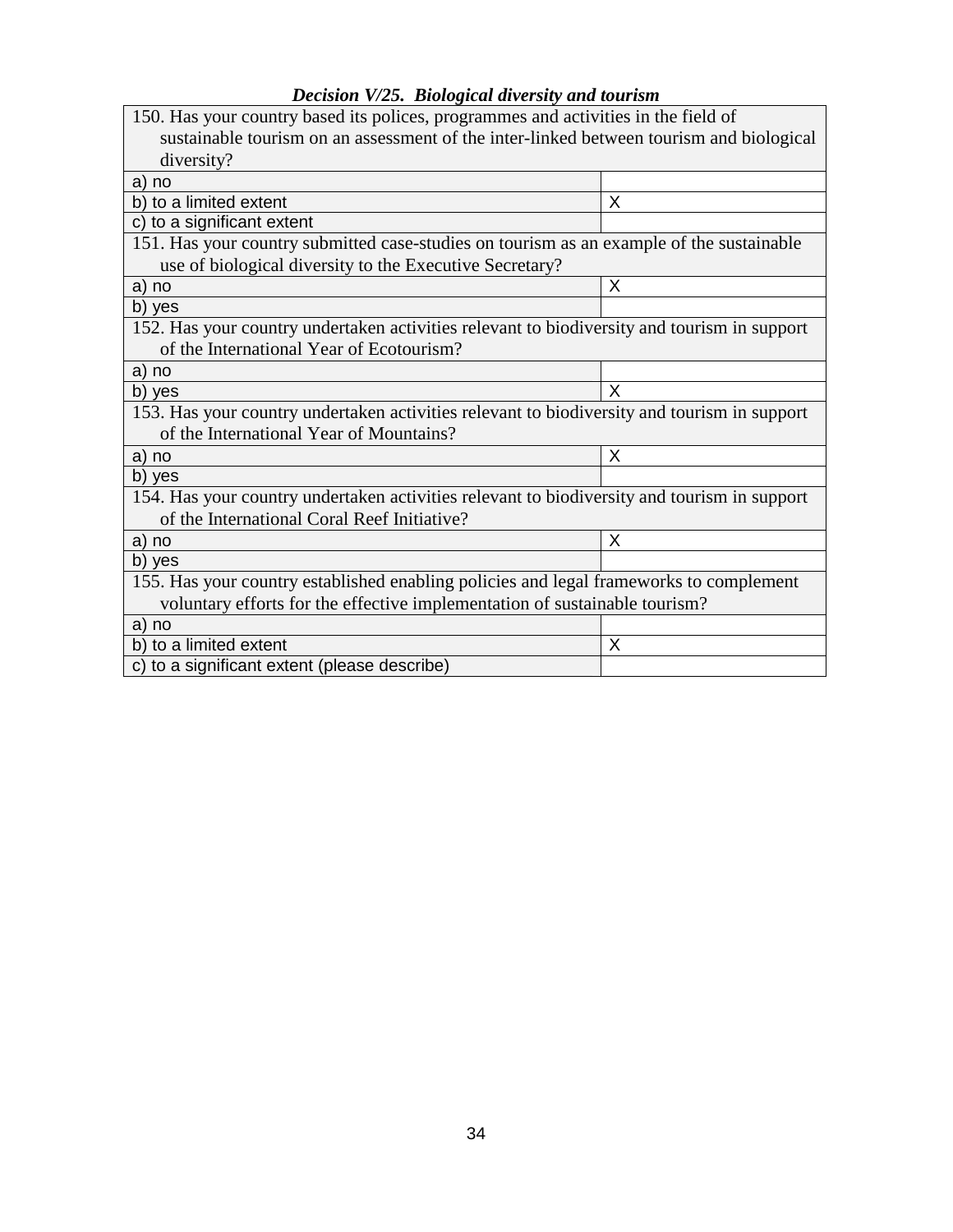| Dicision 1725. Diological alreisity and tourism                                             |   |  |  |  |  |
|---------------------------------------------------------------------------------------------|---|--|--|--|--|
| 150. Has your country based its polices, programmes and activities in the field of          |   |  |  |  |  |
| sustainable tourism on an assessment of the inter-linked between tourism and biological     |   |  |  |  |  |
| diversity?                                                                                  |   |  |  |  |  |
| a) no                                                                                       |   |  |  |  |  |
| b) to a limited extent                                                                      | X |  |  |  |  |
| c) to a significant extent                                                                  |   |  |  |  |  |
| 151. Has your country submitted case-studies on tourism as an example of the sustainable    |   |  |  |  |  |
| use of biological diversity to the Executive Secretary?                                     |   |  |  |  |  |
| a) no                                                                                       | X |  |  |  |  |
| b) yes                                                                                      |   |  |  |  |  |
| 152. Has your country undertaken activities relevant to biodiversity and tourism in support |   |  |  |  |  |
| of the International Year of Ecotourism?                                                    |   |  |  |  |  |
| a) no                                                                                       |   |  |  |  |  |
| X<br>b) yes                                                                                 |   |  |  |  |  |
| 153. Has your country undertaken activities relevant to biodiversity and tourism in support |   |  |  |  |  |
| of the International Year of Mountains?                                                     |   |  |  |  |  |
| a) no                                                                                       | X |  |  |  |  |
| b) yes                                                                                      |   |  |  |  |  |
| 154. Has your country undertaken activities relevant to biodiversity and tourism in support |   |  |  |  |  |
| of the International Coral Reef Initiative?                                                 |   |  |  |  |  |
| a) no                                                                                       | X |  |  |  |  |
| b) yes                                                                                      |   |  |  |  |  |
| 155. Has your country established enabling policies and legal frameworks to complement      |   |  |  |  |  |
| voluntary efforts for the effective implementation of sustainable tourism?                  |   |  |  |  |  |
| a) no                                                                                       |   |  |  |  |  |
| b) to a limited extent                                                                      | X |  |  |  |  |
| c) to a significant extent (please describe)                                                |   |  |  |  |  |
|                                                                                             |   |  |  |  |  |

## *Decision V/25. Biological diversity and tourism*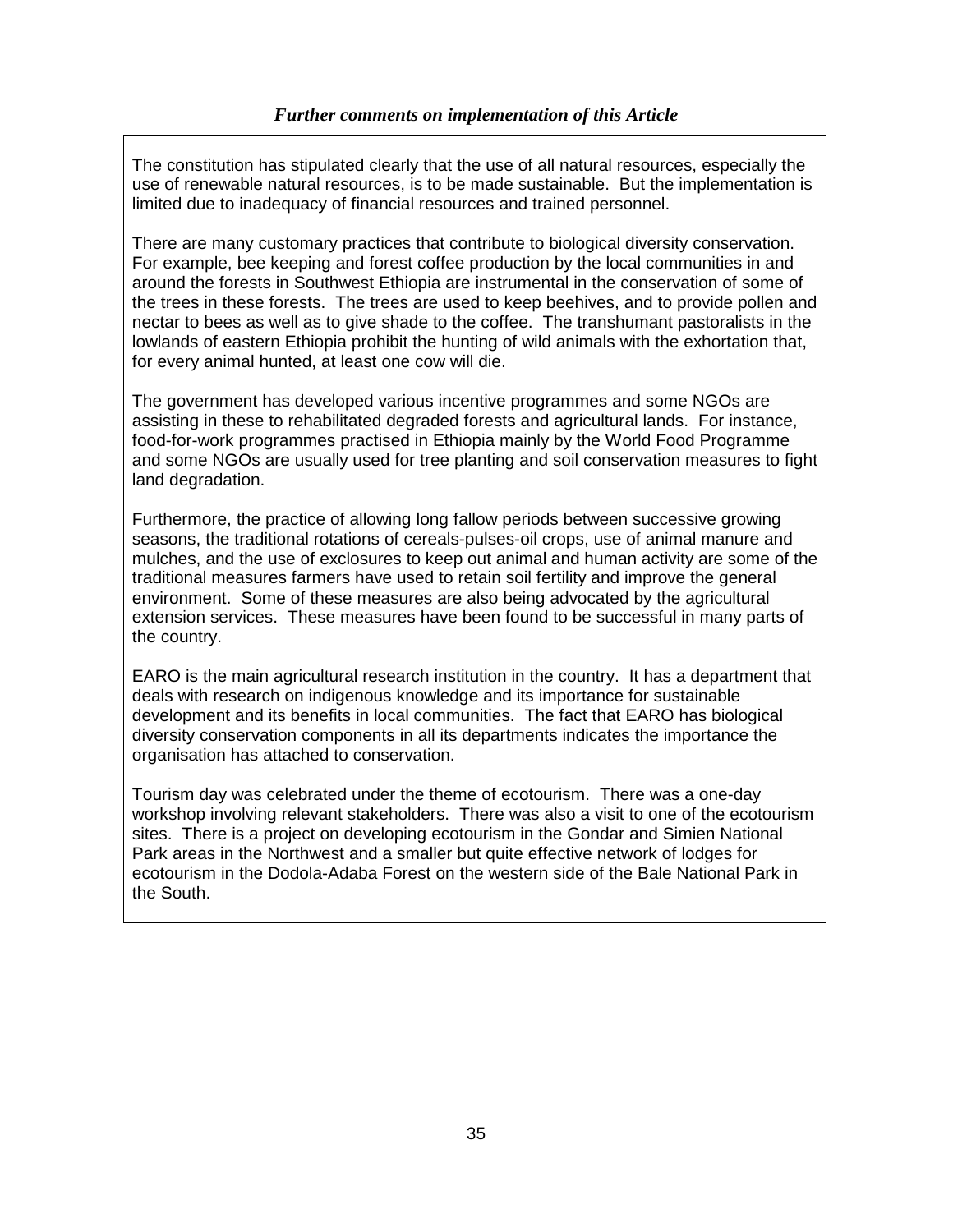The constitution has stipulated clearly that the use of all natural resources, especially the use of renewable natural resources, is to be made sustainable. But the implementation is limited due to inadequacy of financial resources and trained personnel.

There are many customary practices that contribute to biological diversity conservation. For example, bee keeping and forest coffee production by the local communities in and around the forests in Southwest Ethiopia are instrumental in the conservation of some of the trees in these forests. The trees are used to keep beehives, and to provide pollen and nectar to bees as well as to give shade to the coffee. The transhumant pastoralists in the lowlands of eastern Ethiopia prohibit the hunting of wild animals with the exhortation that, for every animal hunted, at least one cow will die.

The government has developed various incentive programmes and some NGOs are assisting in these to rehabilitated degraded forests and agricultural lands. For instance, food-for-work programmes practised in Ethiopia mainly by the World Food Programme and some NGOs are usually used for tree planting and soil conservation measures to fight land degradation.

Furthermore, the practice of allowing long fallow periods between successive growing seasons, the traditional rotations of cereals-pulses-oil crops, use of animal manure and mulches, and the use of exclosures to keep out animal and human activity are some of the traditional measures farmers have used to retain soil fertility and improve the general environment. Some of these measures are also being advocated by the agricultural extension services. These measures have been found to be successful in many parts of the country.

EARO is the main agricultural research institution in the country. It has a department that deals with research on indigenous knowledge and its importance for sustainable development and its benefits in local communities. The fact that EARO has biological diversity conservation components in all its departments indicates the importance the organisation has attached to conservation.

Tourism day was celebrated under the theme of ecotourism. There was a one-day workshop involving relevant stakeholders. There was also a visit to one of the ecotourism sites. There is a project on developing ecotourism in the Gondar and Simien National Park areas in the Northwest and a smaller but quite effective network of lodges for ecotourism in the Dodola-Adaba Forest on the western side of the Bale National Park in the South.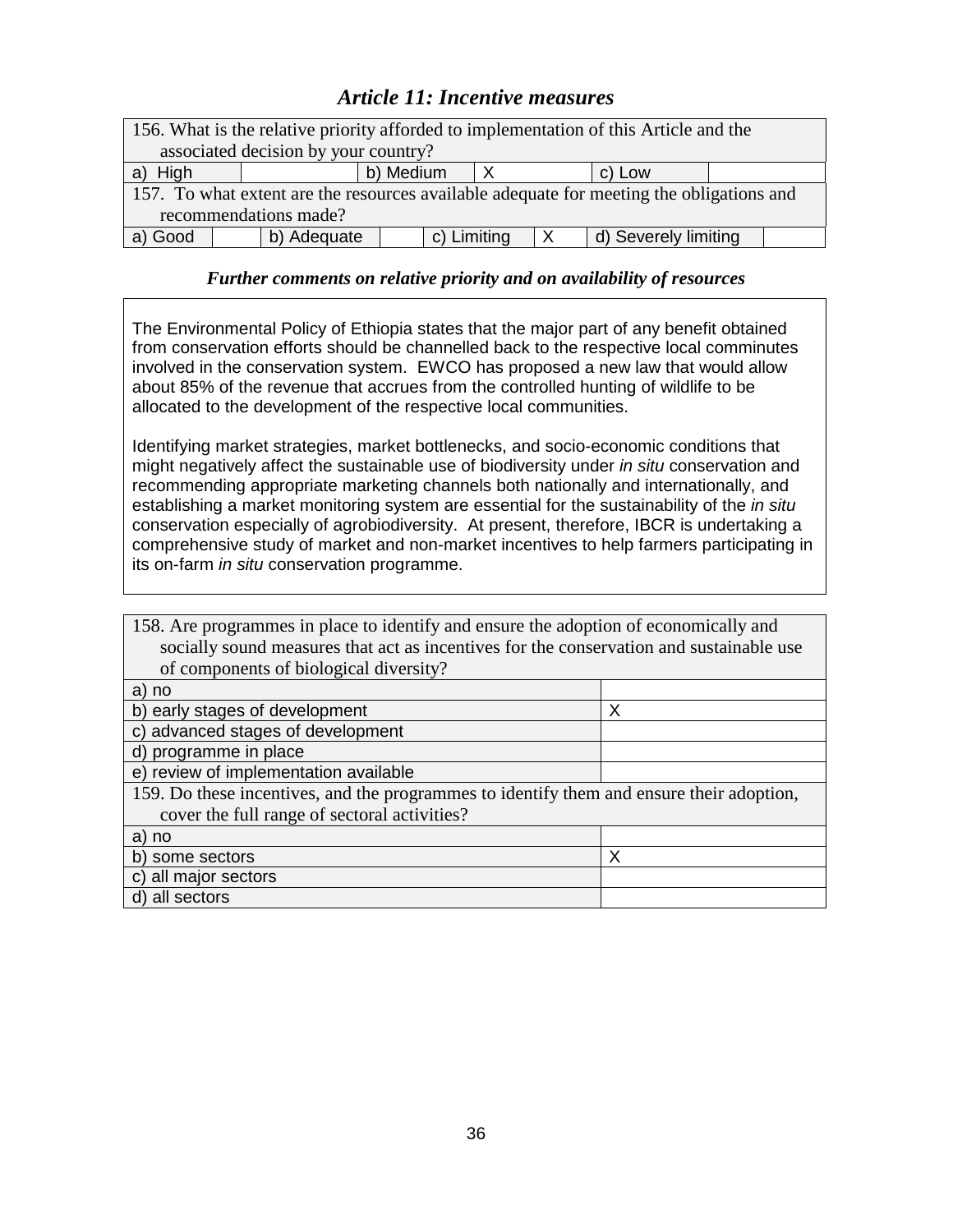## *Article 11: Incentive measures*

| 156. What is the relative priority afforded to implementation of this Article and the    |                     |  |  |  |  |  |  |  |
|------------------------------------------------------------------------------------------|---------------------|--|--|--|--|--|--|--|
| associated decision by your country?                                                     |                     |  |  |  |  |  |  |  |
| High<br>a)                                                                               | b) Medium<br>c) Low |  |  |  |  |  |  |  |
| 157. To what extent are the resources available adequate for meeting the obligations and |                     |  |  |  |  |  |  |  |
| recommendations made?                                                                    |                     |  |  |  |  |  |  |  |
| c) Limiting<br>d) Severely limiting<br>b) Adequate<br>a) Good                            |                     |  |  |  |  |  |  |  |

### *Further comments on relative priority and on availability of resources*

The Environmental Policy of Ethiopia states that the major part of any benefit obtained from conservation efforts should be channelled back to the respective local comminutes involved in the conservation system. EWCO has proposed a new law that would allow about 85% of the revenue that accrues from the controlled hunting of wildlife to be allocated to the development of the respective local communities.

Identifying market strategies, market bottlenecks, and socio-economic conditions that might negatively affect the sustainable use of biodiversity under in situ conservation and recommending appropriate marketing channels both nationally and internationally, and establishing a market monitoring system are essential for the sustainability of the in situ conservation especially of agrobiodiversity. At present, therefore, IBCR is undertaking a comprehensive study of market and non-market incentives to help farmers participating in its on-farm in situ conservation programme.

| 158. Are programmes in place to identify and ensure the adoption of economically and     |   |  |  |
|------------------------------------------------------------------------------------------|---|--|--|
| socially sound measures that act as incentives for the conservation and sustainable use  |   |  |  |
| of components of biological diversity?                                                   |   |  |  |
| a) no                                                                                    |   |  |  |
| b) early stages of development                                                           | Χ |  |  |
| c) advanced stages of development                                                        |   |  |  |
| d) programme in place                                                                    |   |  |  |
| e) review of implementation available                                                    |   |  |  |
| 159. Do these incentives, and the programmes to identify them and ensure their adoption, |   |  |  |
| cover the full range of sectoral activities?                                             |   |  |  |
| a) no                                                                                    |   |  |  |
| b) some sectors                                                                          | Х |  |  |
| c) all major sectors                                                                     |   |  |  |
| d) all sectors                                                                           |   |  |  |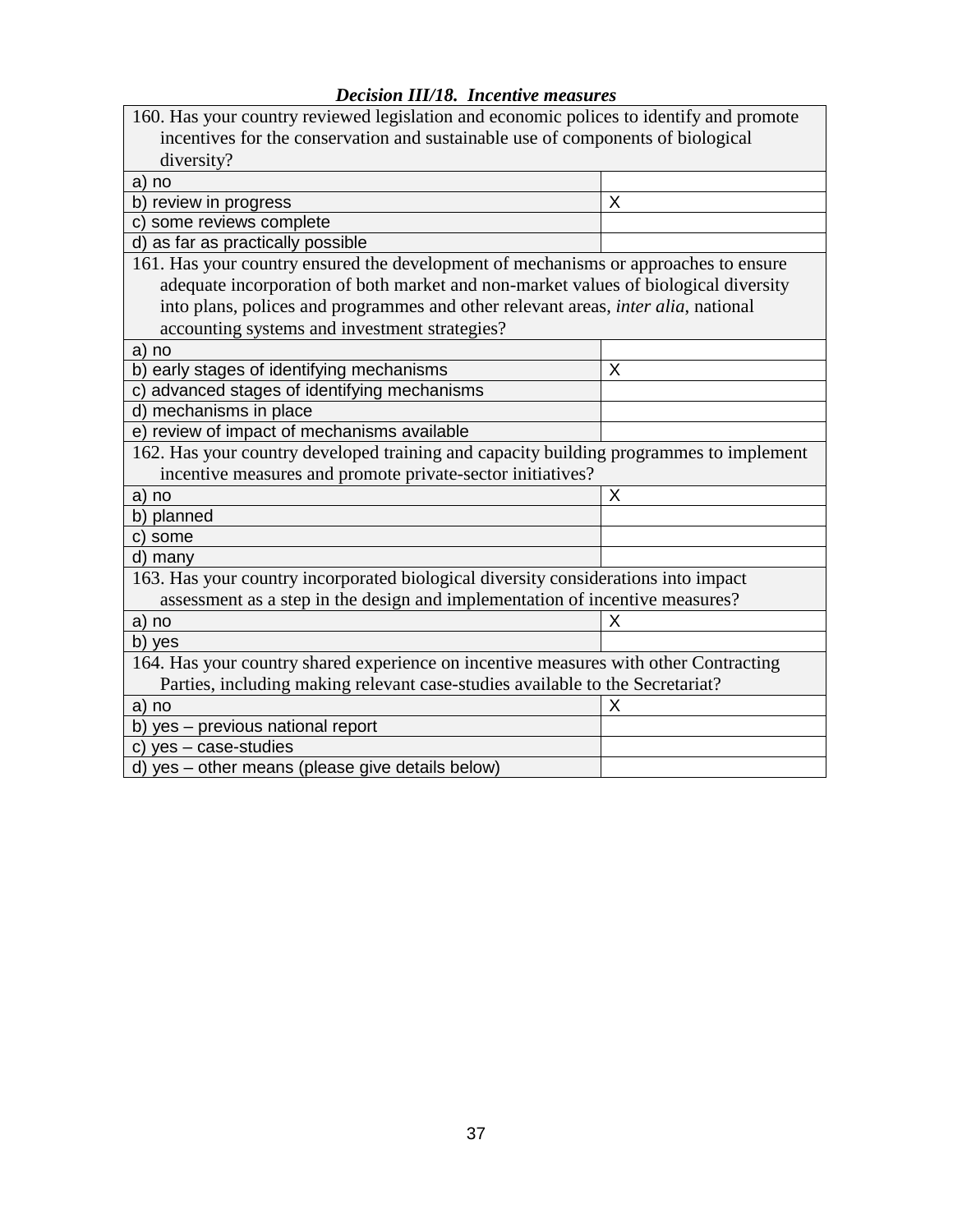| <b>Decision III/18. Incentive measures</b> |  |  |
|--------------------------------------------|--|--|
|--------------------------------------------|--|--|

| 160. Has your country reviewed legislation and economic polices to identify and promote |   |  |  |  |
|-----------------------------------------------------------------------------------------|---|--|--|--|
| incentives for the conservation and sustainable use of components of biological         |   |  |  |  |
| diversity?                                                                              |   |  |  |  |
| a) no                                                                                   |   |  |  |  |
| b) review in progress                                                                   | X |  |  |  |
| c) some reviews complete                                                                |   |  |  |  |
| d) as far as practically possible                                                       |   |  |  |  |
| 161. Has your country ensured the development of mechanisms or approaches to ensure     |   |  |  |  |
| adequate incorporation of both market and non-market values of biological diversity     |   |  |  |  |
| into plans, polices and programmes and other relevant areas, inter alia, national       |   |  |  |  |
| accounting systems and investment strategies?                                           |   |  |  |  |
| a) no                                                                                   |   |  |  |  |
| b) early stages of identifying mechanisms                                               | X |  |  |  |
| c) advanced stages of identifying mechanisms                                            |   |  |  |  |
| d) mechanisms in place                                                                  |   |  |  |  |
| e) review of impact of mechanisms available                                             |   |  |  |  |
| 162. Has your country developed training and capacity building programmes to implement  |   |  |  |  |
| incentive measures and promote private-sector initiatives?                              |   |  |  |  |
| a) no                                                                                   | X |  |  |  |
| b) planned                                                                              |   |  |  |  |
| c) some                                                                                 |   |  |  |  |
| d) many                                                                                 |   |  |  |  |
| 163. Has your country incorporated biological diversity considerations into impact      |   |  |  |  |
| assessment as a step in the design and implementation of incentive measures?            |   |  |  |  |
| a) no                                                                                   | Χ |  |  |  |
| b) yes                                                                                  |   |  |  |  |
| 164. Has your country shared experience on incentive measures with other Contracting    |   |  |  |  |
| Parties, including making relevant case-studies available to the Secretariat?           |   |  |  |  |
| a) no                                                                                   | Х |  |  |  |
| b) yes - previous national report                                                       |   |  |  |  |
| c) yes - case-studies                                                                   |   |  |  |  |
| d) yes - other means (please give details below)                                        |   |  |  |  |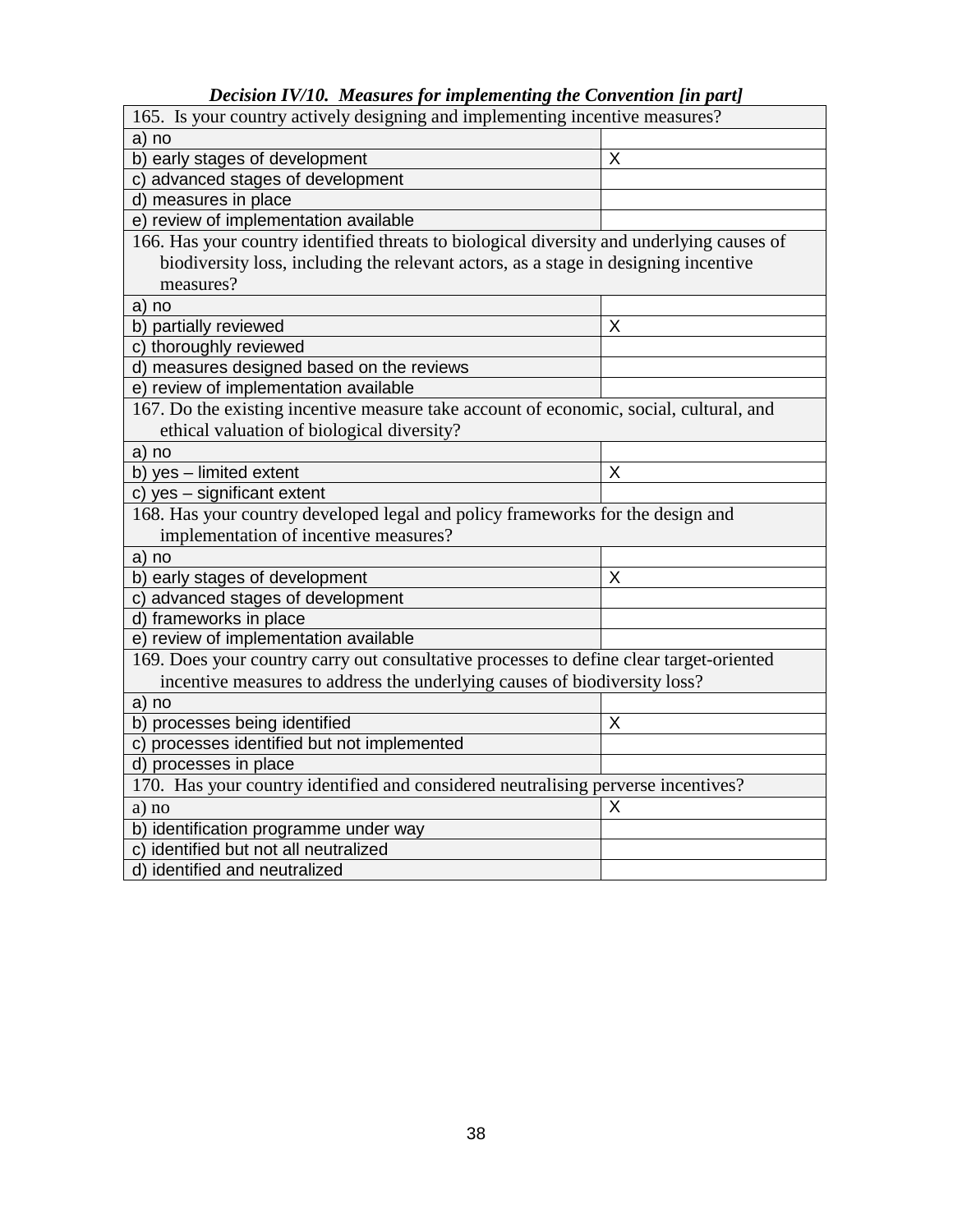*Decision IV/10. Measures for implementing the Convention [in part]*

| Decision IV/IV. Measures for implementing the Convention full part<br>165. Is your country actively designing and implementing incentive measures? |   |  |  |
|----------------------------------------------------------------------------------------------------------------------------------------------------|---|--|--|
| a) no                                                                                                                                              |   |  |  |
| b) early stages of development                                                                                                                     | Χ |  |  |
| c) advanced stages of development                                                                                                                  |   |  |  |
| d) measures in place                                                                                                                               |   |  |  |
| e) review of implementation available                                                                                                              |   |  |  |
| 166. Has your country identified threats to biological diversity and underlying causes of                                                          |   |  |  |
| biodiversity loss, including the relevant actors, as a stage in designing incentive                                                                |   |  |  |
| measures?                                                                                                                                          |   |  |  |
| a) no                                                                                                                                              |   |  |  |
| b) partially reviewed                                                                                                                              | X |  |  |
| c) thoroughly reviewed                                                                                                                             |   |  |  |
| d) measures designed based on the reviews                                                                                                          |   |  |  |
| e) review of implementation available                                                                                                              |   |  |  |
| 167. Do the existing incentive measure take account of economic, social, cultural, and                                                             |   |  |  |
| ethical valuation of biological diversity?                                                                                                         |   |  |  |
| a) no                                                                                                                                              |   |  |  |
| b) yes - limited extent                                                                                                                            | X |  |  |
| c) yes - significant extent                                                                                                                        |   |  |  |
| 168. Has your country developed legal and policy frameworks for the design and                                                                     |   |  |  |
| implementation of incentive measures?                                                                                                              |   |  |  |
| a) no                                                                                                                                              |   |  |  |
| b) early stages of development                                                                                                                     | Χ |  |  |
| c) advanced stages of development                                                                                                                  |   |  |  |
| d) frameworks in place                                                                                                                             |   |  |  |
| e) review of implementation available                                                                                                              |   |  |  |
| 169. Does your country carry out consultative processes to define clear target-oriented                                                            |   |  |  |
| incentive measures to address the underlying causes of biodiversity loss?                                                                          |   |  |  |
| a) no                                                                                                                                              |   |  |  |
| b) processes being identified                                                                                                                      | X |  |  |
| c) processes identified but not implemented                                                                                                        |   |  |  |
| d) processes in place                                                                                                                              |   |  |  |
| 170. Has your country identified and considered neutralising perverse incentives?                                                                  |   |  |  |
| a) no                                                                                                                                              | X |  |  |
| b) identification programme under way                                                                                                              |   |  |  |
| c) identified but not all neutralized                                                                                                              |   |  |  |
| d) identified and neutralized                                                                                                                      |   |  |  |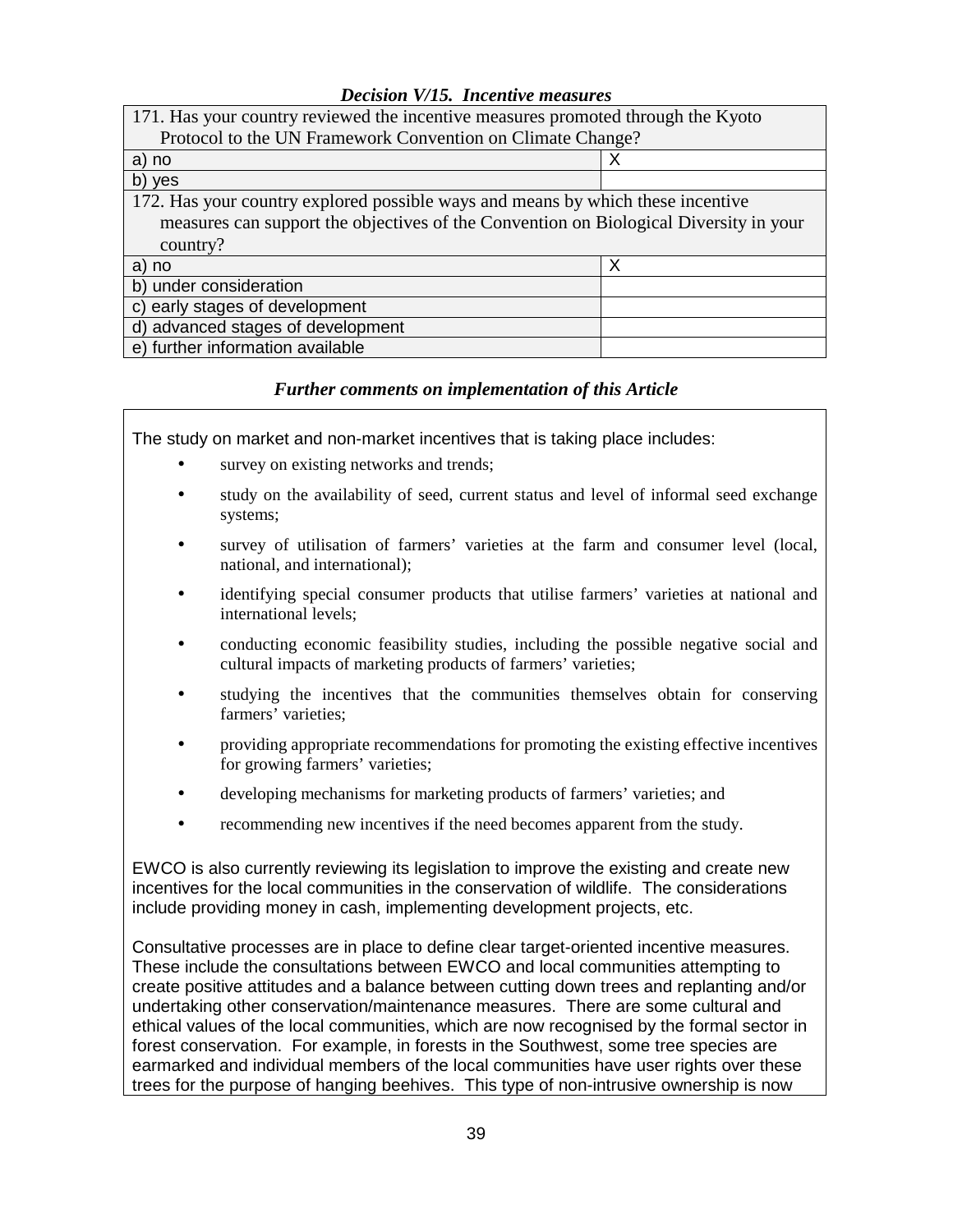### *Decision V/15. Incentive measures*

| 171. Has your country reviewed the incentive measures promoted through the Kyoto      |   |  |  |
|---------------------------------------------------------------------------------------|---|--|--|
| Protocol to the UN Framework Convention on Climate Change?                            |   |  |  |
| a) no                                                                                 | х |  |  |
| b) yes                                                                                |   |  |  |
| 172. Has your country explored possible ways and means by which these incentive       |   |  |  |
| measures can support the objectives of the Convention on Biological Diversity in your |   |  |  |
| country?                                                                              |   |  |  |
| a) no                                                                                 | Х |  |  |
| b) under consideration                                                                |   |  |  |
| c) early stages of development                                                        |   |  |  |
| d) advanced stages of development                                                     |   |  |  |
| e) further information available                                                      |   |  |  |

### *Further comments on implementation of this Article*

The study on market and non-market incentives that is taking place includes:

- survey on existing networks and trends;
- study on the availability of seed, current status and level of informal seed exchange systems;
- survey of utilisation of farmers' varieties at the farm and consumer level (local, national, and international);
- identifying special consumer products that utilise farmers' varieties at national and international levels;
- conducting economic feasibility studies, including the possible negative social and cultural impacts of marketing products of farmers' varieties;
- studying the incentives that the communities themselves obtain for conserving farmers' varieties;
- providing appropriate recommendations for promoting the existing effective incentives for growing farmers' varieties;
- developing mechanisms for marketing products of farmers' varieties; and
- recommending new incentives if the need becomes apparent from the study.

EWCO is also currently reviewing its legislation to improve the existing and create new incentives for the local communities in the conservation of wildlife. The considerations include providing money in cash, implementing development projects, etc.

Consultative processes are in place to define clear target-oriented incentive measures. These include the consultations between EWCO and local communities attempting to create positive attitudes and a balance between cutting down trees and replanting and/or undertaking other conservation/maintenance measures. There are some cultural and ethical values of the local communities, which are now recognised by the formal sector in forest conservation. For example, in forests in the Southwest, some tree species are earmarked and individual members of the local communities have user rights over these trees for the purpose of hanging beehives. This type of non-intrusive ownership is now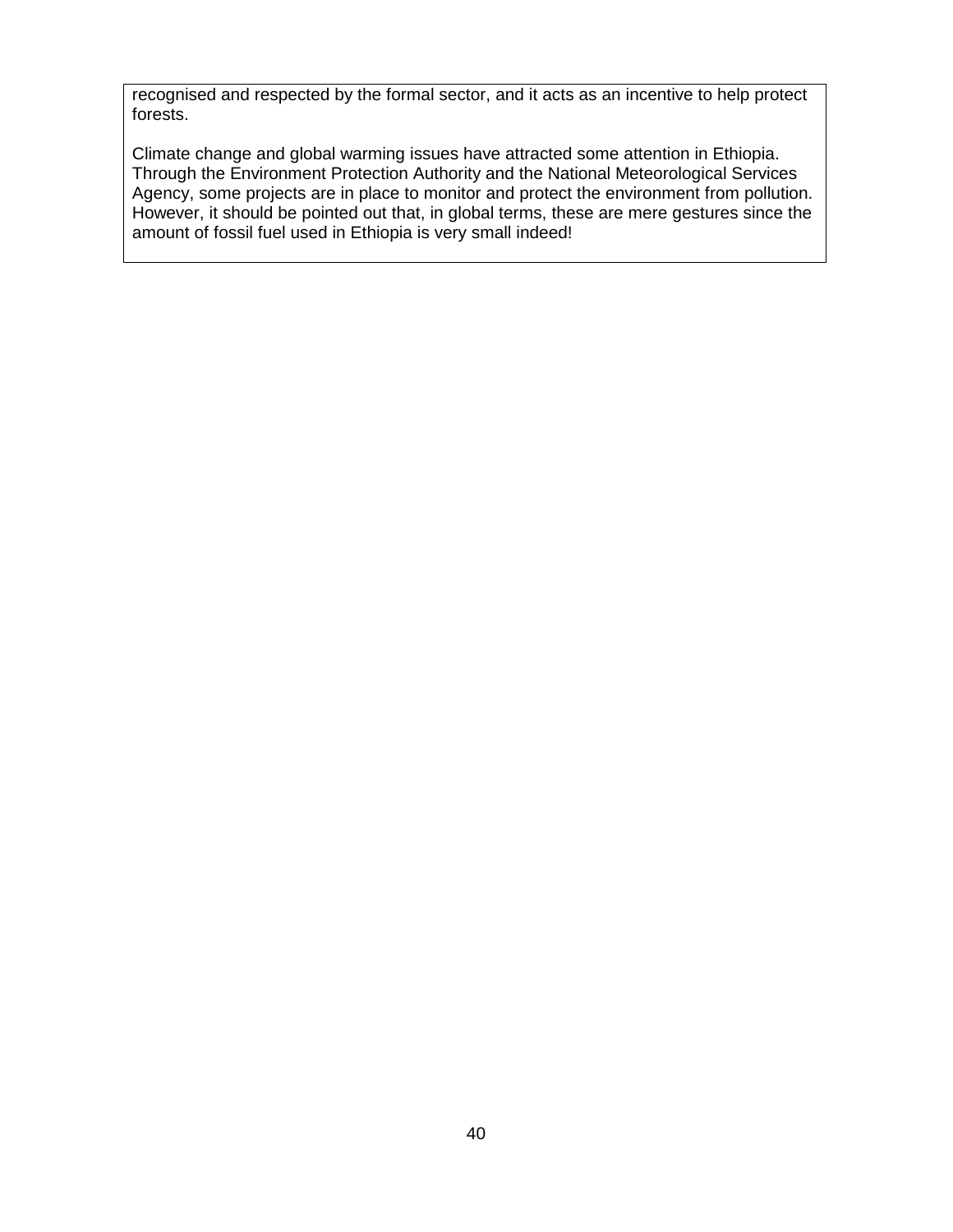recognised and respected by the formal sector, and it acts as an incentive to help protect forests.

Climate change and global warming issues have attracted some attention in Ethiopia. Through the Environment Protection Authority and the National Meteorological Services Agency, some projects are in place to monitor and protect the environment from pollution. However, it should be pointed out that, in global terms, these are mere gestures since the amount of fossil fuel used in Ethiopia is very small indeed!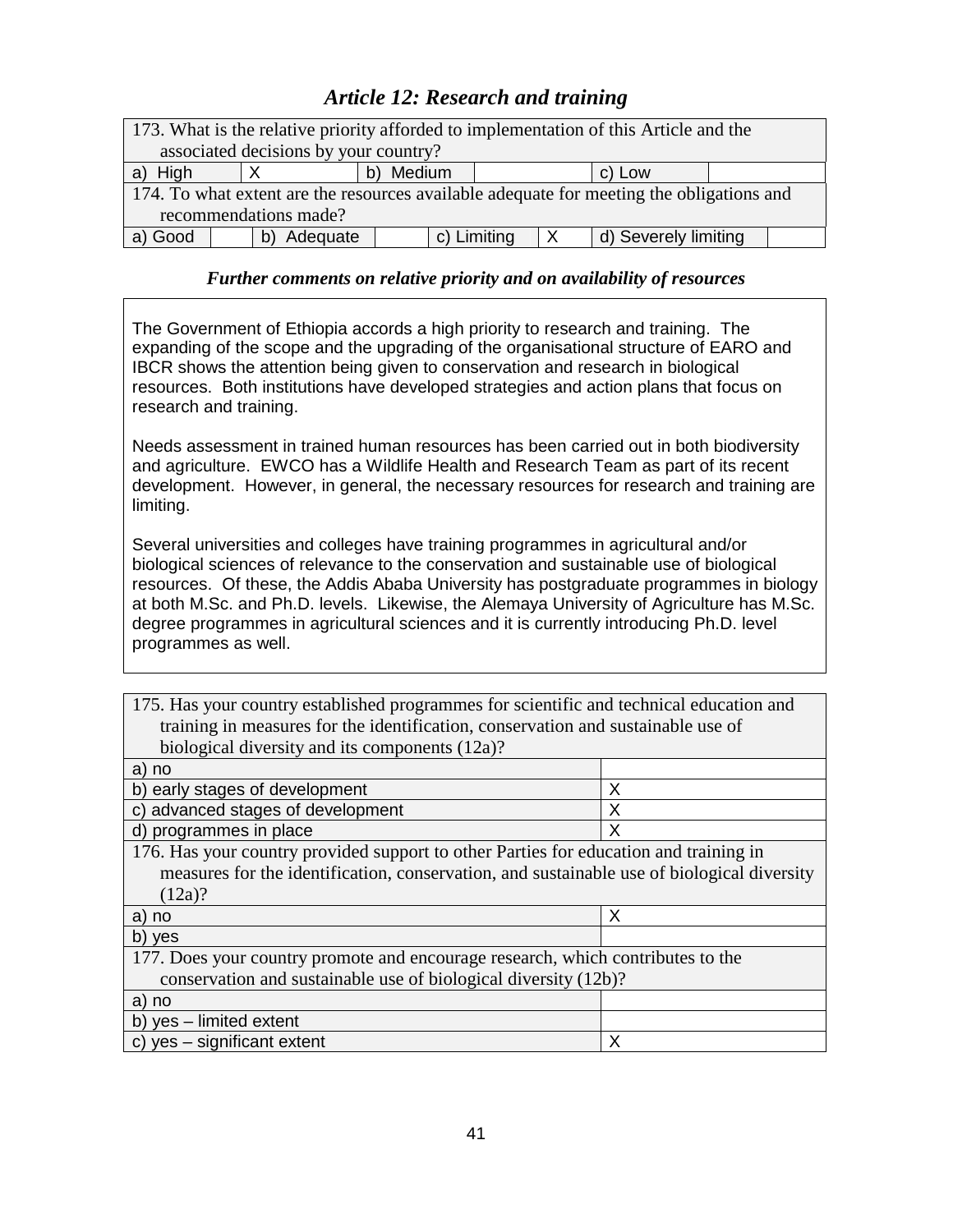# *Article 12: Research and training*

| 173. What is the relative priority afforded to implementation of this Article and the    |                     |  |  |  |  |
|------------------------------------------------------------------------------------------|---------------------|--|--|--|--|
| associated decisions by your country?                                                    |                     |  |  |  |  |
| a) High                                                                                  | b) Medium<br>c) Low |  |  |  |  |
| 174. To what extent are the resources available adequate for meeting the obligations and |                     |  |  |  |  |
| recommendations made?                                                                    |                     |  |  |  |  |
| c) Limiting<br>a) Good<br>d) Severely limiting<br>Adequate                               |                     |  |  |  |  |

### *Further comments on relative priority and on availability of resources*

The Government of Ethiopia accords a high priority to research and training. The expanding of the scope and the upgrading of the organisational structure of EARO and IBCR shows the attention being given to conservation and research in biological resources. Both institutions have developed strategies and action plans that focus on research and training.

Needs assessment in trained human resources has been carried out in both biodiversity and agriculture. EWCO has a Wildlife Health and Research Team as part of its recent development. However, in general, the necessary resources for research and training are limiting.

Several universities and colleges have training programmes in agricultural and/or biological sciences of relevance to the conservation and sustainable use of biological resources. Of these, the Addis Ababa University has postgraduate programmes in biology at both M.Sc. and Ph.D. levels. Likewise, the Alemaya University of Agriculture has M.Sc. degree programmes in agricultural sciences and it is currently introducing Ph.D. level programmes as well.

175. Has your country established programmes for scientific and technical education and training in measures for the identification, conservation and sustainable use of biological diversity and its components (12a)?

| a) no                                                                                      |   |
|--------------------------------------------------------------------------------------------|---|
| b) early stages of development                                                             | Χ |
| c) advanced stages of development                                                          | Х |
| d) programmes in place                                                                     | х |
| 176. Has your country provided support to other Parties for education and training in      |   |
| measures for the identification, conservation, and sustainable use of biological diversity |   |
| (12a)?                                                                                     |   |
|                                                                                            |   |
| a) no                                                                                      | Χ |
| b) yes                                                                                     |   |
| 177. Does your country promote and encourage research, which contributes to the            |   |
| conservation and sustainable use of biological diversity (12b)?                            |   |
| a) no                                                                                      |   |
| b) yes - limited extent                                                                    |   |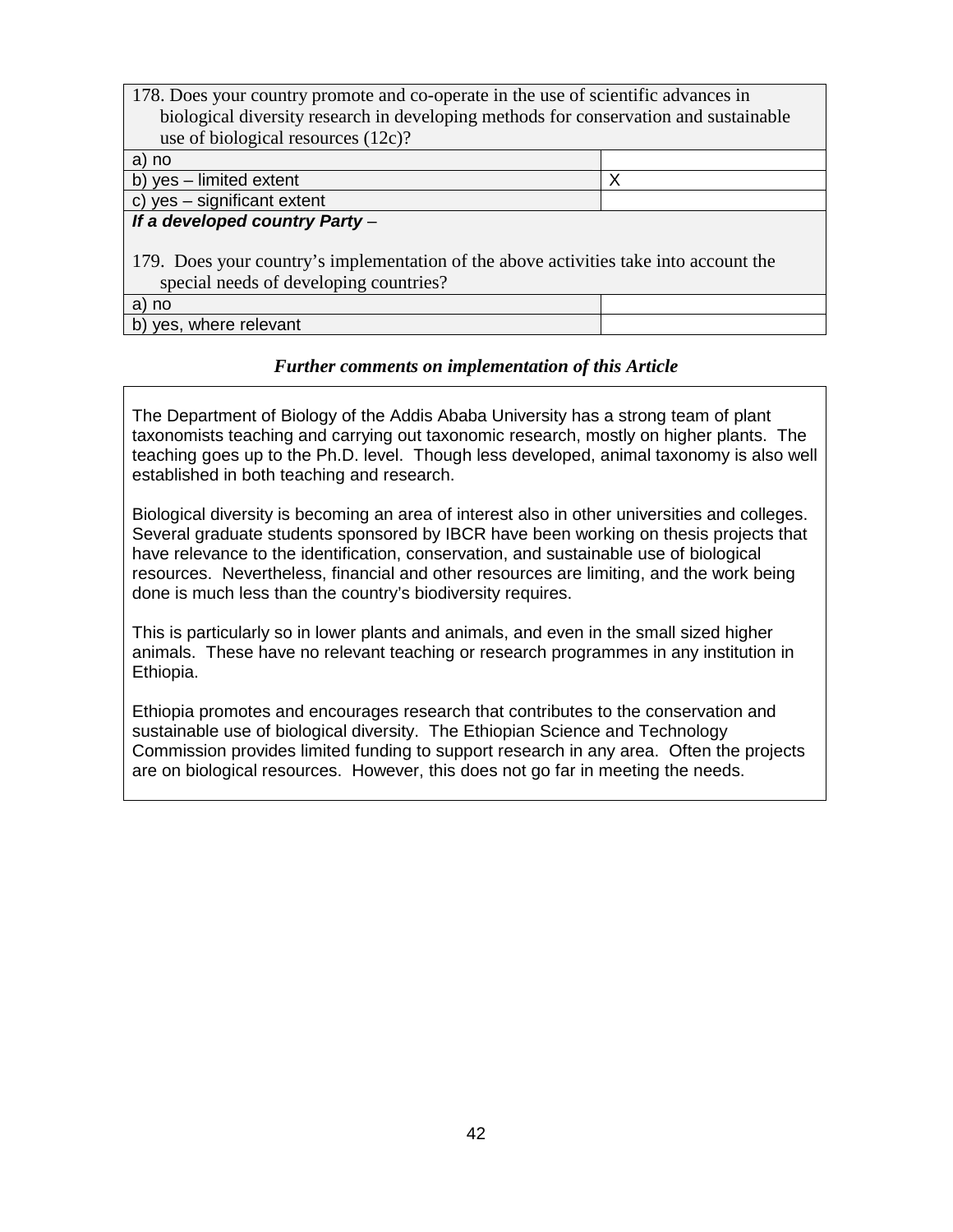| 178. Does your country promote and co-operate in the use of scientific advances in    |   |  |  |
|---------------------------------------------------------------------------------------|---|--|--|
| biological diversity research in developing methods for conservation and sustainable  |   |  |  |
| use of biological resources (12c)?                                                    |   |  |  |
| a) no                                                                                 |   |  |  |
| b) yes - limited extent                                                               | Χ |  |  |
| c) yes - significant extent                                                           |   |  |  |
| If a developed country Party-                                                         |   |  |  |
|                                                                                       |   |  |  |
| 179. Does your country's implementation of the above activities take into account the |   |  |  |
| special needs of developing countries?                                                |   |  |  |
| a) no                                                                                 |   |  |  |
| yes, where relevant<br>b)                                                             |   |  |  |

The Department of Biology of the Addis Ababa University has a strong team of plant taxonomists teaching and carrying out taxonomic research, mostly on higher plants. The teaching goes up to the Ph.D. level. Though less developed, animal taxonomy is also well established in both teaching and research.

Biological diversity is becoming an area of interest also in other universities and colleges. Several graduate students sponsored by IBCR have been working on thesis projects that have relevance to the identification, conservation, and sustainable use of biological resources. Nevertheless, financial and other resources are limiting, and the work being done is much less than the country's biodiversity requires.

This is particularly so in lower plants and animals, and even in the small sized higher animals. These have no relevant teaching or research programmes in any institution in Ethiopia.

Ethiopia promotes and encourages research that contributes to the conservation and sustainable use of biological diversity. The Ethiopian Science and Technology Commission provides limited funding to support research in any area. Often the projects are on biological resources. However, this does not go far in meeting the needs.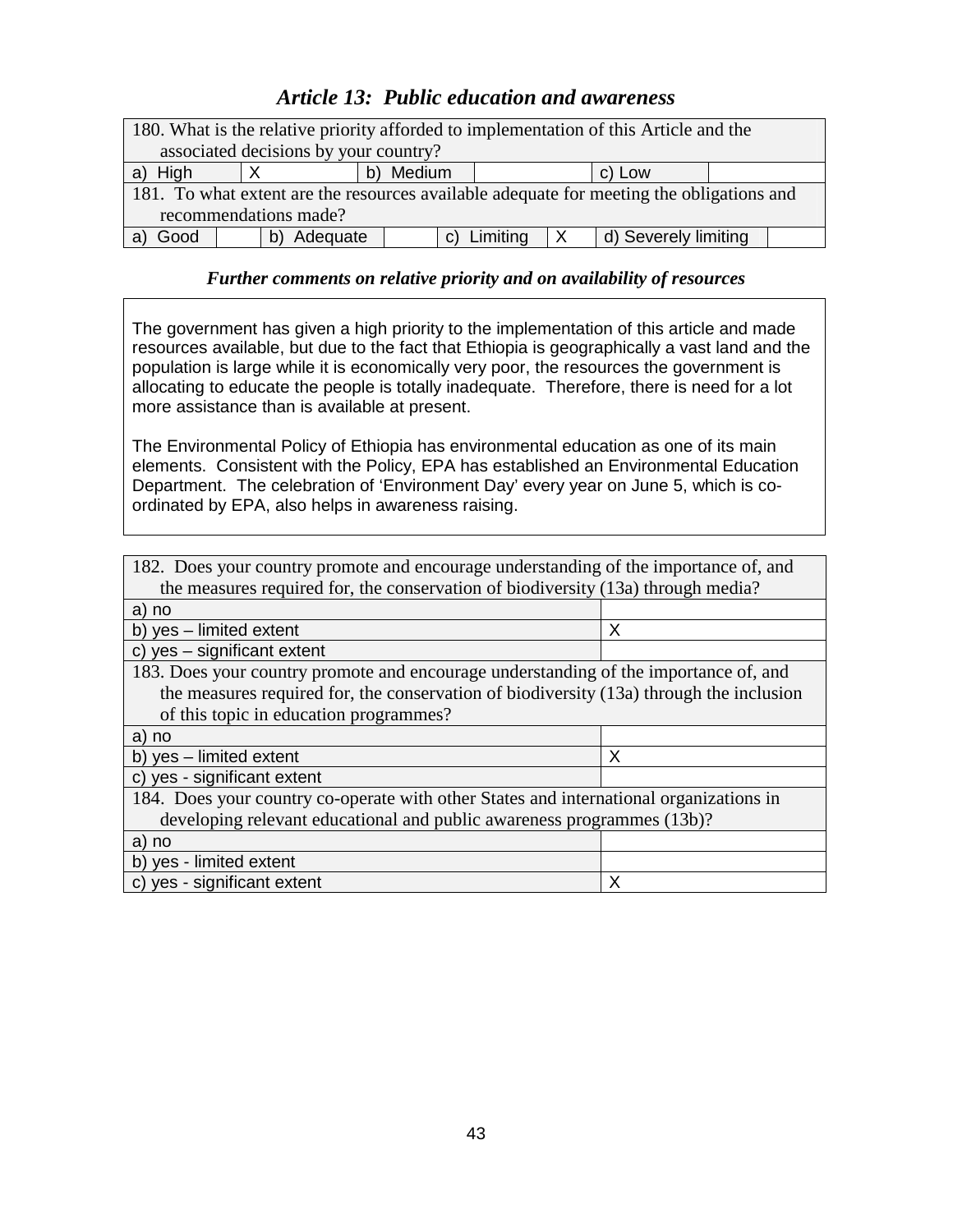## *Article 13: Public education and awareness*

| 180. What is the relative priority afforded to implementation of this Article and the    |                     |  |  |  |  |
|------------------------------------------------------------------------------------------|---------------------|--|--|--|--|
| associated decisions by your country?                                                    |                     |  |  |  |  |
| High<br>a)                                                                               | b) Medium<br>c) Low |  |  |  |  |
| 181. To what extent are the resources available adequate for meeting the obligations and |                     |  |  |  |  |
| recommendations made?                                                                    |                     |  |  |  |  |
| c) Limiting<br>d) Severely limiting<br>Good<br>Adequate                                  |                     |  |  |  |  |

### *Further comments on relative priority and on availability of resources*

The government has given a high priority to the implementation of this article and made resources available, but due to the fact that Ethiopia is geographically a vast land and the population is large while it is economically very poor, the resources the government is allocating to educate the people is totally inadequate. Therefore, there is need for a lot more assistance than is available at present.

The Environmental Policy of Ethiopia has environmental education as one of its main elements. Consistent with the Policy, EPA has established an Environmental Education Department. The celebration of 'Environment Day' every year on June 5, which is coordinated by EPA, also helps in awareness raising.

| 182. Does your country promote and encourage understanding of the importance of, and    |   |  |
|-----------------------------------------------------------------------------------------|---|--|
| the measures required for, the conservation of biodiversity (13a) through media?        |   |  |
| a) no                                                                                   |   |  |
| b) yes - limited extent                                                                 | Х |  |
| c) yes - significant extent                                                             |   |  |
| 183. Does your country promote and encourage understanding of the importance of, and    |   |  |
| the measures required for, the conservation of biodiversity (13a) through the inclusion |   |  |
| of this topic in education programmes?                                                  |   |  |
| a) no                                                                                   |   |  |
| b) yes - limited extent                                                                 | X |  |
| c) yes - significant extent                                                             |   |  |
| 184. Does your country co-operate with other States and international organizations in  |   |  |
| developing relevant educational and public awareness programmes (13b)?                  |   |  |
| a) no                                                                                   |   |  |
| b) yes - limited extent                                                                 |   |  |
| c) yes - significant extent                                                             | X |  |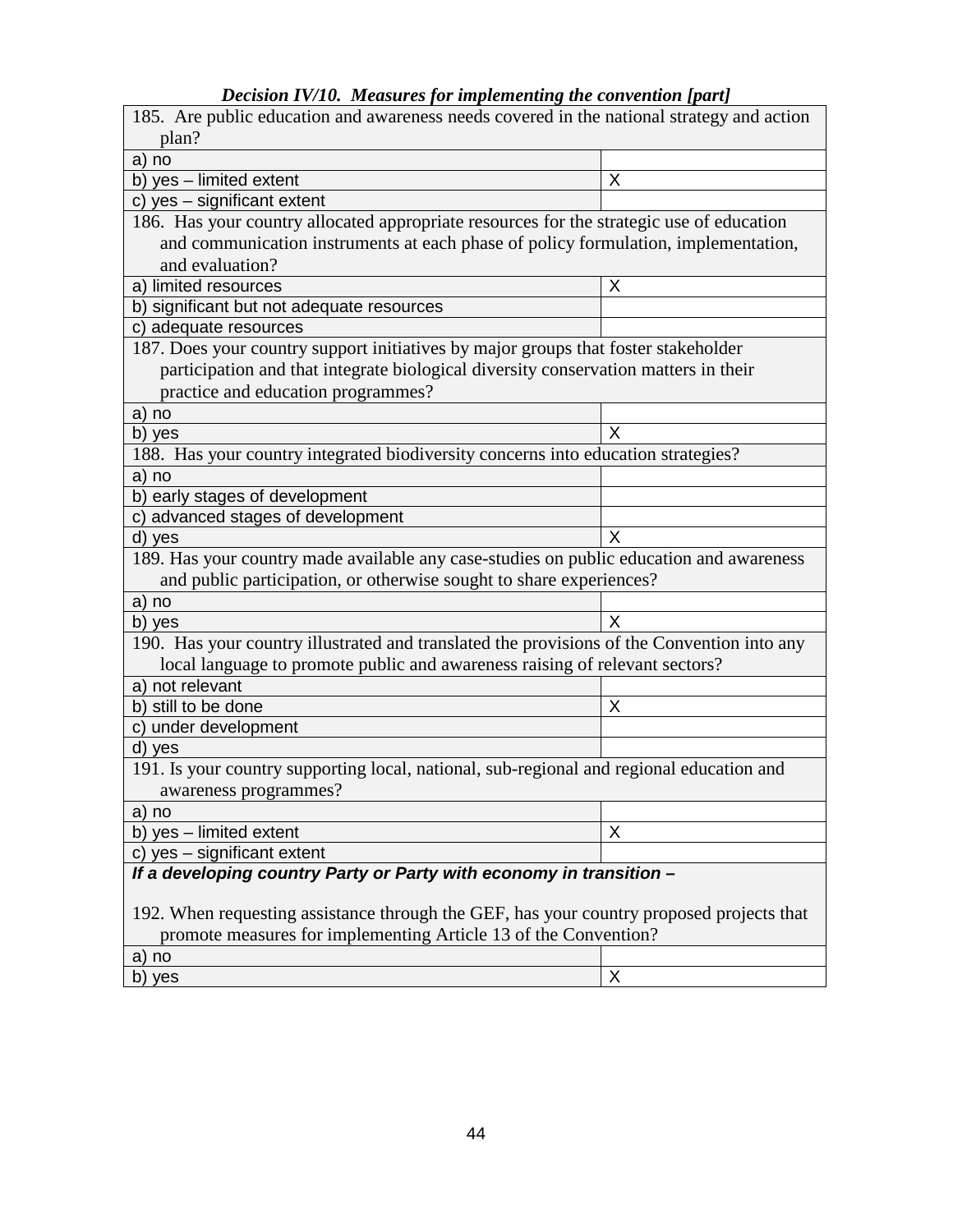| Decision LV/L0. Theasures for implementing the convention [part]                           |   |
|--------------------------------------------------------------------------------------------|---|
| 185. Are public education and awareness needs covered in the national strategy and action  |   |
| plan?                                                                                      |   |
| a) no                                                                                      |   |
| b) yes - limited extent                                                                    | X |
| c) yes - significant extent                                                                |   |
| 186. Has your country allocated appropriate resources for the strategic use of education   |   |
| and communication instruments at each phase of policy formulation, implementation,         |   |
| and evaluation?                                                                            |   |
| a) limited resources                                                                       | Χ |
| b) significant but not adequate resources                                                  |   |
| c) adequate resources                                                                      |   |
| 187. Does your country support initiatives by major groups that foster stakeholder         |   |
| participation and that integrate biological diversity conservation matters in their        |   |
| practice and education programmes?                                                         |   |
| a) no                                                                                      |   |
| b) yes                                                                                     | Х |
| 188. Has your country integrated biodiversity concerns into education strategies?          |   |
| a) no                                                                                      |   |
| b) early stages of development                                                             |   |
| c) advanced stages of development                                                          |   |
| d) yes                                                                                     | X |
| 189. Has your country made available any case-studies on public education and awareness    |   |
| and public participation, or otherwise sought to share experiences?                        |   |
| a) no                                                                                      |   |
| b) yes                                                                                     | Х |
| 190. Has your country illustrated and translated the provisions of the Convention into any |   |
| local language to promote public and awareness raising of relevant sectors?                |   |
| a) not relevant                                                                            |   |
| b) still to be done                                                                        | Χ |
| c) under development                                                                       |   |
| d) yes                                                                                     |   |
| 191. Is your country supporting local, national, sub-regional and regional education and   |   |
| awareness programmes?                                                                      |   |
| a) no                                                                                      |   |
| b) yes - limited extent                                                                    | X |
| c) yes - significant extent                                                                |   |
| If a developing country Party or Party with economy in transition -                        |   |
|                                                                                            |   |
| 192. When requesting assistance through the GEF, has your country proposed projects that   |   |
| promote measures for implementing Article 13 of the Convention?                            |   |
| a) no                                                                                      |   |
| b) yes                                                                                     | X |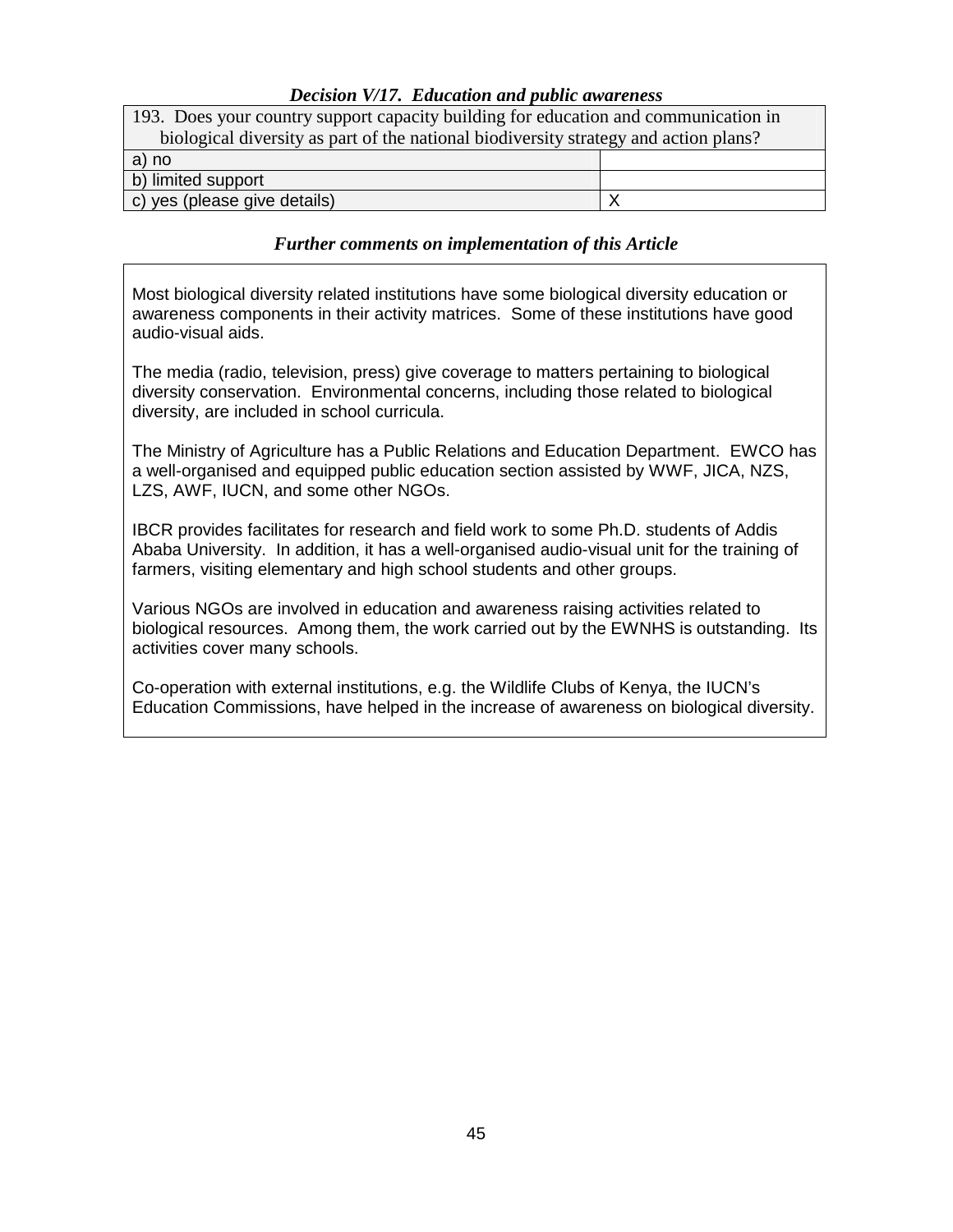### *Decision V/17. Education and public awareness*

| 193. Does your country support capacity building for education and communication in  |  |  |
|--------------------------------------------------------------------------------------|--|--|
| biological diversity as part of the national biodiversity strategy and action plans? |  |  |
| a) no                                                                                |  |  |
| b) limited support                                                                   |  |  |
| c) yes (please give details)                                                         |  |  |

#### *Further comments on implementation of this Article*

Most biological diversity related institutions have some biological diversity education or awareness components in their activity matrices. Some of these institutions have good audio-visual aids.

The media (radio, television, press) give coverage to matters pertaining to biological diversity conservation. Environmental concerns, including those related to biological diversity, are included in school curricula.

The Ministry of Agriculture has a Public Relations and Education Department. EWCO has a well-organised and equipped public education section assisted by WWF, JICA, NZS, LZS, AWF, IUCN, and some other NGOs.

IBCR provides facilitates for research and field work to some Ph.D. students of Addis Ababa University. In addition, it has a well-organised audio-visual unit for the training of farmers, visiting elementary and high school students and other groups.

Various NGOs are involved in education and awareness raising activities related to biological resources. Among them, the work carried out by the EWNHS is outstanding. Its activities cover many schools.

Co-operation with external institutions, e.g. the Wildlife Clubs of Kenya, the IUCN's Education Commissions, have helped in the increase of awareness on biological diversity.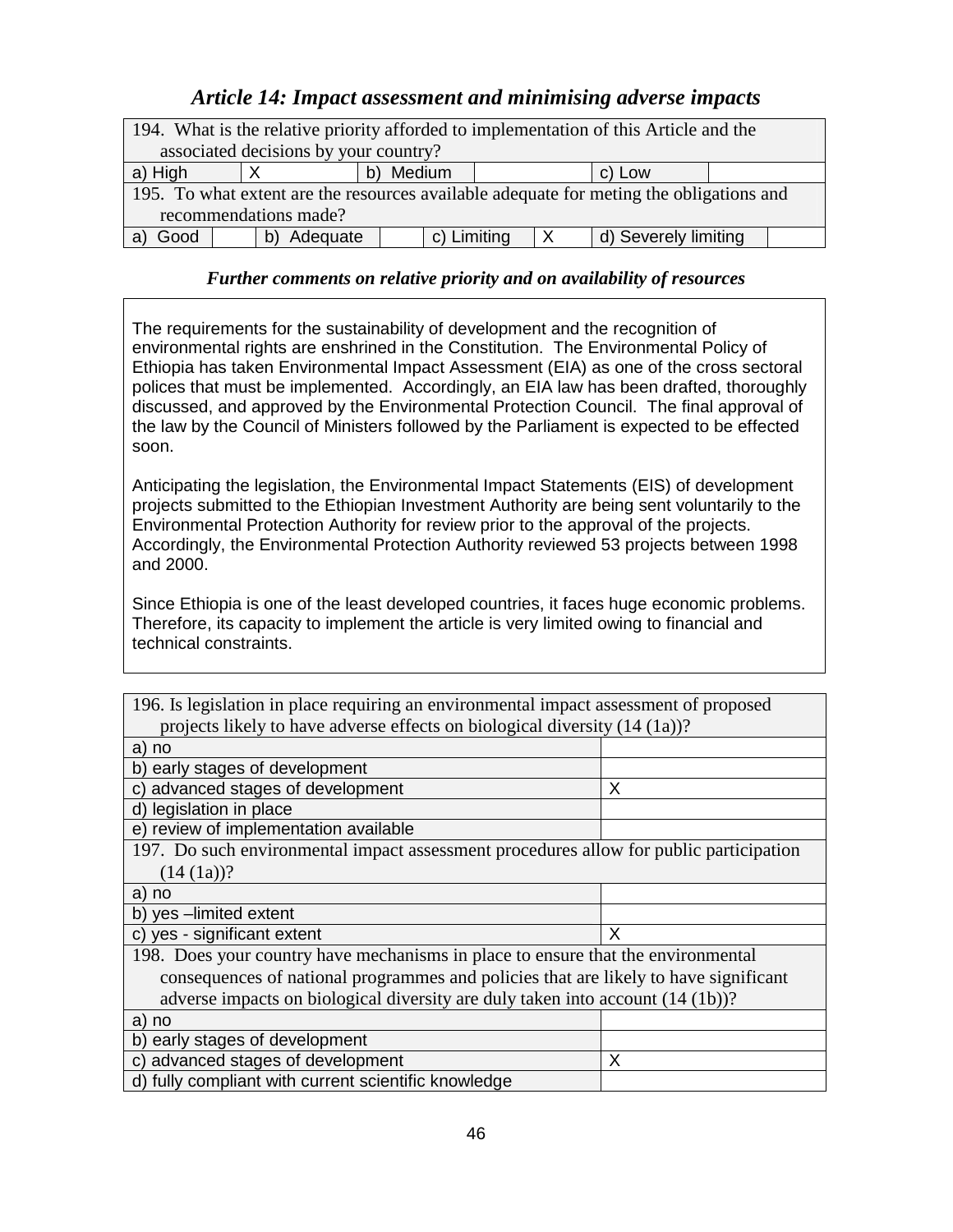## *Article 14: Impact assessment and minimising adverse impacts*

| 194. What is the relative priority afforded to implementation of this Article and the   |                |                     |  |                      |  |  |
|-----------------------------------------------------------------------------------------|----------------|---------------------|--|----------------------|--|--|
| associated decisions by your country?                                                   |                |                     |  |                      |  |  |
| a) High                                                                                 |                | b) Medium<br>c) Low |  |                      |  |  |
| 195. To what extent are the resources available adequate for meting the obligations and |                |                     |  |                      |  |  |
| recommendations made?                                                                   |                |                     |  |                      |  |  |
| Good                                                                                    | Adequate<br>b) | c) Limiting         |  | d) Severely limiting |  |  |

## *Further comments on relative priority and on availability of resources*

The requirements for the sustainability of development and the recognition of environmental rights are enshrined in the Constitution. The Environmental Policy of Ethiopia has taken Environmental Impact Assessment (EIA) as one of the cross sectoral polices that must be implemented. Accordingly, an EIA law has been drafted, thoroughly discussed, and approved by the Environmental Protection Council. The final approval of the law by the Council of Ministers followed by the Parliament is expected to be effected soon.

Anticipating the legislation, the Environmental Impact Statements (EIS) of development projects submitted to the Ethiopian Investment Authority are being sent voluntarily to the Environmental Protection Authority for review prior to the approval of the projects. Accordingly, the Environmental Protection Authority reviewed 53 projects between 1998 and 2000.

Since Ethiopia is one of the least developed countries, it faces huge economic problems. Therefore, its capacity to implement the article is very limited owing to financial and technical constraints.

| 196. Is legislation in place requiring an environmental impact assessment of proposed  |   |  |  |
|----------------------------------------------------------------------------------------|---|--|--|
| projects likely to have adverse effects on biological diversity (14 (1a))?             |   |  |  |
| a) no                                                                                  |   |  |  |
| b) early stages of development                                                         |   |  |  |
| c) advanced stages of development                                                      | X |  |  |
| d) legislation in place                                                                |   |  |  |
| e) review of implementation available                                                  |   |  |  |
| 197. Do such environmental impact assessment procedures allow for public participation |   |  |  |
| $(14 (1a))$ ?                                                                          |   |  |  |
| a) no                                                                                  |   |  |  |
| b) yes -limited extent                                                                 |   |  |  |
| c) yes - significant extent                                                            | X |  |  |
| 198. Does your country have mechanisms in place to ensure that the environmental       |   |  |  |
| consequences of national programmes and policies that are likely to have significant   |   |  |  |
| adverse impacts on biological diversity are duly taken into account (14 (1b))?         |   |  |  |
| a) no                                                                                  |   |  |  |
| b) early stages of development                                                         |   |  |  |
| c) advanced stages of development                                                      | X |  |  |
| d) fully compliant with current scientific knowledge                                   |   |  |  |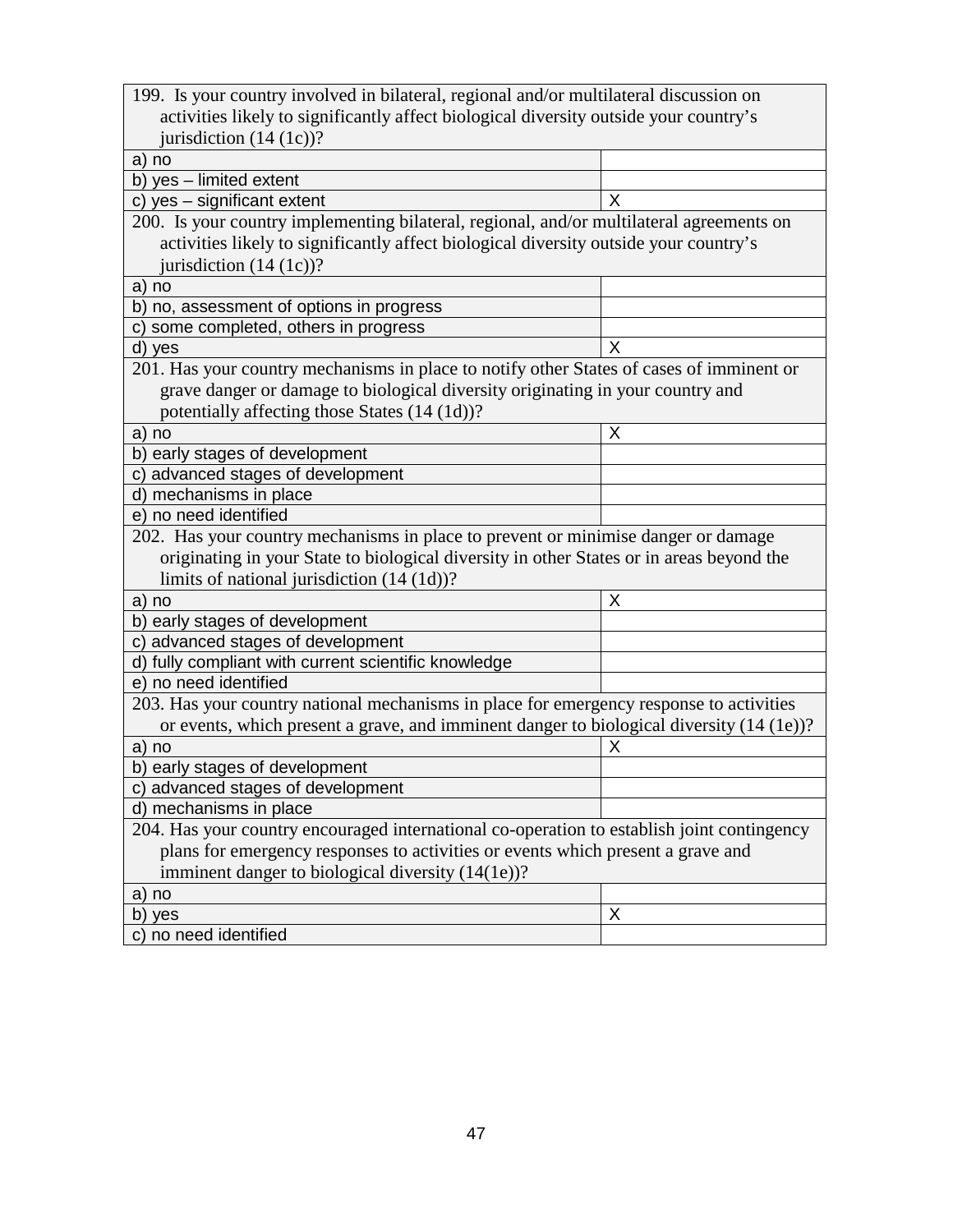| 199. Is your country involved in bilateral, regional and/or multilateral discussion on     |   |  |  |  |
|--------------------------------------------------------------------------------------------|---|--|--|--|
| activities likely to significantly affect biological diversity outside your country's      |   |  |  |  |
| jurisdiction $(14 (1c))$ ?                                                                 |   |  |  |  |
| a) no                                                                                      |   |  |  |  |
| b) yes - limited extent                                                                    |   |  |  |  |
| c) yes - significant extent                                                                | X |  |  |  |
| 200. Is your country implementing bilateral, regional, and/or multilateral agreements on   |   |  |  |  |
| activities likely to significantly affect biological diversity outside your country's      |   |  |  |  |
| jurisdiction $(14 (1c))$ ?                                                                 |   |  |  |  |
| a) no                                                                                      |   |  |  |  |
| b) no, assessment of options in progress                                                   |   |  |  |  |
| c) some completed, others in progress                                                      |   |  |  |  |
| d) yes                                                                                     | X |  |  |  |
| 201. Has your country mechanisms in place to notify other States of cases of imminent or   |   |  |  |  |
| grave danger or damage to biological diversity originating in your country and             |   |  |  |  |
| potentially affecting those States (14 (1d))?                                              |   |  |  |  |
| a) no                                                                                      | Χ |  |  |  |
| b) early stages of development                                                             |   |  |  |  |
| c) advanced stages of development                                                          |   |  |  |  |
| d) mechanisms in place                                                                     |   |  |  |  |
| e) no need identified                                                                      |   |  |  |  |
| 202. Has your country mechanisms in place to prevent or minimise danger or damage          |   |  |  |  |
| originating in your State to biological diversity in other States or in areas beyond the   |   |  |  |  |
| limits of national jurisdiction $(14 (1d))$ ?                                              |   |  |  |  |
| a) no                                                                                      | Χ |  |  |  |
| b) early stages of development                                                             |   |  |  |  |
| c) advanced stages of development                                                          |   |  |  |  |
| d) fully compliant with current scientific knowledge                                       |   |  |  |  |
| e) no need identified                                                                      |   |  |  |  |
| 203. Has your country national mechanisms in place for emergency response to activities    |   |  |  |  |
| or events, which present a grave, and imminent danger to biological diversity (14 (1e))?   |   |  |  |  |
| a) no                                                                                      | Χ |  |  |  |
| b) early stages of development                                                             |   |  |  |  |
| c) advanced stages of development                                                          |   |  |  |  |
| d) mechanisms in place                                                                     |   |  |  |  |
| 204. Has your country encouraged international co-operation to establish joint contingency |   |  |  |  |
| plans for emergency responses to activities or events which present a grave and            |   |  |  |  |
| imminent danger to biological diversity (14(1e))?                                          |   |  |  |  |
| a) no                                                                                      |   |  |  |  |
| b) yes                                                                                     | Χ |  |  |  |
| c) no need identified                                                                      |   |  |  |  |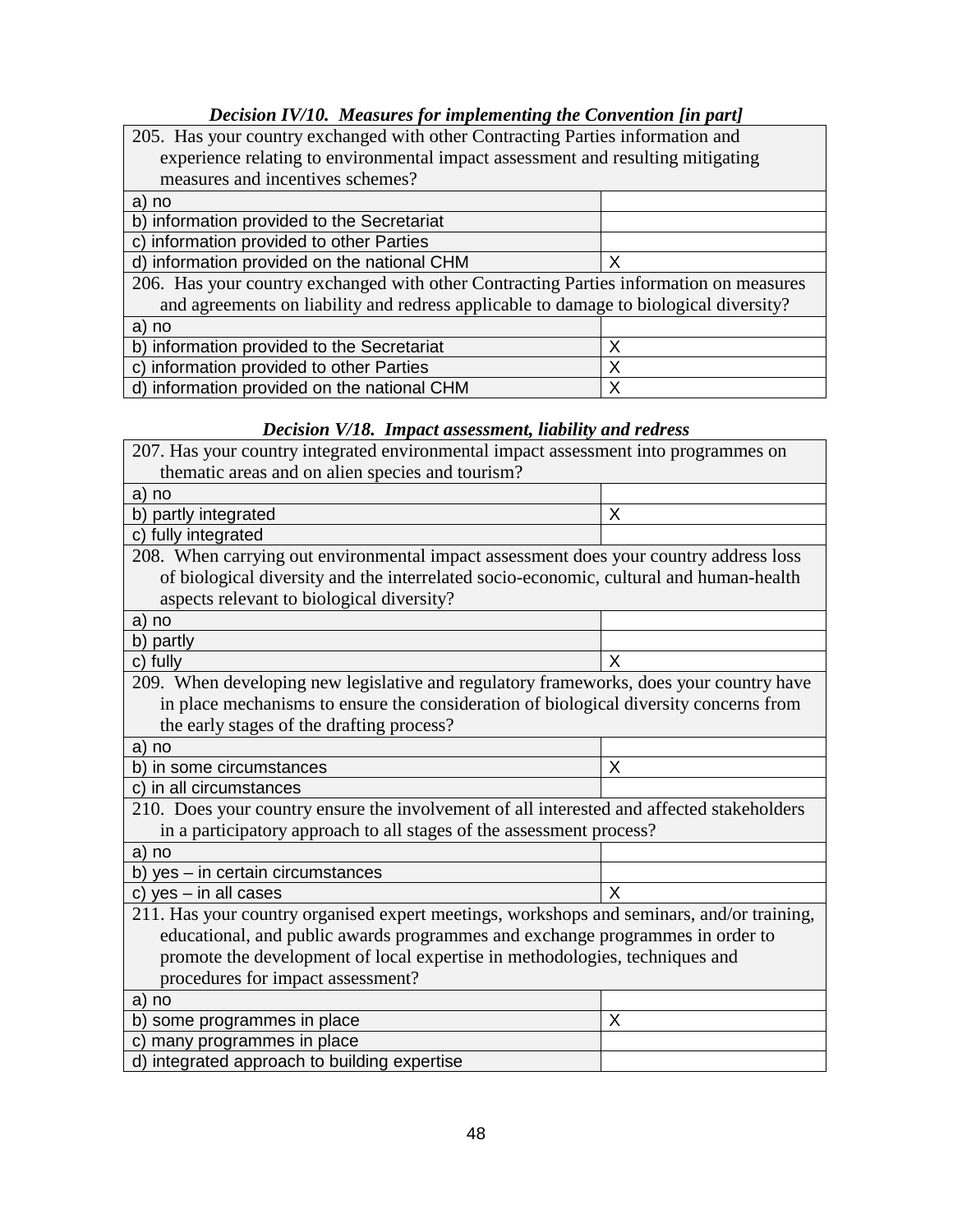## *Decision IV/10. Measures for implementing the Convention [in part]*

| 205. Has your country exchanged with other Contracting Parties information and         |   |  |
|----------------------------------------------------------------------------------------|---|--|
| experience relating to environmental impact assessment and resulting mitigating        |   |  |
| measures and incentives schemes?                                                       |   |  |
| a) no                                                                                  |   |  |
| b) information provided to the Secretariat                                             |   |  |
| c) information provided to other Parties                                               |   |  |
| d) information provided on the national CHM<br>Х                                       |   |  |
| 206. Has your country exchanged with other Contracting Parties information on measures |   |  |
| and agreements on liability and redress applicable to damage to biological diversity?  |   |  |
| a) no                                                                                  |   |  |
| b) information provided to the Secretariat                                             | Х |  |
| c) information provided to other Parties<br>Х                                          |   |  |
| d) information provided on the national CHM<br>Х                                       |   |  |

## *Decision V/18. Impact assessment, liability and redress*

| 207. Has your country integrated environmental impact assessment into programmes on       |   |  |
|-------------------------------------------------------------------------------------------|---|--|
| thematic areas and on alien species and tourism?                                          |   |  |
| a) no                                                                                     |   |  |
| b) partly integrated                                                                      | X |  |
| c) fully integrated                                                                       |   |  |
| 208. When carrying out environmental impact assessment does your country address loss     |   |  |
| of biological diversity and the interrelated socio-economic, cultural and human-health    |   |  |
| aspects relevant to biological diversity?                                                 |   |  |
| a) no                                                                                     |   |  |
| b) partly                                                                                 |   |  |
| c) fully                                                                                  | X |  |
| 209. When developing new legislative and regulatory frameworks, does your country have    |   |  |
| in place mechanisms to ensure the consideration of biological diversity concerns from     |   |  |
| the early stages of the drafting process?                                                 |   |  |
| a) no                                                                                     |   |  |
| b) in some circumstances                                                                  | X |  |
| c) in all circumstances                                                                   |   |  |
| 210. Does your country ensure the involvement of all interested and affected stakeholders |   |  |
| in a participatory approach to all stages of the assessment process?                      |   |  |
| a) no                                                                                     |   |  |
| b) yes - in certain circumstances                                                         |   |  |
| c) $yes - in$ all cases                                                                   | X |  |
| 211. Has your country organised expert meetings, workshops and seminars, and/or training, |   |  |
| educational, and public awards programmes and exchange programmes in order to             |   |  |
| promote the development of local expertise in methodologies, techniques and               |   |  |
| procedures for impact assessment?                                                         |   |  |
| a) no                                                                                     |   |  |
| b) some programmes in place                                                               | X |  |
| many programmes in place<br>C)                                                            |   |  |
| d) integrated approach to building expertise                                              |   |  |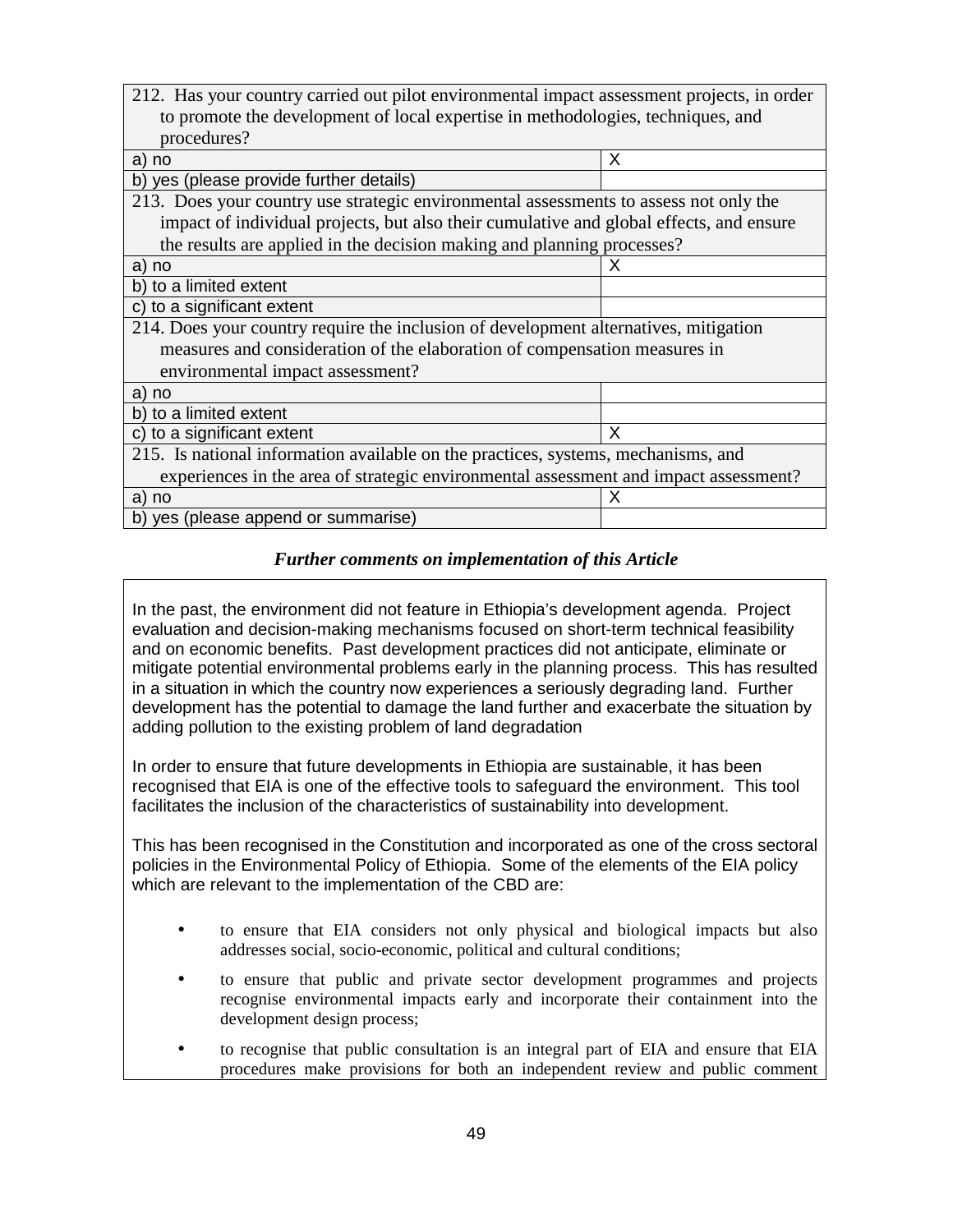| 212. Has your country carried out pilot environmental impact assessment projects, in order |   |  |  |  |
|--------------------------------------------------------------------------------------------|---|--|--|--|
| to promote the development of local expertise in methodologies, techniques, and            |   |  |  |  |
| procedures?                                                                                |   |  |  |  |
| a) no                                                                                      | X |  |  |  |
| yes (please provide further details)<br>b)                                                 |   |  |  |  |
| 213. Does your country use strategic environmental assessments to assess not only the      |   |  |  |  |
| impact of individual projects, but also their cumulative and global effects, and ensure    |   |  |  |  |
| the results are applied in the decision making and planning processes?                     |   |  |  |  |
| no<br>a)                                                                                   | x |  |  |  |
| b) to a limited extent                                                                     |   |  |  |  |
| to a significant extent<br>C)                                                              |   |  |  |  |
| 214. Does your country require the inclusion of development alternatives, mitigation       |   |  |  |  |
| measures and consideration of the elaboration of compensation measures in                  |   |  |  |  |
| environmental impact assessment?                                                           |   |  |  |  |
| a) no                                                                                      |   |  |  |  |
| b) to a limited extent                                                                     |   |  |  |  |
| c) to a significant extent                                                                 | X |  |  |  |
| 215. Is national information available on the practices, systems, mechanisms, and          |   |  |  |  |
| experiences in the area of strategic environmental assessment and impact assessment?       |   |  |  |  |
| a) no                                                                                      | X |  |  |  |
| b) yes (please append or summarise)                                                        |   |  |  |  |

In the past, the environment did not feature in Ethiopia's development agenda. Project evaluation and decision-making mechanisms focused on short-term technical feasibility and on economic benefits. Past development practices did not anticipate, eliminate or mitigate potential environmental problems early in the planning process. This has resulted in a situation in which the country now experiences a seriously degrading land. Further development has the potential to damage the land further and exacerbate the situation by adding pollution to the existing problem of land degradation

In order to ensure that future developments in Ethiopia are sustainable, it has been recognised that EIA is one of the effective tools to safeguard the environment. This tool facilitates the inclusion of the characteristics of sustainability into development.

This has been recognised in the Constitution and incorporated as one of the cross sectoral policies in the Environmental Policy of Ethiopia. Some of the elements of the EIA policy which are relevant to the implementation of the CBD are:

- to ensure that EIA considers not only physical and biological impacts but also addresses social, socio-economic, political and cultural conditions;
- to ensure that public and private sector development programmes and projects recognise environmental impacts early and incorporate their containment into the development design process;
- to recognise that public consultation is an integral part of EIA and ensure that EIA procedures make provisions for both an independent review and public comment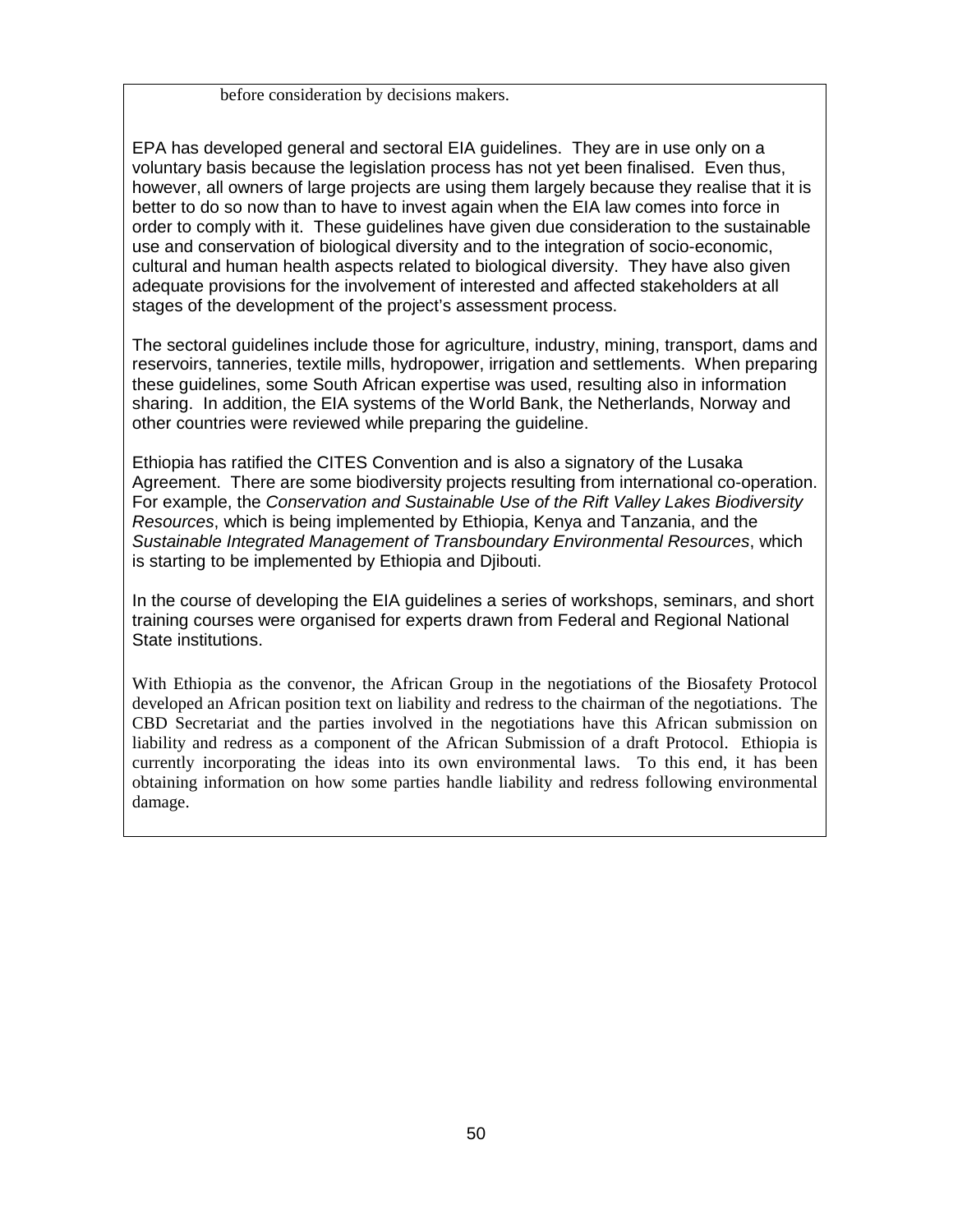before consideration by decisions makers.

EPA has developed general and sectoral EIA guidelines. They are in use only on a voluntary basis because the legislation process has not yet been finalised. Even thus, however, all owners of large projects are using them largely because they realise that it is better to do so now than to have to invest again when the EIA law comes into force in order to comply with it. These guidelines have given due consideration to the sustainable use and conservation of biological diversity and to the integration of socio-economic, cultural and human health aspects related to biological diversity. They have also given adequate provisions for the involvement of interested and affected stakeholders at all stages of the development of the project's assessment process.

The sectoral guidelines include those for agriculture, industry, mining, transport, dams and reservoirs, tanneries, textile mills, hydropower, irrigation and settlements. When preparing these guidelines, some South African expertise was used, resulting also in information sharing. In addition, the EIA systems of the World Bank, the Netherlands, Norway and other countries were reviewed while preparing the guideline.

Ethiopia has ratified the CITES Convention and is also a signatory of the Lusaka Agreement. There are some biodiversity projects resulting from international co-operation. For example, the Conservation and Sustainable Use of the Rift Valley Lakes Biodiversity Resources, which is being implemented by Ethiopia, Kenya and Tanzania, and the Sustainable Integrated Management of Transboundary Environmental Resources, which is starting to be implemented by Ethiopia and Djibouti.

In the course of developing the EIA guidelines a series of workshops, seminars, and short training courses were organised for experts drawn from Federal and Regional National State institutions.

With Ethiopia as the convenor, the African Group in the negotiations of the Biosafety Protocol developed an African position text on liability and redress to the chairman of the negotiations. The CBD Secretariat and the parties involved in the negotiations have this African submission on liability and redress as a component of the African Submission of a draft Protocol. Ethiopia is currently incorporating the ideas into its own environmental laws. To this end, it has been obtaining information on how some parties handle liability and redress following environmental damage.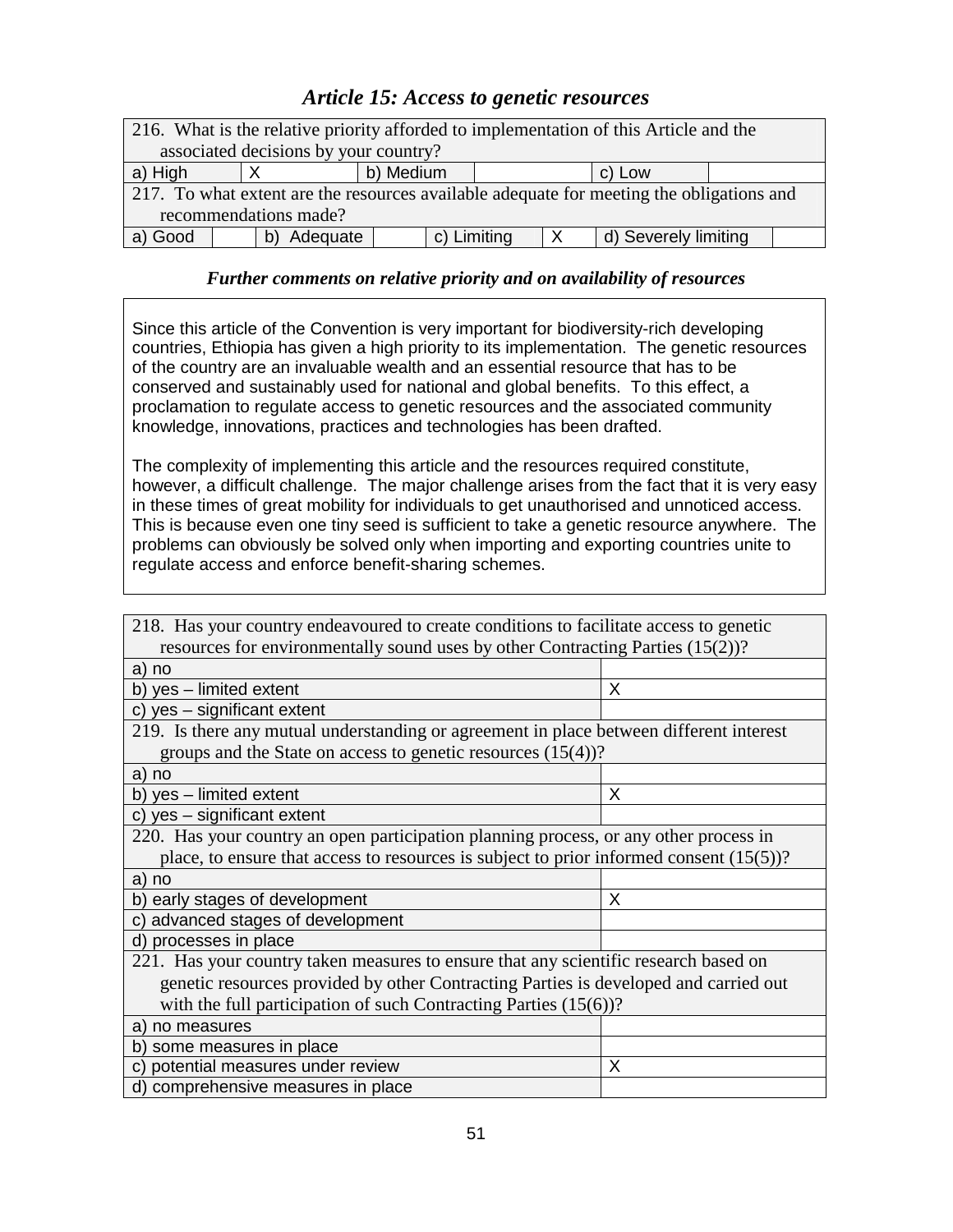## *Article 15: Access to genetic resources*

| 216. What is the relative priority afforded to implementation of this Article and the    |  |          |                     |              |                      |  |  |
|------------------------------------------------------------------------------------------|--|----------|---------------------|--------------|----------------------|--|--|
| associated decisions by your country?                                                    |  |          |                     |              |                      |  |  |
| a) High                                                                                  |  |          | b) Medium<br>c) Low |              |                      |  |  |
| 217. To what extent are the resources available adequate for meeting the obligations and |  |          |                     |              |                      |  |  |
| recommendations made?                                                                    |  |          |                     |              |                      |  |  |
| a) Good                                                                                  |  | Adequate | c) Limiting         | $\mathsf{X}$ | d) Severely limiting |  |  |

### *Further comments on relative priority and on availability of resources*

Since this article of the Convention is very important for biodiversity-rich developing countries, Ethiopia has given a high priority to its implementation. The genetic resources of the country are an invaluable wealth and an essential resource that has to be conserved and sustainably used for national and global benefits. To this effect, a proclamation to regulate access to genetic resources and the associated community knowledge, innovations, practices and technologies has been drafted.

The complexity of implementing this article and the resources required constitute, however, a difficult challenge. The major challenge arises from the fact that it is very easy in these times of great mobility for individuals to get unauthorised and unnoticed access. This is because even one tiny seed is sufficient to take a genetic resource anywhere. The problems can obviously be solved only when importing and exporting countries unite to regulate access and enforce benefit-sharing schemes.

| 218. Has your country endeavoured to create conditions to facilitate access to genetic     |   |  |  |
|--------------------------------------------------------------------------------------------|---|--|--|
| resources for environmentally sound uses by other Contracting Parties (15(2))?             |   |  |  |
| a) no                                                                                      |   |  |  |
| b) yes - limited extent                                                                    | X |  |  |
| c) yes - significant extent                                                                |   |  |  |
| 219. Is there any mutual understanding or agreement in place between different interest    |   |  |  |
| groups and the State on access to genetic resources $(15(4))$ ?                            |   |  |  |
| a) no                                                                                      |   |  |  |
| b) yes - limited extent                                                                    | X |  |  |
| c) yes - significant extent                                                                |   |  |  |
| 220. Has your country an open participation planning process, or any other process in      |   |  |  |
| place, to ensure that access to resources is subject to prior informed consent $(15(5))$ ? |   |  |  |
| a) no                                                                                      |   |  |  |
| b) early stages of development                                                             | X |  |  |
| c) advanced stages of development                                                          |   |  |  |
| d) processes in place                                                                      |   |  |  |
| 221. Has your country taken measures to ensure that any scientific research based on       |   |  |  |
| genetic resources provided by other Contracting Parties is developed and carried out       |   |  |  |
| with the full participation of such Contracting Parties $(15(6))$ ?                        |   |  |  |
| a) no measures                                                                             |   |  |  |
| b) some measures in place                                                                  |   |  |  |
| potential measures under review<br>X<br>C)                                                 |   |  |  |
| d) comprehensive measures in place                                                         |   |  |  |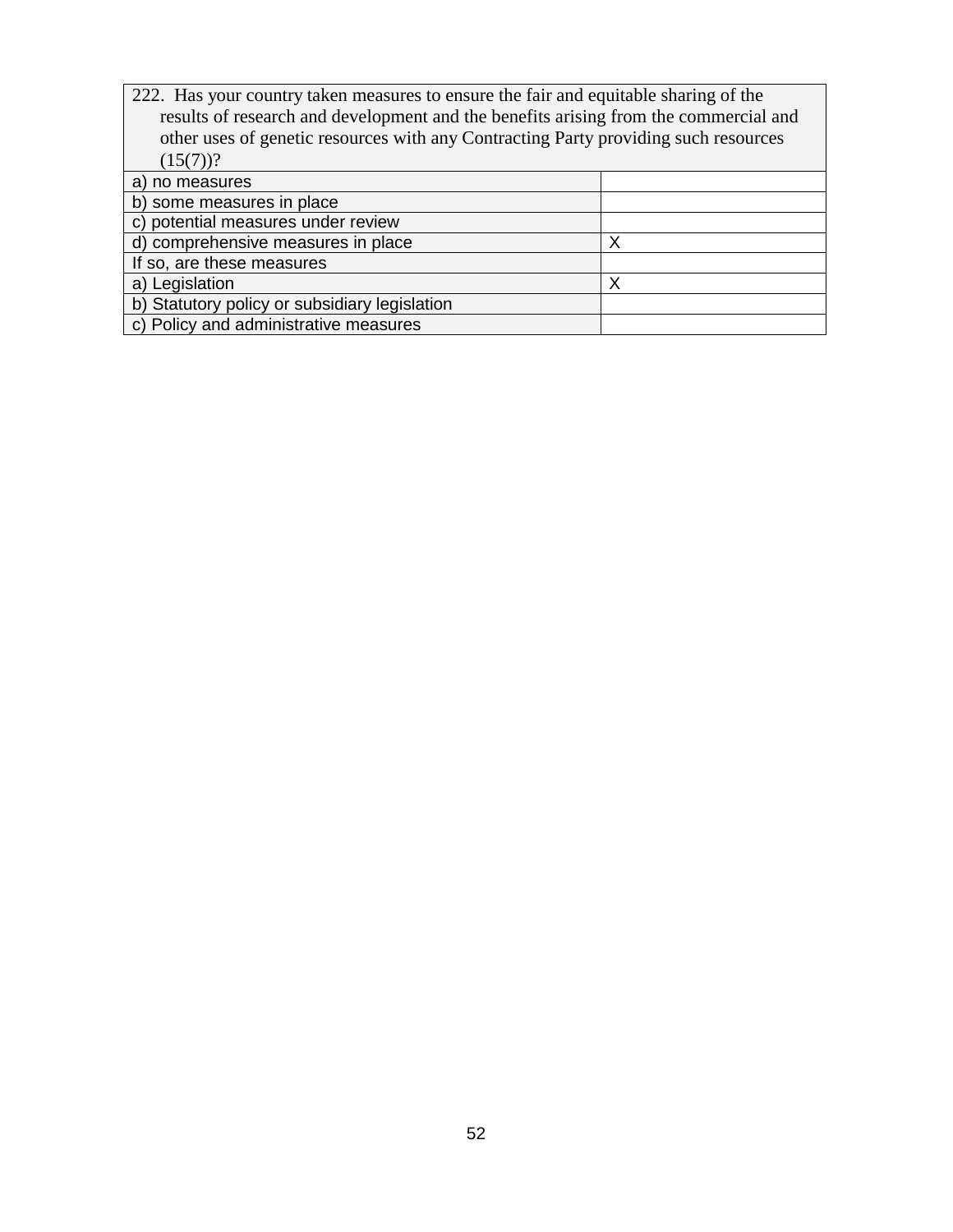| 222. Has your country taken measures to ensure the fair and equitable sharing of the<br>results of research and development and the benefits arising from the commercial and |   |  |
|------------------------------------------------------------------------------------------------------------------------------------------------------------------------------|---|--|
| other uses of genetic resources with any Contracting Party providing such resources                                                                                          |   |  |
| $(15(7))$ ?                                                                                                                                                                  |   |  |
| a) no measures                                                                                                                                                               |   |  |
| b) some measures in place                                                                                                                                                    |   |  |
| c) potential measures under review                                                                                                                                           |   |  |
| d) comprehensive measures in place<br>х                                                                                                                                      |   |  |
| If so, are these measures                                                                                                                                                    |   |  |
| a) Legislation                                                                                                                                                               | Х |  |
| b) Statutory policy or subsidiary legislation                                                                                                                                |   |  |
| c) Policy and administrative measures                                                                                                                                        |   |  |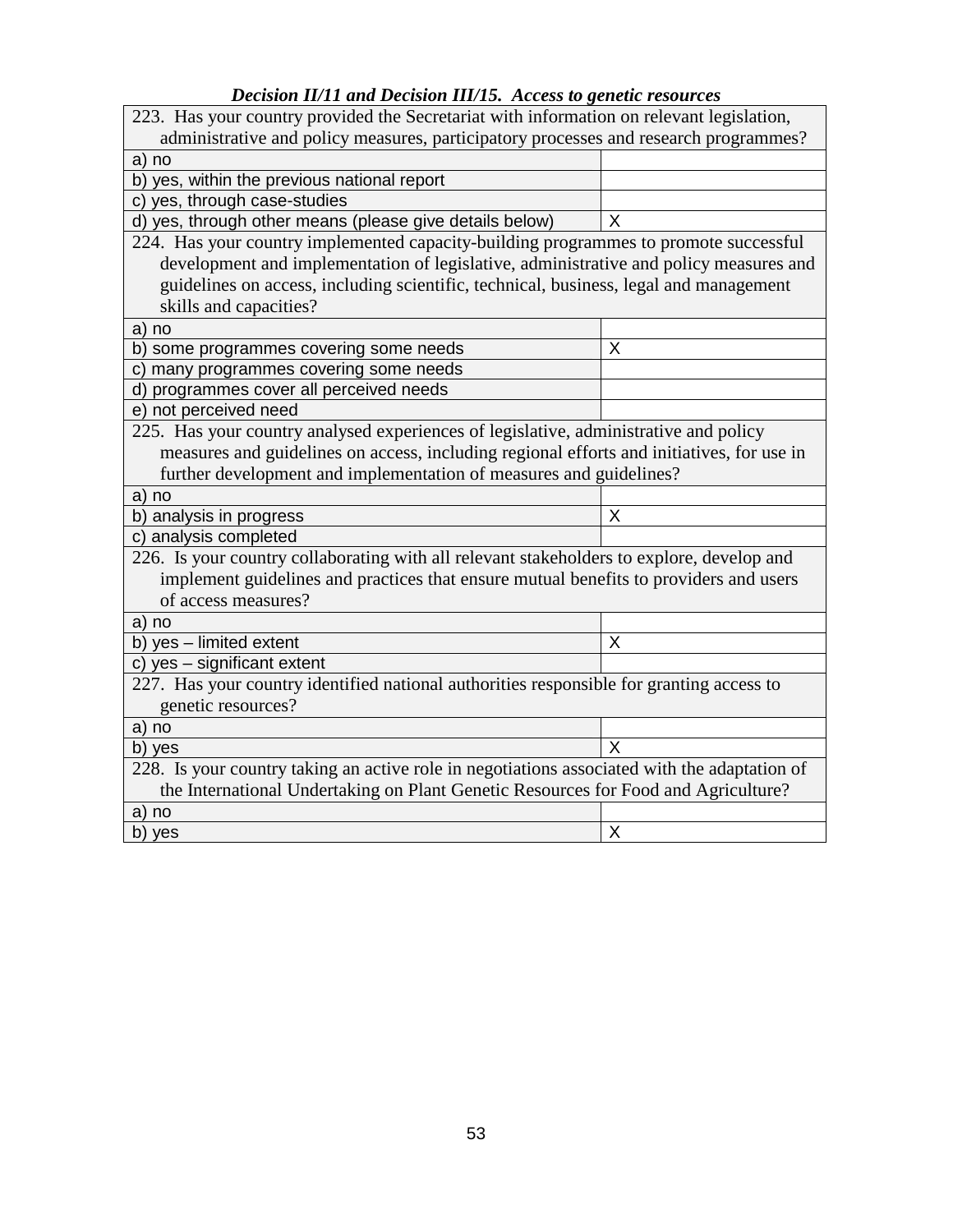## *Decision II/11 and Decision III/15. Access to genetic resources*

| 223. Has your country provided the Secretariat with information on relevant legislation,     |   |  |  |  |
|----------------------------------------------------------------------------------------------|---|--|--|--|
| administrative and policy measures, participatory processes and research programmes?         |   |  |  |  |
| a) no                                                                                        |   |  |  |  |
| b) yes, within the previous national report                                                  |   |  |  |  |
| c) yes, through case-studies                                                                 |   |  |  |  |
| d) yes, through other means (please give details below)                                      | X |  |  |  |
| 224. Has your country implemented capacity-building programmes to promote successful         |   |  |  |  |
| development and implementation of legislative, administrative and policy measures and        |   |  |  |  |
| guidelines on access, including scientific, technical, business, legal and management        |   |  |  |  |
| skills and capacities?                                                                       |   |  |  |  |
| a) no                                                                                        |   |  |  |  |
| b) some programmes covering some needs                                                       | X |  |  |  |
| c) many programmes covering some needs                                                       |   |  |  |  |
| d) programmes cover all perceived needs                                                      |   |  |  |  |
| e) not perceived need                                                                        |   |  |  |  |
| 225. Has your country analysed experiences of legislative, administrative and policy         |   |  |  |  |
| measures and guidelines on access, including regional efforts and initiatives, for use in    |   |  |  |  |
| further development and implementation of measures and guidelines?                           |   |  |  |  |
| a) no                                                                                        |   |  |  |  |
| b) analysis in progress                                                                      | X |  |  |  |
| c) analysis completed                                                                        |   |  |  |  |
| 226. Is your country collaborating with all relevant stakeholders to explore, develop and    |   |  |  |  |
| implement guidelines and practices that ensure mutual benefits to providers and users        |   |  |  |  |
| of access measures?                                                                          |   |  |  |  |
| a) no                                                                                        |   |  |  |  |
| b) yes - limited extent                                                                      | X |  |  |  |
| c) yes - significant extent                                                                  |   |  |  |  |
| 227. Has your country identified national authorities responsible for granting access to     |   |  |  |  |
| genetic resources?                                                                           |   |  |  |  |
| a) no                                                                                        |   |  |  |  |
| b) yes                                                                                       | X |  |  |  |
| 228. Is your country taking an active role in negotiations associated with the adaptation of |   |  |  |  |
| the International Undertaking on Plant Genetic Resources for Food and Agriculture?           |   |  |  |  |
| a) no                                                                                        |   |  |  |  |
| b) yes                                                                                       | Χ |  |  |  |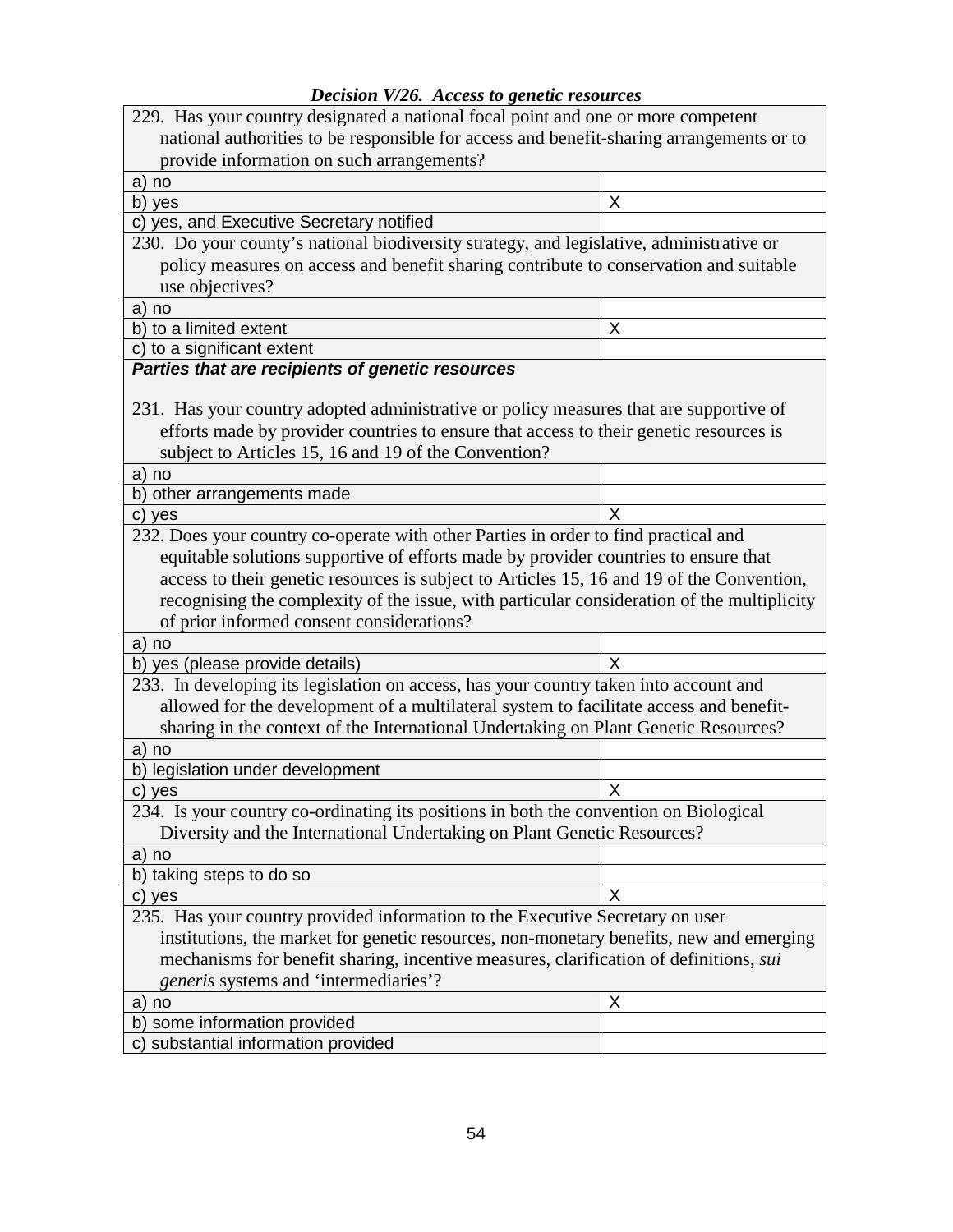| Decision V/26. Access to genetic resources |  |  |  |
|--------------------------------------------|--|--|--|
|--------------------------------------------|--|--|--|

| 229. Has your country designated a national focal point and one or more competent          |   |  |  |  |
|--------------------------------------------------------------------------------------------|---|--|--|--|
| national authorities to be responsible for access and benefit-sharing arrangements or to   |   |  |  |  |
| provide information on such arrangements?                                                  |   |  |  |  |
| a) no                                                                                      |   |  |  |  |
| b) yes                                                                                     | X |  |  |  |
| c) yes, and Executive Secretary notified                                                   |   |  |  |  |
| 230. Do your county's national biodiversity strategy, and legislative, administrative or   |   |  |  |  |
| policy measures on access and benefit sharing contribute to conservation and suitable      |   |  |  |  |
| use objectives?                                                                            |   |  |  |  |
| a) no                                                                                      |   |  |  |  |
| b) to a limited extent                                                                     | Χ |  |  |  |
| c) to a significant extent                                                                 |   |  |  |  |
| Parties that are recipients of genetic resources                                           |   |  |  |  |
|                                                                                            |   |  |  |  |
| 231. Has your country adopted administrative or policy measures that are supportive of     |   |  |  |  |
| efforts made by provider countries to ensure that access to their genetic resources is     |   |  |  |  |
| subject to Articles 15, 16 and 19 of the Convention?                                       |   |  |  |  |
| a) no                                                                                      |   |  |  |  |
| b) other arrangements made                                                                 |   |  |  |  |
| c) yes                                                                                     | X |  |  |  |
| 232. Does your country co-operate with other Parties in order to find practical and        |   |  |  |  |
| equitable solutions supportive of efforts made by provider countries to ensure that        |   |  |  |  |
| access to their genetic resources is subject to Articles 15, 16 and 19 of the Convention,  |   |  |  |  |
| recognising the complexity of the issue, with particular consideration of the multiplicity |   |  |  |  |
| of prior informed consent considerations?                                                  |   |  |  |  |
| a) no                                                                                      |   |  |  |  |
| b) yes (please provide details)                                                            | X |  |  |  |
| 233. In developing its legislation on access, has your country taken into account and      |   |  |  |  |
| allowed for the development of a multilateral system to facilitate access and benefit-     |   |  |  |  |
| sharing in the context of the International Undertaking on Plant Genetic Resources?        |   |  |  |  |
| a) no                                                                                      |   |  |  |  |
| b) legislation under development                                                           |   |  |  |  |
| c) yes                                                                                     | X |  |  |  |
| 234. Is your country co-ordinating its positions in both the convention on Biological      |   |  |  |  |
| Diversity and the International Undertaking on Plant Genetic Resources?                    |   |  |  |  |
| a) no                                                                                      |   |  |  |  |
| b) taking steps to do so                                                                   |   |  |  |  |
| c) yes                                                                                     | X |  |  |  |
| 235. Has your country provided information to the Executive Secretary on user              |   |  |  |  |
| institutions, the market for genetic resources, non-monetary benefits, new and emerging    |   |  |  |  |
| mechanisms for benefit sharing, incentive measures, clarification of definitions, sui      |   |  |  |  |
| generis systems and 'intermediaries'?                                                      |   |  |  |  |
| a) no                                                                                      | X |  |  |  |
| some information provided<br>b                                                             |   |  |  |  |
| c) substantial information provided                                                        |   |  |  |  |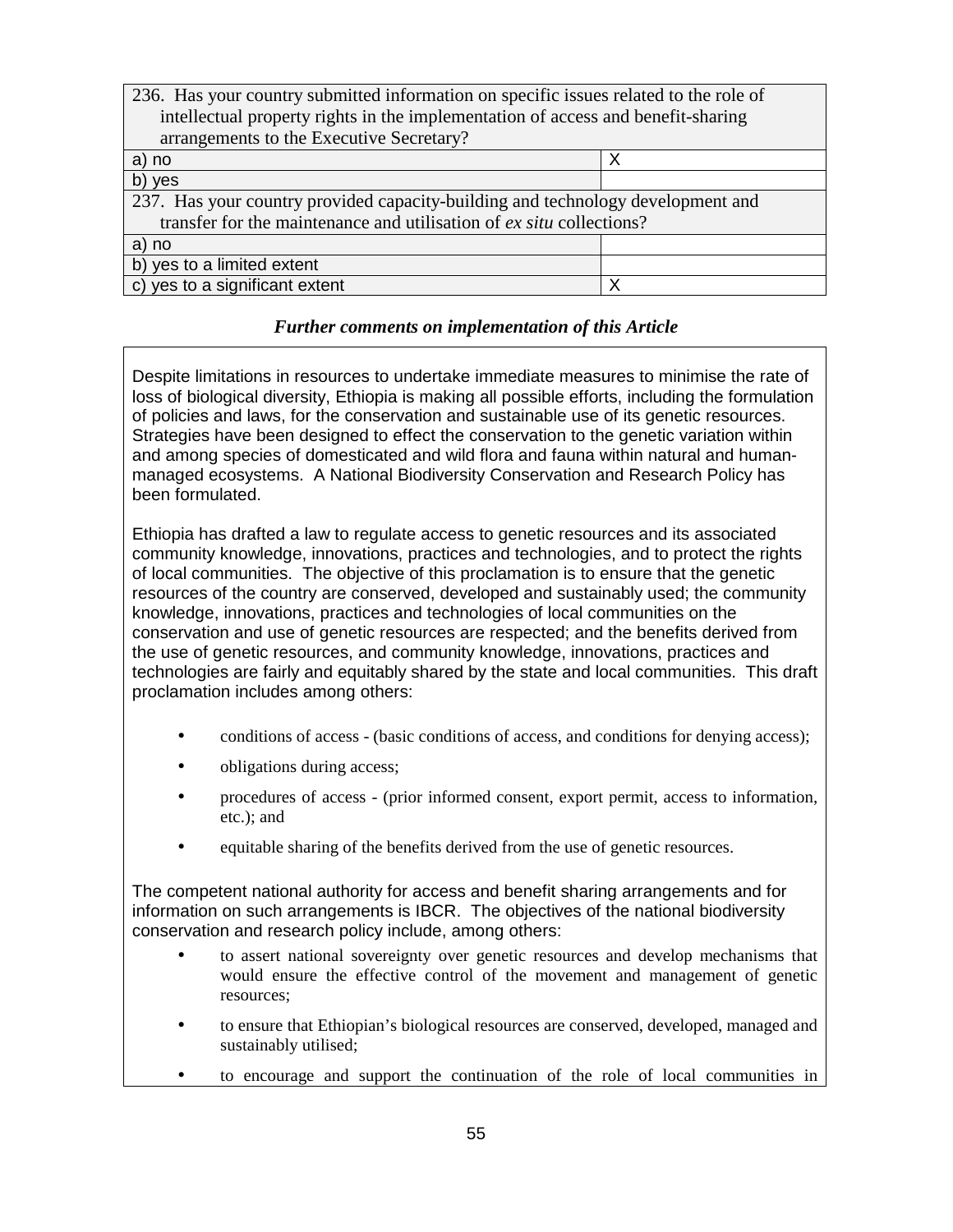| 236. Has your country submitted information on specific issues related to the role of |   |  |  |  |
|---------------------------------------------------------------------------------------|---|--|--|--|
| intellectual property rights in the implementation of access and benefit-sharing      |   |  |  |  |
| arrangements to the Executive Secretary?                                              |   |  |  |  |
| a) no                                                                                 | x |  |  |  |
| b) yes                                                                                |   |  |  |  |
| 237. Has your country provided capacity-building and technology development and       |   |  |  |  |
| transfer for the maintenance and utilisation of ex situ collections?                  |   |  |  |  |
| a) no                                                                                 |   |  |  |  |
| b) yes to a limited extent                                                            |   |  |  |  |
| c) yes to a significant extent<br>х                                                   |   |  |  |  |

Despite limitations in resources to undertake immediate measures to minimise the rate of loss of biological diversity, Ethiopia is making all possible efforts, including the formulation of policies and laws, for the conservation and sustainable use of its genetic resources. Strategies have been designed to effect the conservation to the genetic variation within and among species of domesticated and wild flora and fauna within natural and humanmanaged ecosystems. A National Biodiversity Conservation and Research Policy has been formulated.

Ethiopia has drafted a law to regulate access to genetic resources and its associated community knowledge, innovations, practices and technologies, and to protect the rights of local communities. The objective of this proclamation is to ensure that the genetic resources of the country are conserved, developed and sustainably used; the community knowledge, innovations, practices and technologies of local communities on the conservation and use of genetic resources are respected; and the benefits derived from the use of genetic resources, and community knowledge, innovations, practices and technologies are fairly and equitably shared by the state and local communities. This draft proclamation includes among others:

- conditions of access (basic conditions of access, and conditions for denying access);
- obligations during access;
- procedures of access (prior informed consent, export permit, access to information, etc.); and
- equitable sharing of the benefits derived from the use of genetic resources.

The competent national authority for access and benefit sharing arrangements and for information on such arrangements is IBCR. The objectives of the national biodiversity conservation and research policy include, among others:

- to assert national sovereignty over genetic resources and develop mechanisms that would ensure the effective control of the movement and management of genetic resources;
- to ensure that Ethiopian's biological resources are conserved, developed, managed and sustainably utilised;
- to encourage and support the continuation of the role of local communities in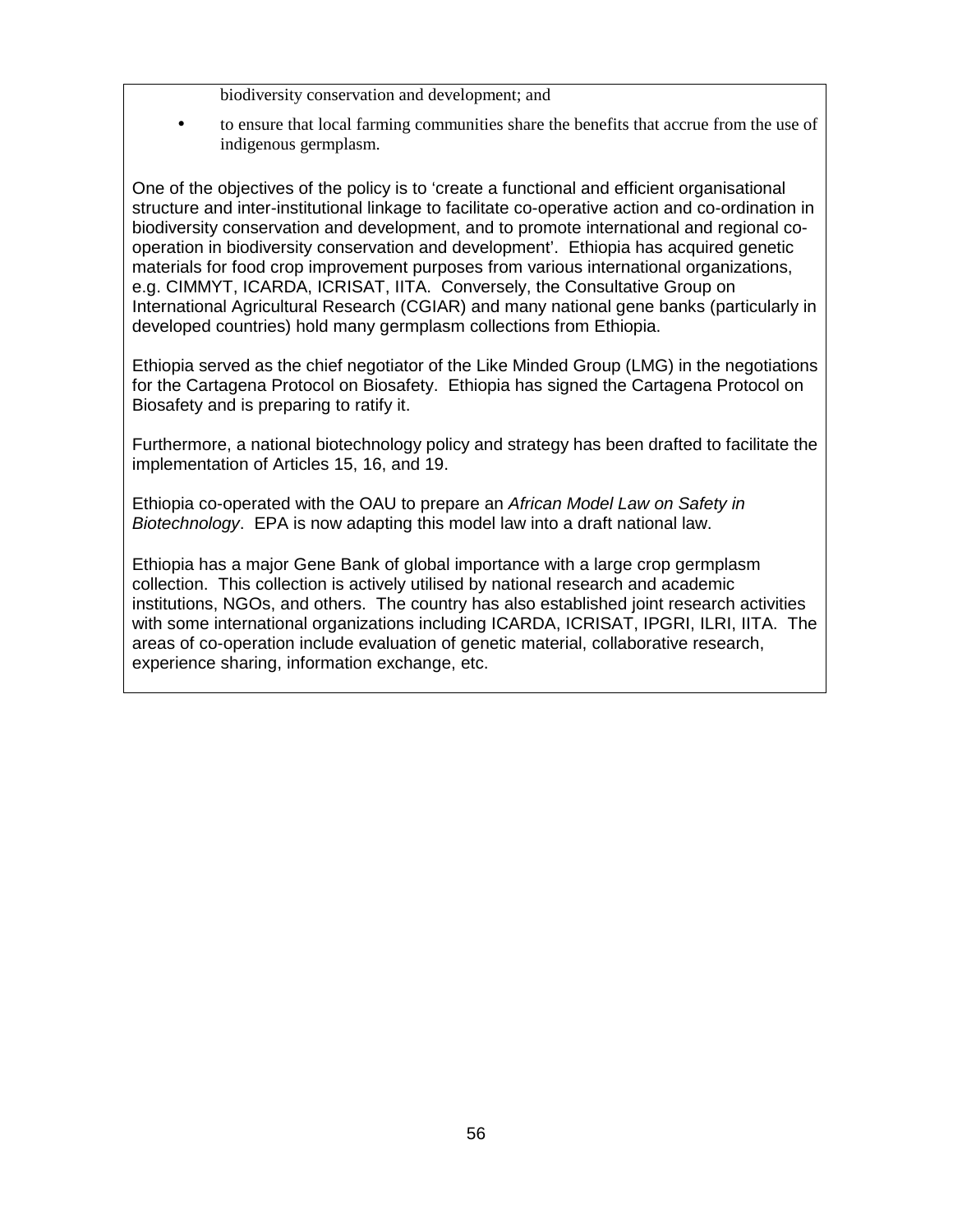- biodiversity conservation and development; and
- to ensure that local farming communities share the benefits that accrue from the use of indigenous germplasm.

One of the objectives of the policy is to 'create a functional and efficient organisational structure and inter-institutional linkage to facilitate co-operative action and co-ordination in biodiversity conservation and development, and to promote international and regional cooperation in biodiversity conservation and development'. Ethiopia has acquired genetic materials for food crop improvement purposes from various international organizations, e.g. CIMMYT, ICARDA, ICRISAT, IITA. Conversely, the Consultative Group on International Agricultural Research (CGIAR) and many national gene banks (particularly in developed countries) hold many germplasm collections from Ethiopia.

Ethiopia served as the chief negotiator of the Like Minded Group (LMG) in the negotiations for the Cartagena Protocol on Biosafety. Ethiopia has signed the Cartagena Protocol on Biosafety and is preparing to ratify it.

Furthermore, a national biotechnology policy and strategy has been drafted to facilitate the implementation of Articles 15, 16, and 19.

Ethiopia co-operated with the OAU to prepare an African Model Law on Safety in Biotechnology. EPA is now adapting this model law into a draft national law.

Ethiopia has a major Gene Bank of global importance with a large crop germplasm collection. This collection is actively utilised by national research and academic institutions, NGOs, and others. The country has also established joint research activities with some international organizations including ICARDA, ICRISAT, IPGRI, ILRI, IITA. The areas of co-operation include evaluation of genetic material, collaborative research, experience sharing, information exchange, etc.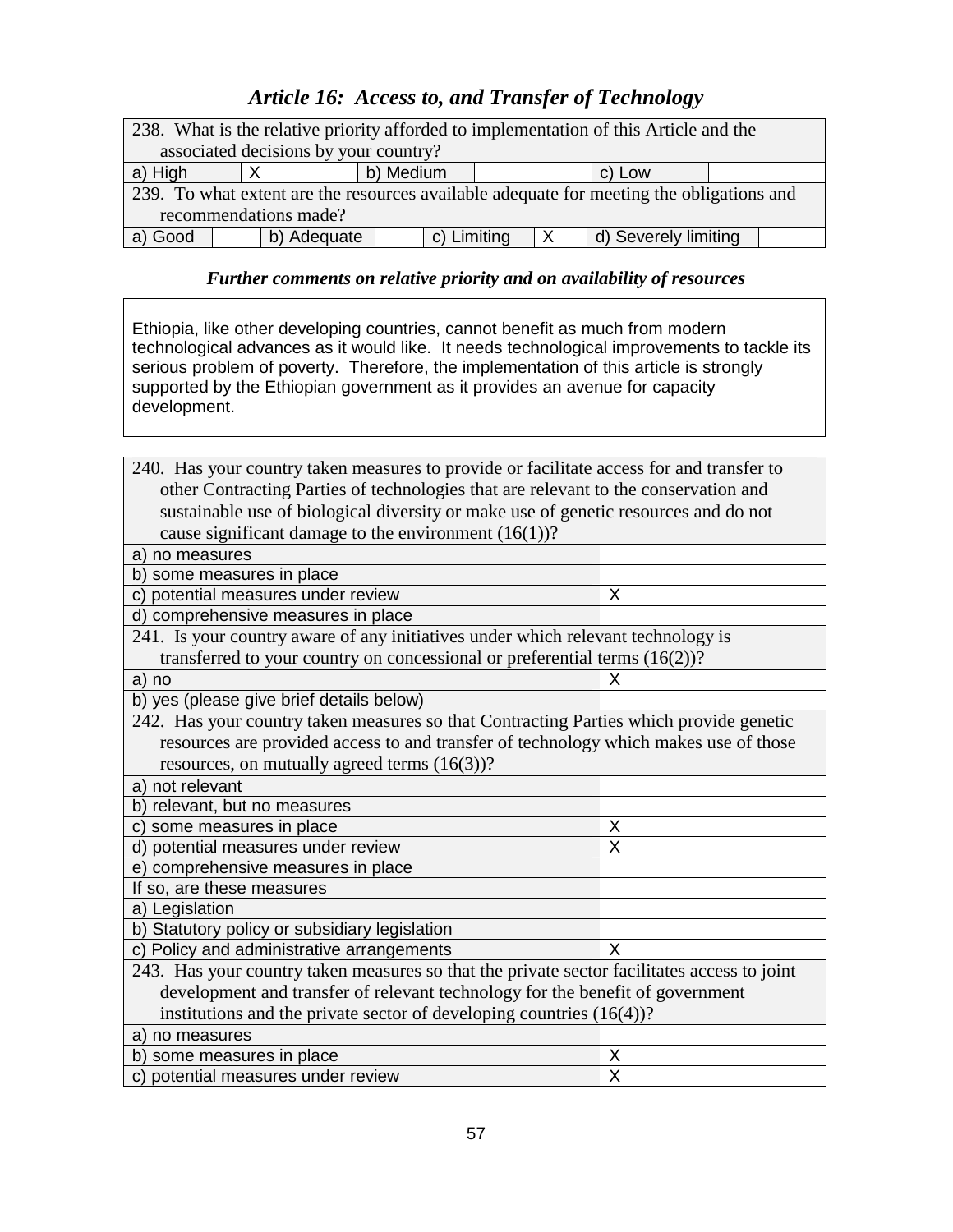# *Article 16: Access to, and Transfer of Technology*

| 238. What is the relative priority afforded to implementation of this Article and the    |  |             |           |             |  |                      |  |
|------------------------------------------------------------------------------------------|--|-------------|-----------|-------------|--|----------------------|--|
| associated decisions by your country?                                                    |  |             |           |             |  |                      |  |
| a) High                                                                                  |  |             | b) Medium |             |  | c) Low               |  |
| 239. To what extent are the resources available adequate for meeting the obligations and |  |             |           |             |  |                      |  |
| recommendations made?                                                                    |  |             |           |             |  |                      |  |
| a) Good                                                                                  |  | b) Adequate |           | c) Limiting |  | d) Severely limiting |  |

## *Further comments on relative priority and on availability of resources*

Ethiopia, like other developing countries, cannot benefit as much from modern technological advances as it would like. It needs technological improvements to tackle its serious problem of poverty. Therefore, the implementation of this article is strongly supported by the Ethiopian government as it provides an avenue for capacity development.

| 240. Has your country taken measures to provide or facilitate access for and transfer to    |                         |  |  |  |  |
|---------------------------------------------------------------------------------------------|-------------------------|--|--|--|--|
| other Contracting Parties of technologies that are relevant to the conservation and         |                         |  |  |  |  |
| sustainable use of biological diversity or make use of genetic resources and do not         |                         |  |  |  |  |
| cause significant damage to the environment $(16(1))$ ?                                     |                         |  |  |  |  |
| a) no measures                                                                              |                         |  |  |  |  |
| b) some measures in place                                                                   |                         |  |  |  |  |
| c) potential measures under review                                                          | X                       |  |  |  |  |
| d) comprehensive measures in place                                                          |                         |  |  |  |  |
| 241. Is your country aware of any initiatives under which relevant technology is            |                         |  |  |  |  |
| transferred to your country on concessional or preferential terms $(16(2))$ ?               |                         |  |  |  |  |
| a) no                                                                                       | Χ                       |  |  |  |  |
| b) yes (please give brief details below)                                                    |                         |  |  |  |  |
| 242. Has your country taken measures so that Contracting Parties which provide genetic      |                         |  |  |  |  |
| resources are provided access to and transfer of technology which makes use of those        |                         |  |  |  |  |
| resources, on mutually agreed terms (16(3))?                                                |                         |  |  |  |  |
| a) not relevant                                                                             |                         |  |  |  |  |
| b) relevant, but no measures                                                                |                         |  |  |  |  |
| c) some measures in place<br>X                                                              |                         |  |  |  |  |
| d) potential measures under review                                                          | $\overline{\mathsf{x}}$ |  |  |  |  |
| e) comprehensive measures in place                                                          |                         |  |  |  |  |
| If so, are these measures                                                                   |                         |  |  |  |  |
| a) Legislation                                                                              |                         |  |  |  |  |
| b) Statutory policy or subsidiary legislation                                               |                         |  |  |  |  |
| c) Policy and administrative arrangements<br>X                                              |                         |  |  |  |  |
| 243. Has your country taken measures so that the private sector facilitates access to joint |                         |  |  |  |  |
| development and transfer of relevant technology for the benefit of government               |                         |  |  |  |  |
| institutions and the private sector of developing countries (16(4))?                        |                         |  |  |  |  |
| a) no measures                                                                              |                         |  |  |  |  |
| b) some measures in place<br>X                                                              |                         |  |  |  |  |
| X<br>c) potential measures under review                                                     |                         |  |  |  |  |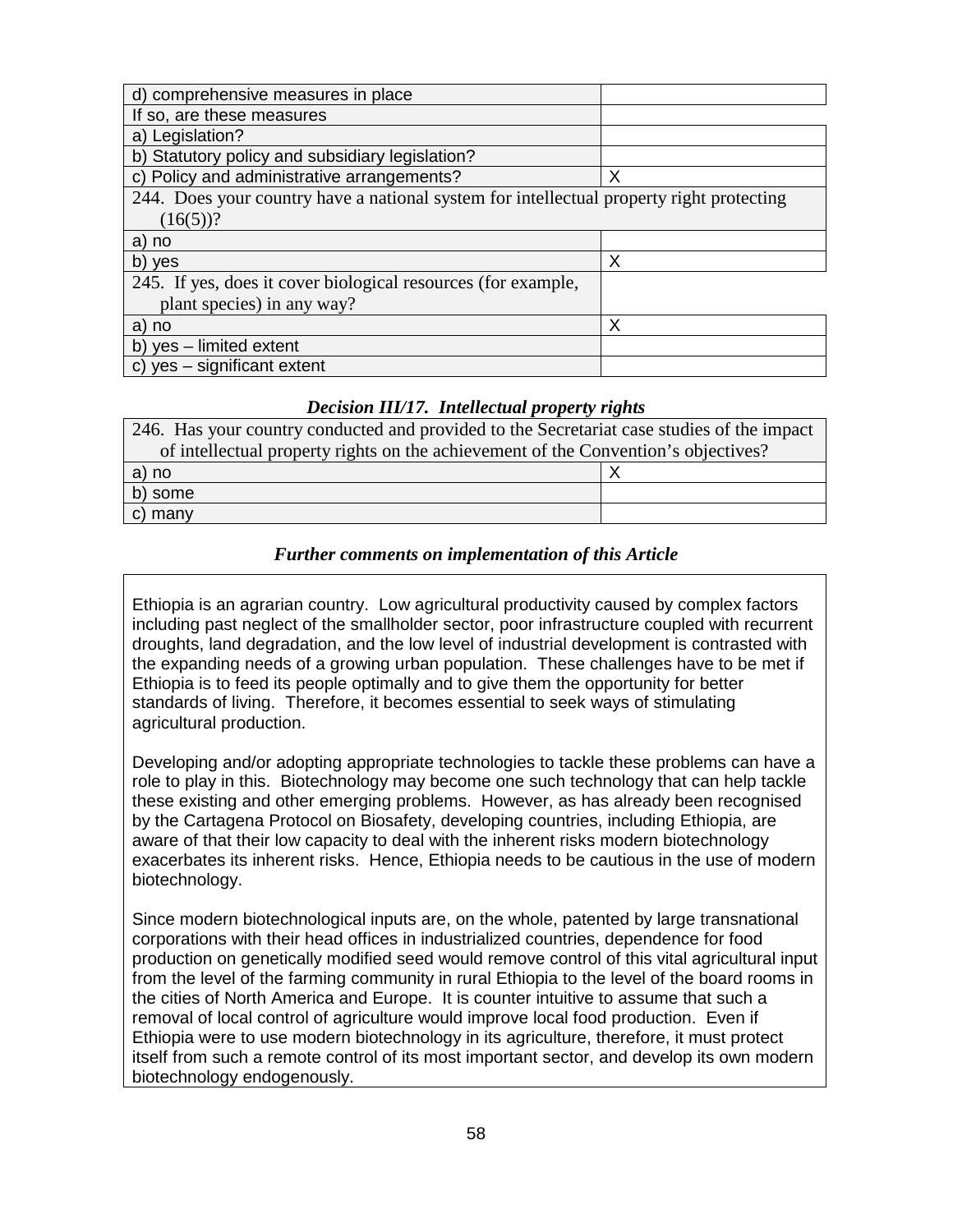| d) comprehensive measures in place                                                       |   |  |  |
|------------------------------------------------------------------------------------------|---|--|--|
| If so, are these measures                                                                |   |  |  |
| a) Legislation?                                                                          |   |  |  |
| b) Statutory policy and subsidiary legislation?                                          |   |  |  |
| c) Policy and administrative arrangements?                                               | Χ |  |  |
| 244. Does your country have a national system for intellectual property right protecting |   |  |  |
| $(16(5))$ ?                                                                              |   |  |  |
| a) no                                                                                    |   |  |  |
| b) yes                                                                                   | Χ |  |  |
| 245. If yes, does it cover biological resources (for example,                            |   |  |  |
| plant species) in any way?                                                               |   |  |  |
| a) no                                                                                    | Χ |  |  |
| b) yes - limited extent                                                                  |   |  |  |
| c) yes - significant extent                                                              |   |  |  |

#### *Decision III/17. Intellectual property rights*

| 246. Has your country conducted and provided to the Secretariat case studies of the impact |  |  |  |  |
|--------------------------------------------------------------------------------------------|--|--|--|--|
| of intellectual property rights on the achievement of the Convention's objectives?         |  |  |  |  |
| a) no                                                                                      |  |  |  |  |
| b) some                                                                                    |  |  |  |  |
| c) many                                                                                    |  |  |  |  |

#### *Further comments on implementation of this Article*

Ethiopia is an agrarian country. Low agricultural productivity caused by complex factors including past neglect of the smallholder sector, poor infrastructure coupled with recurrent droughts, land degradation, and the low level of industrial development is contrasted with the expanding needs of a growing urban population. These challenges have to be met if Ethiopia is to feed its people optimally and to give them the opportunity for better standards of living. Therefore, it becomes essential to seek ways of stimulating agricultural production.

Developing and/or adopting appropriate technologies to tackle these problems can have a role to play in this. Biotechnology may become one such technology that can help tackle these existing and other emerging problems. However, as has already been recognised by the Cartagena Protocol on Biosafety, developing countries, including Ethiopia, are aware of that their low capacity to deal with the inherent risks modern biotechnology exacerbates its inherent risks. Hence, Ethiopia needs to be cautious in the use of modern biotechnology.

Since modern biotechnological inputs are, on the whole, patented by large transnational corporations with their head offices in industrialized countries, dependence for food production on genetically modified seed would remove control of this vital agricultural input from the level of the farming community in rural Ethiopia to the level of the board rooms in the cities of North America and Europe. It is counter intuitive to assume that such a removal of local control of agriculture would improve local food production. Even if Ethiopia were to use modern biotechnology in its agriculture, therefore, it must protect itself from such a remote control of its most important sector, and develop its own modern biotechnology endogenously.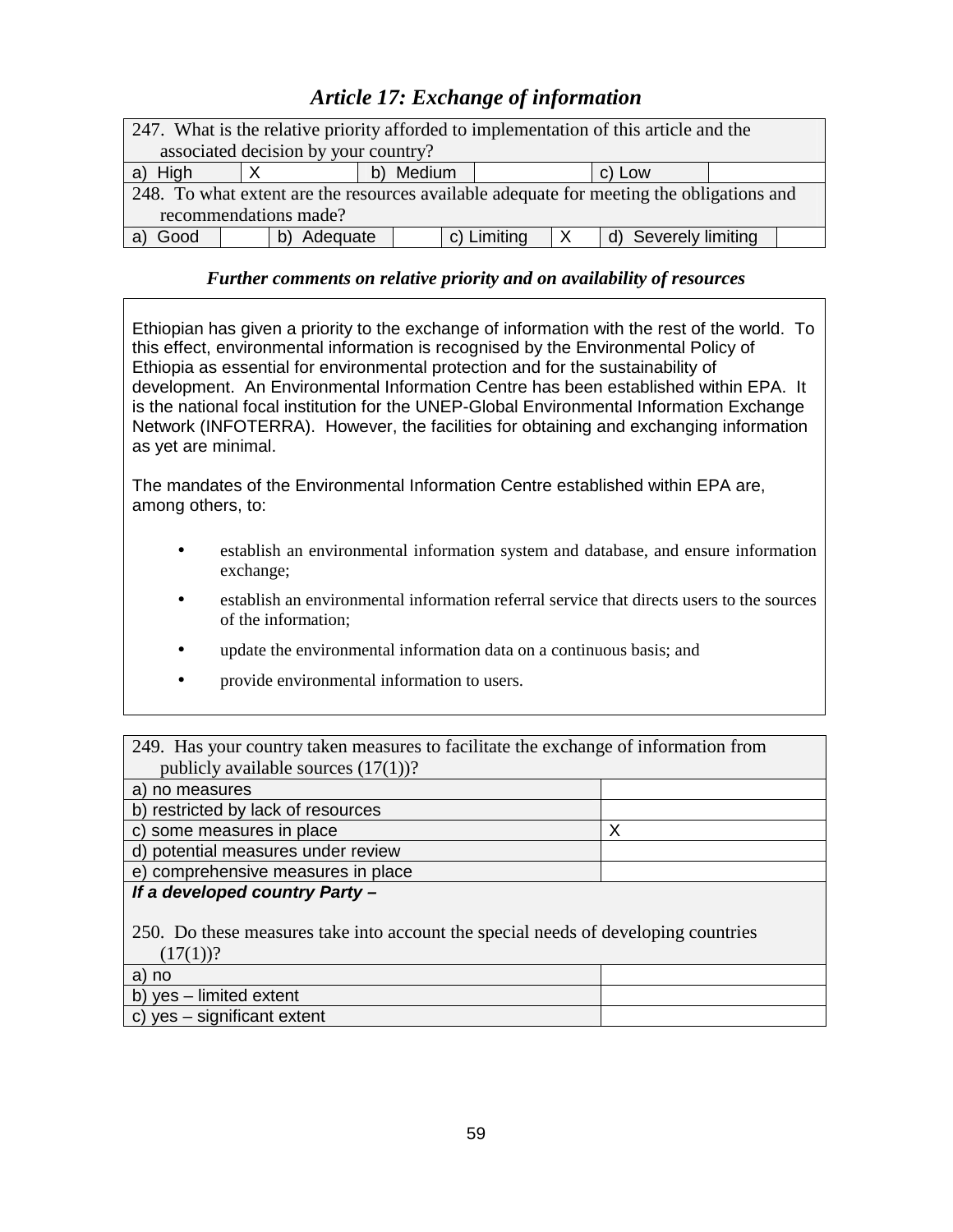# *Article 17: Exchange of information*

| 247. What is the relative priority afforded to implementation of this article and the    |          |           |             |  |                         |  |
|------------------------------------------------------------------------------------------|----------|-----------|-------------|--|-------------------------|--|
| associated decision by your country?                                                     |          |           |             |  |                         |  |
| a) High                                                                                  |          | b) Medium |             |  | c) Low                  |  |
| 248. To what extent are the resources available adequate for meeting the obligations and |          |           |             |  |                         |  |
| recommendations made?                                                                    |          |           |             |  |                         |  |
| Good                                                                                     | Adequate |           | c) Limiting |  | Severely limiting<br>d) |  |

## *Further comments on relative priority and on availability of resources*

Ethiopian has given a priority to the exchange of information with the rest of the world. To this effect, environmental information is recognised by the Environmental Policy of Ethiopia as essential for environmental protection and for the sustainability of development. An Environmental Information Centre has been established within EPA. It is the national focal institution for the UNEP-Global Environmental Information Exchange Network (INFOTERRA). However, the facilities for obtaining and exchanging information as yet are minimal.

The mandates of the Environmental Information Centre established within EPA are, among others, to:

- establish an environmental information system and database, and ensure information exchange;
- establish an environmental information referral service that directs users to the sources of the information;
- update the environmental information data on a continuous basis; and
- provide environmental information to users.

| 249. Has your country taken measures to facilitate the exchange of information from |  |
|-------------------------------------------------------------------------------------|--|
| publicly available sources $(17(1))$ ?                                              |  |

| a) no measures                     |  |
|------------------------------------|--|
| b) restricted by lack of resources |  |
| c) some measures in place          |  |
| d) potential measures under review |  |
| e) comprehensive measures in place |  |

## **If a developed country Party –**

250. Do these measures take into account the special needs of developing countries  $(17(1))$ ?

| a) no                               |  |
|-------------------------------------|--|
| b) yes – limited extent             |  |
| $\vert$ c) yes – significant extent |  |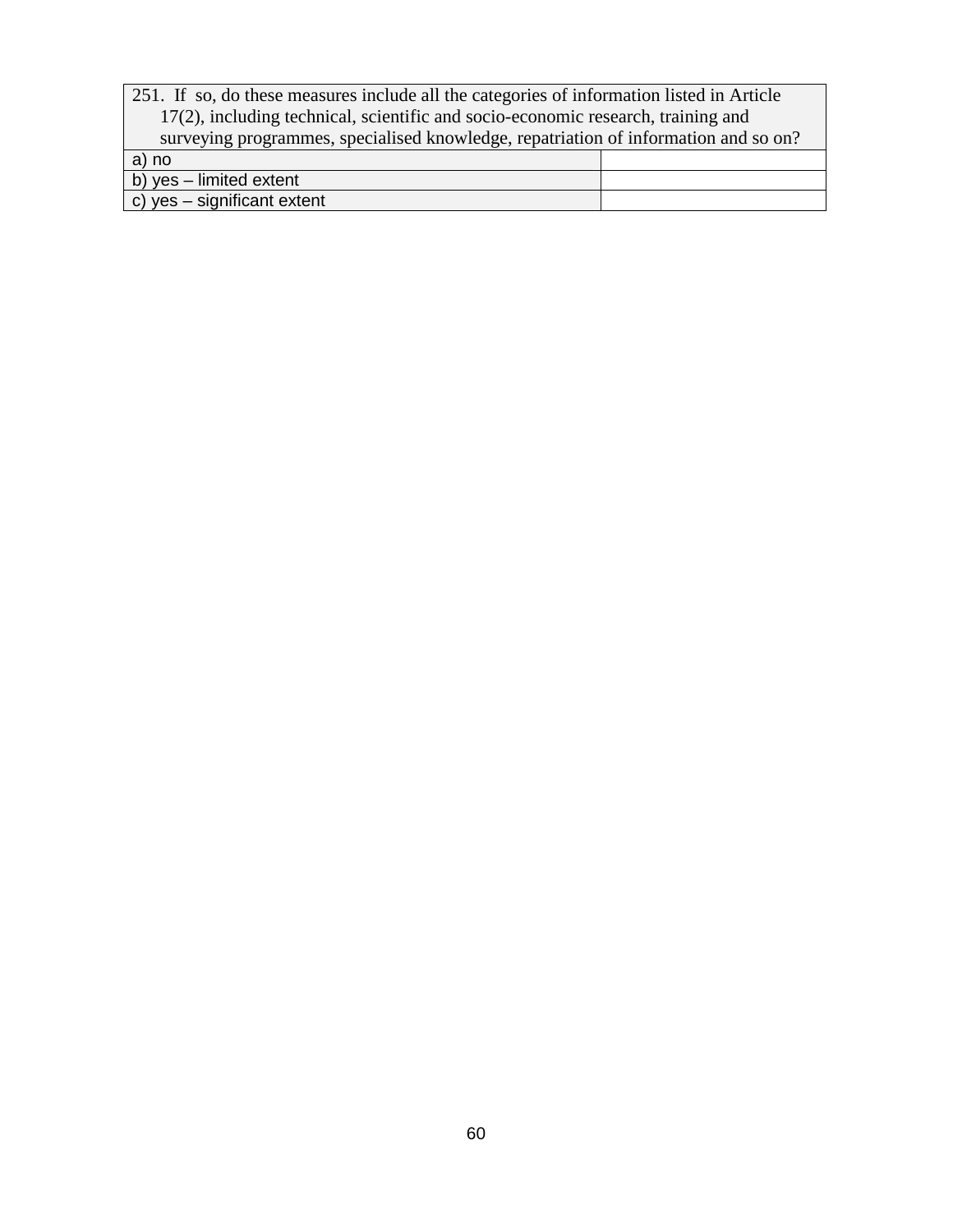| 251. If so, do these measures include all the categories of information listed in Article |  |  |  |  |
|-------------------------------------------------------------------------------------------|--|--|--|--|
| 17(2), including technical, scientific and socio-economic research, training and          |  |  |  |  |
| surveying programmes, specialised knowledge, repatriation of information and so on?       |  |  |  |  |
| a) no                                                                                     |  |  |  |  |
| b) $yes$ – limited extent                                                                 |  |  |  |  |
| c) yes $-$ significant extent                                                             |  |  |  |  |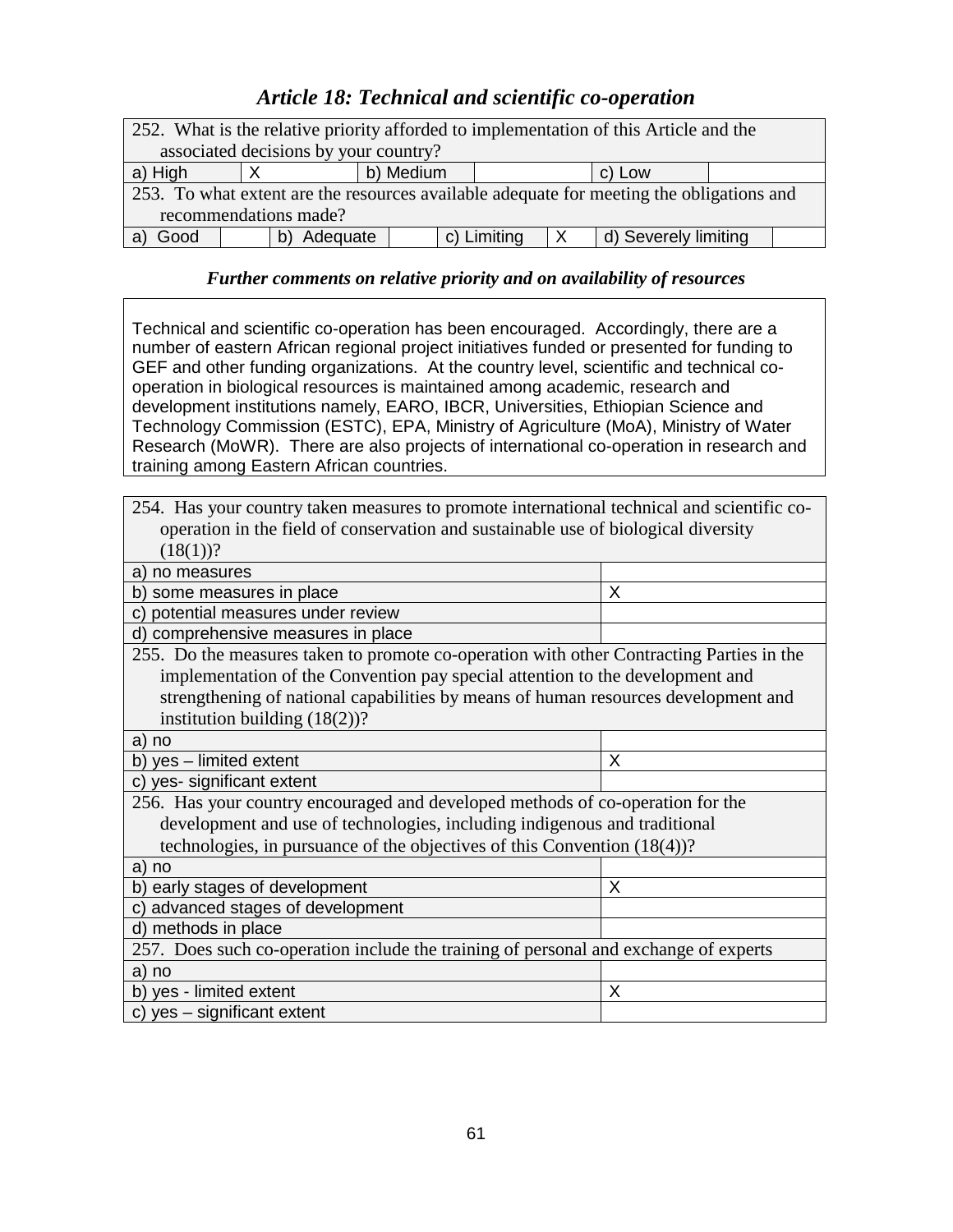# *Article 18: Technical and scientific co-operation*

| 252. What is the relative priority afforded to implementation of this Article and the    |          |           |  |             |   |                      |  |
|------------------------------------------------------------------------------------------|----------|-----------|--|-------------|---|----------------------|--|
| associated decisions by your country?                                                    |          |           |  |             |   |                      |  |
| a) High                                                                                  |          | b) Medium |  |             |   | c) Low               |  |
| 253. To what extent are the resources available adequate for meeting the obligations and |          |           |  |             |   |                      |  |
| recommendations made?                                                                    |          |           |  |             |   |                      |  |
| Good                                                                                     | Adequate |           |  | c) Limiting | X | d) Severely limiting |  |

## *Further comments on relative priority and on availability of resources*

Technical and scientific co-operation has been encouraged. Accordingly, there are a number of eastern African regional project initiatives funded or presented for funding to GEF and other funding organizations. At the country level, scientific and technical cooperation in biological resources is maintained among academic, research and development institutions namely, EARO, IBCR, Universities, Ethiopian Science and Technology Commission (ESTC), EPA, Ministry of Agriculture (MoA), Ministry of Water Research (MoWR). There are also projects of international co-operation in research and training among Eastern African countries.

| 254. Has your country taken measures to promote international technical and scientific co- |   |  |  |  |  |
|--------------------------------------------------------------------------------------------|---|--|--|--|--|
| operation in the field of conservation and sustainable use of biological diversity         |   |  |  |  |  |
| $(18(1))$ ?                                                                                |   |  |  |  |  |
| no measures<br>a)                                                                          |   |  |  |  |  |
| b) some measures in place                                                                  | X |  |  |  |  |
| potential measures under review<br>C)                                                      |   |  |  |  |  |
| d) comprehensive measures in place                                                         |   |  |  |  |  |
| 255. Do the measures taken to promote co-operation with other Contracting Parties in the   |   |  |  |  |  |
| implementation of the Convention pay special attention to the development and              |   |  |  |  |  |
| strengthening of national capabilities by means of human resources development and         |   |  |  |  |  |
| institution building $(18(2))$ ?                                                           |   |  |  |  |  |
| a) no                                                                                      |   |  |  |  |  |
| b) yes - limited extent                                                                    | X |  |  |  |  |
| yes- significant extent<br>C)                                                              |   |  |  |  |  |
| 256. Has your country encouraged and developed methods of co-operation for the             |   |  |  |  |  |
| development and use of technologies, including indigenous and traditional                  |   |  |  |  |  |
| technologies, in pursuance of the objectives of this Convention $(18(4))$ ?                |   |  |  |  |  |
| a) no                                                                                      |   |  |  |  |  |
| b) early stages of development<br>X                                                        |   |  |  |  |  |
| c) advanced stages of development                                                          |   |  |  |  |  |
| d) methods in place                                                                        |   |  |  |  |  |
| 257. Does such co-operation include the training of personal and exchange of experts       |   |  |  |  |  |
| a) no                                                                                      |   |  |  |  |  |
| b) yes - limited extent<br>X                                                               |   |  |  |  |  |
| c) yes - significant extent                                                                |   |  |  |  |  |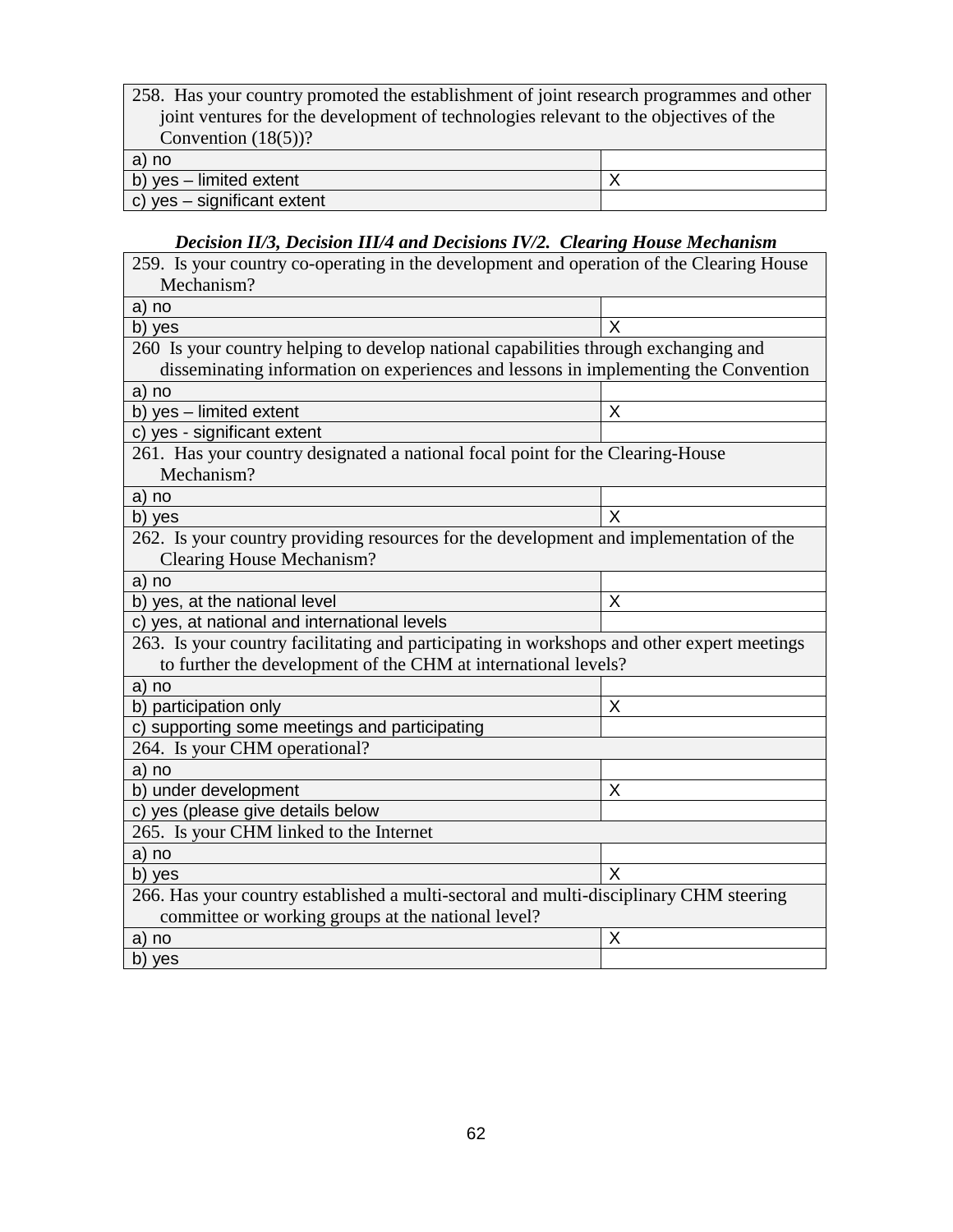| 258. Has your country promoted the establishment of joint research programmes and other |  |
|-----------------------------------------------------------------------------------------|--|
| joint ventures for the development of technologies relevant to the objectives of the    |  |
| Convention $(18(5))$ ?                                                                  |  |
| a) no                                                                                   |  |
| b) $yes$ – limited extent                                                               |  |
| c) yes - significant extent                                                             |  |

## *Decision II/3, Decision III/4 and Decisions IV/2. Clearing House Mechanism*

| 259. Is your country co-operating in the development and operation of the Clearing House   |   |  |
|--------------------------------------------------------------------------------------------|---|--|
| Mechanism?                                                                                 |   |  |
| a) no                                                                                      |   |  |
| b) yes                                                                                     | X |  |
| 260 Is your country helping to develop national capabilities through exchanging and        |   |  |
| disseminating information on experiences and lessons in implementing the Convention        |   |  |
| a) no                                                                                      |   |  |
| b) yes - limited extent                                                                    | X |  |
| c) yes - significant extent                                                                |   |  |
| 261. Has your country designated a national focal point for the Clearing-House             |   |  |
| Mechanism?                                                                                 |   |  |
| a) no                                                                                      |   |  |
| b) yes                                                                                     | X |  |
| 262. Is your country providing resources for the development and implementation of the     |   |  |
| <b>Clearing House Mechanism?</b>                                                           |   |  |
| a) no                                                                                      |   |  |
| b) yes, at the national level                                                              | X |  |
| c) yes, at national and international levels                                               |   |  |
| 263. Is your country facilitating and participating in workshops and other expert meetings |   |  |
| to further the development of the CHM at international levels?                             |   |  |
| a) no                                                                                      |   |  |
| b) participation only                                                                      | X |  |
| c) supporting some meetings and participating                                              |   |  |
| 264. Is your CHM operational?                                                              |   |  |
| a) no                                                                                      |   |  |
| b) under development                                                                       | X |  |
| c) yes (please give details below                                                          |   |  |
| 265. Is your CHM linked to the Internet                                                    |   |  |
| a) no                                                                                      |   |  |
| b) yes                                                                                     | X |  |
| 266. Has your country established a multi-sectoral and multi-disciplinary CHM steering     |   |  |
| committee or working groups at the national level?                                         |   |  |
| a) no                                                                                      | X |  |
| b) yes                                                                                     |   |  |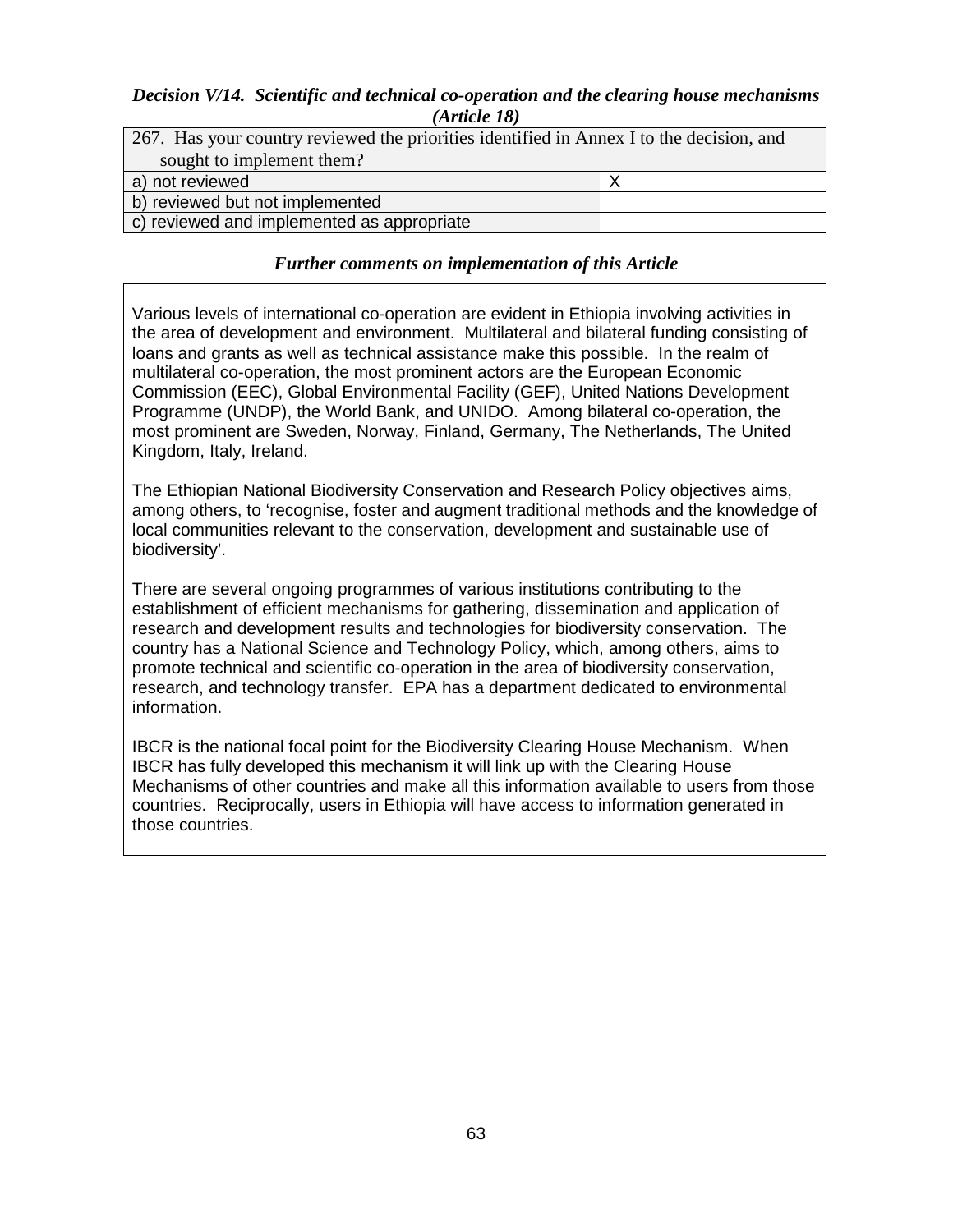### *Decision V/14. Scientific and technical co-operation and the clearing house mechanisms (Article 18)*

| 267. Has your country reviewed the priorities identified in Annex I to the decision, and |  |  |  |  |
|------------------------------------------------------------------------------------------|--|--|--|--|
| sought to implement them?                                                                |  |  |  |  |
| a) not reviewed                                                                          |  |  |  |  |
| b) reviewed but not implemented                                                          |  |  |  |  |
| c) reviewed and implemented as appropriate                                               |  |  |  |  |

#### *Further comments on implementation of this Article*

Various levels of international co-operation are evident in Ethiopia involving activities in the area of development and environment. Multilateral and bilateral funding consisting of loans and grants as well as technical assistance make this possible. In the realm of multilateral co-operation, the most prominent actors are the European Economic Commission (EEC), Global Environmental Facility (GEF), United Nations Development Programme (UNDP), the World Bank, and UNIDO. Among bilateral co-operation, the most prominent are Sweden, Norway, Finland, Germany, The Netherlands, The United Kingdom, Italy, Ireland.

The Ethiopian National Biodiversity Conservation and Research Policy objectives aims, among others, to 'recognise, foster and augment traditional methods and the knowledge of local communities relevant to the conservation, development and sustainable use of biodiversity'.

There are several ongoing programmes of various institutions contributing to the establishment of efficient mechanisms for gathering, dissemination and application of research and development results and technologies for biodiversity conservation. The country has a National Science and Technology Policy, which, among others, aims to promote technical and scientific co-operation in the area of biodiversity conservation, research, and technology transfer. EPA has a department dedicated to environmental information.

IBCR is the national focal point for the Biodiversity Clearing House Mechanism. When IBCR has fully developed this mechanism it will link up with the Clearing House Mechanisms of other countries and make all this information available to users from those countries. Reciprocally, users in Ethiopia will have access to information generated in those countries.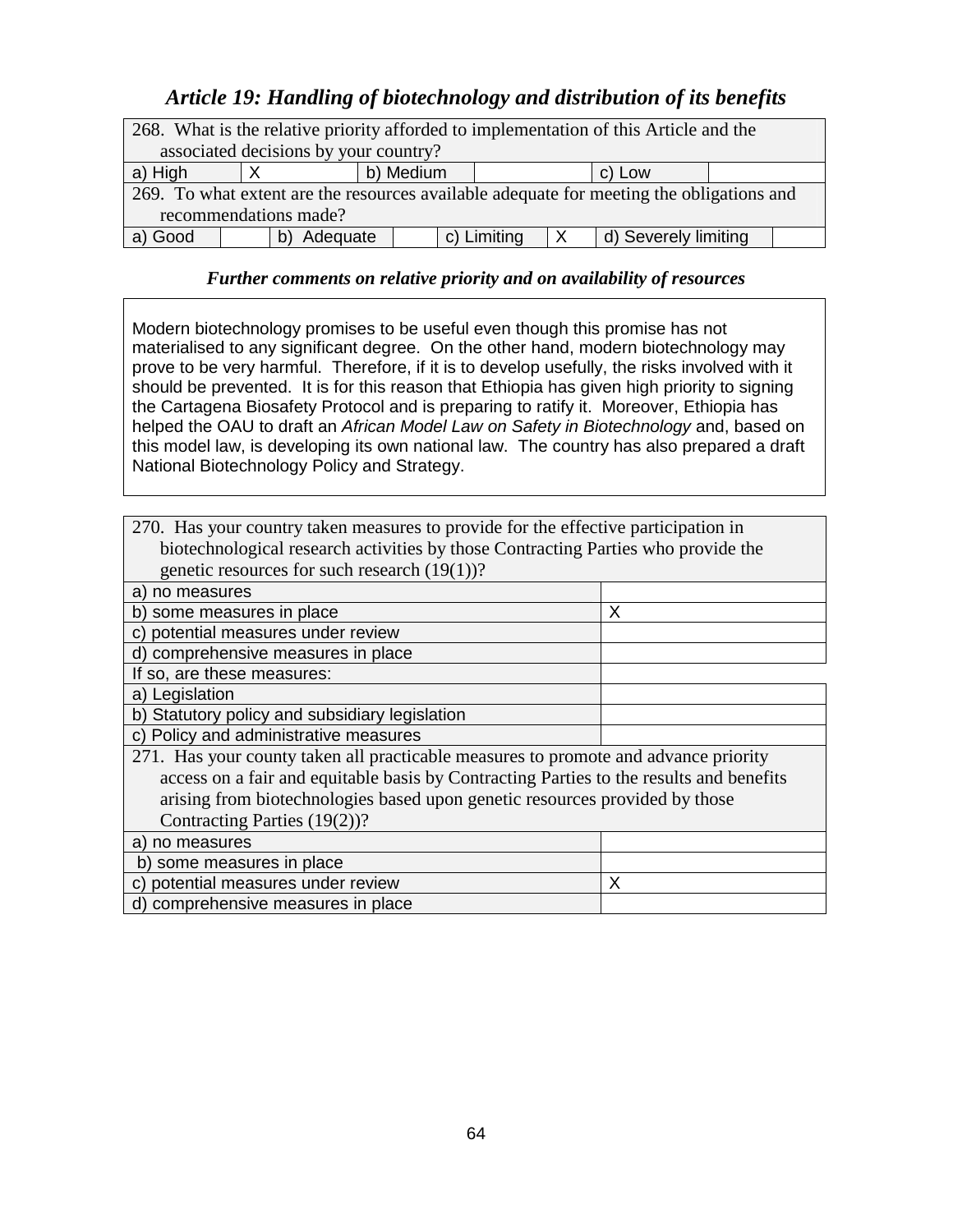# *Article 19: Handling of biotechnology and distribution of its benefits*

| 268. What is the relative priority afforded to implementation of this Article and the    |  |          |             |  |              |                      |  |  |
|------------------------------------------------------------------------------------------|--|----------|-------------|--|--------------|----------------------|--|--|
| associated decisions by your country?                                                    |  |          |             |  |              |                      |  |  |
| b) Medium<br>a) High<br>c) Low                                                           |  |          |             |  |              |                      |  |  |
| 269. To what extent are the resources available adequate for meeting the obligations and |  |          |             |  |              |                      |  |  |
| recommendations made?                                                                    |  |          |             |  |              |                      |  |  |
| a) Good                                                                                  |  | Adequate | c) Limiting |  | $\mathsf{X}$ | d) Severely limiting |  |  |

#### *Further comments on relative priority and on availability of resources*

Modern biotechnology promises to be useful even though this promise has not materialised to any significant degree. On the other hand, modern biotechnology may prove to be very harmful. Therefore, if it is to develop usefully, the risks involved with it should be prevented. It is for this reason that Ethiopia has given high priority to signing the Cartagena Biosafety Protocol and is preparing to ratify it. Moreover, Ethiopia has helped the OAU to draft an African Model Law on Safety in Biotechnology and, based on this model law, is developing its own national law. The country has also prepared a draft National Biotechnology Policy and Strategy.

| 270. Has your country taken measures to provide for the effective participation in      |   |  |  |  |
|-----------------------------------------------------------------------------------------|---|--|--|--|
| biotechnological research activities by those Contracting Parties who provide the       |   |  |  |  |
| genetic resources for such research $(19(1))$ ?                                         |   |  |  |  |
| a) no measures                                                                          |   |  |  |  |
| b) some measures in place                                                               | X |  |  |  |
| c) potential measures under review                                                      |   |  |  |  |
| d) comprehensive measures in place                                                      |   |  |  |  |
| If so, are these measures:                                                              |   |  |  |  |
| a) Legislation                                                                          |   |  |  |  |
| b) Statutory policy and subsidiary legislation                                          |   |  |  |  |
| c) Policy and administrative measures                                                   |   |  |  |  |
| 271. Has your county taken all practicable measures to promote and advance priority     |   |  |  |  |
| access on a fair and equitable basis by Contracting Parties to the results and benefits |   |  |  |  |
| arising from biotechnologies based upon genetic resources provided by those             |   |  |  |  |
| Contracting Parties (19(2))?                                                            |   |  |  |  |
| a) no measures                                                                          |   |  |  |  |
| b) some measures in place                                                               |   |  |  |  |
| potential measures under review<br>X<br>C)                                              |   |  |  |  |
| d) comprehensive measures in place                                                      |   |  |  |  |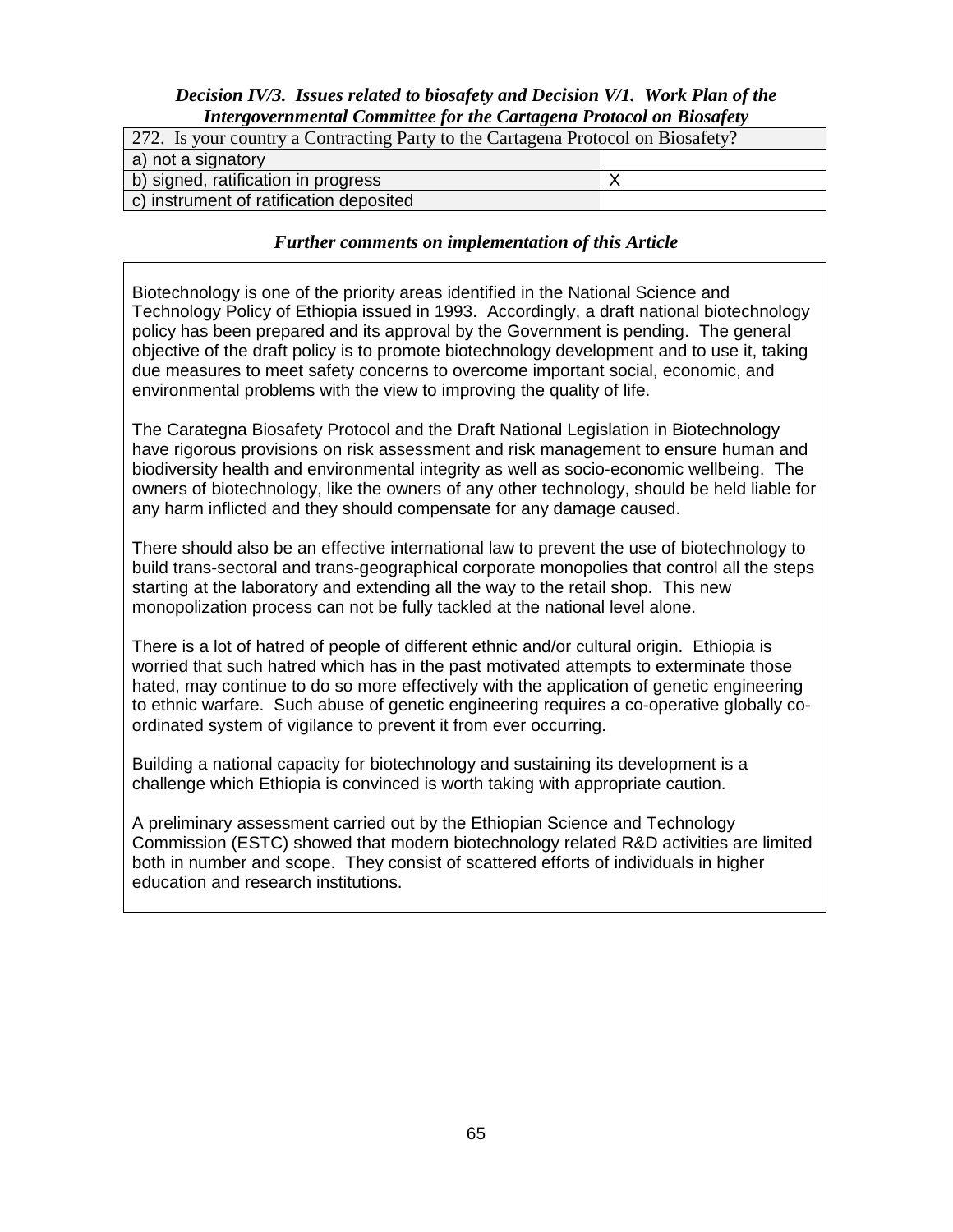#### *Decision IV/3. Issues related to biosafety and Decision V/1. Work Plan of the Intergovernmental Committee for the Cartagena Protocol on Biosafety*

| 272. Is your country a Contracting Party to the Cartagena Protocol on Biosafety? |  |  |  |  |
|----------------------------------------------------------------------------------|--|--|--|--|
| a) not a signatory                                                               |  |  |  |  |
| b) signed, ratification in progress                                              |  |  |  |  |
| c) instrument of ratification deposited                                          |  |  |  |  |

#### *Further comments on implementation of this Article*

Biotechnology is one of the priority areas identified in the National Science and Technology Policy of Ethiopia issued in 1993. Accordingly, a draft national biotechnology policy has been prepared and its approval by the Government is pending. The general objective of the draft policy is to promote biotechnology development and to use it, taking due measures to meet safety concerns to overcome important social, economic, and environmental problems with the view to improving the quality of life.

The Carategna Biosafety Protocol and the Draft National Legislation in Biotechnology have rigorous provisions on risk assessment and risk management to ensure human and biodiversity health and environmental integrity as well as socio-economic wellbeing. The owners of biotechnology, like the owners of any other technology, should be held liable for any harm inflicted and they should compensate for any damage caused.

There should also be an effective international law to prevent the use of biotechnology to build trans-sectoral and trans-geographical corporate monopolies that control all the steps starting at the laboratory and extending all the way to the retail shop. This new monopolization process can not be fully tackled at the national level alone.

There is a lot of hatred of people of different ethnic and/or cultural origin. Ethiopia is worried that such hatred which has in the past motivated attempts to exterminate those hated, may continue to do so more effectively with the application of genetic engineering to ethnic warfare. Such abuse of genetic engineering requires a co-operative globally coordinated system of vigilance to prevent it from ever occurring.

Building a national capacity for biotechnology and sustaining its development is a challenge which Ethiopia is convinced is worth taking with appropriate caution.

A preliminary assessment carried out by the Ethiopian Science and Technology Commission (ESTC) showed that modern biotechnology related R&D activities are limited both in number and scope. They consist of scattered efforts of individuals in higher education and research institutions.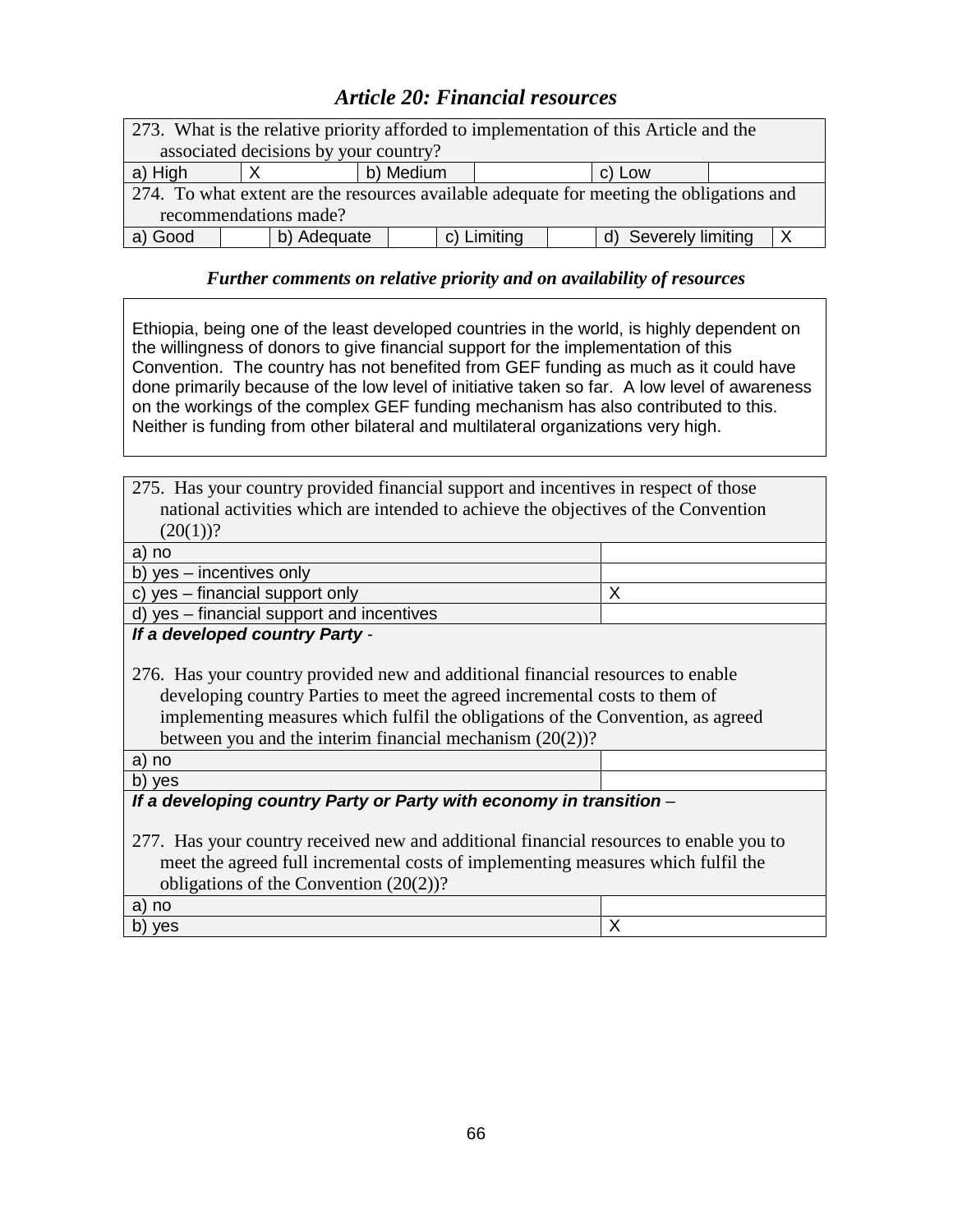# *Article 20: Financial resources*

| 273. What is the relative priority afforded to implementation of this Article and the    |  |  |  |  |  |  |
|------------------------------------------------------------------------------------------|--|--|--|--|--|--|
| associated decisions by your country?                                                    |  |  |  |  |  |  |
| b) Medium<br>a) High<br>c) Low                                                           |  |  |  |  |  |  |
| 274. To what extent are the resources available adequate for meeting the obligations and |  |  |  |  |  |  |
| recommendations made?                                                                    |  |  |  |  |  |  |
| a) Good<br>c) Limiting<br>b) Adequate<br>d) Severely limiting                            |  |  |  |  |  |  |

### *Further comments on relative priority and on availability of resources*

Ethiopia, being one of the least developed countries in the world, is highly dependent on the willingness of donors to give financial support for the implementation of this Convention. The country has not benefited from GEF funding as much as it could have done primarily because of the low level of initiative taken so far. A low level of awareness on the workings of the complex GEF funding mechanism has also contributed to this. Neither is funding from other bilateral and multilateral organizations very high.

| 275. Has your country provided financial support and incentives in respect of those |  |
|-------------------------------------------------------------------------------------|--|
| national activities which are intended to achieve the objectives of the Convention  |  |
| $(20(1))$ ?                                                                         |  |

| a) no                                     |  |
|-------------------------------------------|--|
| b) yes – incentives only                  |  |
| c) yes $-$ financial support only         |  |
| d) yes – financial support and incentives |  |

**If a developed country Party** -

276. Has your country provided new and additional financial resources to enable developing country Parties to meet the agreed incremental costs to them of implementing measures which fulfil the obligations of the Convention, as agreed between you and the interim financial mechanism (20(2))?

a) no

b) yes

#### **If a developing country Party or Party with economy in transition** –

277. Has your country received new and additional financial resources to enable you to meet the agreed full incremental costs of implementing measures which fulfil the obligations of the Convention (20(2))?

a) no b) yes  $\begin{array}{|c|c|c|c|c|}\hline \end{array}$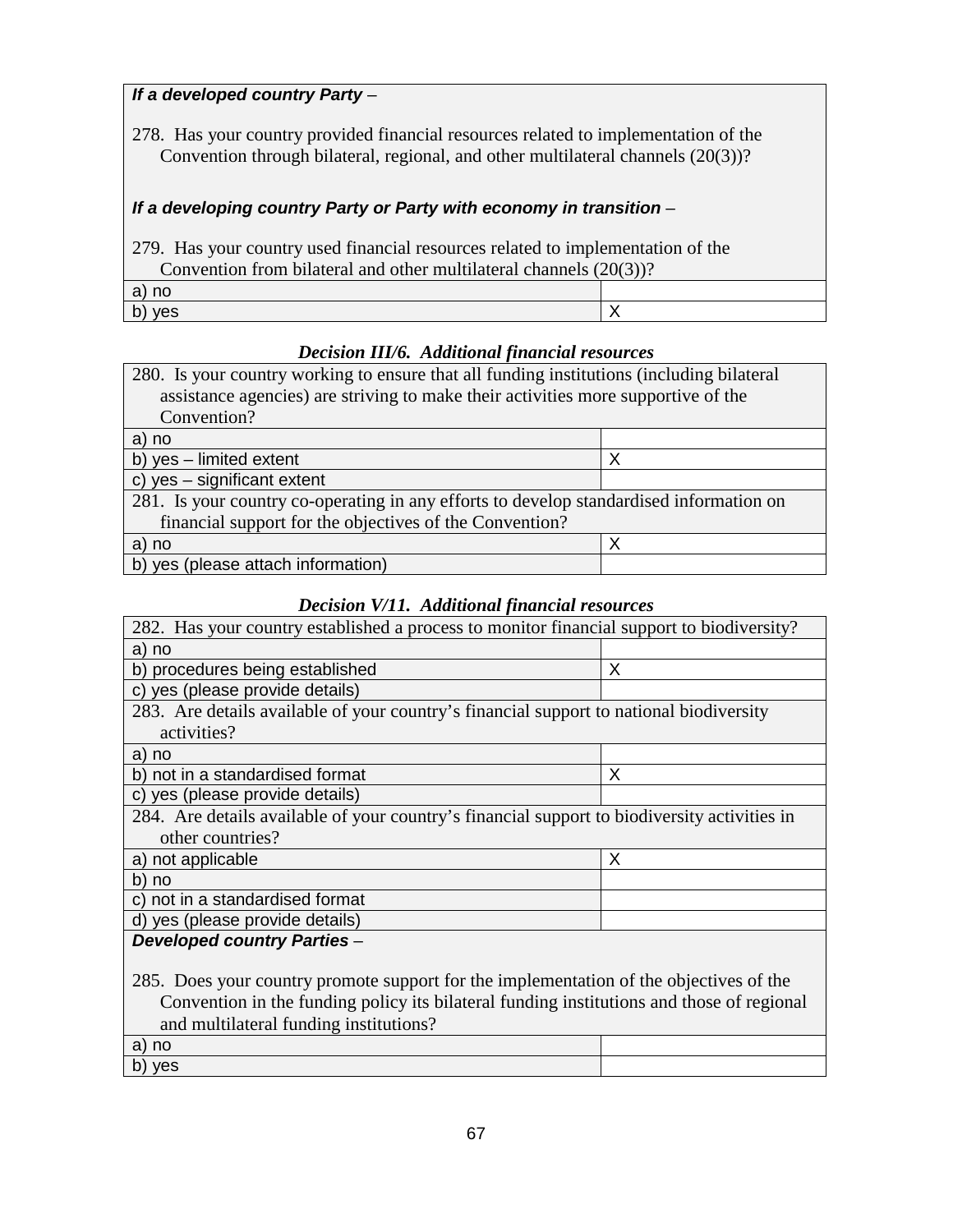## **If a developed country Party** –

278. Has your country provided financial resources related to implementation of the Convention through bilateral, regional, and other multilateral channels (20(3))?

# **If a developing country Party or Party with economy in transition** –

| 279. Has your country used financial resources related to implementation of the |  |  |  |
|---------------------------------------------------------------------------------|--|--|--|
| Convention from bilateral and other multilateral channels $(20(3))$ ?           |  |  |  |
| a) no                                                                           |  |  |  |
| b) yes                                                                          |  |  |  |

## *Decision III/6. Additional financial resources*

| 280. Is your country working to ensure that all funding institutions (including bilateral |  |  |  |  |
|-------------------------------------------------------------------------------------------|--|--|--|--|
| assistance agencies) are striving to make their activities more supportive of the         |  |  |  |  |
| Convention?                                                                               |  |  |  |  |
| a) no                                                                                     |  |  |  |  |
| b) yes - limited extent<br>X                                                              |  |  |  |  |
| c) yes - significant extent                                                               |  |  |  |  |
| 281. Is your country co-operating in any efforts to develop standardised information on   |  |  |  |  |
| financial support for the objectives of the Convention?                                   |  |  |  |  |
| X<br>a) no                                                                                |  |  |  |  |
| b) yes (please attach information)                                                        |  |  |  |  |

## *Decision V/11. Additional financial resources*

| 282. Has your country established a process to monitor financial support to biodiversity?    |   |  |  |  |
|----------------------------------------------------------------------------------------------|---|--|--|--|
| a) no                                                                                        |   |  |  |  |
| b) procedures being established<br>X                                                         |   |  |  |  |
| c) yes (please provide details)                                                              |   |  |  |  |
| 283. Are details available of your country's financial support to national biodiversity      |   |  |  |  |
| activities?                                                                                  |   |  |  |  |
| a) no                                                                                        |   |  |  |  |
| b) not in a standardised format                                                              | X |  |  |  |
| yes (please provide details)<br>C)                                                           |   |  |  |  |
| 284. Are details available of your country's financial support to biodiversity activities in |   |  |  |  |
| other countries?                                                                             |   |  |  |  |
| a) not applicable                                                                            | X |  |  |  |
| b) no                                                                                        |   |  |  |  |
| c) not in a standardised format                                                              |   |  |  |  |
| d) yes (please provide details)                                                              |   |  |  |  |
| <b>Developed country Parties -</b>                                                           |   |  |  |  |
|                                                                                              |   |  |  |  |
| 285. Does your country promote support for the implementation of the objectives of the       |   |  |  |  |
| Convention in the funding policy its bilateral funding institutions and those of regional    |   |  |  |  |
| and multilateral funding institutions?                                                       |   |  |  |  |
| a) no                                                                                        |   |  |  |  |
| b) yes                                                                                       |   |  |  |  |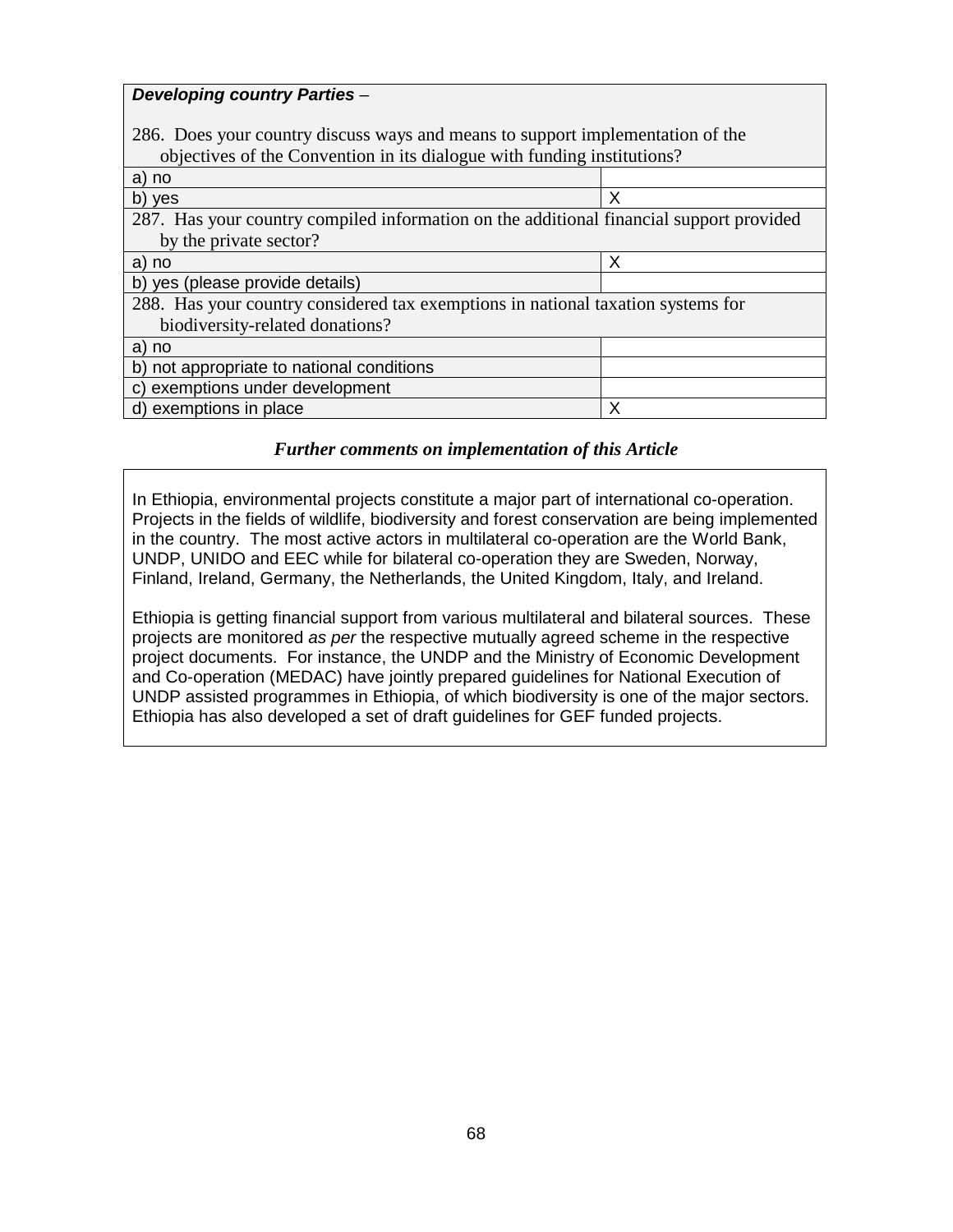| <b>Developing country Parties -</b>                                                     |   |
|-----------------------------------------------------------------------------------------|---|
|                                                                                         |   |
| 286. Does your country discuss ways and means to support implementation of the          |   |
| objectives of the Convention in its dialogue with funding institutions?                 |   |
| a) no                                                                                   |   |
| b) yes                                                                                  | X |
| 287. Has your country compiled information on the additional financial support provided |   |
| by the private sector?                                                                  |   |
| a) no                                                                                   | X |
| b) yes (please provide details)                                                         |   |
| 288. Has your country considered tax exemptions in national taxation systems for        |   |
| biodiversity-related donations?                                                         |   |
| a) no                                                                                   |   |
| b) not appropriate to national conditions                                               |   |
| c) exemptions under development                                                         |   |
| d) exemptions in place                                                                  | X |

#### *Further comments on implementation of this Article*

In Ethiopia, environmental projects constitute a major part of international co-operation. Projects in the fields of wildlife, biodiversity and forest conservation are being implemented in the country. The most active actors in multilateral co-operation are the World Bank, UNDP, UNIDO and EEC while for bilateral co-operation they are Sweden, Norway, Finland, Ireland, Germany, the Netherlands, the United Kingdom, Italy, and Ireland.

Ethiopia is getting financial support from various multilateral and bilateral sources. These projects are monitored as per the respective mutually agreed scheme in the respective project documents. For instance, the UNDP and the Ministry of Economic Development and Co-operation (MEDAC) have jointly prepared guidelines for National Execution of UNDP assisted programmes in Ethiopia, of which biodiversity is one of the major sectors. Ethiopia has also developed a set of draft guidelines for GEF funded projects.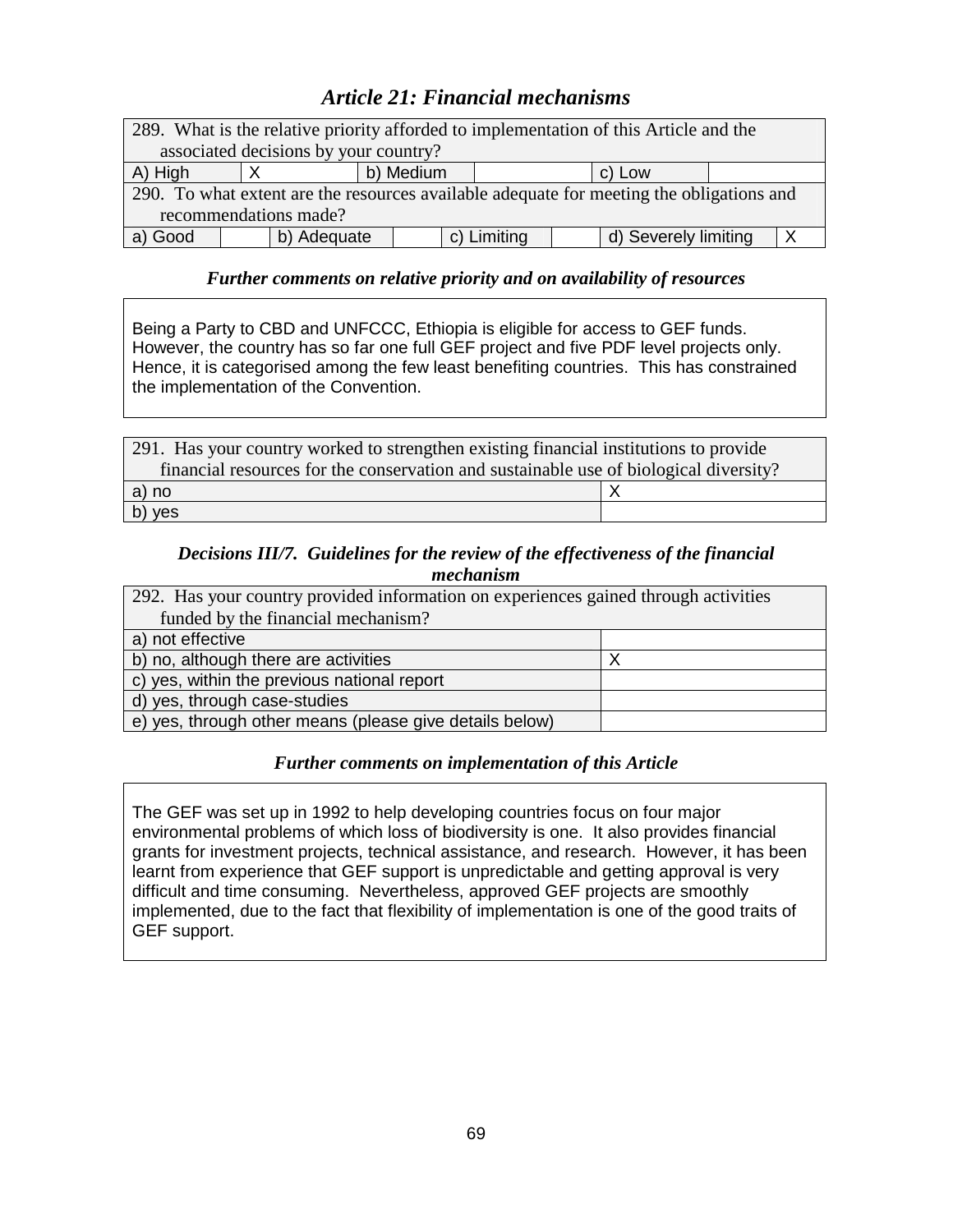# *Article 21: Financial mechanisms*

| 289. What is the relative priority afforded to implementation of this Article and the    |  |  |  |  |  |  |  |
|------------------------------------------------------------------------------------------|--|--|--|--|--|--|--|
| associated decisions by your country?                                                    |  |  |  |  |  |  |  |
| A) High<br>b) Medium<br>c) Low                                                           |  |  |  |  |  |  |  |
| 290. To what extent are the resources available adequate for meeting the obligations and |  |  |  |  |  |  |  |
| recommendations made?                                                                    |  |  |  |  |  |  |  |
| a) Good<br>b) Adequate<br>d) Severely limiting<br>c) Limiting                            |  |  |  |  |  |  |  |

#### *Further comments on relative priority and on availability of resources*

Being a Party to CBD and UNFCCC, Ethiopia is eligible for access to GEF funds. However, the country has so far one full GEF project and five PDF level projects only. Hence, it is categorised among the few least benefiting countries. This has constrained the implementation of the Convention.

| 291. Has your country worked to strengthen existing financial institutions to provide |  |  |
|---------------------------------------------------------------------------------------|--|--|
| financial resources for the conservation and sustainable use of biological diversity? |  |  |
| a) no                                                                                 |  |  |
| b) yes                                                                                |  |  |

### *Decisions III/7. Guidelines for the review of the effectiveness of the financial mechanism*

| 292. Has your country provided information on experiences gained through activities |  |
|-------------------------------------------------------------------------------------|--|
| funded by the financial mechanism?                                                  |  |
| a) not effective                                                                    |  |
| b) no, although there are activities                                                |  |
| c) yes, within the previous national report                                         |  |
| d) yes, through case-studies                                                        |  |
| e) yes, through other means (please give details below)                             |  |

## *Further comments on implementation of this Article*

The GEF was set up in 1992 to help developing countries focus on four major environmental problems of which loss of biodiversity is one. It also provides financial grants for investment projects, technical assistance, and research. However, it has been learnt from experience that GEF support is unpredictable and getting approval is very difficult and time consuming. Nevertheless, approved GEF projects are smoothly implemented, due to the fact that flexibility of implementation is one of the good traits of GEF support.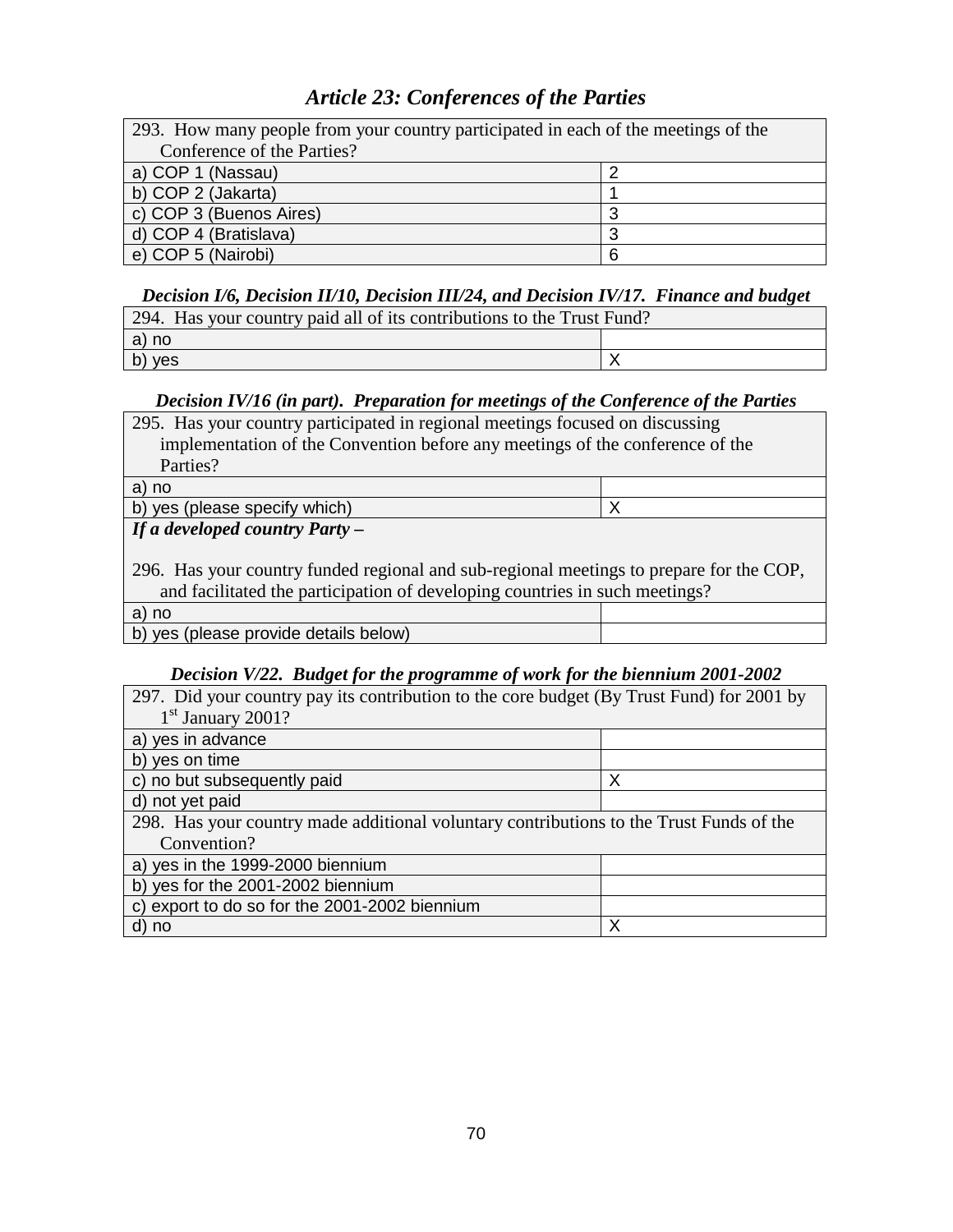# *Article 23: Conferences of the Parties*

| 293. How many people from your country participated in each of the meetings of the |  |  |
|------------------------------------------------------------------------------------|--|--|
| Conference of the Parties?                                                         |  |  |
| a) COP 1 (Nassau)                                                                  |  |  |
| b) COP 2 (Jakarta)                                                                 |  |  |
| c) COP 3 (Buenos Aires)                                                            |  |  |
| d) COP 4 (Bratislava)                                                              |  |  |
| e) COP 5 (Nairobi)                                                                 |  |  |

#### *Decision I/6, Decision II/10, Decision III/24, and Decision IV/17. Finance and budget*

| 294. Has your country paid all of its contributions to the Trust Fund? |  |
|------------------------------------------------------------------------|--|
| a) no                                                                  |  |
| b) yes                                                                 |  |

## *Decision IV/16 (in part). Preparation for meetings of the Conference of the Parties*

| 295. Has your country participated in regional meetings focused on discussing |  |
|-------------------------------------------------------------------------------|--|
| implementation of the Convention before any meetings of the conference of the |  |
| Parties?                                                                      |  |
| $\sim$ $\sim$                                                                 |  |

a) no b) yes (please specify which) X *If a developed country Party* **–**

296. Has your country funded regional and sub-regional meetings to prepare for the COP, and facilitated the participation of developing countries in such meetings?

| a) no                                 |  |  |
|---------------------------------------|--|--|
| b) yes (please provide details below) |  |  |
|                                       |  |  |

#### *Decision V/22. Budget for the programme of work for the biennium 2001-2002*

| 297. Did your country pay its contribution to the core budget (By Trust Fund) for 2001 by |   |  |
|-------------------------------------------------------------------------------------------|---|--|
| $1st$ January 2001?                                                                       |   |  |
| a) yes in advance                                                                         |   |  |
| b) yes on time                                                                            |   |  |
| c) no but subsequently paid                                                               | Χ |  |
| d) not yet paid                                                                           |   |  |
| 298. Has your country made additional voluntary contributions to the Trust Funds of the   |   |  |
| Convention?                                                                               |   |  |
| a) yes in the 1999-2000 biennium                                                          |   |  |
| b) yes for the 2001-2002 biennium                                                         |   |  |
| c) export to do so for the 2001-2002 biennium                                             |   |  |
| d) no                                                                                     | Χ |  |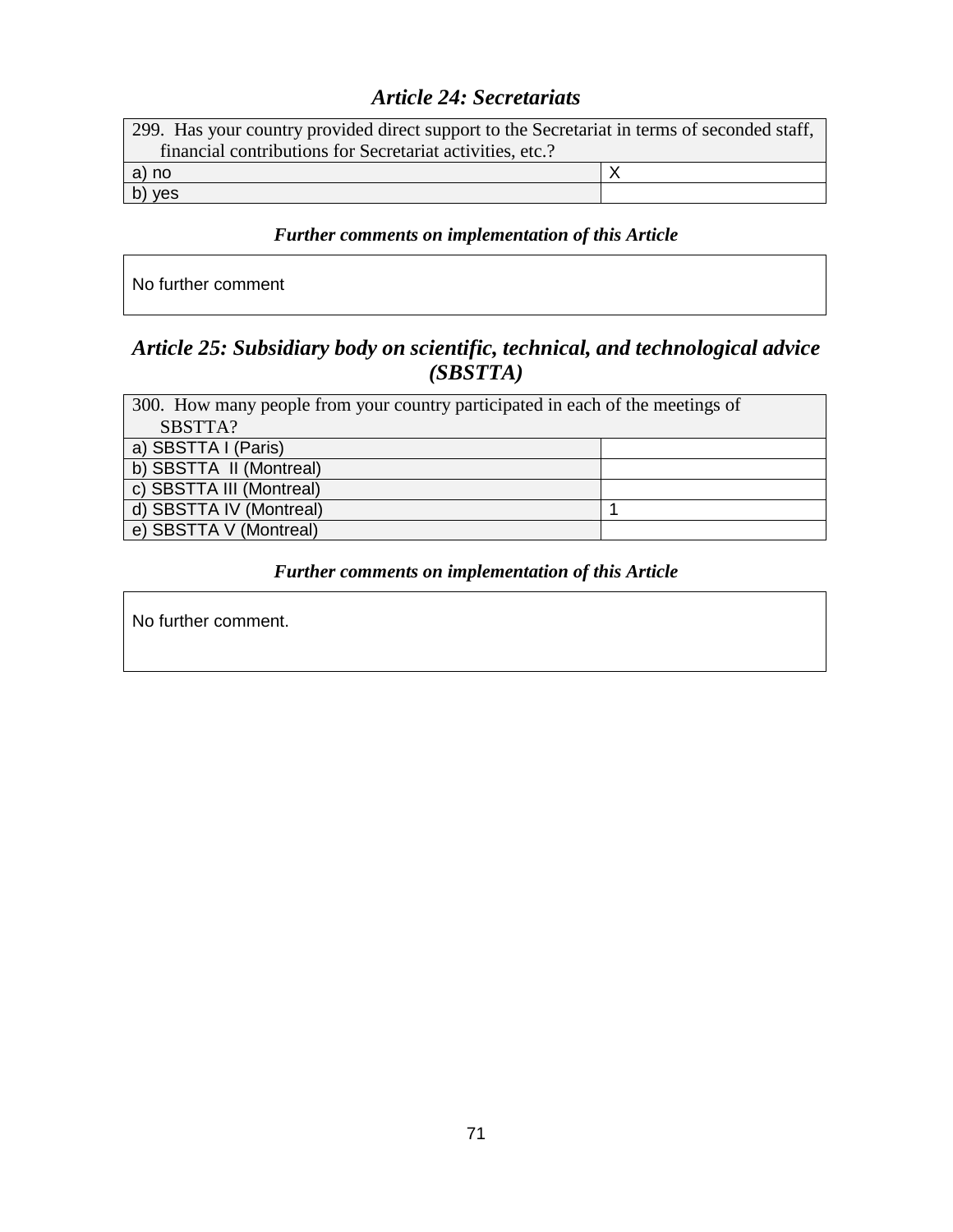# *Article 24: Secretariats*

| 299. Has your country provided direct support to the Secretariat in terms of seconded staff, |  |  |
|----------------------------------------------------------------------------------------------|--|--|
| financial contributions for Secretariat activities, etc.?                                    |  |  |
| a) no                                                                                        |  |  |
| b) yes                                                                                       |  |  |

## *Further comments on implementation of this Article*

No further comment

# *Article 25: Subsidiary body on scientific, technical, and technological advice (SBSTTA)*

| 300. How many people from your country participated in each of the meetings of |  |
|--------------------------------------------------------------------------------|--|
| SBSTTA?                                                                        |  |
| a) SBSTTA I (Paris)                                                            |  |
| b) SBSTTA II (Montreal)                                                        |  |
| c) SBSTTA III (Montreal)                                                       |  |
| d) SBSTTA IV (Montreal)                                                        |  |
| e) SBSTTA V (Montreal)                                                         |  |

### *Further comments on implementation of this Article*

No further comment.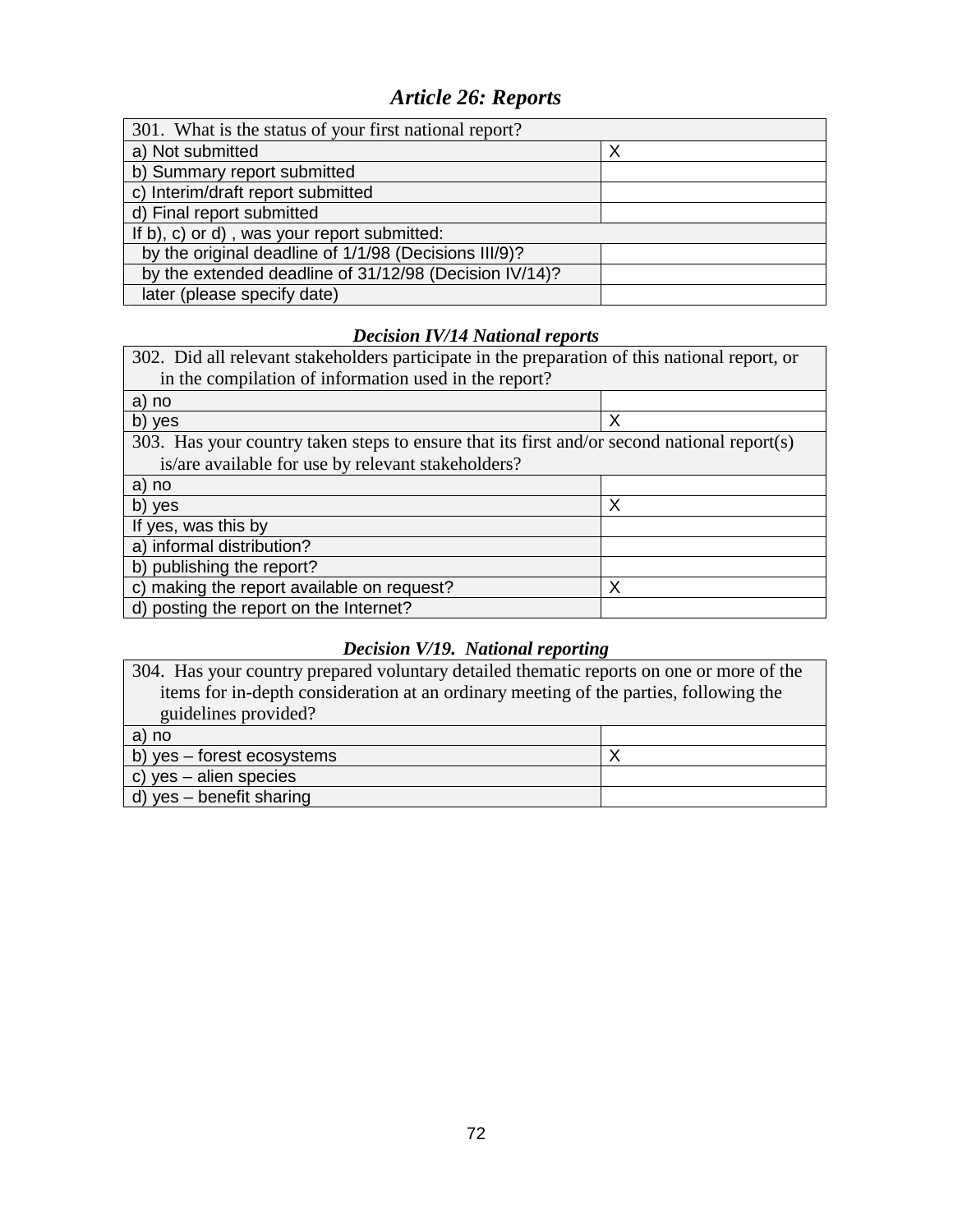# *Article 26: Reports*

| 301. What is the status of your first national report? |  |  |
|--------------------------------------------------------|--|--|
| a) Not submitted                                       |  |  |
| b) Summary report submitted                            |  |  |
| c) Interim/draft report submitted                      |  |  |
| d) Final report submitted                              |  |  |
| If b), c) or d), was your report submitted:            |  |  |
| by the original deadline of 1/1/98 (Decisions III/9)?  |  |  |
| by the extended deadline of 31/12/98 (Decision IV/14)? |  |  |
| later (please specify date)                            |  |  |

## *Decision IV/14 National reports*

| 302. Did all relevant stakeholders participate in the preparation of this national report, or |   |  |
|-----------------------------------------------------------------------------------------------|---|--|
| in the compilation of information used in the report?                                         |   |  |
| a) no                                                                                         |   |  |
| b) yes                                                                                        | X |  |
| 303. Has your country taken steps to ensure that its first and/or second national report(s)   |   |  |
| is/are available for use by relevant stakeholders?                                            |   |  |
| a) no                                                                                         |   |  |
| b) yes                                                                                        | Х |  |
| If yes, was this by                                                                           |   |  |
| a) informal distribution?                                                                     |   |  |
| b) publishing the report?                                                                     |   |  |
| c) making the report available on request?                                                    | Х |  |
| d) posting the report on the Internet?                                                        |   |  |

### *Decision V/19. National reporting*

304. Has your country prepared voluntary detailed thematic reports on one or more of the items for in-depth consideration at an ordinary meeting of the parties, following the guidelines provided?

| a) no                      |  |
|----------------------------|--|
| b) yes – forest ecosystems |  |
| c) yes $-$ alien species   |  |
| d) yes – benefit sharing   |  |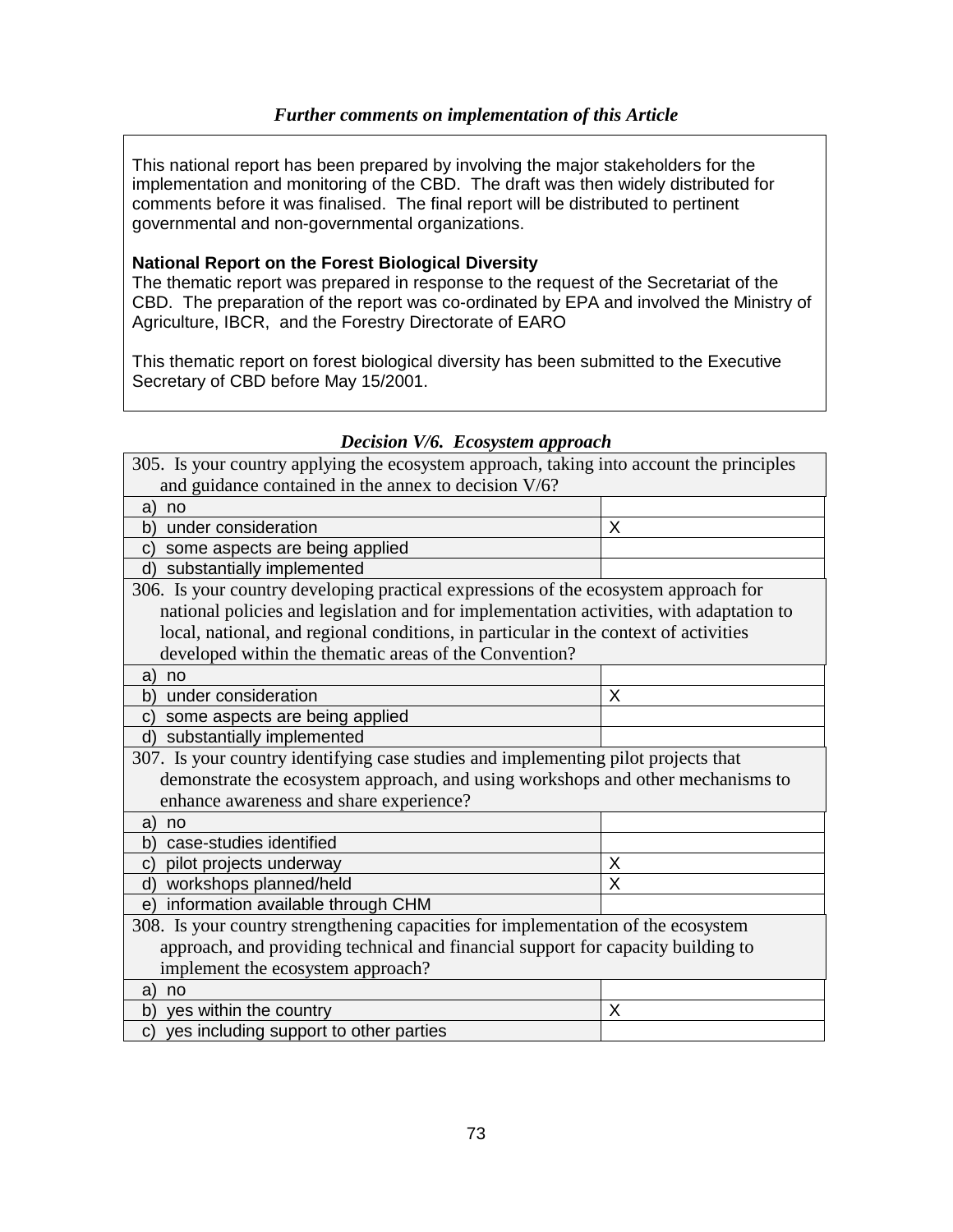This national report has been prepared by involving the major stakeholders for the implementation and monitoring of the CBD. The draft was then widely distributed for comments before it was finalised. The final report will be distributed to pertinent governmental and non-governmental organizations.

#### **National Report on the Forest Biological Diversity**

The thematic report was prepared in response to the request of the Secretariat of the CBD. The preparation of the report was co-ordinated by EPA and involved the Ministry of Agriculture, IBCR, and the Forestry Directorate of EARO

This thematic report on forest biological diversity has been submitted to the Executive Secretary of CBD before May 15/2001.

| 305. Is your country applying the ecosystem approach, taking into account the principles |   |
|------------------------------------------------------------------------------------------|---|
| and guidance contained in the annex to decision V/6?                                     |   |
| no<br>a)                                                                                 |   |
| under consideration<br>b)                                                                | X |
| some aspects are being applied<br>C)                                                     |   |
| substantially implemented<br>d)                                                          |   |
| 306. Is your country developing practical expressions of the ecosystem approach for      |   |
| national policies and legislation and for implementation activities, with adaptation to  |   |
| local, national, and regional conditions, in particular in the context of activities     |   |
| developed within the thematic areas of the Convention?                                   |   |
| no<br>a)                                                                                 |   |
| under consideration<br>b)                                                                | X |
| some aspects are being applied<br>C)                                                     |   |
| substantially implemented<br>d)                                                          |   |
| 307. Is your country identifying case studies and implementing pilot projects that       |   |
| demonstrate the ecosystem approach, and using workshops and other mechanisms to          |   |
| enhance awareness and share experience?                                                  |   |
| a)<br>no                                                                                 |   |
| case-studies identified<br>b)                                                            |   |
| pilot projects underway<br>C)                                                            | Χ |
| workshops planned/held<br>d)                                                             | X |
| information available through CHM<br>e)                                                  |   |
| 308. Is your country strengthening capacities for implementation of the ecosystem        |   |
| approach, and providing technical and financial support for capacity building to         |   |
| implement the ecosystem approach?                                                        |   |
| a)<br>no                                                                                 |   |
| yes within the country<br>b)                                                             | X |
| yes including support to other parties<br>C)                                             |   |

### *Decision V/6. Ecosystem approach*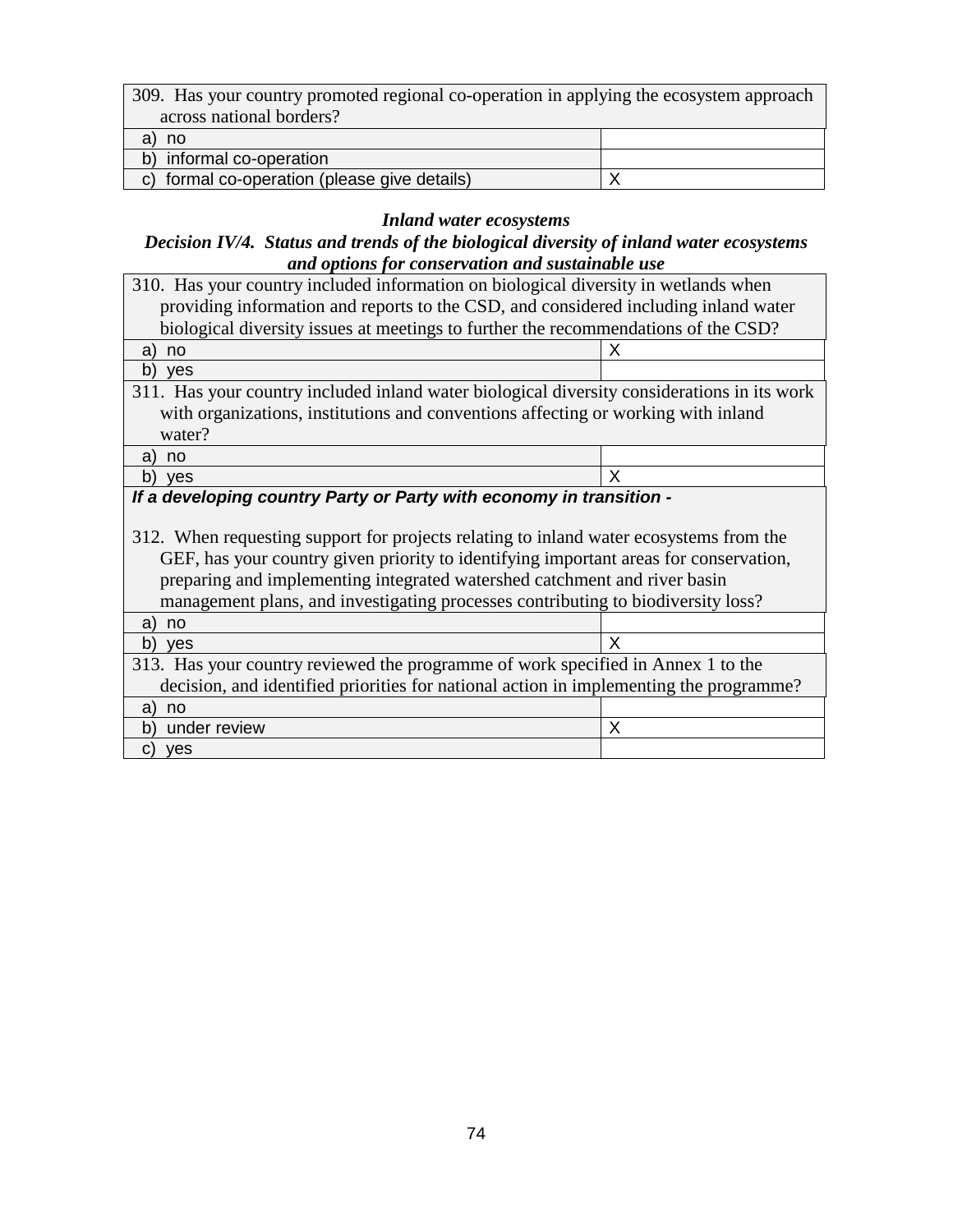| 309. Has your country promoted regional co-operation in applying the ecosystem approach |  |
|-----------------------------------------------------------------------------------------|--|
| across national borders?                                                                |  |
| no                                                                                      |  |
| b) informal co-operation                                                                |  |
| c) formal co-operation (please give details)                                            |  |

# *Inland water ecosystems*

#### *Decision IV/4. Status and trends of the biological diversity of inland water ecosystems and options for conservation and sustainable use*

| 310. Has your country included information on biological diversity in wetlands when                                                                                                                                                                                                                                                              |   |  |
|--------------------------------------------------------------------------------------------------------------------------------------------------------------------------------------------------------------------------------------------------------------------------------------------------------------------------------------------------|---|--|
| providing information and reports to the CSD, and considered including inland water                                                                                                                                                                                                                                                              |   |  |
| biological diversity issues at meetings to further the recommendations of the CSD?                                                                                                                                                                                                                                                               |   |  |
| a)<br>no                                                                                                                                                                                                                                                                                                                                         | X |  |
| b)<br><b>ves</b>                                                                                                                                                                                                                                                                                                                                 |   |  |
| 311. Has your country included inland water biological diversity considerations in its work                                                                                                                                                                                                                                                      |   |  |
| with organizations, institutions and conventions affecting or working with inland                                                                                                                                                                                                                                                                |   |  |
| water?                                                                                                                                                                                                                                                                                                                                           |   |  |
| a)<br>no                                                                                                                                                                                                                                                                                                                                         |   |  |
| b)<br><b>ves</b>                                                                                                                                                                                                                                                                                                                                 | X |  |
| If a developing country Party or Party with economy in transition -                                                                                                                                                                                                                                                                              |   |  |
| 312. When requesting support for projects relating to inland water ecosystems from the<br>GEF, has your country given priority to identifying important areas for conservation,<br>preparing and implementing integrated watershed catchment and river basin<br>management plans, and investigating processes contributing to biodiversity loss? |   |  |
| a)<br>no                                                                                                                                                                                                                                                                                                                                         |   |  |
| b)<br><b>ves</b>                                                                                                                                                                                                                                                                                                                                 | X |  |
| 313. Has your country reviewed the programme of work specified in Annex 1 to the                                                                                                                                                                                                                                                                 |   |  |
| decision, and identified priorities for national action in implementing the programme?                                                                                                                                                                                                                                                           |   |  |
| a)<br>no                                                                                                                                                                                                                                                                                                                                         |   |  |
| b)<br>under review                                                                                                                                                                                                                                                                                                                               | X |  |
| C)<br>ves                                                                                                                                                                                                                                                                                                                                        |   |  |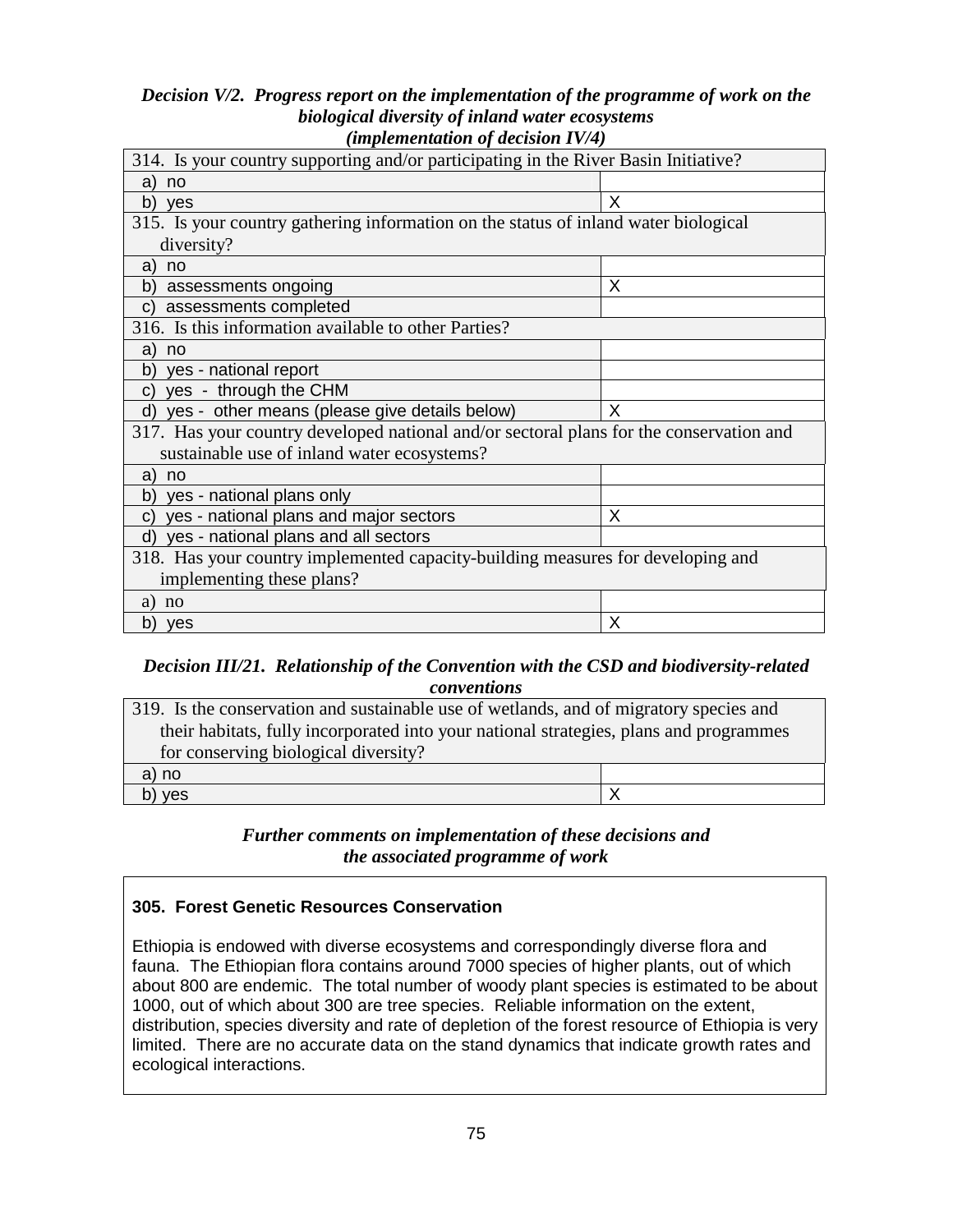#### *Decision V/2. Progress report on the implementation of the programme of work on the biological diversity of inland water ecosystems (implementation of decision IV/4)*

| $(unplementum)$ decision $I$                                                            |  |
|-----------------------------------------------------------------------------------------|--|
| 314. Is your country supporting and/or participating in the River Basin Initiative?     |  |
|                                                                                         |  |
| X                                                                                       |  |
| 315. Is your country gathering information on the status of inland water biological     |  |
|                                                                                         |  |
|                                                                                         |  |
| X                                                                                       |  |
|                                                                                         |  |
|                                                                                         |  |
|                                                                                         |  |
|                                                                                         |  |
|                                                                                         |  |
| X                                                                                       |  |
| 317. Has your country developed national and/or sectoral plans for the conservation and |  |
|                                                                                         |  |
|                                                                                         |  |
|                                                                                         |  |
| X                                                                                       |  |
|                                                                                         |  |
| 318. Has your country implemented capacity-building measures for developing and         |  |
| implementing these plans?                                                               |  |
|                                                                                         |  |
| X                                                                                       |  |
|                                                                                         |  |

## *Decision III/21. Relationship of the Convention with the CSD and biodiversity-related conventions*

| 319. Is the conservation and sustainable use of wetlands, and of migratory species and |  |
|----------------------------------------------------------------------------------------|--|
| their habitats, fully incorporated into your national strategies, plans and programmes |  |
| for conserving biological diversity?                                                   |  |
| a) no                                                                                  |  |
| b) yes                                                                                 |  |

### *Further comments on implementation of these decisions and the associated programme of work*

#### **305. Forest Genetic Resources Conservation**

Ethiopia is endowed with diverse ecosystems and correspondingly diverse flora and fauna. The Ethiopian flora contains around 7000 species of higher plants, out of which about 800 are endemic. The total number of woody plant species is estimated to be about 1000, out of which about 300 are tree species. Reliable information on the extent, distribution, species diversity and rate of depletion of the forest resource of Ethiopia is very limited. There are no accurate data on the stand dynamics that indicate growth rates and ecological interactions.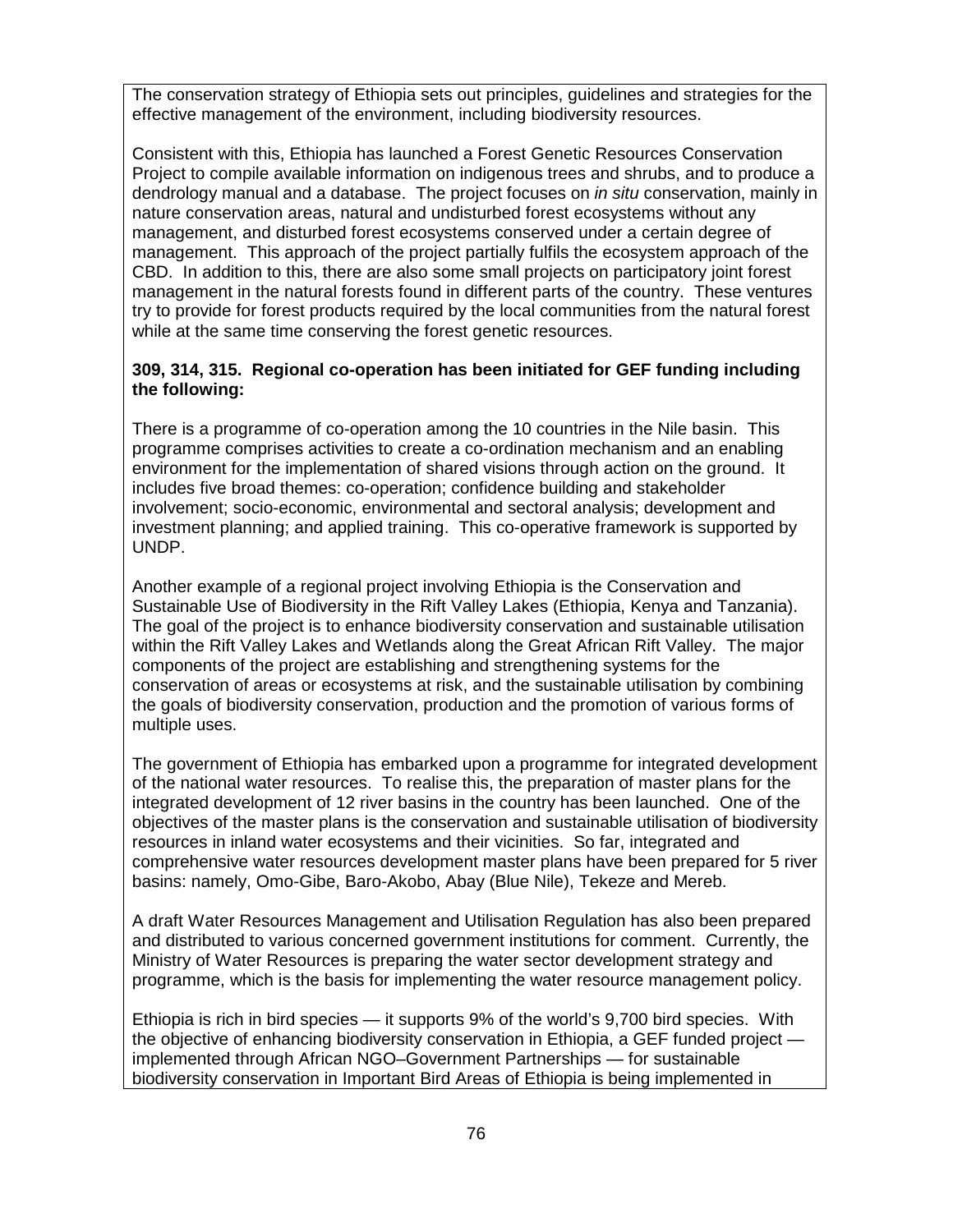The conservation strategy of Ethiopia sets out principles, guidelines and strategies for the effective management of the environment, including biodiversity resources.

Consistent with this, Ethiopia has launched a Forest Genetic Resources Conservation Project to compile available information on indigenous trees and shrubs, and to produce a dendrology manual and a database. The project focuses on in situ conservation, mainly in nature conservation areas, natural and undisturbed forest ecosystems without any management, and disturbed forest ecosystems conserved under a certain degree of management. This approach of the project partially fulfils the ecosystem approach of the CBD. In addition to this, there are also some small projects on participatory joint forest management in the natural forests found in different parts of the country. These ventures try to provide for forest products required by the local communities from the natural forest while at the same time conserving the forest genetic resources.

#### **309, 314, 315. Regional co-operation has been initiated for GEF funding including the following:**

There is a programme of co-operation among the 10 countries in the Nile basin. This programme comprises activities to create a co-ordination mechanism and an enabling environment for the implementation of shared visions through action on the ground. It includes five broad themes: co-operation; confidence building and stakeholder involvement; socio-economic, environmental and sectoral analysis; development and investment planning; and applied training. This co-operative framework is supported by UNDP.

Another example of a regional project involving Ethiopia is the Conservation and Sustainable Use of Biodiversity in the Rift Valley Lakes (Ethiopia, Kenya and Tanzania). The goal of the project is to enhance biodiversity conservation and sustainable utilisation within the Rift Valley Lakes and Wetlands along the Great African Rift Valley. The major components of the project are establishing and strengthening systems for the conservation of areas or ecosystems at risk, and the sustainable utilisation by combining the goals of biodiversity conservation, production and the promotion of various forms of multiple uses.

The government of Ethiopia has embarked upon a programme for integrated development of the national water resources. To realise this, the preparation of master plans for the integrated development of 12 river basins in the country has been launched. One of the objectives of the master plans is the conservation and sustainable utilisation of biodiversity resources in inland water ecosystems and their vicinities. So far, integrated and comprehensive water resources development master plans have been prepared for 5 river basins: namely, Omo-Gibe, Baro-Akobo, Abay (Blue Nile), Tekeze and Mereb.

A draft Water Resources Management and Utilisation Regulation has also been prepared and distributed to various concerned government institutions for comment. Currently, the Ministry of Water Resources is preparing the water sector development strategy and programme, which is the basis for implementing the water resource management policy.

Ethiopia is rich in bird species — it supports 9% of the world's 9,700 bird species. With the objective of enhancing biodiversity conservation in Ethiopia, a GEF funded project implemented through African NGO–Government Partnerships — for sustainable biodiversity conservation in Important Bird Areas of Ethiopia is being implemented in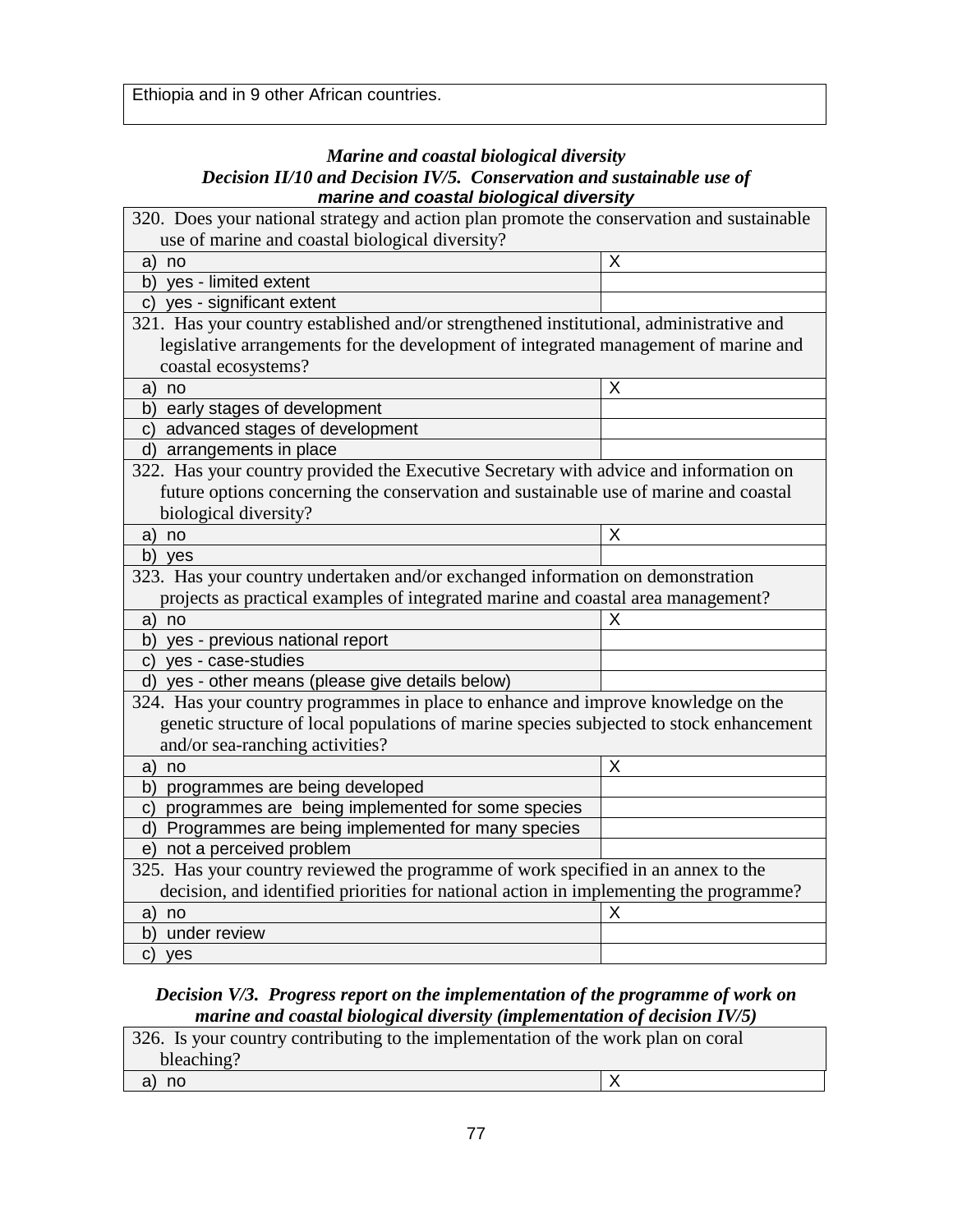#### *Marine and coastal biological diversity Decision II/10 and Decision IV/5. Conservation and sustainable use of* **marine and coastal biological diversity**

| 320. Does your national strategy and action plan promote the conservation and sustainable |   |
|-------------------------------------------------------------------------------------------|---|
| use of marine and coastal biological diversity?                                           |   |
| a)<br>no                                                                                  | X |
| yes - limited extent<br>b)                                                                |   |
| c) yes - significant extent                                                               |   |
| 321. Has your country established and/or strengthened institutional, administrative and   |   |
| legislative arrangements for the development of integrated management of marine and       |   |
| coastal ecosystems?                                                                       |   |
| no<br>a)                                                                                  | X |
| early stages of development<br>b)                                                         |   |
| advanced stages of development<br>C)                                                      |   |
| arrangements in place<br>d)                                                               |   |
| 322. Has your country provided the Executive Secretary with advice and information on     |   |
| future options concerning the conservation and sustainable use of marine and coastal      |   |
| biological diversity?                                                                     |   |
| no<br>a)                                                                                  | X |
| b)<br>yes                                                                                 |   |
| 323. Has your country undertaken and/or exchanged information on demonstration            |   |
| projects as practical examples of integrated marine and coastal area management?          |   |
| no<br>a)                                                                                  | х |
| yes - previous national report<br>b)                                                      |   |
| yes - case-studies<br>C)                                                                  |   |
| yes - other means (please give details below)<br>d)                                       |   |
| 324. Has your country programmes in place to enhance and improve knowledge on the         |   |
| genetic structure of local populations of marine species subjected to stock enhancement   |   |
| and/or sea-ranching activities?                                                           |   |
| a)<br>no                                                                                  | X |
| programmes are being developed<br>b)                                                      |   |
| programmes are being implemented for some species<br>C)                                   |   |
| Programmes are being implemented for many species<br>d)                                   |   |
| not a perceived problem<br>e)                                                             |   |
| 325. Has your country reviewed the programme of work specified in an annex to the         |   |
| decision, and identified priorities for national action in implementing the programme?    |   |
| a)<br>no                                                                                  | Χ |
| under review<br>b)                                                                        |   |
|                                                                                           |   |

### *Decision V/3. Progress report on the implementation of the programme of work on marine and coastal biological diversity (implementation of decision IV/5)*

| 326. Is your country contributing to the implementation of the work plan on coral |  |
|-----------------------------------------------------------------------------------|--|
| bleaching?                                                                        |  |
| no                                                                                |  |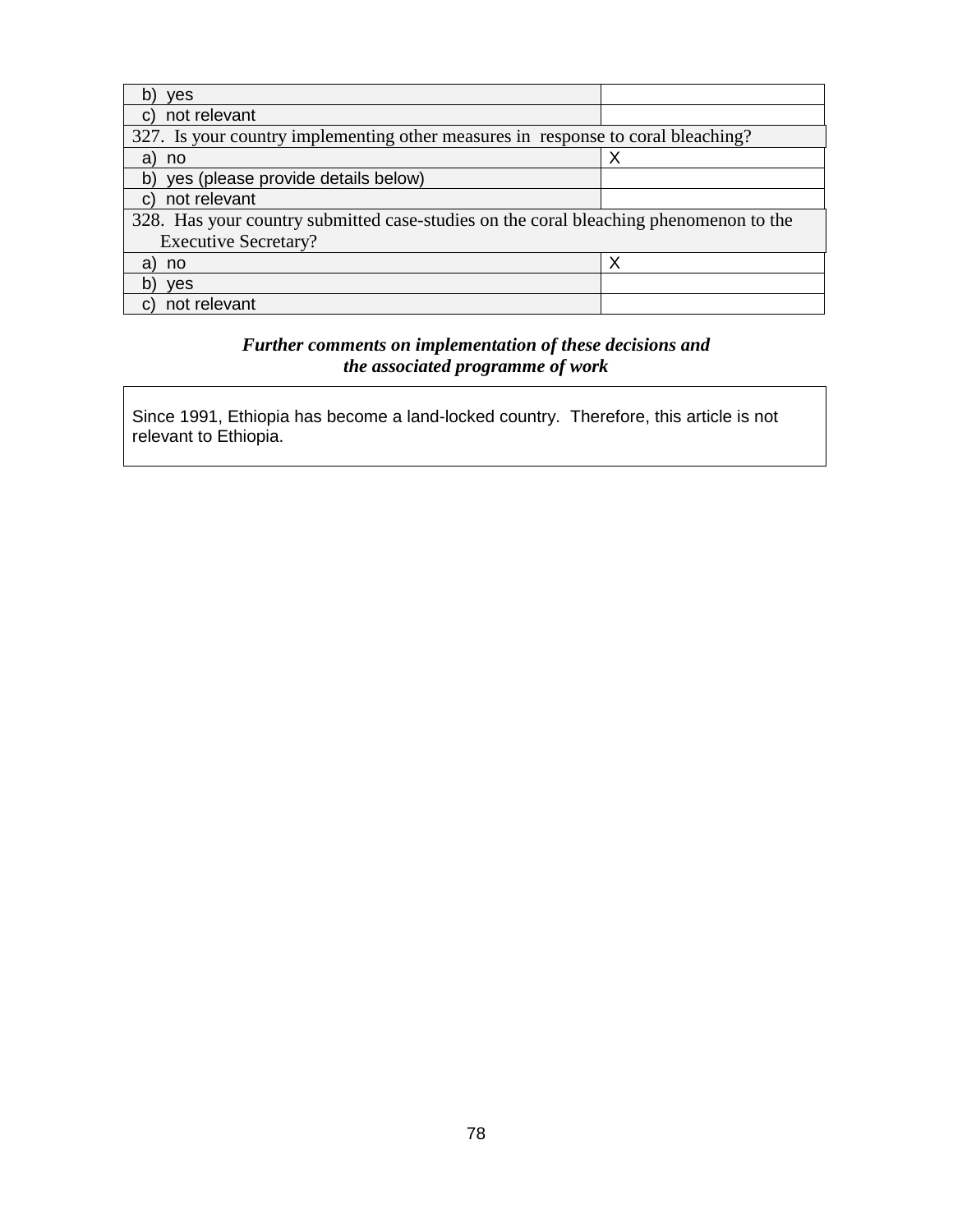| ves                                                                                   |   |
|---------------------------------------------------------------------------------------|---|
| not relevant<br>C.                                                                    |   |
| 327. Is your country implementing other measures in response to coral bleaching?      |   |
| a)<br>no                                                                              |   |
| yes (please provide details below)<br>b)                                              |   |
| not relevant<br>$\mathbf{C}$                                                          |   |
| 328. Has your country submitted case-studies on the coral bleaching phenomenon to the |   |
| <b>Executive Secretary?</b>                                                           |   |
| a)<br>no                                                                              | Х |
| <b>ves</b>                                                                            |   |
| not relevant<br>c                                                                     |   |

## *Further comments on implementation of these decisions and the associated programme of work*

Since 1991, Ethiopia has become a land-locked country. Therefore, this article is not relevant to Ethiopia.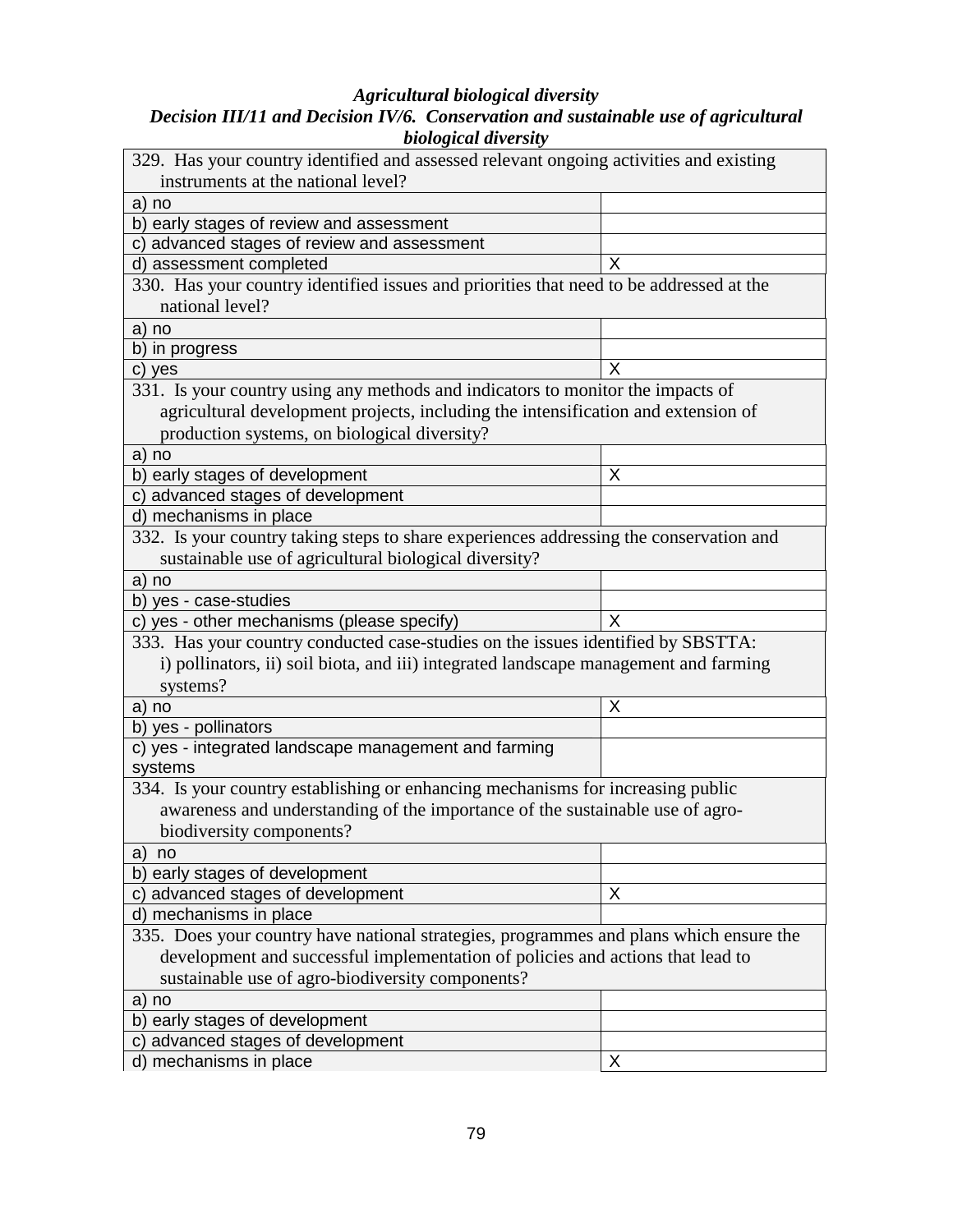#### *Agricultural biological diversity*

#### *Decision III/11 and Decision IV/6. Conservation and sustainable use of agricultural biological diversity*

| 329. Has your country identified and assessed relevant ongoing activities and existing  |   |
|-----------------------------------------------------------------------------------------|---|
| instruments at the national level?                                                      |   |
| a) no                                                                                   |   |
| b) early stages of review and assessment                                                |   |
| c) advanced stages of review and assessment                                             |   |
| d) assessment completed                                                                 | X |
| 330. Has your country identified issues and priorities that need to be addressed at the |   |
| national level?                                                                         |   |
| a) no                                                                                   |   |
| b) in progress                                                                          |   |
| c) yes                                                                                  | X |
| 331. Is your country using any methods and indicators to monitor the impacts of         |   |
| agricultural development projects, including the intensification and extension of       |   |
| production systems, on biological diversity?                                            |   |
| a) no                                                                                   |   |
| b) early stages of development                                                          | Χ |
| c) advanced stages of development                                                       |   |
| d) mechanisms in place                                                                  |   |
| 332. Is your country taking steps to share experiences addressing the conservation and  |   |
| sustainable use of agricultural biological diversity?                                   |   |
| a) no                                                                                   |   |
| b) yes - case-studies                                                                   |   |
| c) yes - other mechanisms (please specify)                                              | X |
| 333. Has your country conducted case-studies on the issues identified by SBSTTA:        |   |
| i) pollinators, ii) soil biota, and iii) integrated landscape management and farming    |   |
| systems?                                                                                |   |
|                                                                                         |   |
| a) no<br>b) yes - pollinators                                                           | X |
| c) yes - integrated landscape management and farming                                    |   |
| systems                                                                                 |   |
| 334. Is your country establishing or enhancing mechanisms for increasing public         |   |
| awareness and understanding of the importance of the sustainable use of agro-           |   |
| biodiversity components?                                                                |   |
|                                                                                         |   |
| a)<br>no                                                                                |   |
| b) early stages of development                                                          |   |
| c) advanced stages of development                                                       | X |
| d) mechanisms in place                                                                  |   |
| 335. Does your country have national strategies, programmes and plans which ensure the  |   |
| development and successful implementation of policies and actions that lead to          |   |
| sustainable use of agro-biodiversity components?                                        |   |
| a) no                                                                                   |   |
| b) early stages of development                                                          |   |
| c) advanced stages of development                                                       |   |
| d) mechanisms in place                                                                  | Χ |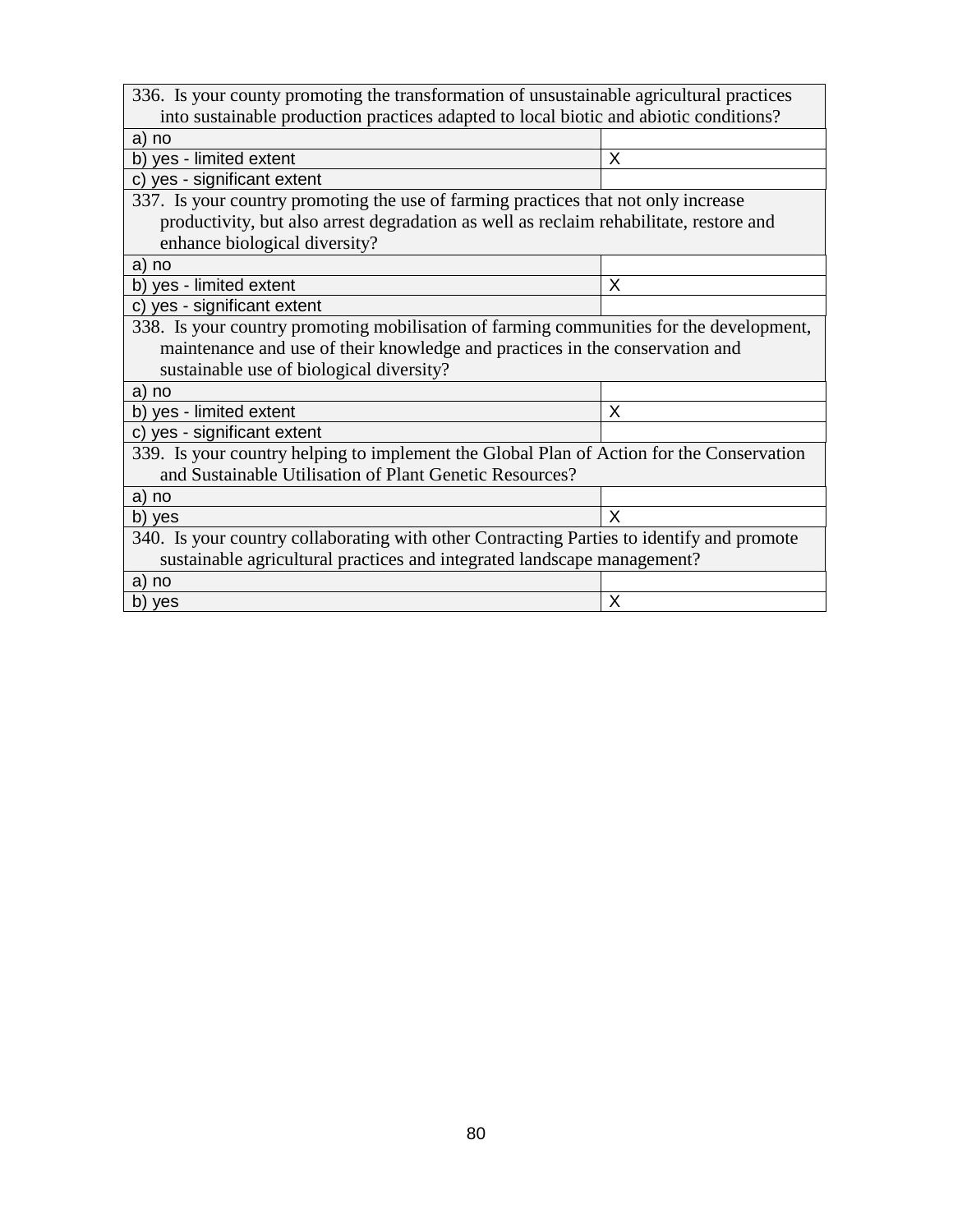| 336. Is your county promoting the transformation of unsustainable agricultural practices  |   |
|-------------------------------------------------------------------------------------------|---|
| into sustainable production practices adapted to local biotic and abiotic conditions?     |   |
| a) no                                                                                     |   |
| b) yes - limited extent                                                                   | X |
| c) yes - significant extent                                                               |   |
| 337. Is your country promoting the use of farming practices that not only increase        |   |
| productivity, but also arrest degradation as well as reclaim rehabilitate, restore and    |   |
| enhance biological diversity?                                                             |   |
| a) no                                                                                     |   |
| b) yes - limited extent                                                                   | X |
| c) yes - significant extent                                                               |   |
| 338. Is your country promoting mobilisation of farming communities for the development,   |   |
| maintenance and use of their knowledge and practices in the conservation and              |   |
| sustainable use of biological diversity?                                                  |   |
| a) no                                                                                     |   |
| b) yes - limited extent                                                                   | X |
| c) yes - significant extent                                                               |   |
| 339. Is your country helping to implement the Global Plan of Action for the Conservation  |   |
| and Sustainable Utilisation of Plant Genetic Resources?                                   |   |
| a) no                                                                                     |   |
| b) yes                                                                                    | X |
| 340. Is your country collaborating with other Contracting Parties to identify and promote |   |
| sustainable agricultural practices and integrated landscape management?                   |   |
| a) no                                                                                     |   |
| b) yes                                                                                    | X |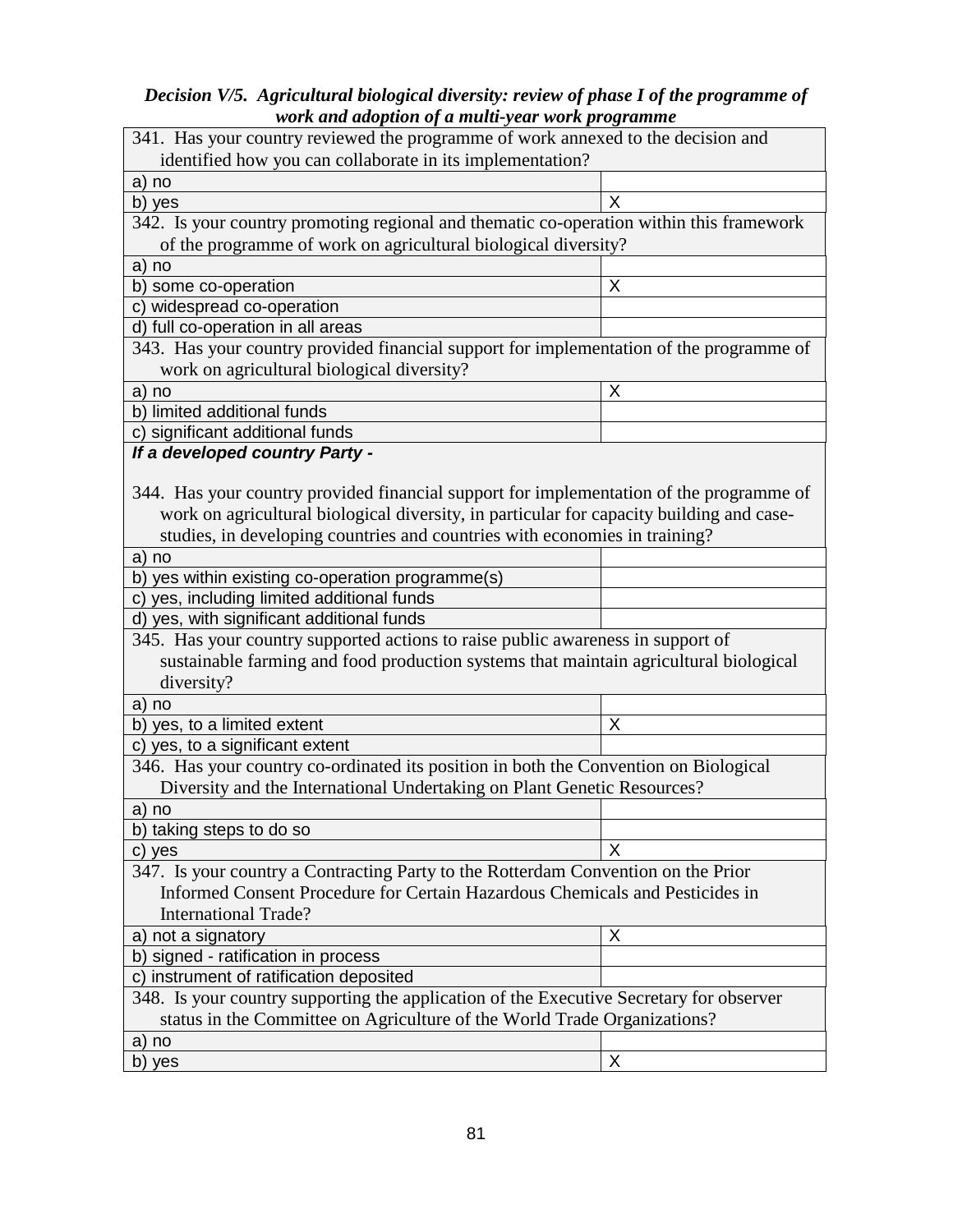### *Decision V/5. Agricultural biological diversity: review of phase I of the programme of work and adoption of a multi-year work programme*

| and daopten of a mani-jear-work programme                                                                                                                         |   |  |
|-------------------------------------------------------------------------------------------------------------------------------------------------------------------|---|--|
| 341. Has your country reviewed the programme of work annexed to the decision and                                                                                  |   |  |
| identified how you can collaborate in its implementation?                                                                                                         |   |  |
| a) no                                                                                                                                                             |   |  |
| b) yes                                                                                                                                                            | X |  |
| 342. Is your country promoting regional and thematic co-operation within this framework                                                                           |   |  |
| of the programme of work on agricultural biological diversity?                                                                                                    |   |  |
| a) no                                                                                                                                                             |   |  |
| b) some co-operation                                                                                                                                              | X |  |
| c) widespread co-operation                                                                                                                                        |   |  |
| d) full co-operation in all areas                                                                                                                                 |   |  |
| 343. Has your country provided financial support for implementation of the programme of                                                                           |   |  |
| work on agricultural biological diversity?                                                                                                                        |   |  |
| a) no                                                                                                                                                             | Χ |  |
| b) limited additional funds                                                                                                                                       |   |  |
| c) significant additional funds                                                                                                                                   |   |  |
| If a developed country Party -                                                                                                                                    |   |  |
| 344. Has your country provided financial support for implementation of the programme of                                                                           |   |  |
| work on agricultural biological diversity, in particular for capacity building and case-                                                                          |   |  |
|                                                                                                                                                                   |   |  |
| studies, in developing countries and countries with economies in training?                                                                                        |   |  |
| a) no                                                                                                                                                             |   |  |
| b) yes within existing co-operation programme(s)<br>c) yes, including limited additional funds                                                                    |   |  |
| d) yes, with significant additional funds                                                                                                                         |   |  |
| 345. Has your country supported actions to raise public awareness in support of                                                                                   |   |  |
| sustainable farming and food production systems that maintain agricultural biological                                                                             |   |  |
|                                                                                                                                                                   |   |  |
| diversity?                                                                                                                                                        |   |  |
| a) no                                                                                                                                                             | X |  |
| b) yes, to a limited extent                                                                                                                                       |   |  |
| c) yes, to a significant extent                                                                                                                                   |   |  |
| 346. Has your country co-ordinated its position in both the Convention on Biological                                                                              |   |  |
| Diversity and the International Undertaking on Plant Genetic Resources?                                                                                           |   |  |
| a) no                                                                                                                                                             |   |  |
| b) taking steps to do so                                                                                                                                          | X |  |
| c) yes                                                                                                                                                            |   |  |
| 347. Is your country a Contracting Party to the Rotterdam Convention on the Prior<br>Informed Consent Procedure for Certain Hazardous Chemicals and Pesticides in |   |  |
|                                                                                                                                                                   |   |  |
| <b>International Trade?</b>                                                                                                                                       |   |  |
| a) not a signatory                                                                                                                                                | Χ |  |
| b) signed - ratification in process                                                                                                                               |   |  |
| c) instrument of ratification deposited                                                                                                                           |   |  |
| 348. Is your country supporting the application of the Executive Secretary for observer                                                                           |   |  |
| status in the Committee on Agriculture of the World Trade Organizations?                                                                                          |   |  |
| a) no                                                                                                                                                             |   |  |
| b) yes                                                                                                                                                            | X |  |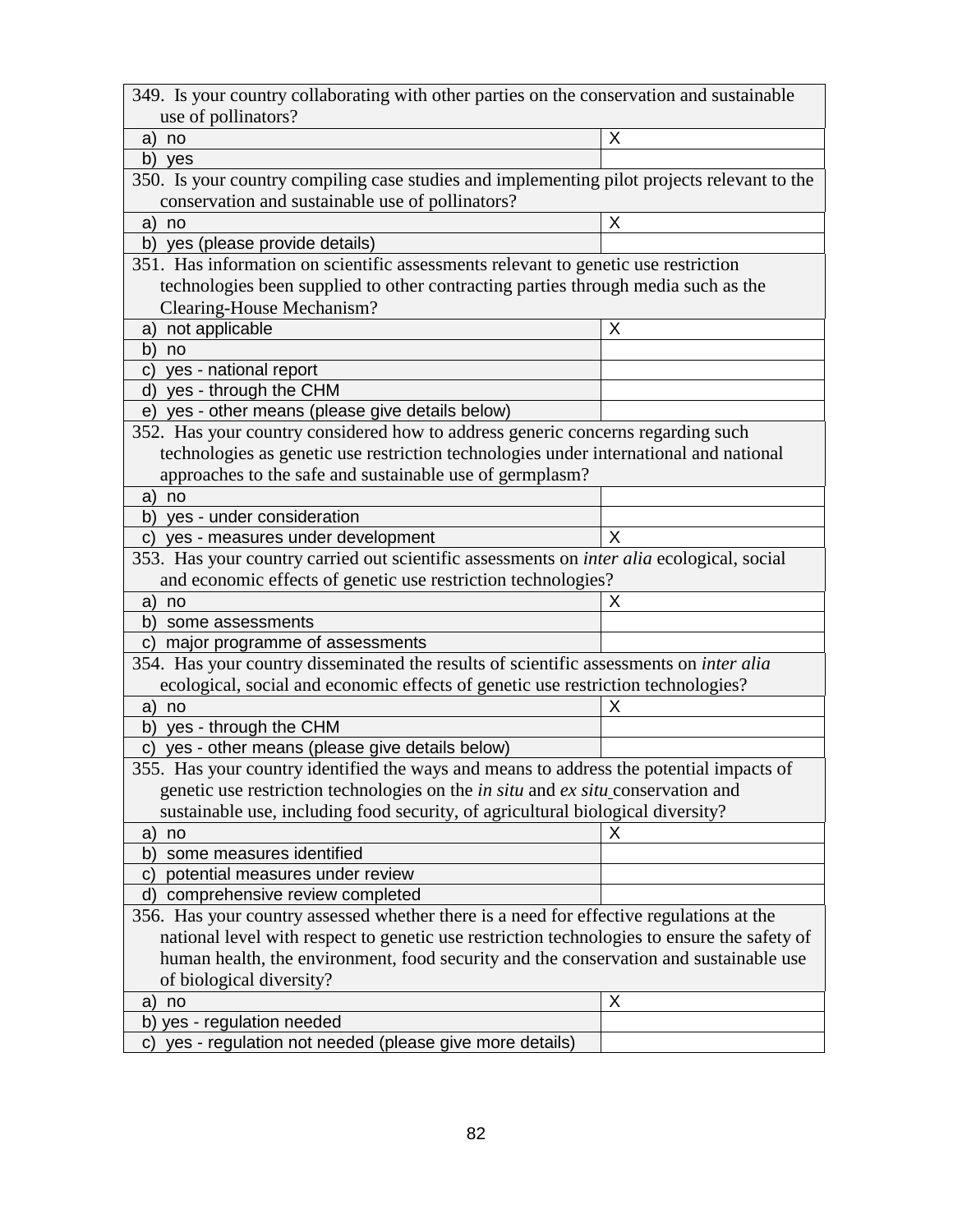| 349. Is your country collaborating with other parties on the conservation and sustainable      |   |
|------------------------------------------------------------------------------------------------|---|
| use of pollinators?                                                                            |   |
| a)<br>no                                                                                       | X |
| b) yes                                                                                         |   |
| 350. Is your country compiling case studies and implementing pilot projects relevant to the    |   |
| conservation and sustainable use of pollinators?                                               |   |
| a)<br>no                                                                                       | X |
| b) yes (please provide details)                                                                |   |
| 351. Has information on scientific assessments relevant to genetic use restriction             |   |
| technologies been supplied to other contracting parties through media such as the              |   |
| Clearing-House Mechanism?                                                                      |   |
| not applicable<br>a)                                                                           | X |
| b)<br>no                                                                                       |   |
| yes - national report<br>C)                                                                    |   |
| yes - through the CHM<br>d)                                                                    |   |
| e) yes - other means (please give details below)                                               |   |
| 352. Has your country considered how to address generic concerns regarding such                |   |
| technologies as genetic use restriction technologies under international and national          |   |
| approaches to the safe and sustainable use of germplasm?                                       |   |
| a) no                                                                                          |   |
| b) yes - under consideration                                                                   |   |
| yes - measures under development<br>C)                                                         | X |
| 353. Has your country carried out scientific assessments on inter alia ecological, social      |   |
| and economic effects of genetic use restriction technologies?                                  |   |
| no<br>a)                                                                                       | X |
| b)<br>some assessments                                                                         |   |
| major programme of assessments<br>C)                                                           |   |
| 354. Has your country disseminated the results of scientific assessments on inter alia         |   |
| ecological, social and economic effects of genetic use restriction technologies?               |   |
| a)<br>no                                                                                       | х |
| b) yes - through the CHM                                                                       |   |
| yes - other means (please give details below)<br>C)                                            |   |
| 355. Has your country identified the ways and means to address the potential impacts of        |   |
| genetic use restriction technologies on the <i>in situ</i> and <i>ex situ</i> conservation and |   |
| sustainable use, including food security, of agricultural biological diversity?                |   |
| no<br>a)                                                                                       | х |
| some measures identified<br>b)                                                                 |   |
| potential measures under review<br>$\mathsf{C}$                                                |   |
| comprehensive review completed<br>d)                                                           |   |
| 356. Has your country assessed whether there is a need for effective regulations at the        |   |
| national level with respect to genetic use restriction technologies to ensure the safety of    |   |
| human health, the environment, food security and the conservation and sustainable use          |   |
| of biological diversity?                                                                       |   |
| no                                                                                             | Χ |
| a)<br>yes - regulation needed<br>b)                                                            |   |
| yes - regulation not needed (please give more details)<br>C)                                   |   |
|                                                                                                |   |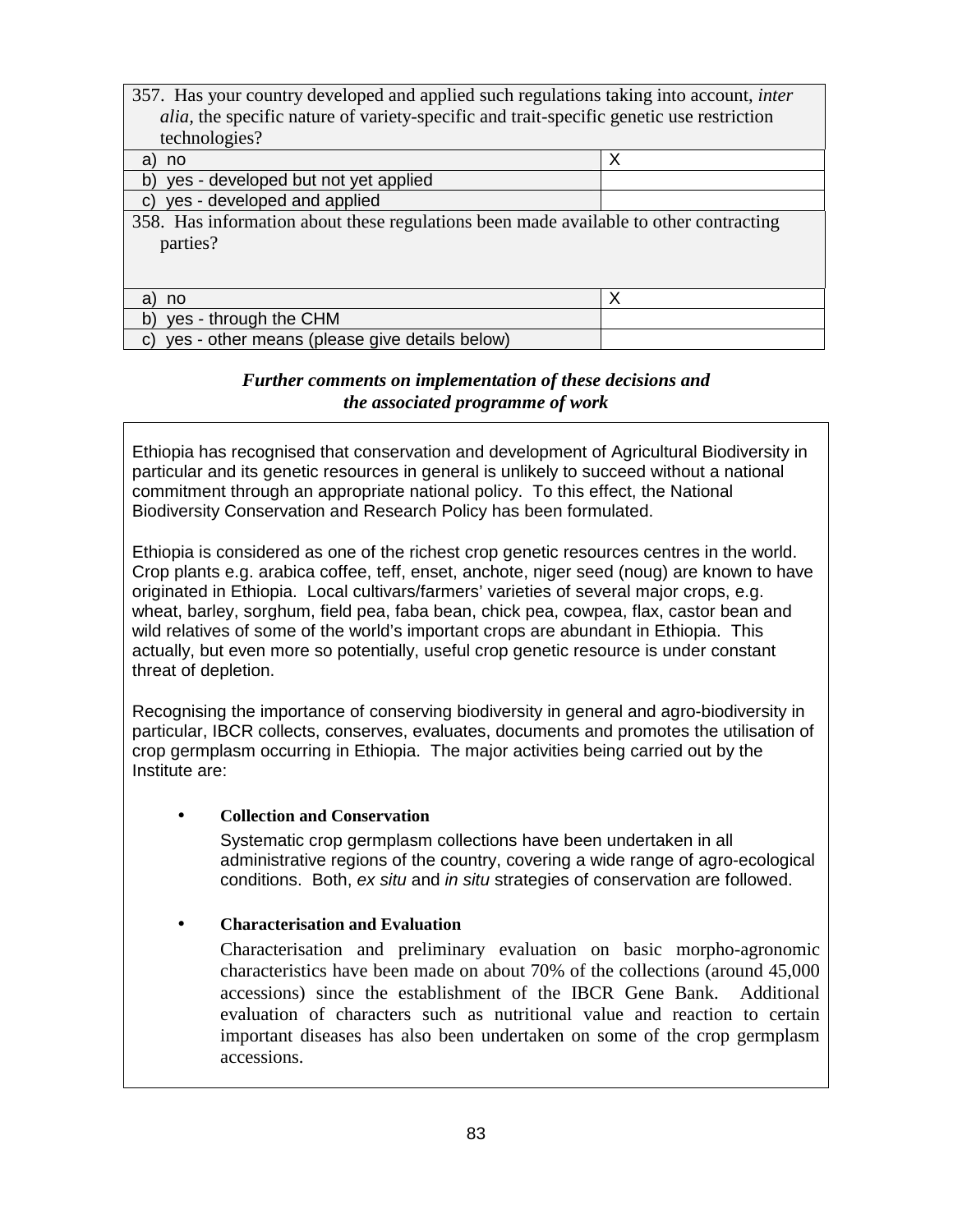| 357. Has your country developed and applied such regulations taking into account, <i>inter</i>   |   |
|--------------------------------------------------------------------------------------------------|---|
| <i>alia</i> , the specific nature of variety-specific and trait-specific genetic use restriction |   |
| technologies?                                                                                    |   |
| a)<br>no                                                                                         | X |
| yes - developed but not yet applied<br>b)                                                        |   |
| yes - developed and applied<br>C)                                                                |   |
| 358. Has information about these regulations been made available to other contracting            |   |
| parties?                                                                                         |   |
|                                                                                                  |   |
|                                                                                                  |   |
| a<br>no                                                                                          | X |
| b)<br>yes - through the CHM                                                                      |   |
| yes - other means (please give details below)<br>C)                                              |   |

#### *Further comments on implementation of these decisions and the associated programme of work*

Ethiopia has recognised that conservation and development of Agricultural Biodiversity in particular and its genetic resources in general is unlikely to succeed without a national commitment through an appropriate national policy. To this effect, the National Biodiversity Conservation and Research Policy has been formulated.

Ethiopia is considered as one of the richest crop genetic resources centres in the world. Crop plants e.g. arabica coffee, teff, enset, anchote, niger seed (noug) are known to have originated in Ethiopia. Local cultivars/farmers' varieties of several major crops, e.g. wheat, barley, sorghum, field pea, faba bean, chick pea, cowpea, flax, castor bean and wild relatives of some of the world's important crops are abundant in Ethiopia. This actually, but even more so potentially, useful crop genetic resource is under constant threat of depletion.

Recognising the importance of conserving biodiversity in general and agro-biodiversity in particular, IBCR collects, conserves, evaluates, documents and promotes the utilisation of crop germplasm occurring in Ethiopia. The major activities being carried out by the Institute are:

#### • **Collection and Conservation**

Systematic crop germplasm collections have been undertaken in all administrative regions of the country, covering a wide range of agro-ecological conditions. Both, ex situ and in situ strategies of conservation are followed.

#### • **Characterisation and Evaluation**

Characterisation and preliminary evaluation on basic morpho-agronomic characteristics have been made on about 70% of the collections (around 45,000 accessions) since the establishment of the IBCR Gene Bank. Additional evaluation of characters such as nutritional value and reaction to certain important diseases has also been undertaken on some of the crop germplasm accessions.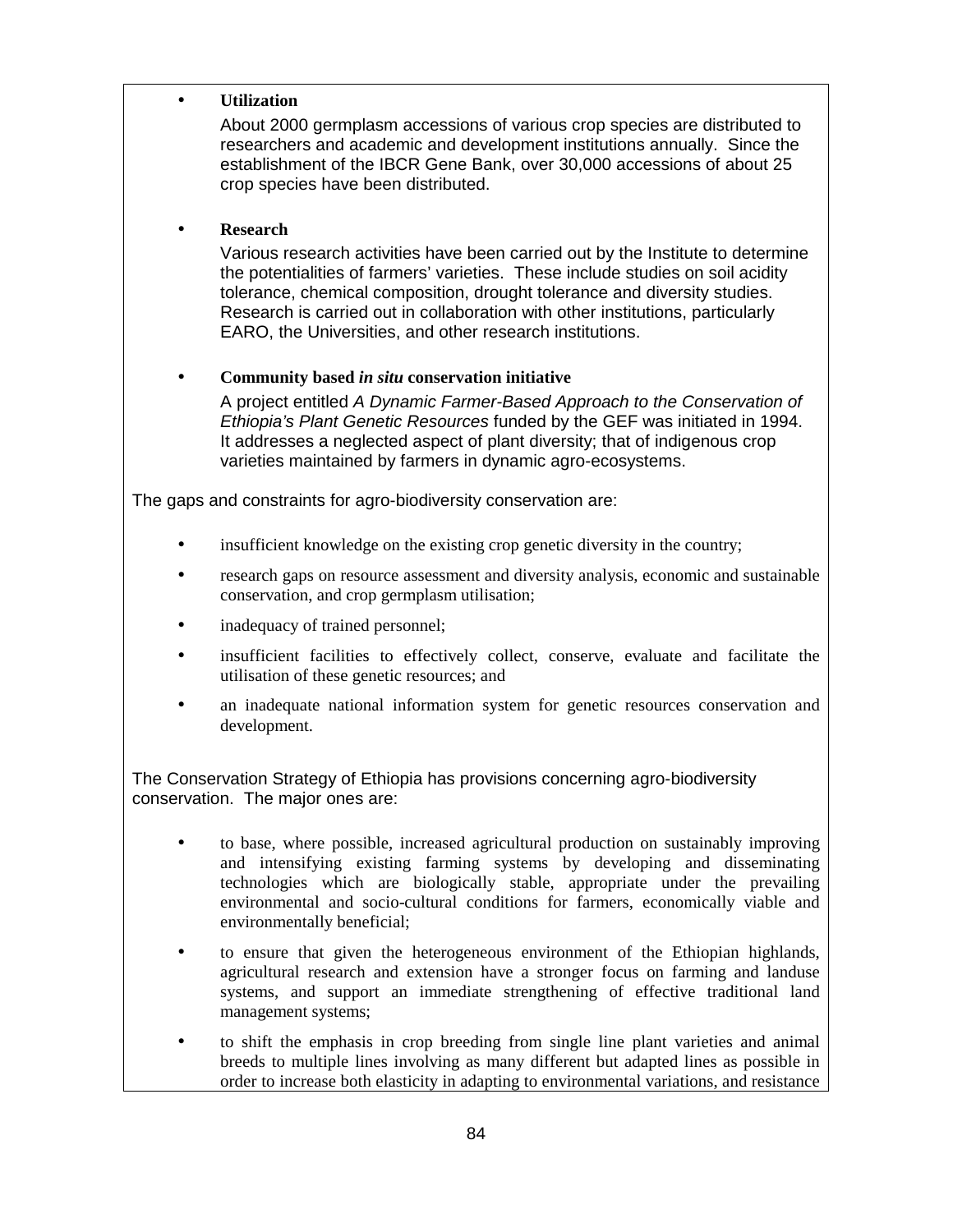#### • **Utilization**

About 2000 germplasm accessions of various crop species are distributed to researchers and academic and development institutions annually. Since the establishment of the IBCR Gene Bank, over 30,000 accessions of about 25 crop species have been distributed.

#### • **Research**

Various research activities have been carried out by the Institute to determine the potentialities of farmers' varieties. These include studies on soil acidity tolerance, chemical composition, drought tolerance and diversity studies. Research is carried out in collaboration with other institutions, particularly EARO, the Universities, and other research institutions.

#### • **Community based** *in situ* **conservation initiative**

A project entitled A Dynamic Farmer-Based Approach to the Conservation of Ethiopia's Plant Genetic Resources funded by the GEF was initiated in 1994. It addresses a neglected aspect of plant diversity; that of indigenous crop varieties maintained by farmers in dynamic agro-ecosystems.

The gaps and constraints for agro-biodiversity conservation are:

- insufficient knowledge on the existing crop genetic diversity in the country;
- research gaps on resource assessment and diversity analysis, economic and sustainable conservation, and crop germplasm utilisation;
- inadequacy of trained personnel;
- insufficient facilities to effectively collect, conserve, evaluate and facilitate the utilisation of these genetic resources; and
- an inadequate national information system for genetic resources conservation and development.

The Conservation Strategy of Ethiopia has provisions concerning agro-biodiversity conservation. The major ones are:

- to base, where possible, increased agricultural production on sustainably improving and intensifying existing farming systems by developing and disseminating technologies which are biologically stable, appropriate under the prevailing environmental and socio-cultural conditions for farmers, economically viable and environmentally beneficial;
- to ensure that given the heterogeneous environment of the Ethiopian highlands, agricultural research and extension have a stronger focus on farming and landuse systems, and support an immediate strengthening of effective traditional land management systems;
- to shift the emphasis in crop breeding from single line plant varieties and animal breeds to multiple lines involving as many different but adapted lines as possible in order to increase both elasticity in adapting to environmental variations, and resistance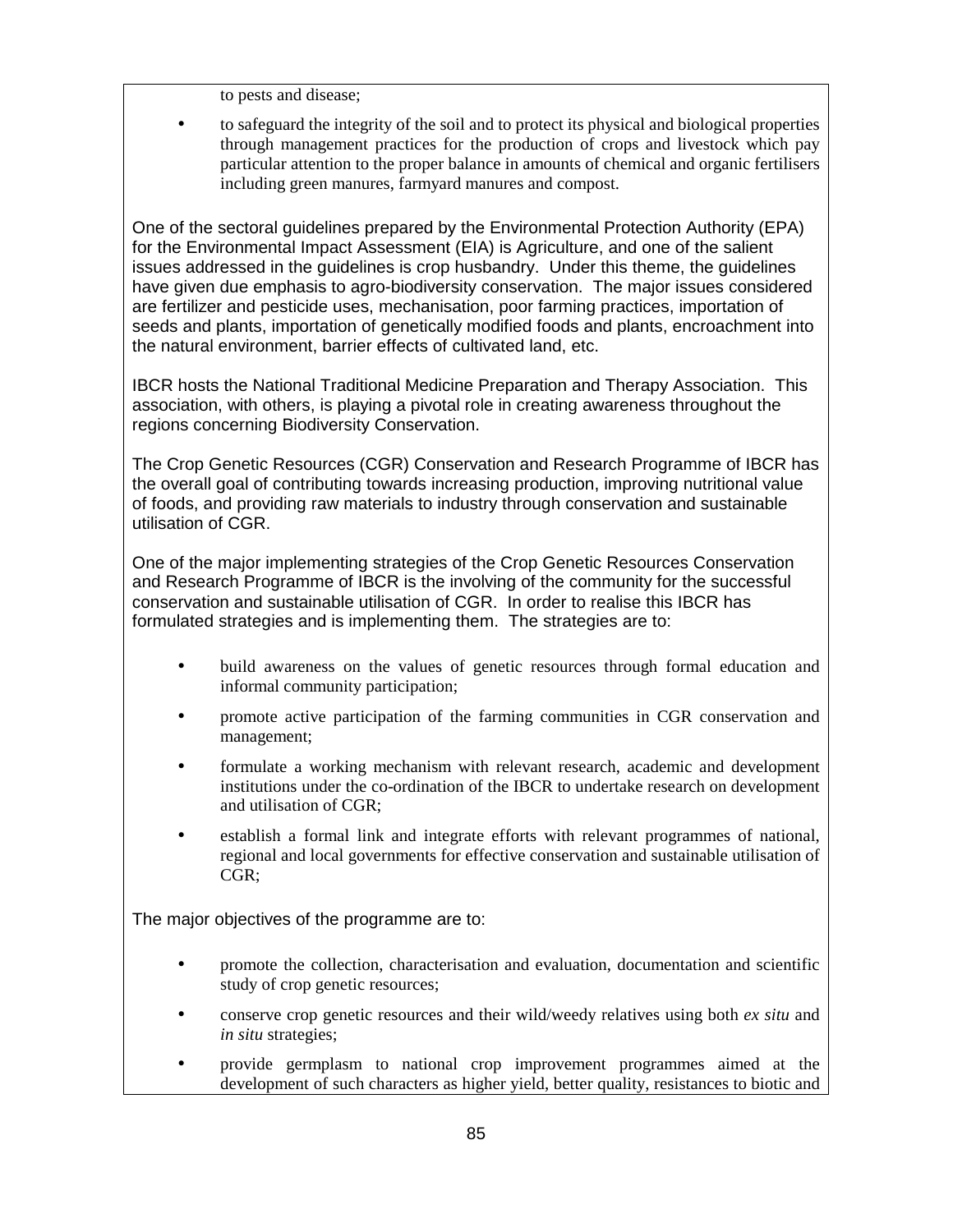to pests and disease;

• to safeguard the integrity of the soil and to protect its physical and biological properties through management practices for the production of crops and livestock which pay particular attention to the proper balance in amounts of chemical and organic fertilisers including green manures, farmyard manures and compost.

One of the sectoral guidelines prepared by the Environmental Protection Authority (EPA) for the Environmental Impact Assessment (EIA) is Agriculture, and one of the salient issues addressed in the guidelines is crop husbandry. Under this theme, the guidelines have given due emphasis to agro-biodiversity conservation. The major issues considered are fertilizer and pesticide uses, mechanisation, poor farming practices, importation of seeds and plants, importation of genetically modified foods and plants, encroachment into the natural environment, barrier effects of cultivated land, etc.

IBCR hosts the National Traditional Medicine Preparation and Therapy Association. This association, with others, is playing a pivotal role in creating awareness throughout the regions concerning Biodiversity Conservation.

The Crop Genetic Resources (CGR) Conservation and Research Programme of IBCR has the overall goal of contributing towards increasing production, improving nutritional value of foods, and providing raw materials to industry through conservation and sustainable utilisation of CGR.

One of the major implementing strategies of the Crop Genetic Resources Conservation and Research Programme of IBCR is the involving of the community for the successful conservation and sustainable utilisation of CGR. In order to realise this IBCR has formulated strategies and is implementing them. The strategies are to:

- build awareness on the values of genetic resources through formal education and informal community participation;
- promote active participation of the farming communities in CGR conservation and management;
- formulate a working mechanism with relevant research, academic and development institutions under the co-ordination of the IBCR to undertake research on development and utilisation of CGR;
- establish a formal link and integrate efforts with relevant programmes of national, regional and local governments for effective conservation and sustainable utilisation of CGR;

The major objectives of the programme are to:

- promote the collection, characterisation and evaluation, documentation and scientific study of crop genetic resources;
- conserve crop genetic resources and their wild/weedy relatives using both *ex situ* and *in situ* strategies;
- provide germplasm to national crop improvement programmes aimed at the development of such characters as higher yield, better quality, resistances to biotic and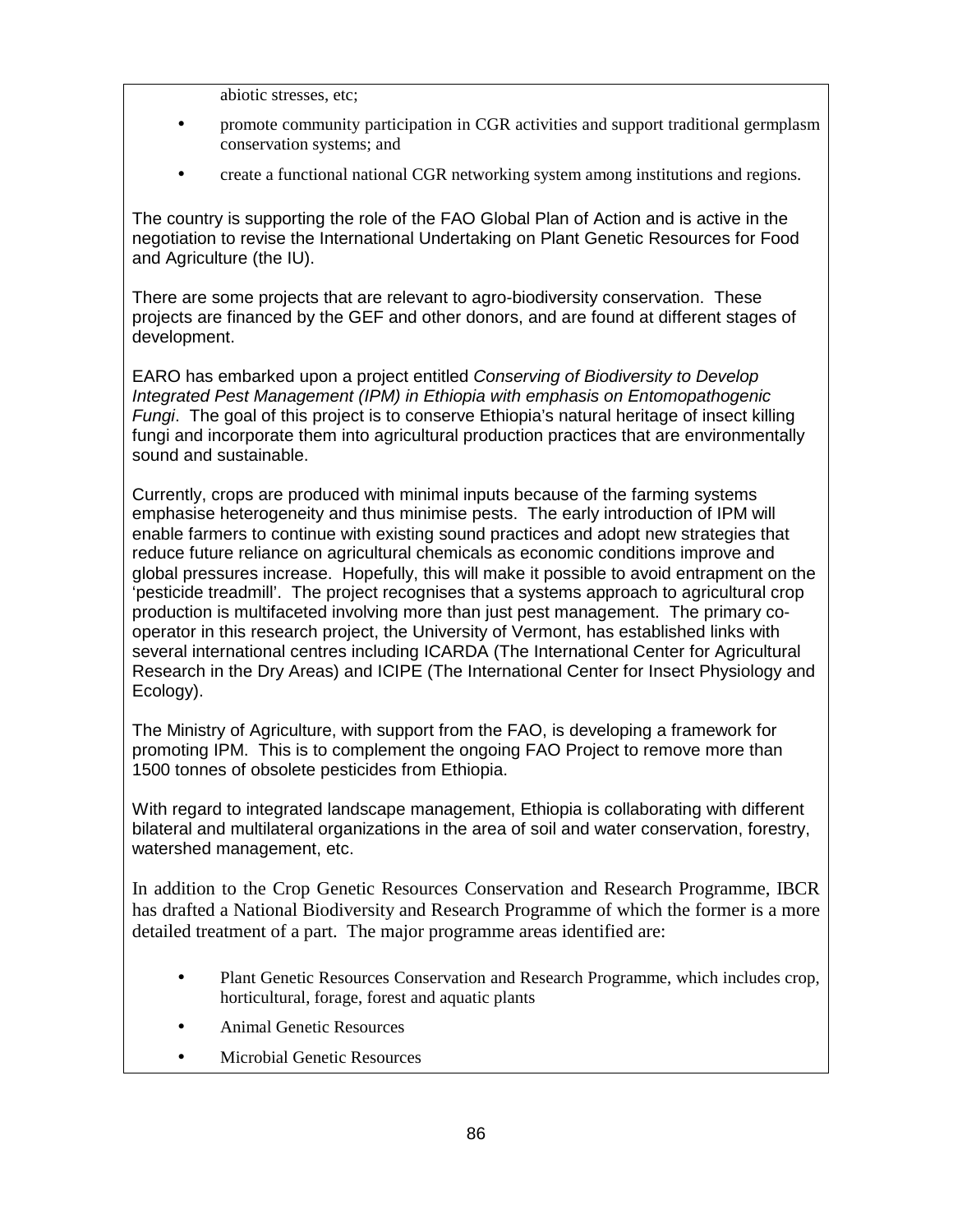- abiotic stresses, etc;
- promote community participation in CGR activities and support traditional germplasm conservation systems; and
- create a functional national CGR networking system among institutions and regions.

The country is supporting the role of the FAO Global Plan of Action and is active in the negotiation to revise the International Undertaking on Plant Genetic Resources for Food and Agriculture (the IU).

There are some projects that are relevant to agro-biodiversity conservation. These projects are financed by the GEF and other donors, and are found at different stages of development.

EARO has embarked upon a project entitled Conserving of Biodiversity to Develop Integrated Pest Management (IPM) in Ethiopia with emphasis on Entomopathogenic Fungi. The goal of this project is to conserve Ethiopia's natural heritage of insect killing fungi and incorporate them into agricultural production practices that are environmentally sound and sustainable.

Currently, crops are produced with minimal inputs because of the farming systems emphasise heterogeneity and thus minimise pests. The early introduction of IPM will enable farmers to continue with existing sound practices and adopt new strategies that reduce future reliance on agricultural chemicals as economic conditions improve and global pressures increase. Hopefully, this will make it possible to avoid entrapment on the 'pesticide treadmill'. The project recognises that a systems approach to agricultural crop production is multifaceted involving more than just pest management. The primary cooperator in this research project, the University of Vermont, has established links with several international centres including ICARDA (The International Center for Agricultural Research in the Dry Areas) and ICIPE (The International Center for Insect Physiology and Ecology).

The Ministry of Agriculture, with support from the FAO, is developing a framework for promoting IPM. This is to complement the ongoing FAO Project to remove more than 1500 tonnes of obsolete pesticides from Ethiopia.

With regard to integrated landscape management, Ethiopia is collaborating with different bilateral and multilateral organizations in the area of soil and water conservation, forestry, watershed management, etc.

In addition to the Crop Genetic Resources Conservation and Research Programme, IBCR has drafted a National Biodiversity and Research Programme of which the former is a more detailed treatment of a part. The major programme areas identified are:

- Plant Genetic Resources Conservation and Research Programme, which includes crop, horticultural, forage, forest and aquatic plants
- Animal Genetic Resources
- Microbial Genetic Resources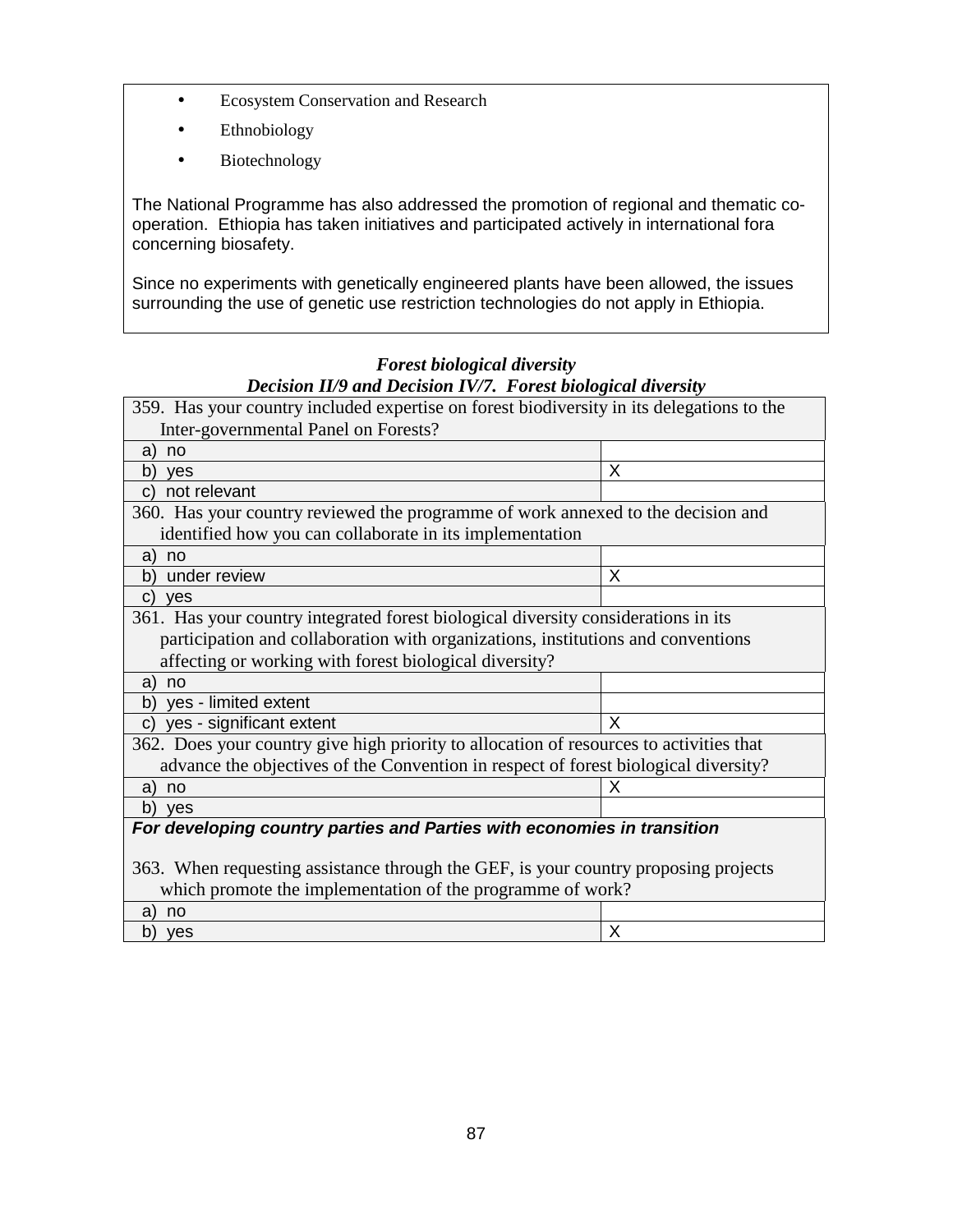- Ecosystem Conservation and Research
- Ethnobiology
- Biotechnology

The National Programme has also addressed the promotion of regional and thematic cooperation. Ethiopia has taken initiatives and participated actively in international fora concerning biosafety.

Since no experiments with genetically engineered plants have been allowed, the issues surrounding the use of genetic use restriction technologies do not apply in Ethiopia.

## *Forest biological diversity Decision II/9 and Decision IV/7. Forest biological diversity*

| 359. Has your country included expertise on forest biodiversity in its delegations to the |   |  |
|-------------------------------------------------------------------------------------------|---|--|
| Inter-governmental Panel on Forests?                                                      |   |  |
| no<br>a)                                                                                  |   |  |
| b)<br>yes                                                                                 | X |  |
| not relevant<br>C)                                                                        |   |  |
| 360. Has your country reviewed the programme of work annexed to the decision and          |   |  |
| identified how you can collaborate in its implementation                                  |   |  |
| no<br>a)                                                                                  |   |  |
| under review<br>b)                                                                        | X |  |
| $\mathbf{C}$<br><b>ves</b>                                                                |   |  |
| 361. Has your country integrated forest biological diversity considerations in its        |   |  |
| participation and collaboration with organizations, institutions and conventions          |   |  |
| affecting or working with forest biological diversity?                                    |   |  |
| a)<br>no                                                                                  |   |  |
| yes - limited extent<br>b)                                                                |   |  |
| yes - significant extent<br>$\mathsf{C}$                                                  | X |  |
| 362. Does your country give high priority to allocation of resources to activities that   |   |  |
| advance the objectives of the Convention in respect of forest biological diversity?       |   |  |
| no<br>a)                                                                                  | х |  |
| b)<br>yes                                                                                 |   |  |
| For developing country parties and Parties with economies in transition                   |   |  |
|                                                                                           |   |  |
| 363. When requesting assistance through the GEF, is your country proposing projects       |   |  |
| which promote the implementation of the programme of work?                                |   |  |
| a)<br>no                                                                                  |   |  |
| b)<br>yes                                                                                 | X |  |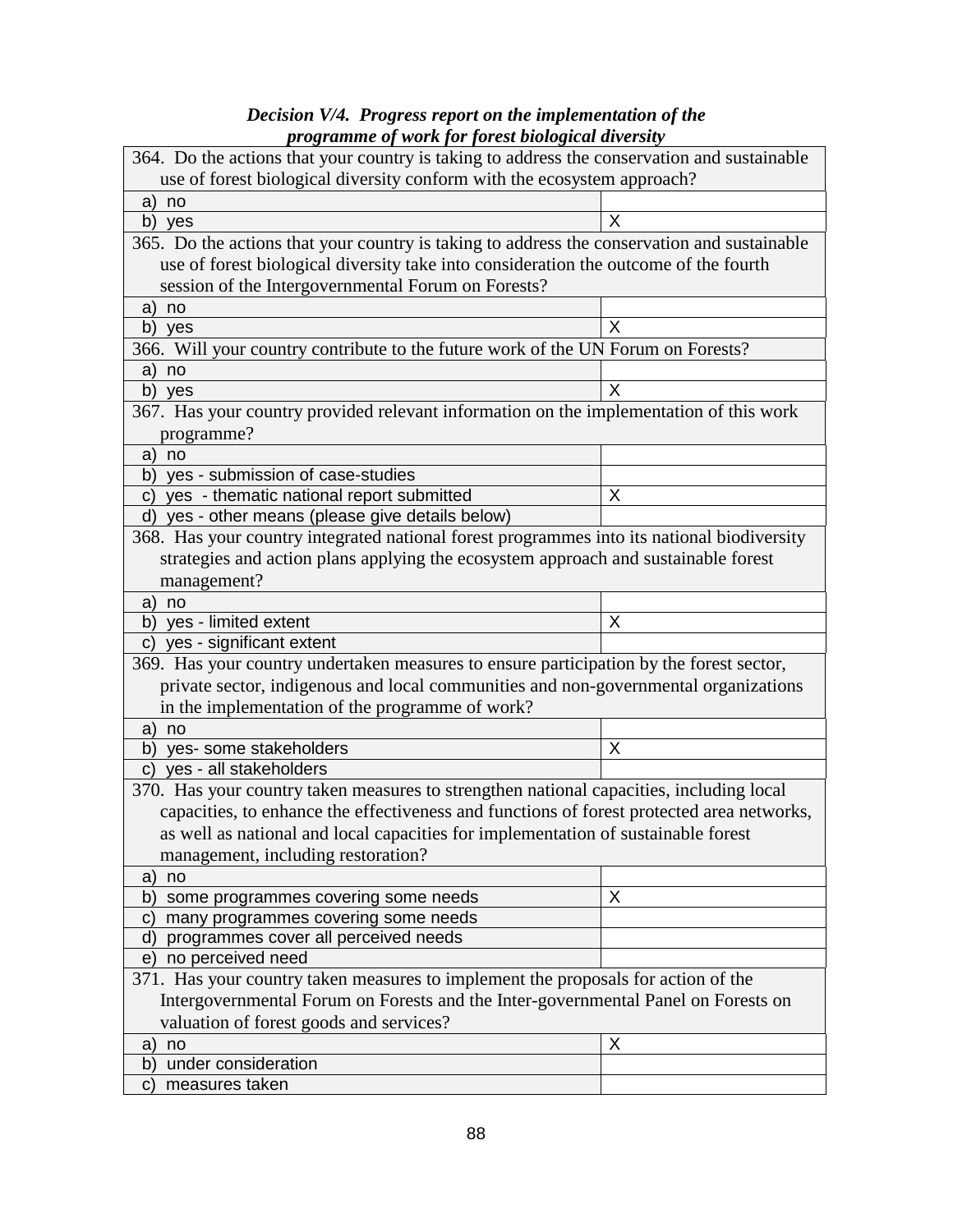### *Decision V/4. Progress report on the implementation of the programme of work for forest biological diversity*

| 364. Do the actions that your country is taking to address the conservation and sustainable                                                                                    |   |  |
|--------------------------------------------------------------------------------------------------------------------------------------------------------------------------------|---|--|
| use of forest biological diversity conform with the ecosystem approach?                                                                                                        |   |  |
| a)<br>no                                                                                                                                                                       |   |  |
| b) yes                                                                                                                                                                         | X |  |
| 365. Do the actions that your country is taking to address the conservation and sustainable                                                                                    |   |  |
| use of forest biological diversity take into consideration the outcome of the fourth                                                                                           |   |  |
| session of the Intergovernmental Forum on Forests?                                                                                                                             |   |  |
| no<br>a)                                                                                                                                                                       |   |  |
| b) yes                                                                                                                                                                         | X |  |
| 366. Will your country contribute to the future work of the UN Forum on Forests?                                                                                               |   |  |
| a)<br>no                                                                                                                                                                       |   |  |
| b)<br>yes                                                                                                                                                                      | X |  |
| 367. Has your country provided relevant information on the implementation of this work                                                                                         |   |  |
| programme?                                                                                                                                                                     |   |  |
| no<br>a)                                                                                                                                                                       |   |  |
| yes - submission of case-studies<br>b)                                                                                                                                         |   |  |
| yes - thematic national report submitted<br>C)                                                                                                                                 | X |  |
| d) yes - other means (please give details below)                                                                                                                               |   |  |
| 368. Has your country integrated national forest programmes into its national biodiversity                                                                                     |   |  |
| strategies and action plans applying the ecosystem approach and sustainable forest                                                                                             |   |  |
| management?                                                                                                                                                                    |   |  |
| no<br>a)                                                                                                                                                                       |   |  |
| yes - limited extent<br>b)                                                                                                                                                     | X |  |
| yes - significant extent<br>C)                                                                                                                                                 |   |  |
| 369. Has your country undertaken measures to ensure participation by the forest sector,                                                                                        |   |  |
| private sector, indigenous and local communities and non-governmental organizations                                                                                            |   |  |
| in the implementation of the programme of work?                                                                                                                                |   |  |
| no<br>a)                                                                                                                                                                       | X |  |
| b)<br>yes- some stakeholders                                                                                                                                                   |   |  |
| yes - all stakeholders<br>C)                                                                                                                                                   |   |  |
| 370. Has your country taken measures to strengthen national capacities, including local                                                                                        |   |  |
| capacities, to enhance the effectiveness and functions of forest protected area networks,<br>as well as national and local capacities for implementation of sustainable forest |   |  |
|                                                                                                                                                                                |   |  |
| management, including restoration?                                                                                                                                             |   |  |
| no<br>a)<br>some programmes covering some needs<br>b)                                                                                                                          | X |  |
| many programmes covering some needs<br>C)                                                                                                                                      |   |  |
| programmes cover all perceived needs<br>d)                                                                                                                                     |   |  |
| no perceived need<br>e)                                                                                                                                                        |   |  |
| 371. Has your country taken measures to implement the proposals for action of the                                                                                              |   |  |
| Intergovernmental Forum on Forests and the Inter-governmental Panel on Forests on                                                                                              |   |  |
| valuation of forest goods and services?                                                                                                                                        |   |  |
| no<br>a)                                                                                                                                                                       | X |  |
| under consideration<br>b)                                                                                                                                                      |   |  |
| measures taken<br>$\mathsf{C}$                                                                                                                                                 |   |  |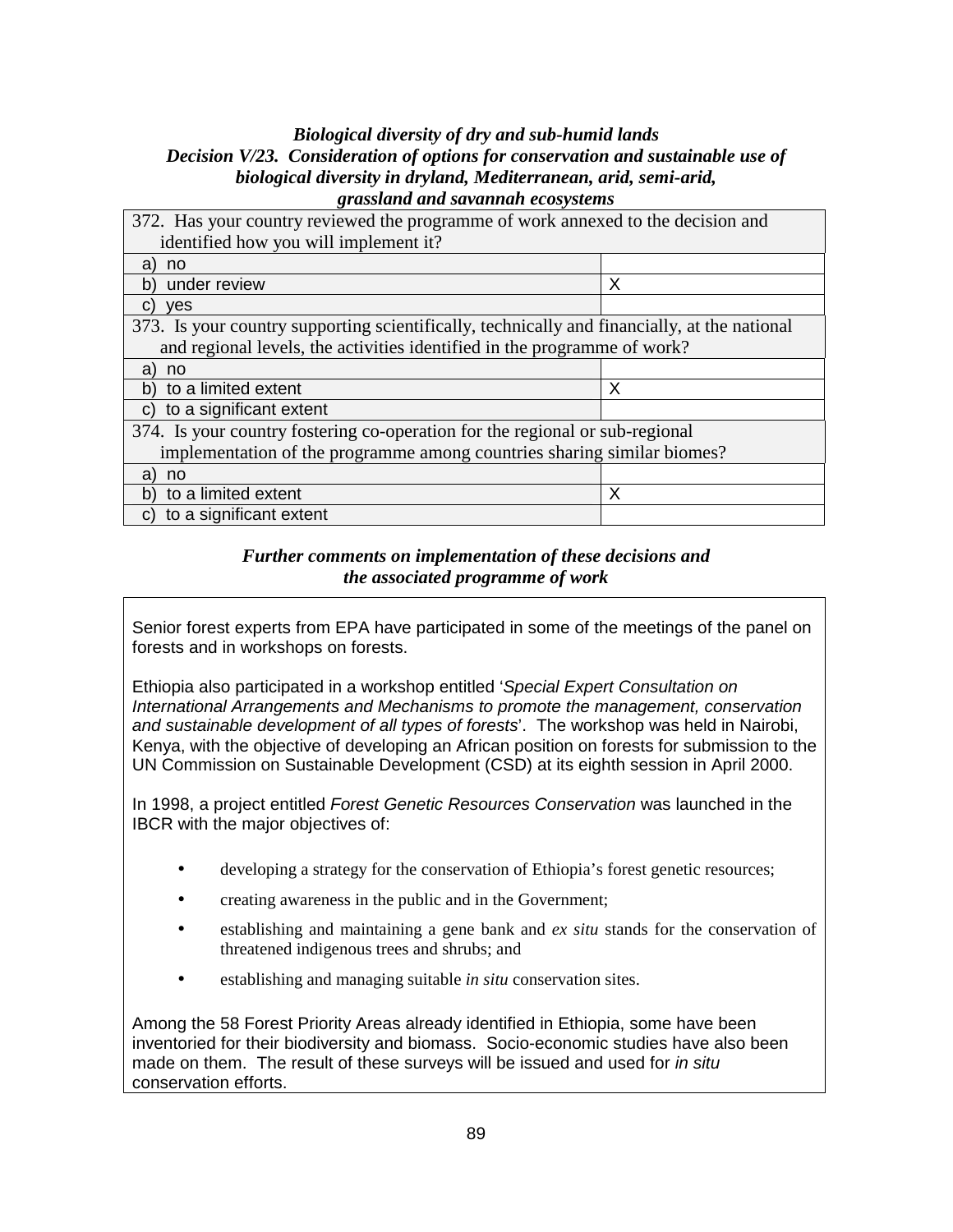#### *Biological diversity of dry and sub-humid lands Decision V/23. Consideration of options for conservation and sustainable use of biological diversity in dryland, Mediterranean, arid, semi-arid, grassland and savannah ecosystems*

| 372. Has your country reviewed the programme of work annexed to the decision and             |   |
|----------------------------------------------------------------------------------------------|---|
| identified how you will implement it?                                                        |   |
| a)<br>no                                                                                     |   |
| under review<br>b)                                                                           | Χ |
| C)<br>yes                                                                                    |   |
| 373. Is your country supporting scientifically, technically and financially, at the national |   |
| and regional levels, the activities identified in the programme of work?                     |   |
| a)<br>no                                                                                     |   |
| b) to a limited extent                                                                       | X |
| to a significant extent<br>C)                                                                |   |
| 374. Is your country fostering co-operation for the regional or sub-regional                 |   |
| implementation of the programme among countries sharing similar biomes?                      |   |
| a)<br>no                                                                                     |   |
| to a limited extent<br>b)                                                                    | X |
| c) to a significant extent                                                                   |   |

### *Further comments on implementation of these decisions and the associated programme of work*

Senior forest experts from EPA have participated in some of the meetings of the panel on forests and in workshops on forests.

Ethiopia also participated in a workshop entitled 'Special Expert Consultation on International Arrangements and Mechanisms to promote the management, conservation and sustainable development of all types of forests'. The workshop was held in Nairobi, Kenya, with the objective of developing an African position on forests for submission to the UN Commission on Sustainable Development (CSD) at its eighth session in April 2000.

In 1998, a project entitled Forest Genetic Resources Conservation was launched in the IBCR with the major objectives of:

- developing a strategy for the conservation of Ethiopia's forest genetic resources;
- creating awareness in the public and in the Government;
- establishing and maintaining a gene bank and *ex situ* stands for the conservation of threatened indigenous trees and shrubs; and
- establishing and managing suitable *in situ* conservation sites.

Among the 58 Forest Priority Areas already identified in Ethiopia, some have been inventoried for their biodiversity and biomass. Socio-economic studies have also been made on them. The result of these surveys will be issued and used for in situ conservation efforts.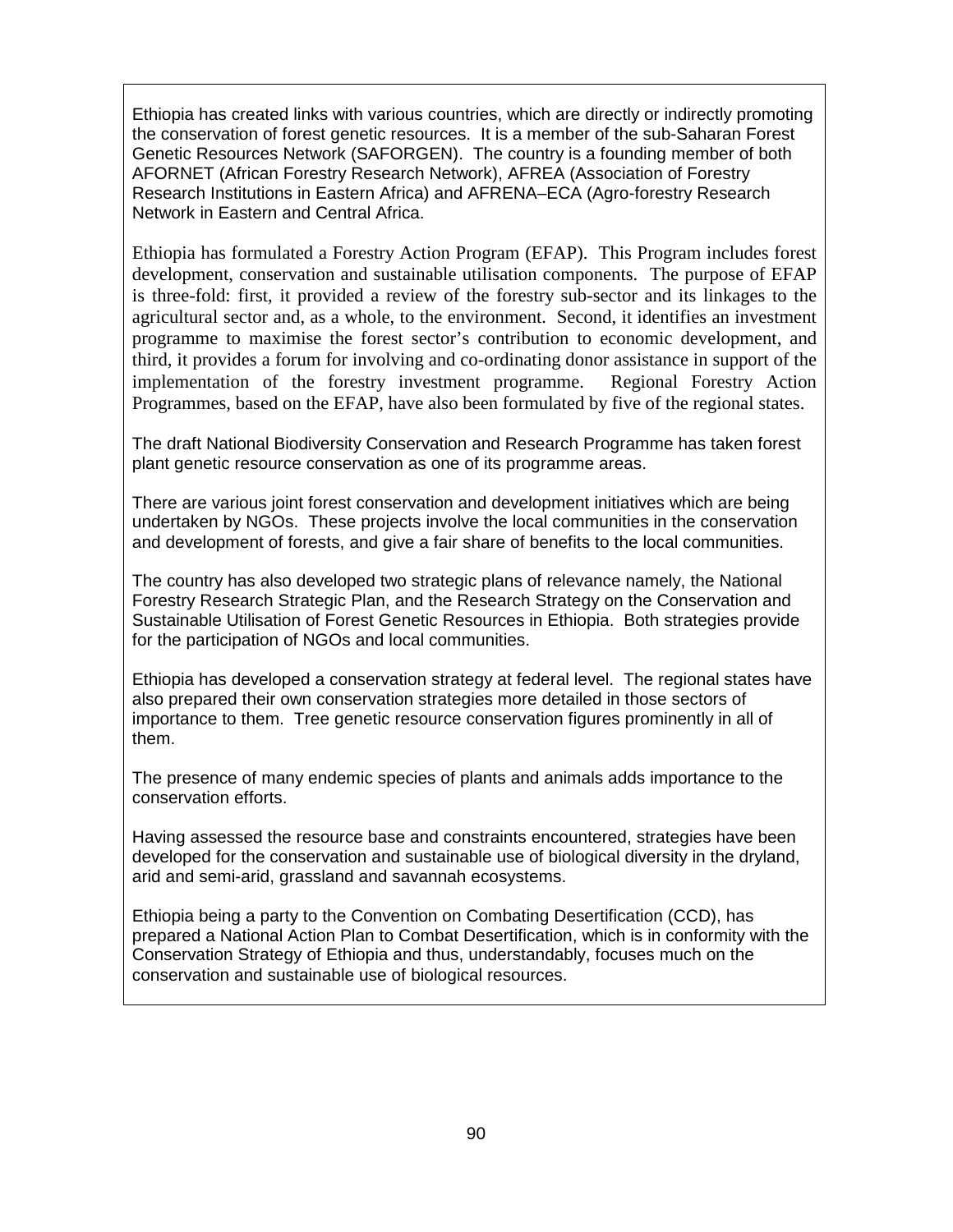Ethiopia has created links with various countries, which are directly or indirectly promoting the conservation of forest genetic resources. It is a member of the sub-Saharan Forest Genetic Resources Network (SAFORGEN). The country is a founding member of both AFORNET (African Forestry Research Network), AFREA (Association of Forestry Research Institutions in Eastern Africa) and AFRENA–ECA (Agro-forestry Research Network in Eastern and Central Africa.

Ethiopia has formulated a Forestry Action Program (EFAP). This Program includes forest development, conservation and sustainable utilisation components. The purpose of EFAP is three-fold: first, it provided a review of the forestry sub-sector and its linkages to the agricultural sector and, as a whole, to the environment. Second, it identifies an investment programme to maximise the forest sector's contribution to economic development, and third, it provides a forum for involving and co-ordinating donor assistance in support of the implementation of the forestry investment programme. Regional Forestry Action Programmes, based on the EFAP, have also been formulated by five of the regional states.

The draft National Biodiversity Conservation and Research Programme has taken forest plant genetic resource conservation as one of its programme areas.

There are various joint forest conservation and development initiatives which are being undertaken by NGOs. These projects involve the local communities in the conservation and development of forests, and give a fair share of benefits to the local communities.

The country has also developed two strategic plans of relevance namely, the National Forestry Research Strategic Plan, and the Research Strategy on the Conservation and Sustainable Utilisation of Forest Genetic Resources in Ethiopia. Both strategies provide for the participation of NGOs and local communities.

Ethiopia has developed a conservation strategy at federal level. The regional states have also prepared their own conservation strategies more detailed in those sectors of importance to them. Tree genetic resource conservation figures prominently in all of them.

The presence of many endemic species of plants and animals adds importance to the conservation efforts.

Having assessed the resource base and constraints encountered, strategies have been developed for the conservation and sustainable use of biological diversity in the dryland, arid and semi-arid, grassland and savannah ecosystems.

Ethiopia being a party to the Convention on Combating Desertification (CCD), has prepared a National Action Plan to Combat Desertification, which is in conformity with the Conservation Strategy of Ethiopia and thus, understandably, focuses much on the conservation and sustainable use of biological resources.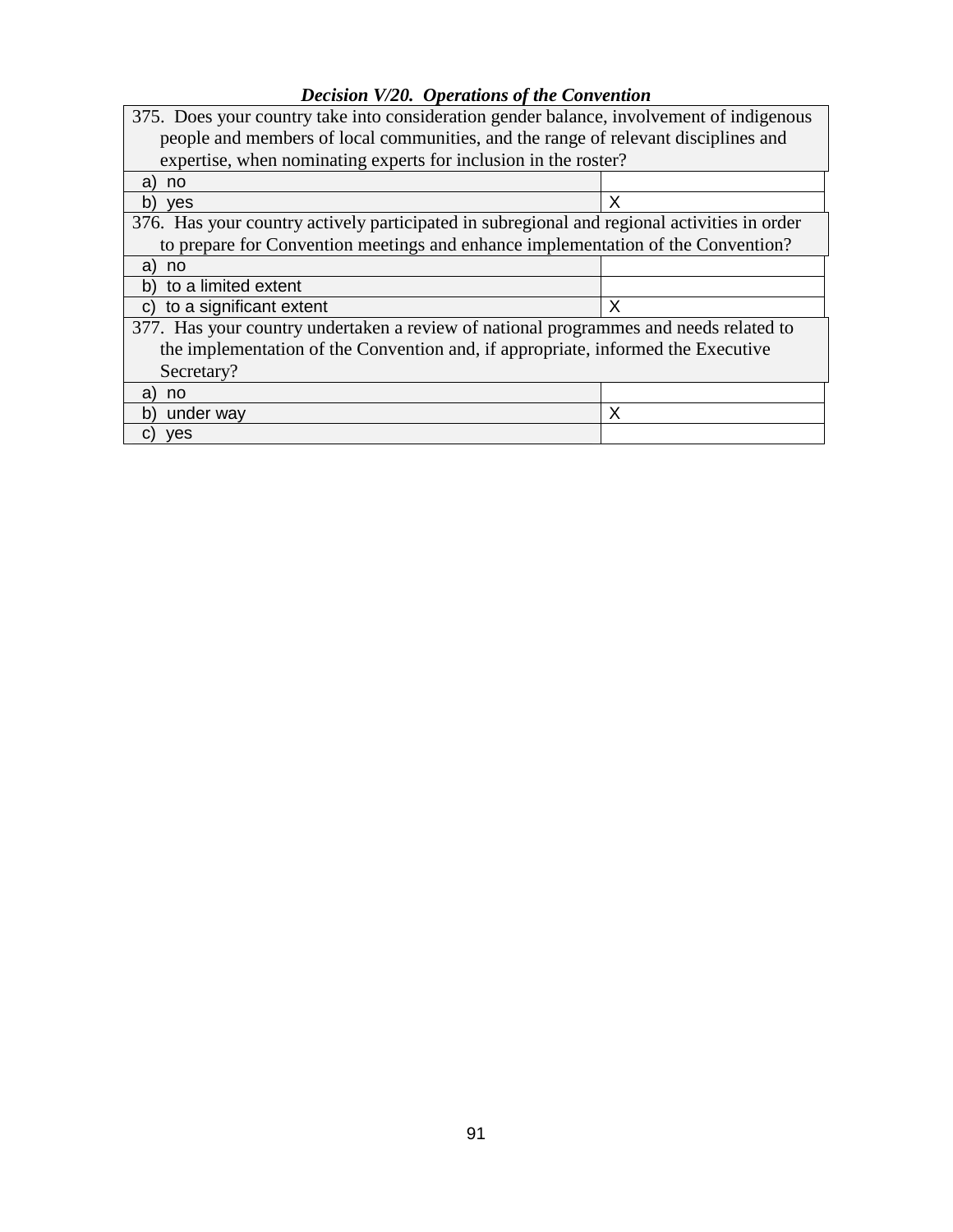## *Decision V/20. Operations of the Convention*

| 375. Does your country take into consideration gender balance, involvement of indigenous    |   |
|---------------------------------------------------------------------------------------------|---|
| people and members of local communities, and the range of relevant disciplines and          |   |
| expertise, when nominating experts for inclusion in the roster?                             |   |
| a)<br>no                                                                                    |   |
| b)<br><b>ves</b>                                                                            | X |
| 376. Has your country actively participated in subregional and regional activities in order |   |
| to prepare for Convention meetings and enhance implementation of the Convention?            |   |
| a)<br>no                                                                                    |   |
| to a limited extent<br>b)                                                                   |   |
| to a significant extent<br>C)                                                               | X |
| 377. Has your country undertaken a review of national programmes and needs related to       |   |
| the implementation of the Convention and, if appropriate, informed the Executive            |   |
| Secretary?                                                                                  |   |
| a)<br>no                                                                                    |   |
| b)<br>under way                                                                             | Х |
| <b>ves</b><br>C)                                                                            |   |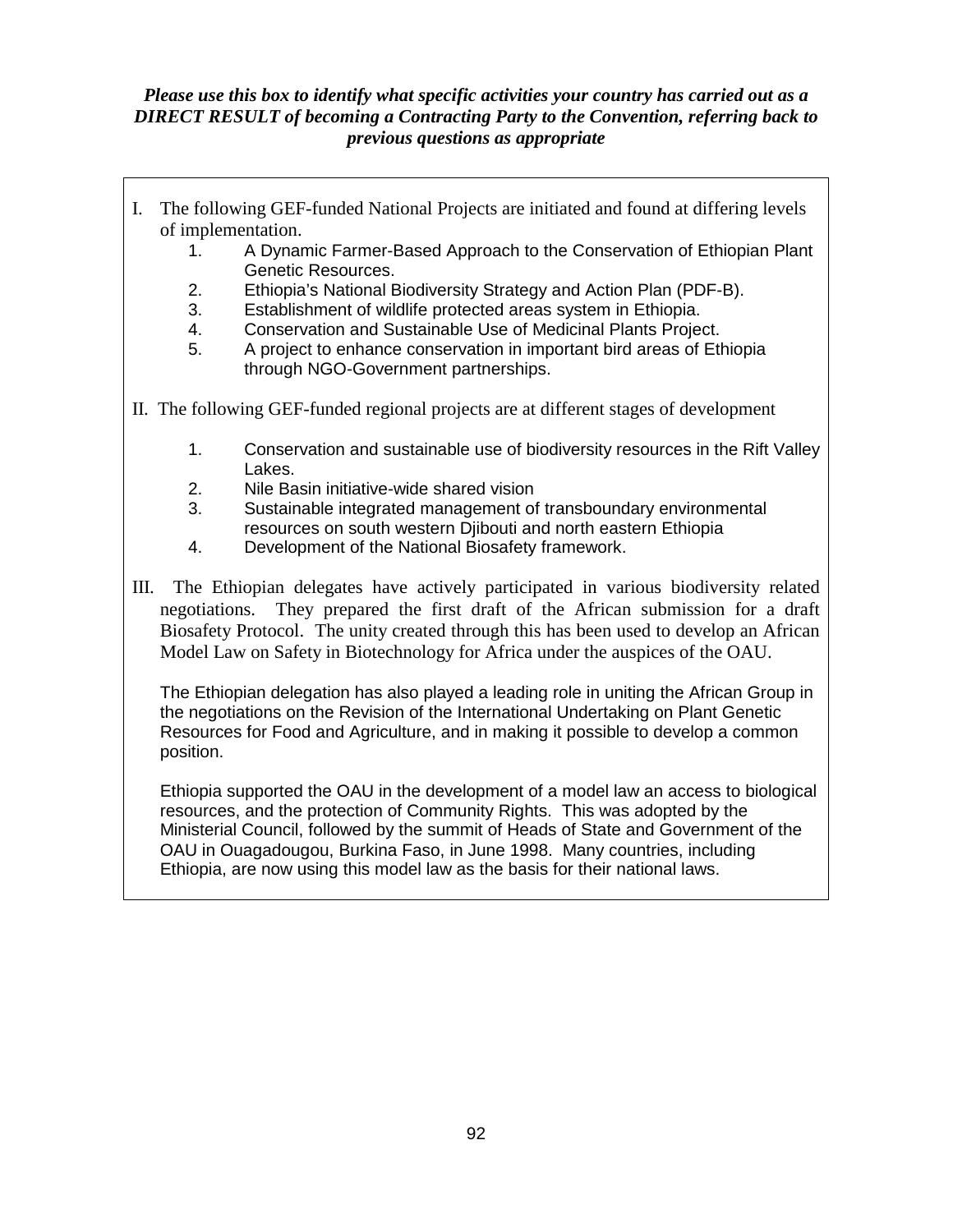## *Please use this box to identify what specific activities your country has carried out as a DIRECT RESULT of becoming a Contracting Party to the Convention, referring back to previous questions as appropriate*

- I. The following GEF-funded National Projects are initiated and found at differing levels of implementation.
	- 1. A Dynamic Farmer-Based Approach to the Conservation of Ethiopian Plant Genetic Resources.
	- 2. Ethiopia's National Biodiversity Strategy and Action Plan (PDF-B).
	- 3. Establishment of wildlife protected areas system in Ethiopia.
	- 4. Conservation and Sustainable Use of Medicinal Plants Project.
	- 5. A project to enhance conservation in important bird areas of Ethiopia through NGO-Government partnerships.
- II. The following GEF-funded regional projects are at different stages of development
	- 1. Conservation and sustainable use of biodiversity resources in the Rift Valley Lakes.
	- 2. Nile Basin initiative-wide shared vision
	- 3. Sustainable integrated management of transboundary environmental resources on south western Djibouti and north eastern Ethiopia
	- 4. Development of the National Biosafety framework.
- III. The Ethiopian delegates have actively participated in various biodiversity related negotiations. They prepared the first draft of the African submission for a draft Biosafety Protocol. The unity created through this has been used to develop an African Model Law on Safety in Biotechnology for Africa under the auspices of the OAU.

The Ethiopian delegation has also played a leading role in uniting the African Group in the negotiations on the Revision of the International Undertaking on Plant Genetic Resources for Food and Agriculture, and in making it possible to develop a common position.

Ethiopia supported the OAU in the development of a model law an access to biological resources, and the protection of Community Rights. This was adopted by the Ministerial Council, followed by the summit of Heads of State and Government of the OAU in Ouagadougou, Burkina Faso, in June 1998. Many countries, including Ethiopia, are now using this model law as the basis for their national laws.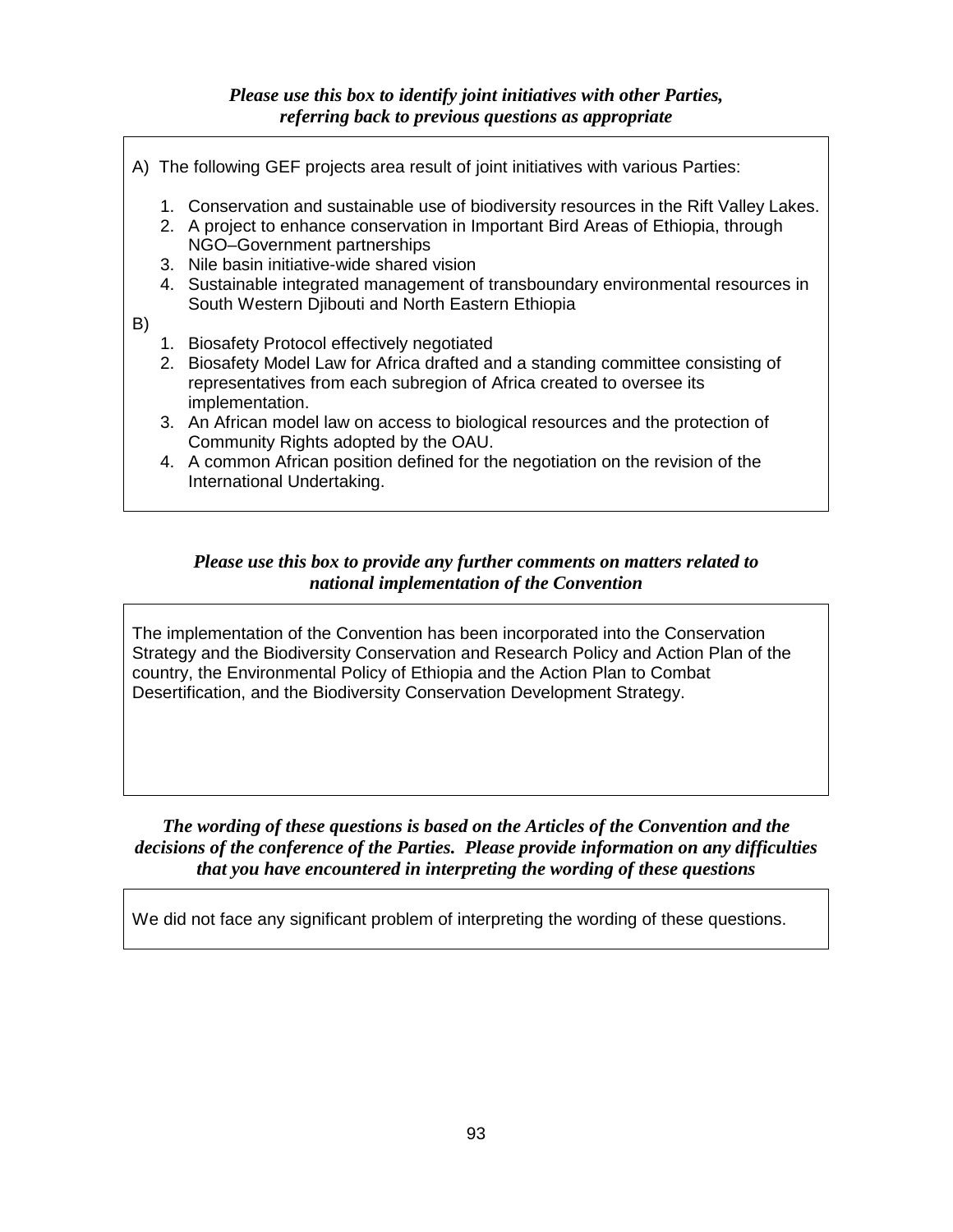### *Please use this box to identify joint initiatives with other Parties, referring back to previous questions as appropriate*

- A) The following GEF projects area result of joint initiatives with various Parties:
	- 1. Conservation and sustainable use of biodiversity resources in the Rift Valley Lakes.
	- 2. A project to enhance conservation in Important Bird Areas of Ethiopia, through NGO–Government partnerships
	- 3. Nile basin initiative-wide shared vision
	- 4. Sustainable integrated management of transboundary environmental resources in South Western Djibouti and North Eastern Ethiopia

B)

- 1. Biosafety Protocol effectively negotiated
- 2. Biosafety Model Law for Africa drafted and a standing committee consisting of representatives from each subregion of Africa created to oversee its implementation.
- 3. An African model law on access to biological resources and the protection of Community Rights adopted by the OAU.
- 4. A common African position defined for the negotiation on the revision of the International Undertaking.

### *Please use this box to provide any further comments on matters related to national implementation of the Convention*

The implementation of the Convention has been incorporated into the Conservation Strategy and the Biodiversity Conservation and Research Policy and Action Plan of the country, the Environmental Policy of Ethiopia and the Action Plan to Combat Desertification, and the Biodiversity Conservation Development Strategy.

*The wording of these questions is based on the Articles of the Convention and the decisions of the conference of the Parties. Please provide information on any difficulties that you have encountered in interpreting the wording of these questions*

We did not face any significant problem of interpreting the wording of these questions.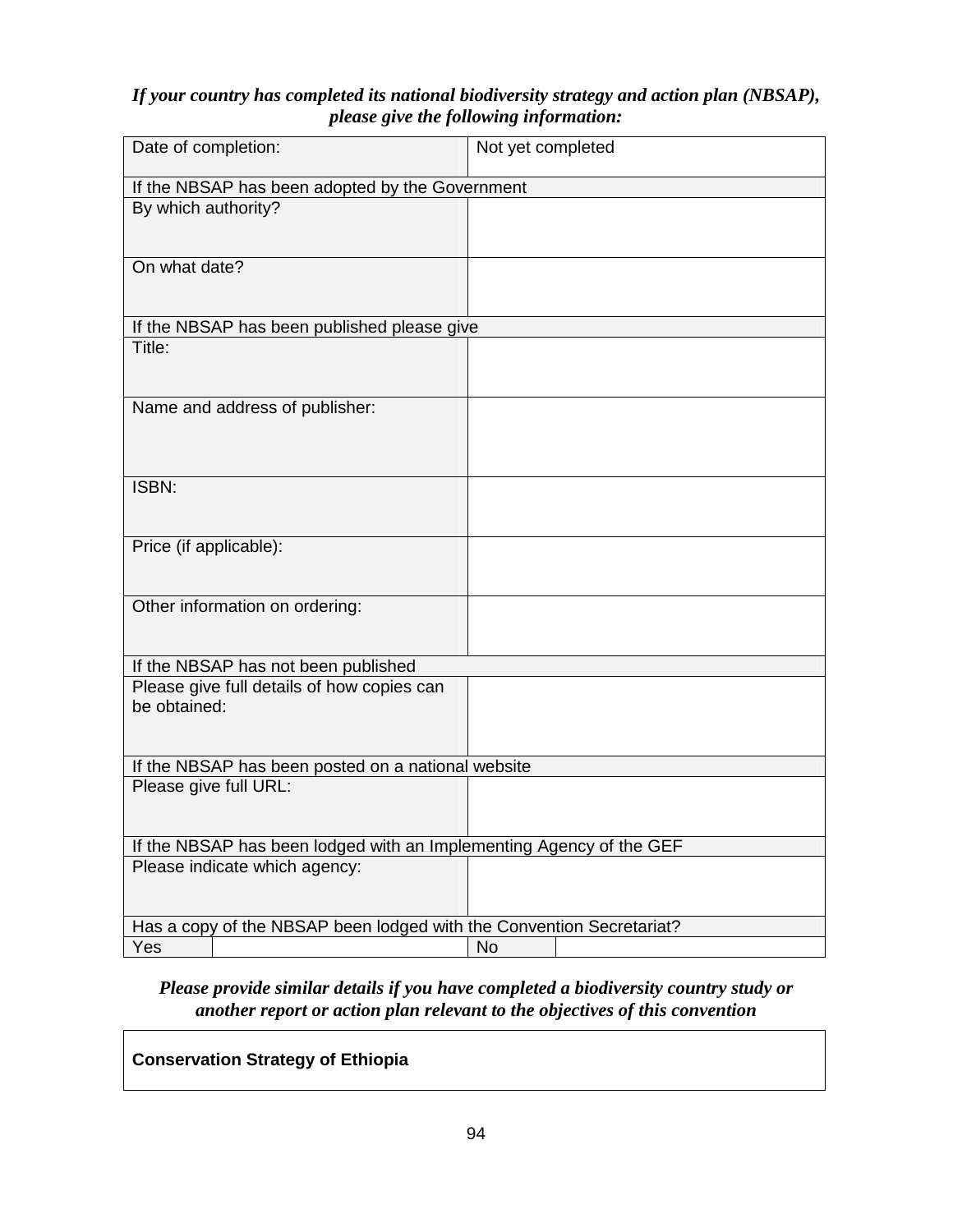## *If your country has completed its national biodiversity strategy and action plan (NBSAP), please give the following information:*

| If the NBSAP has been adopted by the Government<br>By which authority?<br>On what date?<br>If the NBSAP has been published please give |
|----------------------------------------------------------------------------------------------------------------------------------------|
|                                                                                                                                        |
|                                                                                                                                        |
|                                                                                                                                        |
|                                                                                                                                        |
|                                                                                                                                        |
|                                                                                                                                        |
| Title:                                                                                                                                 |
|                                                                                                                                        |
| Name and address of publisher:                                                                                                         |
|                                                                                                                                        |
|                                                                                                                                        |
| ISBN:                                                                                                                                  |
|                                                                                                                                        |
| Price (if applicable):                                                                                                                 |
|                                                                                                                                        |
| Other information on ordering:                                                                                                         |
|                                                                                                                                        |
|                                                                                                                                        |
| If the NBSAP has not been published                                                                                                    |
| Please give full details of how copies can<br>be obtained:                                                                             |
|                                                                                                                                        |
|                                                                                                                                        |
| If the NBSAP has been posted on a national website                                                                                     |
| Please give full URL:                                                                                                                  |
|                                                                                                                                        |
| If the NBSAP has been lodged with an Implementing Agency of the GEF                                                                    |
| Please indicate which agency:                                                                                                          |
|                                                                                                                                        |
| Has a copy of the NBSAP been lodged with the Convention Secretariat?                                                                   |
| Yes<br>No                                                                                                                              |

## *Please provide similar details if you have completed a biodiversity country study or another report or action plan relevant to the objectives of this convention*

## **Conservation Strategy of Ethiopia**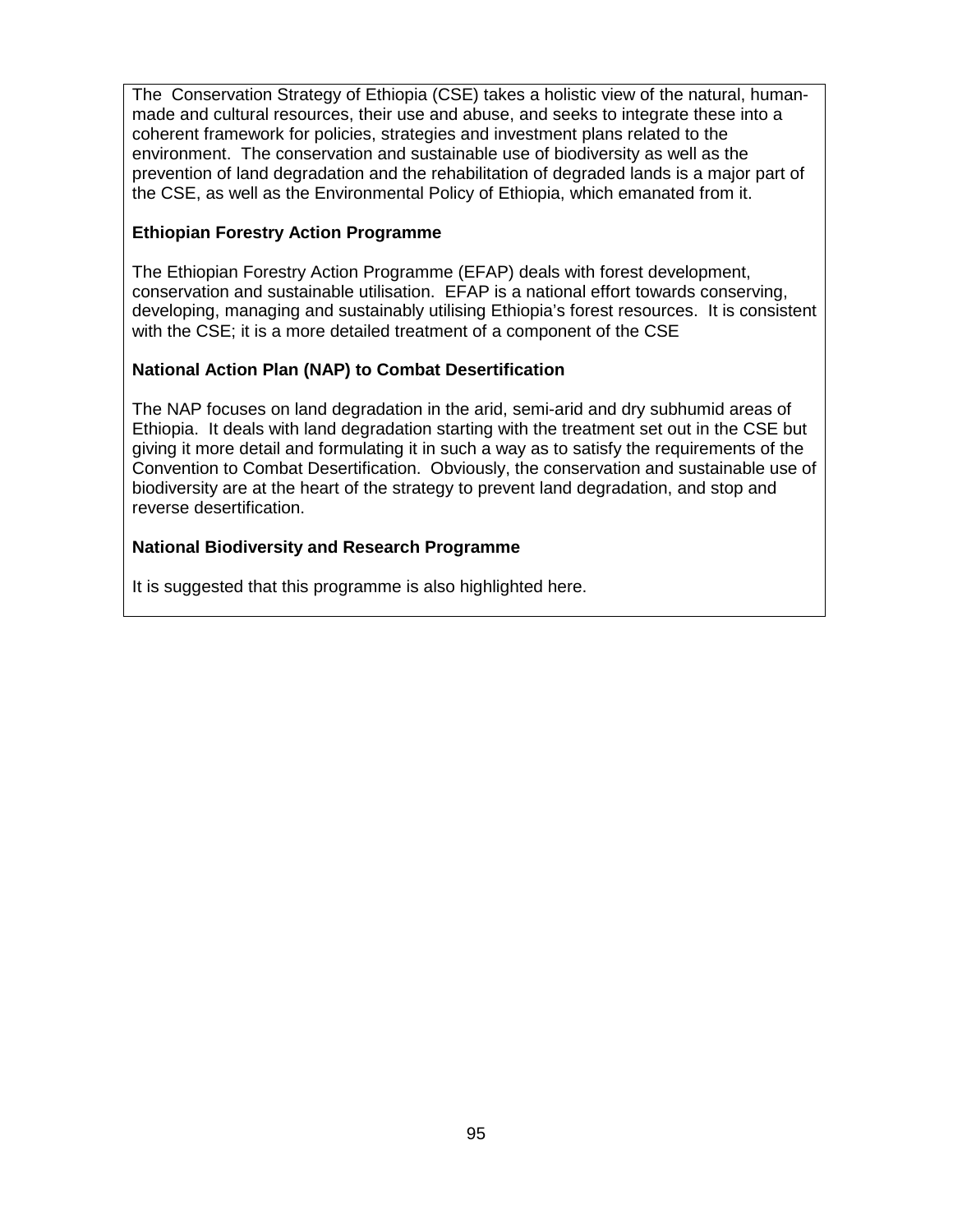The Conservation Strategy of Ethiopia (CSE) takes a holistic view of the natural, humanmade and cultural resources, their use and abuse, and seeks to integrate these into a coherent framework for policies, strategies and investment plans related to the environment. The conservation and sustainable use of biodiversity as well as the prevention of land degradation and the rehabilitation of degraded lands is a major part of the CSE, as well as the Environmental Policy of Ethiopia, which emanated from it.

#### **Ethiopian Forestry Action Programme**

The Ethiopian Forestry Action Programme (EFAP) deals with forest development, conservation and sustainable utilisation. EFAP is a national effort towards conserving, developing, managing and sustainably utilising Ethiopia's forest resources. It is consistent with the CSE; it is a more detailed treatment of a component of the CSE

#### **National Action Plan (NAP) to Combat Desertification**

The NAP focuses on land degradation in the arid, semi-arid and dry subhumid areas of Ethiopia. It deals with land degradation starting with the treatment set out in the CSE but giving it more detail and formulating it in such a way as to satisfy the requirements of the Convention to Combat Desertification. Obviously, the conservation and sustainable use of biodiversity are at the heart of the strategy to prevent land degradation, and stop and reverse desertification.

#### **National Biodiversity and Research Programme**

It is suggested that this programme is also highlighted here.